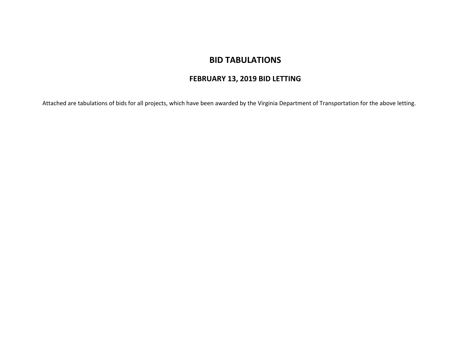# **BID TABULATIONS**

## **FEBRUARY 13, 2019 BID LETTING**

Attached are tabulations of bids for all projects, which have been awarded by the Virginia Department of Transportation for the above letting.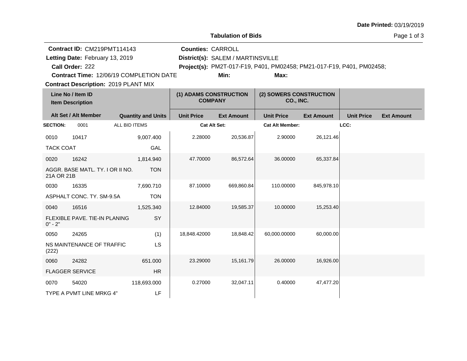|                                                                                                                                                                             |                                  |                           |                                          |                                                                                                                    | <b>Tabulation of Bids</b>            |                        |                   |                   | Page 1 of 3       |  |  |
|-----------------------------------------------------------------------------------------------------------------------------------------------------------------------------|----------------------------------|---------------------------|------------------------------------------|--------------------------------------------------------------------------------------------------------------------|--------------------------------------|------------------------|-------------------|-------------------|-------------------|--|--|
| Contract ID: CM219PMT114143<br>Letting Date: February 13, 2019<br>Call Order: 222<br>Contract Time: 12/06/19 COMPLETION DATE<br><b>Contract Description: 2019 PLANT MIX</b> |                                  |                           | <b>Counties: CARROLL</b>                 | District(s): SALEM / MARTINSVILLE<br>Project(s): PM2T-017-F19, P401, PM02458; PM21-017-F19, P401, PM02458;<br>Min: |                                      |                        |                   |                   |                   |  |  |
| Line No / Item ID<br><b>Item Description</b>                                                                                                                                |                                  |                           | (1) ADAMS CONSTRUCTION<br><b>COMPANY</b> |                                                                                                                    | (2) SOWERS CONSTRUCTION<br>CO., INC. |                        |                   |                   |                   |  |  |
|                                                                                                                                                                             | Alt Set / Alt Member             | <b>Quantity and Units</b> |                                          | <b>Unit Price</b>                                                                                                  | <b>Ext Amount</b>                    | <b>Unit Price</b>      | <b>Ext Amount</b> | <b>Unit Price</b> | <b>Ext Amount</b> |  |  |
| <b>SECTION:</b>                                                                                                                                                             | 0001                             | ALL BID ITEMS             |                                          | Cat Alt Set:                                                                                                       |                                      | <b>Cat Alt Member:</b> |                   | LCC:              |                   |  |  |
| 0010                                                                                                                                                                        | 10417                            | 9,007.400                 |                                          | 2.28000                                                                                                            | 20,536.87                            | 2.90000                | 26,121.46         |                   |                   |  |  |
| <b>TACK COAT</b>                                                                                                                                                            |                                  |                           | GAL                                      |                                                                                                                    |                                      |                        |                   |                   |                   |  |  |
| 0020                                                                                                                                                                        | 16242                            | 1,814.940                 |                                          | 47.70000                                                                                                           | 86,572.64                            | 36,00000               | 65,337.84         |                   |                   |  |  |
| 21A OR 21B                                                                                                                                                                  | AGGR. BASE MATL. TY. I OR II NO. |                           | <b>TON</b>                               |                                                                                                                    |                                      |                        |                   |                   |                   |  |  |
| 0030                                                                                                                                                                        | 16335                            | 7,690.710                 |                                          | 87.10000                                                                                                           | 669,860.84                           | 110.00000              | 845,978.10        |                   |                   |  |  |
|                                                                                                                                                                             | ASPHALT CONC. TY. SM-9.5A        |                           | <b>TON</b>                               |                                                                                                                    |                                      |                        |                   |                   |                   |  |  |
| 0040                                                                                                                                                                        | 16516                            | 1,525.340                 |                                          | 12.84000                                                                                                           | 19,585.37                            | 10.00000               | 15,253.40         |                   |                   |  |  |
| $0" - 2"$                                                                                                                                                                   | FLEXIBLE PAVE, TIE-IN PLANING    |                           | SY                                       |                                                                                                                    |                                      |                        |                   |                   |                   |  |  |
| 0050                                                                                                                                                                        | 24265                            |                           | (1)                                      | 18,848.42000                                                                                                       | 18,848.42                            | 60,000.00000           | 60,000.00         |                   |                   |  |  |
| (222)                                                                                                                                                                       | NS MAINTENANCE OF TRAFFIC        |                           | LS                                       |                                                                                                                    |                                      |                        |                   |                   |                   |  |  |
| 0060                                                                                                                                                                        | 24282                            | 651.000                   |                                          | 23.29000                                                                                                           | 15,161.79                            | 26.00000               | 16,926.00         |                   |                   |  |  |
|                                                                                                                                                                             | <b>FLAGGER SERVICE</b>           |                           | HR                                       |                                                                                                                    |                                      |                        |                   |                   |                   |  |  |
| 0070                                                                                                                                                                        | 54020                            | 118,693.000               |                                          | 0.27000                                                                                                            | 32,047.11                            | 0.40000                | 47,477.20         |                   |                   |  |  |
|                                                                                                                                                                             | TYPE A PVMT LINE MRKG 4"         |                           | LF                                       |                                                                                                                    |                                      |                        |                   |                   |                   |  |  |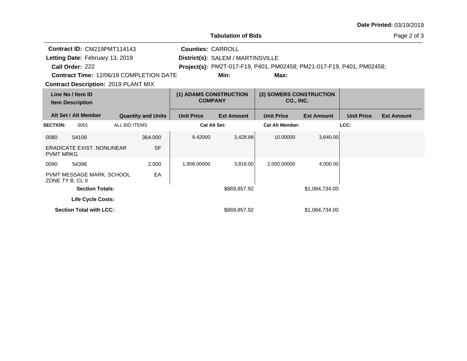|                                              |                                                |                                          |                           |                                      | <b>Tabulation of Bids</b>         |                                                                       | Page 2 of 3       |                   |                   |
|----------------------------------------------|------------------------------------------------|------------------------------------------|---------------------------|--------------------------------------|-----------------------------------|-----------------------------------------------------------------------|-------------------|-------------------|-------------------|
|                                              | Contract ID: CM219PMT114143                    |                                          |                           | <b>Counties: CARROLL</b>             |                                   |                                                                       |                   |                   |                   |
|                                              | Letting Date: February 13, 2019                |                                          |                           |                                      | District(s): SALEM / MARTINSVILLE |                                                                       |                   |                   |                   |
|                                              | Call Order: 222                                |                                          |                           |                                      |                                   | Project(s): PM2T-017-F19, P401, PM02458; PM21-017-F19, P401, PM02458; |                   |                   |                   |
|                                              | <b>Contract Time: 12/06/19 COMPLETION DATE</b> |                                          |                           |                                      | Min:                              | Max:                                                                  |                   |                   |                   |
|                                              | <b>Contract Description: 2019 PLANT MIX</b>    |                                          |                           |                                      |                                   |                                                                       |                   |                   |                   |
| Line No / Item ID<br><b>Item Description</b> |                                                | (1) ADAMS CONSTRUCTION<br><b>COMPANY</b> |                           | (2) SOWERS CONSTRUCTION<br>CO., INC. |                                   |                                                                       |                   |                   |                   |
|                                              | Alt Set / Alt Member                           |                                          | <b>Quantity and Units</b> | <b>Unit Price</b>                    | <b>Ext Amount</b>                 | <b>Unit Price</b>                                                     | <b>Ext Amount</b> | <b>Unit Price</b> | <b>Ext Amount</b> |
| <b>SECTION:</b>                              | 0001                                           | ALL BID ITEMS                            |                           |                                      | <b>Cat Alt Set:</b>               | <b>Cat Alt Member:</b>                                                |                   | LCC:              |                   |
| 0080                                         | 54106                                          |                                          | 364.000                   | 9.42000                              | 3,428.88                          | 10.00000                                                              | 3,640.00          |                   |                   |
| <b>PVMT MRKG</b>                             | <b>ERADICATE EXIST, NONLINEAR</b>              |                                          | <b>SF</b>                 |                                      |                                   |                                                                       |                   |                   |                   |
| 0090                                         | 54396                                          |                                          | 2.000                     | 1,908.00000                          | 3,816.00                          | 2,000.00000                                                           | 4,000.00          |                   |                   |
| ZONE TY B, CL II                             | <b>PVMT MESSAGE MARK, SCHOOL</b>               |                                          | EA                        |                                      |                                   |                                                                       |                   |                   |                   |
|                                              | <b>Section Totals:</b>                         |                                          |                           |                                      | \$869,857.92                      |                                                                       | \$1,084,734.00    |                   |                   |
|                                              | <b>Life Cycle Costs:</b>                       |                                          |                           |                                      |                                   |                                                                       |                   |                   |                   |
|                                              | <b>Section Total with LCC:</b>                 |                                          |                           |                                      | \$869,857.92                      |                                                                       | \$1,084,734.00    |                   |                   |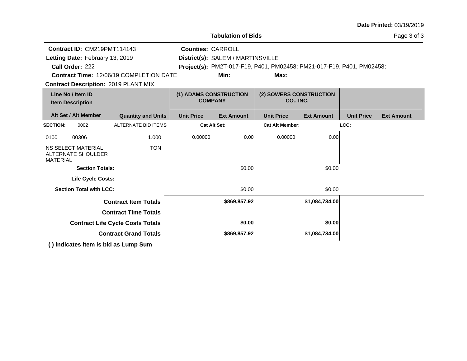|                                              |                                                 |                                                                                                                     |                          | <b>Tabulation of Bids</b>                                             |                        |                   |                   | Page 3 of 3       |
|----------------------------------------------|-------------------------------------------------|---------------------------------------------------------------------------------------------------------------------|--------------------------|-----------------------------------------------------------------------|------------------------|-------------------|-------------------|-------------------|
|                                              | Contract ID: CM219PMT114143                     |                                                                                                                     | <b>Counties: CARROLL</b> |                                                                       |                        |                   |                   |                   |
|                                              | Letting Date: February 13, 2019                 |                                                                                                                     |                          | District(s): SALEM / MARTINSVILLE                                     |                        |                   |                   |                   |
|                                              | Call Order: 222                                 |                                                                                                                     |                          | Project(s): PM2T-017-F19, P401, PM02458; PM21-017-F19, P401, PM02458; |                        |                   |                   |                   |
|                                              |                                                 | <b>Contract Time: 12/06/19 COMPLETION DATE</b>                                                                      |                          | Min:                                                                  | Max:                   |                   |                   |                   |
|                                              |                                                 | <b>Contract Description: 2019 PLANT MIX</b>                                                                         |                          |                                                                       |                        |                   |                   |                   |
| Line No / Item ID<br><b>Item Description</b> |                                                 | (1) ADAMS CONSTRUCTION<br><b>COMPANY</b>                                                                            |                          | (2) SOWERS CONSTRUCTION<br>CO., INC.                                  |                        |                   |                   |                   |
|                                              | Alt Set / Alt Member                            | <b>Quantity and Units</b>                                                                                           | <b>Unit Price</b>        | <b>Ext Amount</b>                                                     | <b>Unit Price</b>      | <b>Ext Amount</b> | <b>Unit Price</b> | <b>Ext Amount</b> |
| <b>SECTION:</b>                              | 0002                                            | <b>ALTERNATE BID ITEMS</b>                                                                                          | Cat Alt Set:             |                                                                       | <b>Cat Alt Member:</b> |                   | LCC:              |                   |
| 0100                                         | 00306                                           | 1.000                                                                                                               | 0.00000                  | 0.00                                                                  | 0.00000                | 0.00              |                   |                   |
| <b>MATERIAL</b>                              | <b>NS SELECT MATERIAL</b><br>ALTERNATE SHOULDER | <b>TON</b>                                                                                                          |                          |                                                                       |                        |                   |                   |                   |
|                                              | <b>Section Totals:</b>                          |                                                                                                                     |                          | \$0.00                                                                |                        | \$0.00            |                   |                   |
|                                              | <b>Life Cycle Costs:</b>                        |                                                                                                                     |                          |                                                                       |                        |                   |                   |                   |
|                                              | <b>Section Total with LCC:</b>                  |                                                                                                                     |                          | \$0.00                                                                |                        | \$0.00            |                   |                   |
|                                              |                                                 | <b>Contract Item Totals</b>                                                                                         |                          | \$869,857.92                                                          |                        | \$1,084,734.00    |                   |                   |
|                                              |                                                 | <b>Contract Time Totals</b>                                                                                         |                          |                                                                       |                        |                   |                   |                   |
|                                              |                                                 | <b>Contract Life Cycle Costs Totals</b>                                                                             |                          | \$0.00                                                                |                        | \$0.00            |                   |                   |
|                                              |                                                 | <b>Contract Grand Totals</b>                                                                                        |                          | \$869,857.92                                                          |                        | \$1,084,734.00    |                   |                   |
|                                              |                                                 | $\overline{A}$ and $\overline{B}$ are the set of the set of the set of the set of $\overline{B}$ and $\overline{B}$ |                          |                                                                       |                        |                   |                   |                   |

**( ) indicates item is bid as Lump Sum**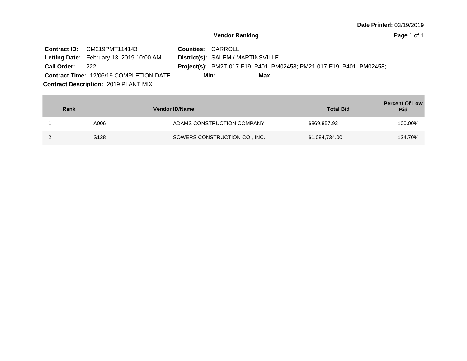|                 | Contract ID: CM219PMT114143                     | <b>Counties: CARROLL</b>                                                     |
|-----------------|-------------------------------------------------|------------------------------------------------------------------------------|
|                 | <b>Letting Date:</b> February 13, 2019 10:00 AM | District(s): SALEM / MARTINSVILLE                                            |
| Call Order: 222 |                                                 | <b>Project(s):</b> PM2T-017-F19, P401, PM02458; PM21-017-F19, P401, PM02458; |
|                 | <b>Contract Time: 12/06/19 COMPLETION DATE</b>  | Min:<br>Max:                                                                 |
|                 | <b>Contract Description: 2019 PLANT MIX</b>     |                                                                              |

| Rank             | <b>Vendor ID/Name</b>         | <b>Total Bid</b> | <b>Percent Of Low</b><br><b>Bid</b> |
|------------------|-------------------------------|------------------|-------------------------------------|
| A006             | ADAMS CONSTRUCTION COMPANY    | \$869,857.92     | 100.00%                             |
| S <sub>138</sub> | SOWERS CONSTRUCTION CO., INC. | \$1,084,734.00   | 124.70%                             |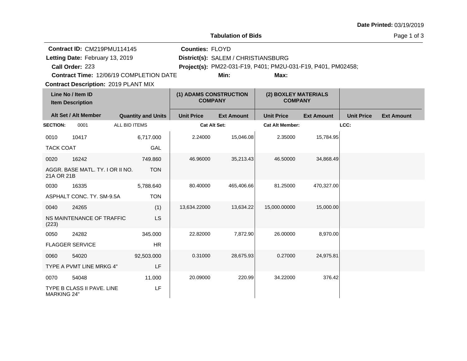|                    | <b>Tabulation of Bids</b>                                                                                                    |               |                           |                                          |                                                                                                             |                                        |                   |                   |                   |  |  |  |
|--------------------|------------------------------------------------------------------------------------------------------------------------------|---------------|---------------------------|------------------------------------------|-------------------------------------------------------------------------------------------------------------|----------------------------------------|-------------------|-------------------|-------------------|--|--|--|
|                    | Contract ID: CM219PMU114145<br>Letting Date: February 13, 2019<br>Call Order: 223<br>Contract Time: 12/06/19 COMPLETION DATE |               |                           | <b>Counties: FLOYD</b>                   | District(s): SALEM / CHRISTIANSBURG<br>Project(s): PM22-031-F19, P401; PM2U-031-F19, P401, PM02458;<br>Min: |                                        |                   |                   |                   |  |  |  |
|                    | <b>Contract Description: 2019 PLANT MIX</b>                                                                                  |               |                           |                                          |                                                                                                             |                                        |                   |                   |                   |  |  |  |
|                    | Line No / Item ID<br><b>Item Description</b>                                                                                 |               |                           | (1) ADAMS CONSTRUCTION<br><b>COMPANY</b> |                                                                                                             | (2) BOXLEY MATERIALS<br><b>COMPANY</b> |                   |                   |                   |  |  |  |
|                    | Alt Set / Alt Member                                                                                                         |               | <b>Quantity and Units</b> | <b>Unit Price</b>                        | <b>Ext Amount</b>                                                                                           | <b>Unit Price</b>                      | <b>Ext Amount</b> | <b>Unit Price</b> | <b>Ext Amount</b> |  |  |  |
| <b>SECTION:</b>    | 0001                                                                                                                         | ALL BID ITEMS |                           | <b>Cat Alt Set:</b>                      |                                                                                                             | <b>Cat Alt Member:</b>                 |                   | LCC:              |                   |  |  |  |
| 0010               | 10417                                                                                                                        |               | 6,717.000                 | 2.24000                                  | 15,046.08                                                                                                   | 2.35000                                | 15,784.95         |                   |                   |  |  |  |
| <b>TACK COAT</b>   |                                                                                                                              |               | GAL                       |                                          |                                                                                                             |                                        |                   |                   |                   |  |  |  |
| 0020               | 16242                                                                                                                        |               | 749.860                   | 46.96000                                 | 35,213.43                                                                                                   | 46.50000                               | 34,868.49         |                   |                   |  |  |  |
| 21A OR 21B         | AGGR. BASE MATL. TY. I OR II NO.                                                                                             |               | <b>TON</b>                |                                          |                                                                                                             |                                        |                   |                   |                   |  |  |  |
| 0030               | 16335                                                                                                                        |               | 5,788.640                 | 80.40000                                 | 465,406.66                                                                                                  | 81.25000                               | 470,327.00        |                   |                   |  |  |  |
|                    | ASPHALT CONC. TY. SM-9.5A                                                                                                    |               | <b>TON</b>                |                                          |                                                                                                             |                                        |                   |                   |                   |  |  |  |
| 0040               | 24265                                                                                                                        |               | (1)                       | 13,634.22000                             | 13,634.22                                                                                                   | 15,000.00000                           | 15,000.00         |                   |                   |  |  |  |
| (223)              | NS MAINTENANCE OF TRAFFIC                                                                                                    |               | <b>LS</b>                 |                                          |                                                                                                             |                                        |                   |                   |                   |  |  |  |
| 0050               | 24282                                                                                                                        |               | 345.000                   | 22.82000                                 | 7,872.90                                                                                                    | 26.00000                               | 8,970.00          |                   |                   |  |  |  |
|                    | <b>FLAGGER SERVICE</b>                                                                                                       |               | <b>HR</b>                 |                                          |                                                                                                             |                                        |                   |                   |                   |  |  |  |
| 0060               | 54020                                                                                                                        |               | 92,503.000                | 0.31000                                  | 28,675.93                                                                                                   | 0.27000                                | 24,975.81         |                   |                   |  |  |  |
|                    | TYPE A PVMT LINE MRKG 4"                                                                                                     |               | LF                        |                                          |                                                                                                             |                                        |                   |                   |                   |  |  |  |
| 0070               | 54048                                                                                                                        |               | 11.000                    | 20.09000                                 | 220.99                                                                                                      | 34.22000                               | 376.42            |                   |                   |  |  |  |
| <b>MARKING 24"</b> | TYPE B CLASS II PAVE. LINE                                                                                                   |               | LF                        |                                          |                                                                                                             |                                        |                   |                   |                   |  |  |  |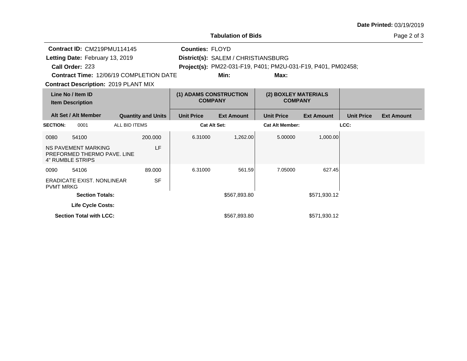|                                              |                                                                               |                                          |                           |                                        | <b>Tabulation of Bids</b> |                                                              |                   |                   | Page 2 of 3       |
|----------------------------------------------|-------------------------------------------------------------------------------|------------------------------------------|---------------------------|----------------------------------------|---------------------------|--------------------------------------------------------------|-------------------|-------------------|-------------------|
|                                              | Contract ID: CM219PMU114145                                                   |                                          |                           | <b>Counties: FLOYD</b>                 |                           |                                                              |                   |                   |                   |
| Letting Date: February 13, 2019              |                                                                               |                                          |                           | District(s): SALEM / CHRISTIANSBURG    |                           |                                                              |                   |                   |                   |
|                                              | Call Order: 223                                                               |                                          |                           |                                        |                           | Project(s): PM22-031-F19, P401; PM2U-031-F19, P401, PM02458; |                   |                   |                   |
|                                              | Contract Time: 12/06/19 COMPLETION DATE                                       |                                          |                           |                                        | Min:                      | Max:                                                         |                   |                   |                   |
|                                              | <b>Contract Description: 2019 PLANT MIX</b>                                   |                                          |                           |                                        |                           |                                                              |                   |                   |                   |
| Line No / Item ID<br><b>Item Description</b> |                                                                               | (1) ADAMS CONSTRUCTION<br><b>COMPANY</b> |                           | (2) BOXLEY MATERIALS<br><b>COMPANY</b> |                           |                                                              |                   |                   |                   |
|                                              | Alt Set / Alt Member                                                          |                                          | <b>Quantity and Units</b> | <b>Unit Price</b>                      | <b>Ext Amount</b>         | <b>Unit Price</b>                                            | <b>Ext Amount</b> | <b>Unit Price</b> | <b>Ext Amount</b> |
| <b>SECTION:</b>                              | 0001                                                                          | ALL BID ITEMS                            |                           |                                        | <b>Cat Alt Set:</b>       | <b>Cat Alt Member:</b>                                       |                   | LCC:              |                   |
| 0080                                         | 54100                                                                         |                                          | 200.000                   | 6.31000                                | 1,262.00                  | 5.00000                                                      | 1,000.00          |                   |                   |
|                                              | <b>NS PAVEMENT MARKING</b><br>PREFORMED THERMO PAVE, LINE<br>4" RUMBLE STRIPS |                                          | LF                        |                                        |                           |                                                              |                   |                   |                   |
| 0090                                         | 54106                                                                         |                                          | 89.000                    | 6.31000                                | 561.59                    | 7.05000                                                      | 627.45            |                   |                   |
| <b>PVMT MRKG</b>                             | <b>ERADICATE EXIST, NONLINEAR</b>                                             |                                          | <b>SF</b>                 |                                        |                           |                                                              |                   |                   |                   |
|                                              | <b>Section Totals:</b>                                                        |                                          |                           |                                        | \$567,893.80              |                                                              | \$571,930.12      |                   |                   |
|                                              | Life Cycle Costs:                                                             |                                          |                           |                                        |                           |                                                              |                   |                   |                   |
|                                              | <b>Section Total with LCC:</b>                                                |                                          |                           |                                        | \$567,893.80              |                                                              | \$571,930.12      |                   |                   |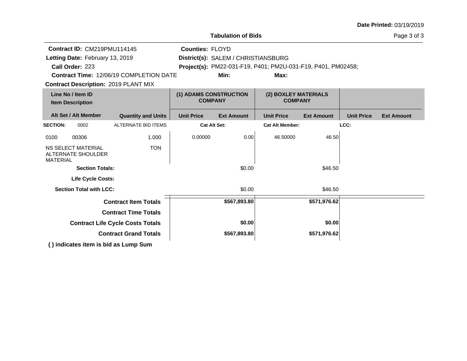|                                              |                                                 |                                             |                        | <b>Tabulation of Bids</b>              |                                                              |                   |                   | Page 3 of 3       |
|----------------------------------------------|-------------------------------------------------|---------------------------------------------|------------------------|----------------------------------------|--------------------------------------------------------------|-------------------|-------------------|-------------------|
|                                              | Contract ID: CM219PMU114145                     |                                             | <b>Counties: FLOYD</b> |                                        |                                                              |                   |                   |                   |
|                                              | Letting Date: February 13, 2019                 |                                             |                        | District(s): SALEM / CHRISTIANSBURG    |                                                              |                   |                   |                   |
|                                              | Call Order: 223                                 |                                             |                        |                                        | Project(s): PM22-031-F19, P401; PM2U-031-F19, P401, PM02458; |                   |                   |                   |
|                                              |                                                 | Contract Time: 12/06/19 COMPLETION DATE     |                        | Min:                                   | Max:                                                         |                   |                   |                   |
|                                              |                                                 | <b>Contract Description: 2019 PLANT MIX</b> |                        |                                        |                                                              |                   |                   |                   |
| Line No / Item ID<br><b>Item Description</b> |                                                 | (1) ADAMS CONSTRUCTION<br><b>COMPANY</b>    |                        | (2) BOXLEY MATERIALS<br><b>COMPANY</b> |                                                              |                   |                   |                   |
|                                              | Alt Set / Alt Member                            | <b>Quantity and Units</b>                   | <b>Unit Price</b>      | <b>Ext Amount</b>                      | <b>Unit Price</b>                                            | <b>Ext Amount</b> | <b>Unit Price</b> | <b>Ext Amount</b> |
| <b>SECTION:</b>                              | 0002                                            | <b>ALTERNATE BID ITEMS</b>                  |                        | <b>Cat Alt Set:</b>                    | <b>Cat Alt Member:</b>                                       |                   | LCC:              |                   |
| 0100                                         | 00306                                           | 1.000                                       | 0.00000                | 0.00                                   | 46.50000                                                     | 46.50             |                   |                   |
| <b>MATERIAL</b>                              | <b>NS SELECT MATERIAL</b><br>ALTERNATE SHOULDER | <b>TON</b>                                  |                        |                                        |                                                              |                   |                   |                   |
|                                              | <b>Section Totals:</b>                          |                                             |                        | \$0.00                                 |                                                              | \$46.50           |                   |                   |
|                                              | <b>Life Cycle Costs:</b>                        |                                             |                        |                                        |                                                              |                   |                   |                   |
|                                              | <b>Section Total with LCC:</b>                  |                                             |                        | \$0.00                                 |                                                              | \$46.50           |                   |                   |
|                                              |                                                 | <b>Contract Item Totals</b>                 |                        | \$567,893.80                           |                                                              | \$571,976.62      |                   |                   |
|                                              |                                                 | <b>Contract Time Totals</b>                 |                        |                                        |                                                              |                   |                   |                   |
|                                              |                                                 | <b>Contract Life Cycle Costs Totals</b>     |                        | \$0.00                                 |                                                              | \$0.00            |                   |                   |
|                                              |                                                 | <b>Contract Grand Totals</b>                |                        | \$567,893.80                           |                                                              | \$571,976.62      |                   |                   |
|                                              |                                                 |                                             |                        |                                        |                                                              |                   |                   |                   |

**( ) indicates item is bid as Lump Sum**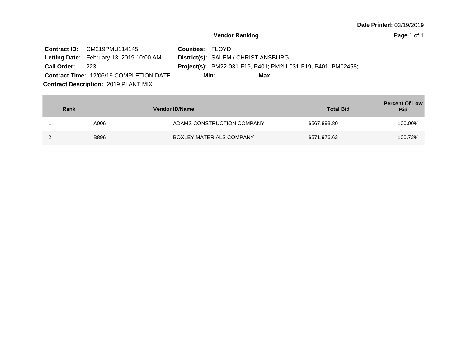|                 | <b>Contract ID:</b> CM219PMU114145             | <b>Counties: FLOYD</b> |                                                              |
|-----------------|------------------------------------------------|------------------------|--------------------------------------------------------------|
|                 | Letting Date: February 13, 2019 10:00 AM       |                        | District(s): SALEM / CHRISTIANSBURG                          |
| Call Order: 223 |                                                |                        | Project(s): PM22-031-F19, P401; PM2U-031-F19, P401, PM02458; |
|                 | <b>Contract Time: 12/06/19 COMPLETION DATE</b> | Min:                   | Max:                                                         |
|                 | <b>Contract Description: 2019 PLANT MIX</b>    |                        |                                                              |

| Rank        | <b>Vendor ID/Name</b>      | <b>Total Bid</b> | <b>Percent Of Low</b><br><b>Bid</b> |
|-------------|----------------------------|------------------|-------------------------------------|
| A006        | ADAMS CONSTRUCTION COMPANY | \$567,893.80     | 100.00%                             |
| <b>B896</b> | BOXLEY MATERIALS COMPANY   | \$571,976.62     | 100.72%                             |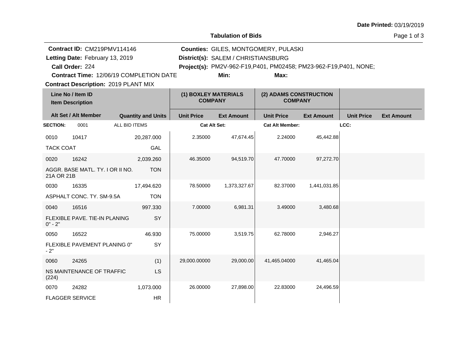**Tabulation of Bids**

| Contract ID: CM219PMV114146<br>Letting Date: February 13, 2019<br>Call Order: 224<br>Contract Time: 12/06/19 COMPLETION DATE<br><b>Contract Description: 2019 PLANT MIX</b> |                                              | Counties: GILES, MONTGOMERY, PULASKI<br>District(s): SALEM / CHRISTIANSBURG<br>Project(s): PM2V-962-F19, P401, PM02458; PM23-962-F19, P401, NONE;<br>Min:<br>Max: |                                        |                   |                                          |                   |                   |                   |
|-----------------------------------------------------------------------------------------------------------------------------------------------------------------------------|----------------------------------------------|-------------------------------------------------------------------------------------------------------------------------------------------------------------------|----------------------------------------|-------------------|------------------------------------------|-------------------|-------------------|-------------------|
|                                                                                                                                                                             | Line No / Item ID<br><b>Item Description</b> |                                                                                                                                                                   | (1) BOXLEY MATERIALS<br><b>COMPANY</b> |                   | (2) ADAMS CONSTRUCTION<br><b>COMPANY</b> |                   |                   |                   |
|                                                                                                                                                                             | Alt Set / Alt Member                         | <b>Quantity and Units</b>                                                                                                                                         | <b>Unit Price</b>                      | <b>Ext Amount</b> | <b>Unit Price</b>                        | <b>Ext Amount</b> | <b>Unit Price</b> | <b>Ext Amount</b> |
| <b>SECTION:</b>                                                                                                                                                             | 0001                                         | ALL BID ITEMS                                                                                                                                                     | <b>Cat Alt Set:</b>                    |                   | <b>Cat Alt Member:</b>                   |                   | LCC:              |                   |
| 0010                                                                                                                                                                        | 10417                                        | 20,287.000                                                                                                                                                        | 2.35000                                | 47,674.45         | 2.24000                                  | 45,442.88         |                   |                   |
| <b>TACK COAT</b>                                                                                                                                                            |                                              | GAL                                                                                                                                                               |                                        |                   |                                          |                   |                   |                   |
| 0020                                                                                                                                                                        | 16242                                        | 2,039.260                                                                                                                                                         | 46.35000                               | 94,519.70         | 47.70000                                 | 97,272.70         |                   |                   |
| 21A OR 21B                                                                                                                                                                  | AGGR. BASE MATL. TY. I OR II NO.             | <b>TON</b>                                                                                                                                                        |                                        |                   |                                          |                   |                   |                   |
| 0030                                                                                                                                                                        | 16335                                        | 17,494.620                                                                                                                                                        | 78.50000                               | 1,373,327.67      | 82.37000                                 | 1,441,031.85      |                   |                   |
|                                                                                                                                                                             | ASPHALT CONC. TY. SM-9.5A                    | <b>TON</b>                                                                                                                                                        |                                        |                   |                                          |                   |                   |                   |
| 0040                                                                                                                                                                        | 16516                                        | 997.330                                                                                                                                                           | 7.00000                                | 6,981.31          | 3.49000                                  | 3,480.68          |                   |                   |
| $0" - 2"$                                                                                                                                                                   | FLEXIBLE PAVE, TIE-IN PLANING                | SY                                                                                                                                                                |                                        |                   |                                          |                   |                   |                   |
| 0050                                                                                                                                                                        | 16522                                        | 46.930                                                                                                                                                            | 75.00000                               | 3,519.75          | 62.78000                                 | 2,946.27          |                   |                   |
| $-2"$                                                                                                                                                                       | FLEXIBLE PAVEMENT PLANING 0"                 | SY                                                                                                                                                                |                                        |                   |                                          |                   |                   |                   |
| 0060                                                                                                                                                                        | 24265                                        | (1)                                                                                                                                                               | 29,000.00000                           | 29,000.00         | 41,465.04000                             | 41,465.04         |                   |                   |
| (224)                                                                                                                                                                       | NS MAINTENANCE OF TRAFFIC                    | <b>LS</b>                                                                                                                                                         |                                        |                   |                                          |                   |                   |                   |
| 0070                                                                                                                                                                        | 24282                                        | 1,073.000                                                                                                                                                         | 26.00000                               | 27,898.00         | 22.83000                                 | 24,496.59         |                   |                   |
|                                                                                                                                                                             | <b>FLAGGER SERVICE</b>                       | <b>HR</b>                                                                                                                                                         |                                        |                   |                                          |                   |                   |                   |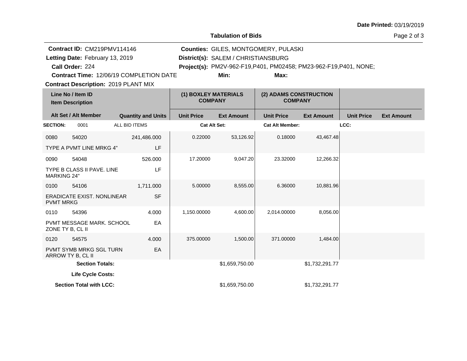**Tabulation of Bids**

Page 2 of 3

|                    | Contract ID: CM219PMV114146                         |                                         |           |                                        | Counties: GILES, MONTGOMERY, PULASKI |                                                                    |                   |                   |                   |  |
|--------------------|-----------------------------------------------------|-----------------------------------------|-----------|----------------------------------------|--------------------------------------|--------------------------------------------------------------------|-------------------|-------------------|-------------------|--|
|                    | Letting Date: February 13, 2019                     |                                         |           |                                        | District(s): SALEM / CHRISTIANSBURG  |                                                                    |                   |                   |                   |  |
|                    | Call Order: 224                                     |                                         |           |                                        |                                      | Project(s): PM2V-962-F19, P401, PM02458; PM23-962-F19, P401, NONE; |                   |                   |                   |  |
|                    |                                                     | Contract Time: 12/06/19 COMPLETION DATE |           |                                        | Min:                                 | Max:                                                               |                   |                   |                   |  |
|                    | <b>Contract Description: 2019 PLANT MIX</b>         |                                         |           |                                        |                                      |                                                                    |                   |                   |                   |  |
|                    | Line No / Item ID<br><b>Item Description</b>        |                                         |           | (1) BOXLEY MATERIALS<br><b>COMPANY</b> |                                      | (2) ADAMS CONSTRUCTION<br><b>COMPANY</b>                           |                   |                   |                   |  |
|                    | Alt Set / Alt Member                                | <b>Quantity and Units</b>               |           | <b>Unit Price</b>                      | <b>Ext Amount</b>                    | <b>Unit Price</b>                                                  | <b>Ext Amount</b> | <b>Unit Price</b> | <b>Ext Amount</b> |  |
| <b>SECTION:</b>    | 0001                                                | ALL BID ITEMS                           |           | <b>Cat Alt Set:</b>                    |                                      | <b>Cat Alt Member:</b>                                             |                   | LCC:              |                   |  |
| 0080               | 54020                                               | 241,486.000                             |           | 0.22000                                | 53,126.92                            | 0.18000                                                            | 43,467.48         |                   |                   |  |
|                    | TYPE A PVMT LINE MRKG 4"                            |                                         | LF        |                                        |                                      |                                                                    |                   |                   |                   |  |
| 0090               | 54048                                               | 526.000                                 |           | 17.20000                               | 9,047.20                             | 23.32000                                                           | 12,266.32         |                   |                   |  |
| <b>MARKING 24"</b> | TYPE B CLASS II PAVE. LINE                          |                                         | LF        |                                        |                                      |                                                                    |                   |                   |                   |  |
| 0100               | 54106                                               | 1,711.000                               |           | 5.00000                                | 8,555.00                             | 6.36000                                                            | 10,881.96         |                   |                   |  |
| <b>PVMT MRKG</b>   | <b>ERADICATE EXIST. NONLINEAR</b>                   |                                         | <b>SF</b> |                                        |                                      |                                                                    |                   |                   |                   |  |
| 0110               | 54396                                               | 4.000                                   |           | 1,150.00000                            | 4,600.00                             | 2,014.00000                                                        | 8,056.00          |                   |                   |  |
| ZONE TY B, CL II   | PVMT MESSAGE MARK, SCHOOL                           |                                         | EA        |                                        |                                      |                                                                    |                   |                   |                   |  |
| 0120               | 54575                                               | 4.000                                   |           | 375.00000                              | 1,500.00                             | 371.00000                                                          | 1,484.00          |                   |                   |  |
|                    | <b>PVMT SYMB MRKG SGL TURN</b><br>ARROW TY B, CL II |                                         | EA        |                                        |                                      |                                                                    |                   |                   |                   |  |
|                    | <b>Section Totals:</b>                              |                                         |           |                                        | \$1,659,750.00                       |                                                                    | \$1,732,291.77    |                   |                   |  |
|                    | <b>Life Cycle Costs:</b>                            |                                         |           |                                        |                                      |                                                                    |                   |                   |                   |  |
|                    | <b>Section Total with LCC:</b>                      |                                         |           |                                        | \$1,659,750.00                       |                                                                    | \$1,732,291.77    |                   |                   |  |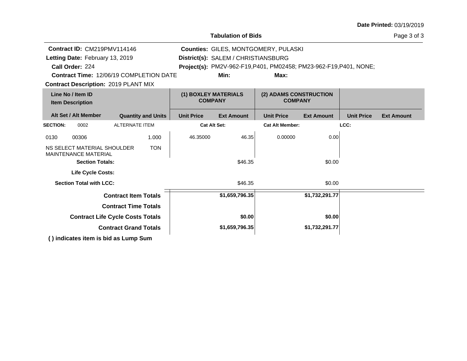| <b>Date Printed: 03/19/2019</b> |  |
|---------------------------------|--|
|---------------------------------|--|

|                                              | <b>Tabulation of Bids</b>                                  |                              |                                        |                     |                                          |                                                                    |                   | Page 3 of 3       |                   |
|----------------------------------------------|------------------------------------------------------------|------------------------------|----------------------------------------|---------------------|------------------------------------------|--------------------------------------------------------------------|-------------------|-------------------|-------------------|
|                                              | Contract ID: CM219PMV114146                                |                              |                                        |                     |                                          | <b>Counties: GILES, MONTGOMERY, PULASKI</b>                        |                   |                   |                   |
|                                              | Letting Date: February 13, 2019                            |                              |                                        |                     | District(s): SALEM / CHRISTIANSBURG      |                                                                    |                   |                   |                   |
|                                              | Call Order: 224                                            |                              |                                        |                     |                                          | Project(s): PM2V-962-F19, P401, PM02458; PM23-962-F19, P401, NONE; |                   |                   |                   |
|                                              | <b>Contract Time: 12/06/19 COMPLETION DATE</b>             |                              |                                        |                     | Min:                                     | Max:                                                               |                   |                   |                   |
|                                              | <b>Contract Description: 2019 PLANT MIX</b>                |                              |                                        |                     |                                          |                                                                    |                   |                   |                   |
| Line No / Item ID<br><b>Item Description</b> |                                                            |                              | (1) BOXLEY MATERIALS<br><b>COMPANY</b> |                     | (2) ADAMS CONSTRUCTION<br><b>COMPANY</b> |                                                                    |                   |                   |                   |
|                                              | Alt Set / Alt Member                                       |                              | <b>Quantity and Units</b>              | <b>Unit Price</b>   | <b>Ext Amount</b>                        | <b>Unit Price</b>                                                  | <b>Ext Amount</b> | <b>Unit Price</b> | <b>Ext Amount</b> |
| <b>SECTION:</b>                              | 0002                                                       | <b>ALTERNATE ITEM</b>        |                                        | <b>Cat Alt Set:</b> |                                          | <b>Cat Alt Member:</b>                                             |                   | LCC:              |                   |
| 0130                                         | 00306                                                      |                              | 1.000                                  | 46.35000            | 46.35                                    | 0.00000                                                            | 0.00              |                   |                   |
|                                              | NS SELECT MATERIAL SHOULDER<br><b>MAINTENANCE MATERIAL</b> |                              | <b>TON</b>                             |                     |                                          |                                                                    |                   |                   |                   |
|                                              | <b>Section Totals:</b>                                     |                              |                                        | \$46.35             |                                          |                                                                    | \$0.00            |                   |                   |
|                                              | Life Cycle Costs:                                          |                              |                                        |                     |                                          |                                                                    |                   |                   |                   |
|                                              | <b>Section Total with LCC:</b>                             |                              |                                        |                     | \$46.35                                  |                                                                    | \$0.00            |                   |                   |
|                                              |                                                            | <b>Contract Item Totals</b>  |                                        |                     | \$1,659,796.35                           |                                                                    | \$1,732,291.77    |                   |                   |
|                                              |                                                            | <b>Contract Time Totals</b>  |                                        |                     |                                          |                                                                    |                   |                   |                   |
|                                              | <b>Contract Life Cycle Costs Totals</b>                    |                              |                                        |                     | \$0.00                                   |                                                                    | \$0.00            |                   |                   |
|                                              |                                                            | <b>Contract Grand Totals</b> |                                        |                     | \$1,659,796.35                           |                                                                    | \$1,732,291.77    |                   |                   |
|                                              | () indicates item is bid as Lump Sum                       |                              |                                        |                     |                                          |                                                                    |                   |                   |                   |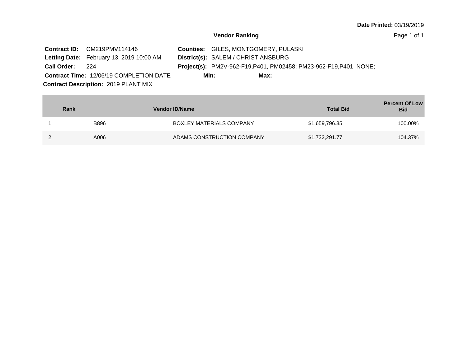|                 | <b>Contract ID:</b> CM219PMV114146              | <b>Counties: GILES, MONTGOMERY, PULASKI</b>                        |
|-----------------|-------------------------------------------------|--------------------------------------------------------------------|
|                 | <b>Letting Date:</b> February 13, 2019 10:00 AM | District(s): SALEM / CHRISTIANSBURG                                |
| Call Order: 224 |                                                 | Project(s): PM2V-962-F19, P401, PM02458; PM23-962-F19, P401, NONE; |
|                 | <b>Contract Time: 12/06/19 COMPLETION DATE</b>  | Min:<br>Max:                                                       |
|                 | <b>Contract Description: 2019 PLANT MIX</b>     |                                                                    |

| Rank |             | <b>Vendor ID/Name</b>           | <b>Total Bid</b> | <b>Percent Of Low</b><br><b>Bid</b> |
|------|-------------|---------------------------------|------------------|-------------------------------------|
|      | <b>B896</b> | <b>BOXLEY MATERIALS COMPANY</b> | \$1,659,796.35   | 100.00%                             |
|      | A006        | ADAMS CONSTRUCTION COMPANY      | \$1,732,291.77   | 104.37%                             |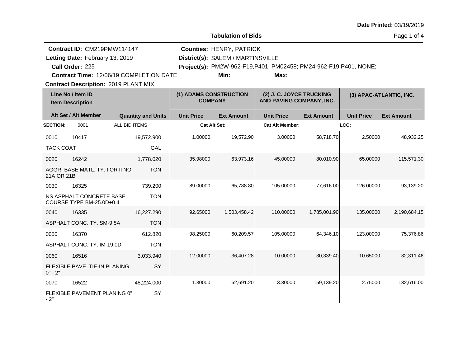| <b>Date Printed: 03/19/2019</b> |  |  |
|---------------------------------|--|--|
|---------------------------------|--|--|

**Tabulation of Bids**

|                  | Contract ID: CM219PMW114147                          |                           |                                          | <b>Counties: HENRY, PATRICK</b>   |                                                                    |                   |                   |                         |  |
|------------------|------------------------------------------------------|---------------------------|------------------------------------------|-----------------------------------|--------------------------------------------------------------------|-------------------|-------------------|-------------------------|--|
|                  | Letting Date: February 13, 2019                      |                           |                                          | District(s): SALEM / MARTINSVILLE |                                                                    |                   |                   |                         |  |
|                  | Call Order: 225                                      |                           |                                          |                                   | Project(s): PM2W-962-F19, P401, PM02458; PM24-962-F19, P401, NONE; |                   |                   |                         |  |
|                  | Contract Time: 12/06/19 COMPLETION DATE              |                           |                                          | Min:                              | Max:                                                               |                   |                   |                         |  |
|                  | <b>Contract Description: 2019 PLANT MIX</b>          |                           |                                          |                                   |                                                                    |                   |                   |                         |  |
|                  | Line No / Item ID<br><b>Item Description</b>         |                           | (1) ADAMS CONSTRUCTION<br><b>COMPANY</b> |                                   | (2) J. C. JOYCE TRUCKING<br>AND PAVING COMPANY, INC.               |                   |                   | (3) APAC-ATLANTIC, INC. |  |
|                  | Alt Set / Alt Member                                 | <b>Quantity and Units</b> | <b>Unit Price</b>                        | <b>Ext Amount</b>                 | <b>Unit Price</b>                                                  | <b>Ext Amount</b> | <b>Unit Price</b> | <b>Ext Amount</b>       |  |
| <b>SECTION:</b>  | 0001                                                 | ALL BID ITEMS             | <b>Cat Alt Set:</b>                      |                                   | <b>Cat Alt Member:</b>                                             |                   | LCC:              |                         |  |
| 0010             | 10417                                                | 19,572.900                | 1.00000                                  | 19,572.90                         | 3.00000                                                            | 58,718.70         | 2.50000           | 48,932.25               |  |
| <b>TACK COAT</b> |                                                      | GAL                       |                                          |                                   |                                                                    |                   |                   |                         |  |
| 0020             | 16242                                                | 1,778.020                 | 35.98000                                 | 63,973.16                         | 45.00000                                                           | 80,010.90         | 65.00000          | 115,571.30              |  |
| 21A OR 21B       | AGGR. BASE MATL. TY. I OR II NO.                     | <b>TON</b>                |                                          |                                   |                                                                    |                   |                   |                         |  |
| 0030             | 16325                                                | 739.200                   | 89.00000                                 | 65.788.80                         | 105.00000                                                          | 77,616.00         | 126.00000         | 93,139.20               |  |
|                  | NS ASPHALT CONCRETE BASE<br>COURSE TYPE BM-25.0D+0.4 | <b>TON</b>                |                                          |                                   |                                                                    |                   |                   |                         |  |
| 0040             | 16335                                                | 16,227.290                | 92.65000                                 | 1,503,458.42                      | 110.00000                                                          | 1,785,001.90      | 135.00000         | 2,190,684.15            |  |
|                  | ASPHALT CONC. TY. SM-9.5A                            | <b>TON</b>                |                                          |                                   |                                                                    |                   |                   |                         |  |
| 0050             | 16370                                                | 612.820                   | 98.25000                                 | 60,209.57                         | 105.00000                                                          | 64,346.10         | 123.00000         | 75,376.86               |  |
|                  | ASPHALT CONC. TY. IM-19.0D                           | <b>TON</b>                |                                          |                                   |                                                                    |                   |                   |                         |  |
| 0060             | 16516                                                | 3,033.940                 | 12.00000                                 | 36,407.28                         | 10.00000                                                           | 30,339.40         | 10.65000          | 32,311.46               |  |
| $0" - 2"$        | FLEXIBLE PAVE. TIE-IN PLANING                        | SY                        |                                          |                                   |                                                                    |                   |                   |                         |  |
| 0070             | 16522                                                | 48.224.000                | 1.30000                                  | 62,691.20                         | 3.30000                                                            | 159,139.20        | 2.75000           | 132,616.00              |  |
| - 2"             | FLEXIBLE PAVEMENT PLANING 0"                         | SY                        |                                          |                                   |                                                                    |                   |                   |                         |  |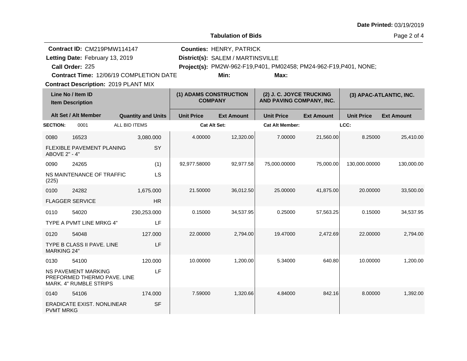| <b>Date Printed: 03/19/2019</b> |  |
|---------------------------------|--|
|---------------------------------|--|

**Tabulation of Bids**

Page 2 of 4

|                    | Contract ID: CM219PMW114147                                                                |                                                |                                          | <b>Counties: HENRY, PATRICK</b>   |                                                                    |                   |                   |                         |
|--------------------|--------------------------------------------------------------------------------------------|------------------------------------------------|------------------------------------------|-----------------------------------|--------------------------------------------------------------------|-------------------|-------------------|-------------------------|
|                    | Letting Date: February 13, 2019                                                            |                                                |                                          | District(s): SALEM / MARTINSVILLE |                                                                    |                   |                   |                         |
|                    | Call Order: 225                                                                            |                                                |                                          |                                   | Project(s): PM2W-962-F19, P401, PM02458; PM24-962-F19, P401, NONE; |                   |                   |                         |
|                    |                                                                                            | <b>Contract Time: 12/06/19 COMPLETION DATE</b> |                                          | Min:                              | Max:                                                               |                   |                   |                         |
|                    | <b>Contract Description: 2019 PLANT MIX</b>                                                |                                                |                                          |                                   |                                                                    |                   |                   |                         |
|                    | Line No / Item ID<br><b>Item Description</b>                                               |                                                | (1) ADAMS CONSTRUCTION<br><b>COMPANY</b> |                                   | (2) J. C. JOYCE TRUCKING<br>AND PAVING COMPANY, INC.               |                   |                   | (3) APAC-ATLANTIC, INC. |
|                    | Alt Set / Alt Member                                                                       | <b>Quantity and Units</b>                      | <b>Unit Price</b>                        | <b>Ext Amount</b>                 | <b>Unit Price</b>                                                  | <b>Ext Amount</b> | <b>Unit Price</b> | <b>Ext Amount</b>       |
| <b>SECTION:</b>    | 0001                                                                                       | ALL BID ITEMS                                  | Cat Alt Set:                             |                                   | <b>Cat Alt Member:</b>                                             |                   | LCC:              |                         |
| 0080               | 16523                                                                                      | 3,080.000                                      | 4.00000                                  | 12,320.00                         | 7.00000                                                            | 21,560.00         | 8.25000           | 25,410.00               |
| ABOVE 2" - 4"      | <b>FLEXIBLE PAVEMENT PLANING</b>                                                           | SY                                             |                                          |                                   |                                                                    |                   |                   |                         |
| 0090               | 24265                                                                                      | (1)                                            | 92,977.58000                             | 92,977.58                         | 75,000.00000                                                       | 75,000.00         | 130,000.00000     | 130,000.00              |
| (225)              | NS MAINTENANCE OF TRAFFIC                                                                  | LS                                             |                                          |                                   |                                                                    |                   |                   |                         |
| 0100               | 24282                                                                                      | 1,675.000                                      | 21.50000                                 | 36,012.50                         | 25.00000                                                           | 41,875.00         | 20.00000          | 33,500.00               |
|                    | <b>FLAGGER SERVICE</b>                                                                     | <b>HR</b>                                      |                                          |                                   |                                                                    |                   |                   |                         |
| 0110               | 54020                                                                                      | 230,253.000                                    | 0.15000                                  | 34,537.95                         | 0.25000                                                            | 57,563.25         | 0.15000           | 34,537.95               |
|                    | TYPE A PVMT LINE MRKG 4"                                                                   | LF                                             |                                          |                                   |                                                                    |                   |                   |                         |
| 0120               | 54048                                                                                      | 127.000                                        | 22.00000                                 | 2,794.00                          | 19.47000                                                           | 2,472.69          | 22.00000          | 2,794.00                |
| <b>MARKING 24"</b> | <b>TYPE B CLASS II PAVE, LINE</b>                                                          | LF                                             |                                          |                                   |                                                                    |                   |                   |                         |
| 0130               | 54100                                                                                      | 120.000                                        | 10.00000                                 | 1,200.00                          | 5.34000                                                            | 640.80            | 10.00000          | 1,200.00                |
|                    | <b>NS PAVEMENT MARKING</b><br>PREFORMED THERMO PAVE. LINE<br><b>MARK, 4" RUMBLE STRIPS</b> | LF                                             |                                          |                                   |                                                                    |                   |                   |                         |
| 0140               | 54106                                                                                      | 174.000                                        | 7.59000                                  | 1,320.66                          | 4.84000                                                            | 842.16            | 8.00000           | 1,392.00                |
| <b>PVMT MRKG</b>   | ERADICATE EXIST. NONLINEAR                                                                 | <b>SF</b>                                      |                                          |                                   |                                                                    |                   |                   |                         |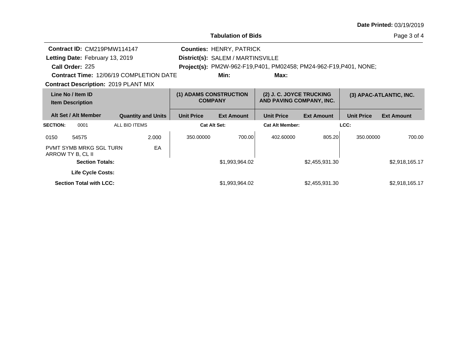| <b>Date Printed: 03/19/2019</b> |  |
|---------------------------------|--|
|---------------------------------|--|

|                 |                                                     |                                                |                                          | <b>Tabulation of Bids</b>         |                                                                    |                   |                         | Page 3 of 4       |
|-----------------|-----------------------------------------------------|------------------------------------------------|------------------------------------------|-----------------------------------|--------------------------------------------------------------------|-------------------|-------------------------|-------------------|
|                 | Contract ID: CM219PMW114147                         |                                                |                                          | <b>Counties: HENRY, PATRICK</b>   |                                                                    |                   |                         |                   |
|                 | Letting Date: February 13, 2019                     |                                                |                                          | District(s): SALEM / MARTINSVILLE |                                                                    |                   |                         |                   |
|                 | Call Order: 225                                     |                                                |                                          |                                   | Project(s): PM2W-962-F19, P401, PM02458; PM24-962-F19, P401, NONE; |                   |                         |                   |
|                 |                                                     | <b>Contract Time: 12/06/19 COMPLETION DATE</b> |                                          | Min:                              | Max:                                                               |                   |                         |                   |
|                 |                                                     | <b>Contract Description: 2019 PLANT MIX</b>    |                                          |                                   |                                                                    |                   |                         |                   |
|                 | Line No / Item ID<br><b>Item Description</b>        |                                                | (1) ADAMS CONSTRUCTION<br><b>COMPANY</b> |                                   | (2) J. C. JOYCE TRUCKING<br>AND PAVING COMPANY, INC.               |                   | (3) APAC-ATLANTIC, INC. |                   |
|                 | Alt Set / Alt Member                                | <b>Quantity and Units</b>                      | <b>Unit Price</b>                        | <b>Ext Amount</b>                 | <b>Unit Price</b>                                                  | <b>Ext Amount</b> | <b>Unit Price</b>       | <b>Ext Amount</b> |
| <b>SECTION:</b> | 0001                                                | ALL BID ITEMS                                  |                                          | <b>Cat Alt Set:</b>               | <b>Cat Alt Member:</b>                                             |                   | LCC:                    |                   |
| 0150            | 54575                                               | 2.000                                          | 350,00000                                | 700.00                            | 402.60000                                                          | 805.20            | 350,00000               | 700.00            |
|                 | <b>PVMT SYMB MRKG SGL TURN</b><br>ARROW TY B, CL II | EA                                             |                                          |                                   |                                                                    |                   |                         |                   |
|                 | <b>Section Totals:</b>                              |                                                |                                          | \$1,993,964.02                    |                                                                    | \$2,455,931.30    |                         | \$2,918,165.17    |
|                 | <b>Life Cycle Costs:</b>                            |                                                |                                          |                                   |                                                                    |                   |                         |                   |
|                 | <b>Section Total with LCC:</b>                      |                                                |                                          | \$1,993,964.02                    |                                                                    | \$2,455,931.30    |                         | \$2,918,165.17    |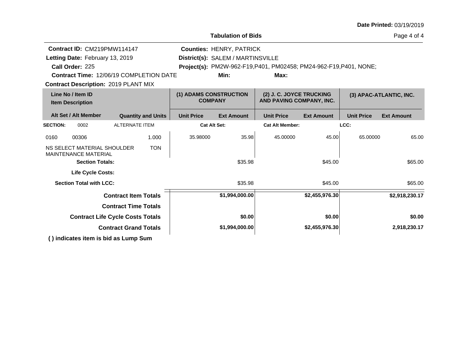|                                                            |                                                |                                          |                                   |                                                                    |                   |                         | Date Printed: 03/19/2019 |
|------------------------------------------------------------|------------------------------------------------|------------------------------------------|-----------------------------------|--------------------------------------------------------------------|-------------------|-------------------------|--------------------------|
|                                                            |                                                |                                          | <b>Tabulation of Bids</b>         |                                                                    |                   |                         | Page 4 of 4              |
| Contract ID: CM219PMW114147                                |                                                |                                          | <b>Counties: HENRY, PATRICK</b>   |                                                                    |                   |                         |                          |
| Letting Date: February 13, 2019                            |                                                |                                          | District(s): SALEM / MARTINSVILLE |                                                                    |                   |                         |                          |
| Call Order: 225                                            |                                                |                                          |                                   | Project(s): PM2W-962-F19, P401, PM02458; PM24-962-F19, P401, NONE; |                   |                         |                          |
|                                                            | <b>Contract Time: 12/06/19 COMPLETION DATE</b> |                                          | Min:                              | Max:                                                               |                   |                         |                          |
| <b>Contract Description: 2019 PLANT MIX</b>                |                                                |                                          |                                   |                                                                    |                   |                         |                          |
| Line No / Item ID<br><b>Item Description</b>               |                                                | (1) ADAMS CONSTRUCTION<br><b>COMPANY</b> |                                   | (2) J. C. JOYCE TRUCKING<br>AND PAVING COMPANY, INC.               |                   | (3) APAC-ATLANTIC, INC. |                          |
| Alt Set / Alt Member                                       | <b>Quantity and Units</b>                      | <b>Unit Price</b>                        | <b>Ext Amount</b>                 | <b>Unit Price</b>                                                  | <b>Ext Amount</b> | <b>Unit Price</b>       | <b>Ext Amount</b>        |
| <b>SECTION:</b><br>0002                                    | <b>ALTERNATE ITEM</b>                          |                                          | <b>Cat Alt Set:</b>               | <b>Cat Alt Member:</b>                                             |                   | LCC:                    |                          |
| 00306<br>0160                                              | 1.000                                          | 35.98000                                 | 35.98                             | 45.00000                                                           | 45.00             | 65.00000                | 65.00                    |
| NS SELECT MATERIAL SHOULDER<br><b>MAINTENANCE MATERIAL</b> | <b>TON</b>                                     |                                          |                                   |                                                                    |                   |                         |                          |
| <b>Section Totals:</b>                                     |                                                |                                          | \$35.98                           |                                                                    | \$45.00           |                         | \$65.00                  |
| <b>Life Cycle Costs:</b>                                   |                                                |                                          |                                   |                                                                    |                   |                         |                          |
| <b>Section Total with LCC:</b>                             |                                                |                                          | \$35.98                           |                                                                    | \$45.00           |                         | \$65.00                  |
|                                                            | <b>Contract Item Totals</b>                    |                                          | \$1,994,000.00                    |                                                                    | \$2,455,976.30    |                         | \$2,918,230.17           |
|                                                            | <b>Contract Time Totals</b>                    |                                          |                                   |                                                                    |                   |                         |                          |
|                                                            | <b>Contract Life Cycle Costs Totals</b>        |                                          | \$0.00                            |                                                                    | \$0.00            |                         | \$0.00                   |
|                                                            | <b>Contract Grand Totals</b>                   |                                          | \$1,994,000.00                    |                                                                    | \$2,455,976.30    |                         | 2,918,230.17             |
| () indicates item is bid as Lump Sum                       |                                                |                                          |                                   |                                                                    |                   |                         |                          |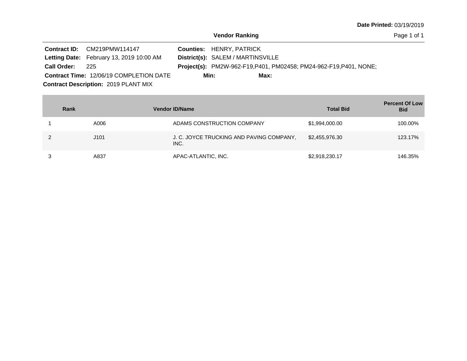|                 | Contract ID: CM219PMW114147                    | <b>Counties: HENRY, PATRICK</b>                                           |
|-----------------|------------------------------------------------|---------------------------------------------------------------------------|
|                 | Letting Date: February 13, 2019 10:00 AM       | District(s): SALEM / MARTINSVILLE                                         |
| Call Order: 225 |                                                | <b>Project(s):</b> PM2W-962-F19, P401, PM02458; PM24-962-F19, P401, NONE; |
|                 | <b>Contract Time: 12/06/19 COMPLETION DATE</b> | Max:<br>Min:                                                              |
|                 | <b>Contract Description: 2019 PLANT MIX</b>    |                                                                           |

| Rank | <b>Vendor ID/Name</b>                            | <b>Total Bid</b> | <b>Percent Of Low</b><br><b>Bid</b> |
|------|--------------------------------------------------|------------------|-------------------------------------|
| A006 | ADAMS CONSTRUCTION COMPANY                       | \$1,994,000.00   | 100.00%                             |
| J101 | J. C. JOYCE TRUCKING AND PAVING COMPANY,<br>INC. | \$2,455,976.30   | 123.17%                             |
| A837 | APAC-ATLANTIC, INC.                              | \$2,918,230.17   | 146.35%                             |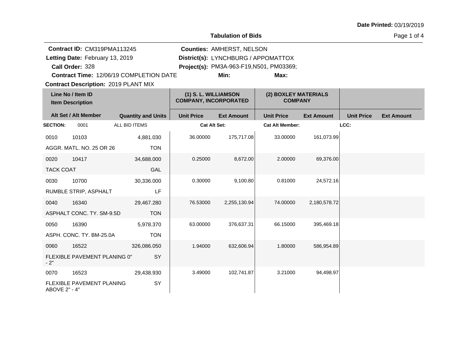## **Tabulation of Bids**

| <b>Contract ID: CM319PMA113245</b><br>Letting Date: February 13, 2019 |                                              |                           |                                                      | <b>Counties: AMHERST, NELSON</b><br>District(s): LYNCHBURG / APPOMATTOX |                                         |                   |                   |                   |
|-----------------------------------------------------------------------|----------------------------------------------|---------------------------|------------------------------------------------------|-------------------------------------------------------------------------|-----------------------------------------|-------------------|-------------------|-------------------|
|                                                                       | Call Order: 328                              |                           |                                                      |                                                                         | Project(s): PM3A-963-F19,N501, PM03369; |                   |                   |                   |
|                                                                       | Contract Time: 12/06/19 COMPLETION DATE      |                           |                                                      | Min:                                                                    | Max:                                    |                   |                   |                   |
|                                                                       | <b>Contract Description: 2019 PLANT MIX</b>  |                           |                                                      |                                                                         |                                         |                   |                   |                   |
|                                                                       | Line No / Item ID<br><b>Item Description</b> |                           | (1) S. L. WILLIAMSON<br><b>COMPANY, INCORPORATED</b> |                                                                         | (2) BOXLEY MATERIALS<br><b>COMPANY</b>  |                   |                   |                   |
|                                                                       | Alt Set / Alt Member                         | <b>Quantity and Units</b> | <b>Unit Price</b>                                    | <b>Ext Amount</b>                                                       | <b>Unit Price</b>                       | <b>Ext Amount</b> | <b>Unit Price</b> | <b>Ext Amount</b> |
| <b>SECTION:</b>                                                       | 0001                                         | ALL BID ITEMS             | <b>Cat Alt Set:</b>                                  |                                                                         | <b>Cat Alt Member:</b>                  |                   | LCC:              |                   |
| 0010                                                                  | 10103                                        | 4,881.030                 | 36.00000                                             | 175,717.08                                                              | 33.00000                                | 161,073.99        |                   |                   |
|                                                                       | AGGR. MATL. NO. 25 OR 26                     | <b>TON</b>                |                                                      |                                                                         |                                         |                   |                   |                   |
| 0020                                                                  | 10417                                        | 34,688.000                | 0.25000                                              | 8,672.00                                                                | 2.00000                                 | 69,376.00         |                   |                   |
| <b>TACK COAT</b>                                                      |                                              | GAL                       |                                                      |                                                                         |                                         |                   |                   |                   |
| 0030                                                                  | 10700                                        | 30,336.000                | 0.30000                                              | 9,100.80                                                                | 0.81000                                 | 24,572.16         |                   |                   |
|                                                                       | RUMBLE STRIP, ASPHALT                        | LF                        |                                                      |                                                                         |                                         |                   |                   |                   |
| 0040                                                                  | 16340                                        | 29,467.280                | 76.53000                                             | 2,255,130.94                                                            | 74.00000                                | 2,180,578.72      |                   |                   |
|                                                                       | ASPHALT CONC. TY. SM-9.5D                    | <b>TON</b>                |                                                      |                                                                         |                                         |                   |                   |                   |
| 0050                                                                  | 16390                                        | 5,978.370                 | 63.00000                                             | 376,637.31                                                              | 66.15000                                | 395,469.18        |                   |                   |
|                                                                       | ASPH. CONC. TY. BM-25.0A                     | <b>TON</b>                |                                                      |                                                                         |                                         |                   |                   |                   |
| 0060                                                                  | 16522                                        | 326,086.050               | 1.94000                                              | 632,606.94                                                              | 1.80000                                 | 586,954.89        |                   |                   |
| $-2"$                                                                 | FLEXIBLE PAVEMENT PLANING 0"                 | SY                        |                                                      |                                                                         |                                         |                   |                   |                   |
| 0070                                                                  | 16523                                        | 29,438.930                | 3.49000                                              | 102,741.87                                                              | 3.21000                                 | 94,498.97         |                   |                   |
| ABOVE 2" - 4"                                                         | FLEXIBLE PAVEMENT PLANING                    | SY                        |                                                      |                                                                         |                                         |                   |                   |                   |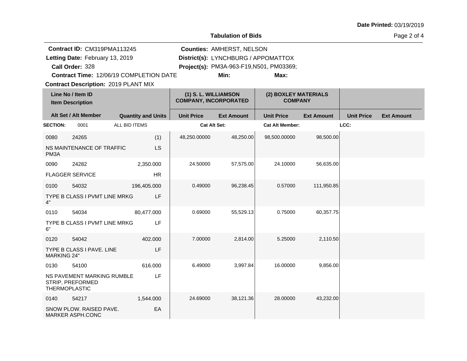**Tabulation of Bids**

Page 2 of 4

|                      | Contract ID: CM319PMA113245                    |                           |                                                      | <b>Counties: AMHERST, NELSON</b>    |                                          |                                        |                   |                   |
|----------------------|------------------------------------------------|---------------------------|------------------------------------------------------|-------------------------------------|------------------------------------------|----------------------------------------|-------------------|-------------------|
|                      | Letting Date: February 13, 2019                |                           |                                                      | District(s): LYNCHBURG / APPOMATTOX |                                          |                                        |                   |                   |
|                      | Call Order: 328                                |                           |                                                      |                                     | Project(s): PM3A-963-F19, N501, PM03369; |                                        |                   |                   |
|                      | <b>Contract Time: 12/06/19 COMPLETION DATE</b> |                           |                                                      | Min:                                | Max:                                     |                                        |                   |                   |
|                      | <b>Contract Description: 2019 PLANT MIX</b>    |                           |                                                      |                                     |                                          |                                        |                   |                   |
|                      | Line No / Item ID<br><b>Item Description</b>   |                           | (1) S. L. WILLIAMSON<br><b>COMPANY, INCORPORATED</b> |                                     |                                          | (2) BOXLEY MATERIALS<br><b>COMPANY</b> |                   |                   |
|                      | Alt Set / Alt Member                           | <b>Quantity and Units</b> | <b>Unit Price</b>                                    | <b>Ext Amount</b>                   | <b>Unit Price</b>                        | <b>Ext Amount</b>                      | <b>Unit Price</b> | <b>Ext Amount</b> |
| <b>SECTION:</b>      | 0001                                           | ALL BID ITEMS             | <b>Cat Alt Set:</b>                                  |                                     | <b>Cat Alt Member:</b>                   |                                        | LCC:              |                   |
| 0080                 | 24265                                          | (1)                       | 48,250.00000                                         | 48,250.00                           | 98,500.00000                             | 98,500.00                              |                   |                   |
| PM <sub>3</sub> A    | NS MAINTENANCE OF TRAFFIC                      | <b>LS</b>                 |                                                      |                                     |                                          |                                        |                   |                   |
| 0090                 | 24282                                          | 2,350.000                 | 24.50000                                             | 57,575.00                           | 24.10000                                 | 56,635.00                              |                   |                   |
|                      | <b>FLAGGER SERVICE</b>                         | <b>HR</b>                 |                                                      |                                     |                                          |                                        |                   |                   |
| 0100                 | 54032                                          | 196,405.000               | 0.49000                                              | 96,238.45                           | 0.57000                                  | 111,950.85                             |                   |                   |
| 4"                   | TYPE B CLASS I PVMT LINE MRKG                  | LF                        |                                                      |                                     |                                          |                                        |                   |                   |
| 0110                 | 54034                                          | 80,477.000                | 0.69000                                              | 55,529.13                           | 0.75000                                  | 60,357.75                              |                   |                   |
| 6"                   | TYPE B CLASS I PVMT LINE MRKG                  | LF                        |                                                      |                                     |                                          |                                        |                   |                   |
| 0120                 | 54042                                          | 402.000                   | 7.00000                                              | 2,814.00                            | 5.25000                                  | 2,110.50                               |                   |                   |
| <b>MARKING 24"</b>   | TYPE B CLASS I PAVE. LINE                      | LF                        |                                                      |                                     |                                          |                                        |                   |                   |
| 0130                 | 54100                                          | 616.000                   | 6.49000                                              | 3,997.84                            | 16.00000                                 | 9,856.00                               |                   |                   |
| <b>THERMOPLASTIC</b> | NS PAVEMENT MARKING RUMBLE<br>STRIP, PREFORMED | LF                        |                                                      |                                     |                                          |                                        |                   |                   |
| 0140                 | 54217                                          | 1,544.000                 | 24.69000                                             | 38,121.36                           | 28.00000                                 | 43,232.00                              |                   |                   |
|                      | SNOW PLOW. RAISED PAVE.<br>MARKER ASPH.CONC    | EA                        |                                                      |                                     |                                          |                                        |                   |                   |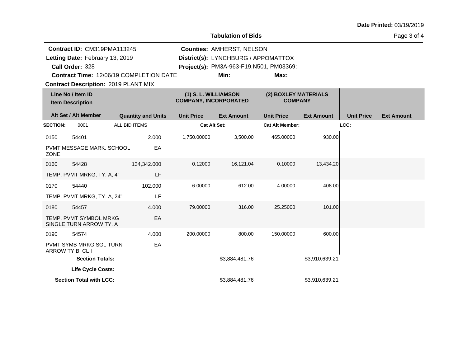## **Tabulation of Bids**

Page 3 of 4

| <b>Contract ID: CM319PMA113245</b><br>Letting Date: February 13, 2019<br>Call Order: 328 |                                                                                        |               |                           | <b>Counties: AMHERST, NELSON</b><br>District(s): LYNCHBURG / APPOMATTOX<br>Project(s): PM3A-963-F19, N501, PM03369; |                   |                                        |                   |                   |                   |
|------------------------------------------------------------------------------------------|----------------------------------------------------------------------------------------|---------------|---------------------------|---------------------------------------------------------------------------------------------------------------------|-------------------|----------------------------------------|-------------------|-------------------|-------------------|
|                                                                                          | Contract Time: 12/06/19 COMPLETION DATE<br><b>Contract Description: 2019 PLANT MIX</b> |               |                           |                                                                                                                     | Min:              | Max:                                   |                   |                   |                   |
|                                                                                          | Line No / Item ID<br><b>Item Description</b>                                           |               |                           | (1) S. L. WILLIAMSON<br><b>COMPANY, INCORPORATED</b>                                                                |                   | (2) BOXLEY MATERIALS<br><b>COMPANY</b> |                   |                   |                   |
|                                                                                          | Alt Set / Alt Member                                                                   |               | <b>Quantity and Units</b> | <b>Unit Price</b>                                                                                                   | <b>Ext Amount</b> | <b>Unit Price</b>                      | <b>Ext Amount</b> | <b>Unit Price</b> | <b>Ext Amount</b> |
| <b>SECTION:</b>                                                                          | 0001                                                                                   | ALL BID ITEMS |                           | <b>Cat Alt Set:</b>                                                                                                 |                   | <b>Cat Alt Member:</b>                 |                   | LCC:              |                   |
| 0150                                                                                     | 54401                                                                                  |               | 2.000                     | 1,750.00000                                                                                                         | 3,500.00          | 465.00000                              | 930.00            |                   |                   |
| <b>ZONE</b>                                                                              | PVMT MESSAGE MARK. SCHOOL                                                              |               | EA                        |                                                                                                                     |                   |                                        |                   |                   |                   |
| 0160                                                                                     | 54428                                                                                  |               | 134,342.000               | 0.12000                                                                                                             | 16,121.04         | 0.10000                                | 13,434.20         |                   |                   |
|                                                                                          | TEMP. PVMT MRKG, TY. A, 4"                                                             |               | LF                        |                                                                                                                     |                   |                                        |                   |                   |                   |
| 0170                                                                                     | 54440                                                                                  |               | 102.000                   | 6.00000                                                                                                             | 612.00            | 4.00000                                | 408.00            |                   |                   |
|                                                                                          | TEMP. PVMT MRKG, TY. A, 24"                                                            |               | LF                        |                                                                                                                     |                   |                                        |                   |                   |                   |
| 0180                                                                                     | 54457                                                                                  |               | 4.000                     | 79.00000                                                                                                            | 316.00            | 25.25000                               | 101.00            |                   |                   |
|                                                                                          | TEMP. PVMT SYMBOL MRKG<br>SINGLE TURN ARROW TY. A                                      |               | EA                        |                                                                                                                     |                   |                                        |                   |                   |                   |
| 0190                                                                                     | 54574                                                                                  |               | 4.000                     | 200.00000                                                                                                           | 800.00            | 150.00000                              | 600.00            |                   |                   |
|                                                                                          | <b>PVMT SYMB MRKG SGL TURN</b><br>ARROW TY B, CL I                                     |               | EA                        |                                                                                                                     |                   |                                        |                   |                   |                   |
|                                                                                          | <b>Section Totals:</b>                                                                 |               |                           |                                                                                                                     | \$3,884,481.76    |                                        | \$3,910,639.21    |                   |                   |
|                                                                                          | Life Cycle Costs:                                                                      |               |                           |                                                                                                                     |                   |                                        |                   |                   |                   |
|                                                                                          | <b>Section Total with LCC:</b>                                                         |               |                           |                                                                                                                     | \$3,884,481.76    |                                        | \$3,910,639.21    |                   |                   |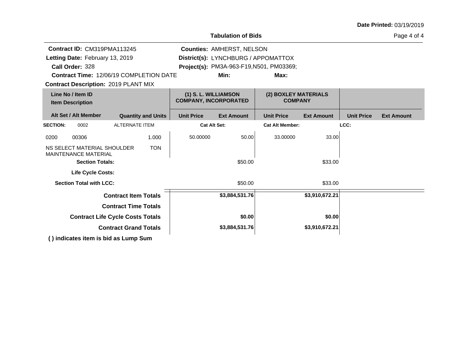|  |  | Date Printed: 03/19/2019 |
|--|--|--------------------------|
|--|--|--------------------------|

**Tabulation of Bids**

Page 4 of 4

| Contract ID: CM319PMA113245                                |                                         |                   | <b>Counties: AMHERST, NELSON</b>                     |                        |                                        |                   |                   |  |  |  |
|------------------------------------------------------------|-----------------------------------------|-------------------|------------------------------------------------------|------------------------|----------------------------------------|-------------------|-------------------|--|--|--|
| Letting Date: February 13, 2019                            |                                         |                   | District(s): LYNCHBURG / APPOMATTOX                  |                        |                                        |                   |                   |  |  |  |
| Call Order: 328                                            |                                         |                   | Project(s): PM3A-963-F19, N501, PM03369;             |                        |                                        |                   |                   |  |  |  |
|                                                            | Contract Time: 12/06/19 COMPLETION DATE |                   | Min:                                                 | Max:                   |                                        |                   |                   |  |  |  |
| <b>Contract Description: 2019 PLANT MIX</b>                |                                         |                   |                                                      |                        |                                        |                   |                   |  |  |  |
| Line No / Item ID<br><b>Item Description</b>               |                                         |                   | (1) S. L. WILLIAMSON<br><b>COMPANY, INCORPORATED</b> |                        | (2) BOXLEY MATERIALS<br><b>COMPANY</b> |                   |                   |  |  |  |
| Alt Set / Alt Member                                       | <b>Quantity and Units</b>               | <b>Unit Price</b> | <b>Ext Amount</b>                                    | <b>Unit Price</b>      | <b>Ext Amount</b>                      | <b>Unit Price</b> | <b>Ext Amount</b> |  |  |  |
| <b>SECTION:</b><br>0002                                    | <b>ALTERNATE ITEM</b>                   |                   | <b>Cat Alt Set:</b>                                  | <b>Cat Alt Member:</b> |                                        | LCC:              |                   |  |  |  |
| 00306<br>0200                                              | 1.000                                   | 50.00000          | 50.00                                                | 33.00000               | 33.00                                  |                   |                   |  |  |  |
| NS SELECT MATERIAL SHOULDER<br><b>MAINTENANCE MATERIAL</b> | <b>TON</b>                              |                   |                                                      |                        |                                        |                   |                   |  |  |  |
| <b>Section Totals:</b>                                     |                                         |                   | \$50.00                                              |                        | \$33.00                                |                   |                   |  |  |  |
| <b>Life Cycle Costs:</b>                                   |                                         |                   |                                                      |                        |                                        |                   |                   |  |  |  |
| <b>Section Total with LCC:</b>                             |                                         |                   | \$50.00                                              |                        | \$33.00                                |                   |                   |  |  |  |
|                                                            | <b>Contract Item Totals</b>             |                   | \$3,884,531.76                                       |                        | \$3,910,672.21                         |                   |                   |  |  |  |
|                                                            | <b>Contract Time Totals</b>             |                   |                                                      |                        |                                        |                   |                   |  |  |  |
|                                                            | <b>Contract Life Cycle Costs Totals</b> |                   | \$0.00                                               |                        | \$0.00                                 |                   |                   |  |  |  |
|                                                            | <b>Contract Grand Totals</b>            |                   | \$3,884,531.76                                       |                        | \$3,910,672.21                         |                   |                   |  |  |  |
| () indicates item is bid as Lump Sum                       |                                         |                   |                                                      |                        |                                        |                   |                   |  |  |  |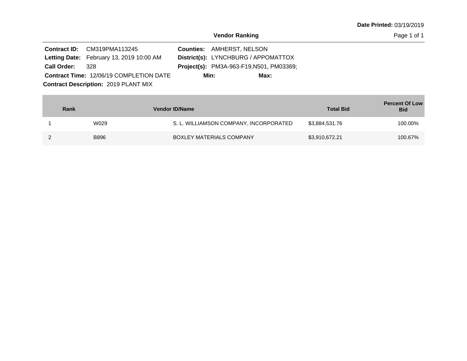|                 | <b>Contract ID:</b> CM319PMA113245             | <b>Counties: AMHERST, NELSON</b>         |      |
|-----------------|------------------------------------------------|------------------------------------------|------|
|                 | Letting Date: February 13, 2019 10:00 AM       | District(s): LYNCHBURG / APPOMATTOX      |      |
| Call Order: 328 |                                                | Project(s): PM3A-963-F19, N501, PM03369; |      |
|                 | <b>Contract Time: 12/06/19 COMPLETION DATE</b> | Min:                                     | Max: |
|                 | <b>Contract Description: 2019 PLANT MIX</b>    |                                          |      |

| Rank |             | <b>Vendor ID/Name</b>                  | <b>Total Bid</b> | <b>Percent Of Low</b><br><b>Bid</b> |
|------|-------------|----------------------------------------|------------------|-------------------------------------|
|      | W029        | S. L. WILLIAMSON COMPANY, INCORPORATED | \$3,884,531.76   | 100.00%                             |
|      | <b>B896</b> | BOXLEY MATERIALS COMPANY               | \$3,910,672.21   | 100.67%                             |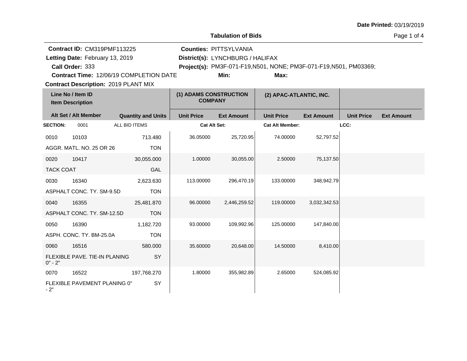| <b>Tabulation of Bids</b> |                                                |               |                           |                                          |                                  |                                                                    |                   |                   |                   |
|---------------------------|------------------------------------------------|---------------|---------------------------|------------------------------------------|----------------------------------|--------------------------------------------------------------------|-------------------|-------------------|-------------------|
|                           | <b>Contract ID: CM319PMF113225</b>             |               |                           |                                          | <b>Counties: PITTSYLVANIA</b>    |                                                                    |                   |                   |                   |
|                           | Letting Date: February 13, 2019                |               |                           |                                          | District(s): LYNCHBURG / HALIFAX |                                                                    |                   |                   |                   |
|                           | Call Order: 333                                |               |                           |                                          |                                  | Project(s): PM3F-071-F19, N501, NONE; PM3F-071-F19, N501, PM03369; |                   |                   |                   |
|                           | <b>Contract Time: 12/06/19 COMPLETION DATE</b> |               |                           |                                          | Min:                             | Max:                                                               |                   |                   |                   |
|                           | <b>Contract Description: 2019 PLANT MIX</b>    |               |                           |                                          |                                  |                                                                    |                   |                   |                   |
|                           | Line No / Item ID<br><b>Item Description</b>   |               |                           | (1) ADAMS CONSTRUCTION<br><b>COMPANY</b> |                                  | (2) APAC-ATLANTIC, INC.                                            |                   |                   |                   |
|                           | Alt Set / Alt Member                           |               | <b>Quantity and Units</b> | <b>Unit Price</b>                        | <b>Ext Amount</b>                | <b>Unit Price</b>                                                  | <b>Ext Amount</b> | <b>Unit Price</b> | <b>Ext Amount</b> |
| <b>SECTION:</b>           | 0001                                           | ALL BID ITEMS |                           | <b>Cat Alt Set:</b>                      |                                  | <b>Cat Alt Member:</b>                                             |                   | LCC:              |                   |
| 0010                      | 10103                                          |               | 713.480                   | 36.05000                                 | 25,720.95                        | 74.00000                                                           | 52,797.52         |                   |                   |
|                           | AGGR. MATL. NO. 25 OR 26                       |               | <b>TON</b>                |                                          |                                  |                                                                    |                   |                   |                   |
| 0020                      | 10417                                          |               | 30,055.000                | 1.00000                                  | 30,055.00                        | 2.50000                                                            | 75,137.50         |                   |                   |
| <b>TACK COAT</b>          |                                                |               | GAL                       |                                          |                                  |                                                                    |                   |                   |                   |
| 0030                      | 16340                                          |               | 2,623.630                 | 113.00000                                | 296,470.19                       | 133.00000                                                          | 348,942.79        |                   |                   |
|                           | ASPHALT CONC. TY. SM-9.5D                      |               | <b>TON</b>                |                                          |                                  |                                                                    |                   |                   |                   |
| 0040                      | 16355                                          |               | 25,481.870                | 96.00000                                 | 2,446,259.52                     | 119,00000                                                          | 3,032,342.53      |                   |                   |
|                           | ASPHALT CONC. TY. SM-12.5D                     |               | <b>TON</b>                |                                          |                                  |                                                                    |                   |                   |                   |
| 0050                      | 16390                                          |               | 1,182.720                 | 93.00000                                 | 109,992.96                       | 125.00000                                                          | 147,840.00        |                   |                   |
|                           | ASPH. CONC. TY. BM-25.0A                       |               | <b>TON</b>                |                                          |                                  |                                                                    |                   |                   |                   |
| 0060                      | 16516                                          |               | 580.000                   | 35.60000                                 | 20,648.00                        | 14.50000                                                           | 8,410.00          |                   |                   |
| $0" - 2"$                 | FLEXIBLE PAVE. TIE-IN PLANING                  |               | <b>SY</b>                 |                                          |                                  |                                                                    |                   |                   |                   |
| 0070                      | 16522                                          |               | 197,768.270               | 1.80000                                  | 355,982.89                       | 2.65000                                                            | 524,085.92        |                   |                   |
| $-2"$                     | FLEXIBLE PAVEMENT PLANING 0"                   |               | SY                        |                                          |                                  |                                                                    |                   |                   |                   |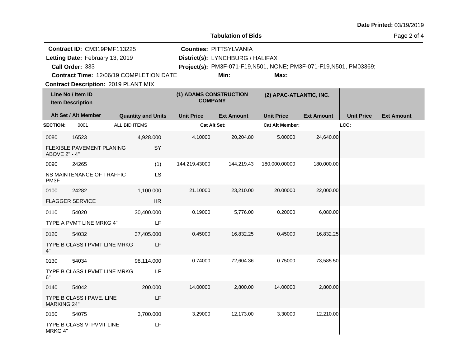|                                              |                                                                                          |                                         |                                                                                                                                                         | <b>Tabulation of Bids</b>                |                        |                         |                   | Page 2 of 4       |
|----------------------------------------------|------------------------------------------------------------------------------------------|-----------------------------------------|---------------------------------------------------------------------------------------------------------------------------------------------------------|------------------------------------------|------------------------|-------------------------|-------------------|-------------------|
|                                              | <b>Contract ID: CM319PMF113225</b><br>Letting Date: February 13, 2019<br>Call Order: 333 | Contract Time: 12/06/19 COMPLETION DATE | <b>Counties: PITTSYLVANIA</b><br>District(s): LYNCHBURG / HALIFAX<br>Project(s): PM3F-071-F19, N501, NONE; PM3F-071-F19, N501, PM03369;<br>Min:<br>Max: |                                          |                        |                         |                   |                   |
|                                              | <b>Contract Description: 2019 PLANT MIX</b>                                              |                                         |                                                                                                                                                         |                                          |                        |                         |                   |                   |
| Line No / Item ID<br><b>Item Description</b> |                                                                                          |                                         |                                                                                                                                                         | (1) ADAMS CONSTRUCTION<br><b>COMPANY</b> |                        | (2) APAC-ATLANTIC, INC. |                   |                   |
|                                              | Alt Set / Alt Member                                                                     | <b>Quantity and Units</b>               | <b>Unit Price</b>                                                                                                                                       | <b>Ext Amount</b>                        | <b>Unit Price</b>      | <b>Ext Amount</b>       | <b>Unit Price</b> | <b>Ext Amount</b> |
| <b>SECTION:</b>                              | 0001                                                                                     | ALL BID ITEMS                           | Cat Alt Set:                                                                                                                                            |                                          | <b>Cat Alt Member:</b> |                         | LCC:              |                   |
| 0080<br>ABOVE 2" - 4"                        | 16523<br>FLEXIBLE PAVEMENT PLANING                                                       | 4,928.000<br>SY                         | 4.10000                                                                                                                                                 | 20,204.80                                | 5.00000                | 24,640.00               |                   |                   |
| 0090<br>PM <sub>3</sub> F                    | 24265<br>NS MAINTENANCE OF TRAFFIC                                                       | (1)<br>LS                               | 144,219.43000                                                                                                                                           | 144,219.43                               | 180,000.00000          | 180,000.00              |                   |                   |
| 0100                                         | 24282<br><b>FLAGGER SERVICE</b>                                                          | 1,100.000<br><b>HR</b>                  | 21.10000                                                                                                                                                | 23,210.00                                | 20.00000               | 22,000.00               |                   |                   |
| 0110                                         | 54020<br>TYPE A PVMT LINE MRKG 4"                                                        | 30,400.000<br>LF                        | 0.19000                                                                                                                                                 | 5,776.00                                 | 0.20000                | 6,080.00                |                   |                   |
| 0120<br>4"                                   | 54032<br>TYPE B CLASS I PVMT LINE MRKG                                                   | 37,405.000<br>LF                        | 0.45000                                                                                                                                                 | 16,832.25                                | 0.45000                | 16,832.25               |                   |                   |
| 0130<br>6"                                   | 54034<br>TYPE B CLASS I PVMT LINE MRKG                                                   | 98,114.000<br>LF                        | 0.74000                                                                                                                                                 | 72,604.36                                | 0.75000                | 73,585.50               |                   |                   |
| 0140<br><b>MARKING 24"</b>                   | 54042<br>TYPE B CLASS I PAVE. LINE                                                       | 200,000<br>LF                           | 14.00000                                                                                                                                                | 2,800.00                                 | 14.00000               | 2,800.00                |                   |                   |
| 0150<br>MRKG 4"                              | 54075<br>TYPE B CLASS VI PVMT LINE                                                       | 3,700.000<br>LF                         | 3.29000                                                                                                                                                 | 12,173.00                                | 3.30000                | 12,210.00               |                   |                   |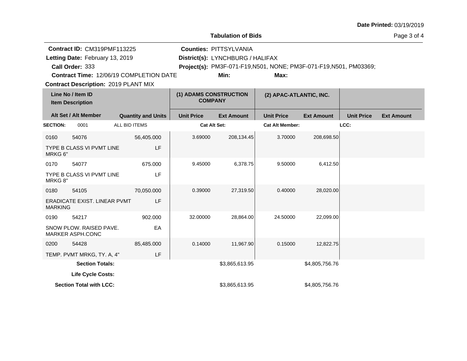| <b>Tabulation of Bids</b> |                                                                                                                                         |                                         |                   |                                                                           |                                                                            |                         |                   |                   |  |
|---------------------------|-----------------------------------------------------------------------------------------------------------------------------------------|-----------------------------------------|-------------------|---------------------------------------------------------------------------|----------------------------------------------------------------------------|-------------------------|-------------------|-------------------|--|
|                           | <b>Contract ID: CM319PMF113225</b><br>Letting Date: February 13, 2019<br>Call Order: 333<br><b>Contract Description: 2019 PLANT MIX</b> | Contract Time: 12/06/19 COMPLETION DATE |                   | <b>Counties: PITTSYLVANIA</b><br>District(s): LYNCHBURG / HALIFAX<br>Min: | Project(s): PM3F-071-F19, N501, NONE; PM3F-071-F19, N501, PM03369;<br>Max: |                         |                   |                   |  |
|                           | Line No / Item ID<br><b>Item Description</b>                                                                                            |                                         |                   | (1) ADAMS CONSTRUCTION<br><b>COMPANY</b>                                  |                                                                            | (2) APAC-ATLANTIC, INC. |                   |                   |  |
|                           | Alt Set / Alt Member                                                                                                                    | <b>Quantity and Units</b>               | <b>Unit Price</b> | <b>Ext Amount</b>                                                         | <b>Unit Price</b>                                                          | <b>Ext Amount</b>       | <b>Unit Price</b> | <b>Ext Amount</b> |  |
| <b>SECTION:</b>           | 0001                                                                                                                                    | ALL BID ITEMS                           |                   | <b>Cat Alt Set:</b>                                                       | <b>Cat Alt Member:</b>                                                     |                         | LCC:              |                   |  |
| 0160                      | 54076                                                                                                                                   | 56,405.000                              | 3.69000           | 208,134.45                                                                | 3.70000                                                                    | 208,698.50              |                   |                   |  |
| MRKG 6"                   | TYPE B CLASS VI PVMT LINE                                                                                                               | LF                                      |                   |                                                                           |                                                                            |                         |                   |                   |  |
| 0170                      | 54077                                                                                                                                   | 675.000                                 | 9.45000           | 6,378.75                                                                  | 9.50000                                                                    | 6,412.50                |                   |                   |  |
| MRKG 8"                   | TYPE B CLASS VI PVMT LINE                                                                                                               | LF                                      |                   |                                                                           |                                                                            |                         |                   |                   |  |
| 0180                      | 54105                                                                                                                                   | 70,050.000                              | 0.39000           | 27,319.50                                                                 | 0.40000                                                                    | 28,020.00               |                   |                   |  |
| <b>MARKING</b>            | ERADICATE EXIST. LINEAR PVMT                                                                                                            | LF                                      |                   |                                                                           |                                                                            |                         |                   |                   |  |
| 0190                      | 54217                                                                                                                                   | 902.000                                 | 32.00000          | 28,864.00                                                                 | 24.50000                                                                   | 22,099.00               |                   |                   |  |
|                           | SNOW PLOW. RAISED PAVE.<br>MARKER ASPH.CONC                                                                                             | EA                                      |                   |                                                                           |                                                                            |                         |                   |                   |  |
| 0200                      | 54428                                                                                                                                   | 85,485.000                              | 0.14000           | 11,967.90                                                                 | 0.15000                                                                    | 12,822.75               |                   |                   |  |
|                           | TEMP. PVMT MRKG, TY. A, 4"                                                                                                              | LF                                      |                   |                                                                           |                                                                            |                         |                   |                   |  |
|                           | <b>Section Totals:</b>                                                                                                                  |                                         |                   | \$3,865,613.95                                                            |                                                                            | \$4,805,756.76          |                   |                   |  |
|                           | Life Cycle Costs:                                                                                                                       |                                         |                   |                                                                           |                                                                            |                         |                   |                   |  |
|                           | <b>Section Total with LCC:</b>                                                                                                          |                                         |                   | \$3,865,613.95                                                            |                                                                            | \$4,805,756.76          |                   |                   |  |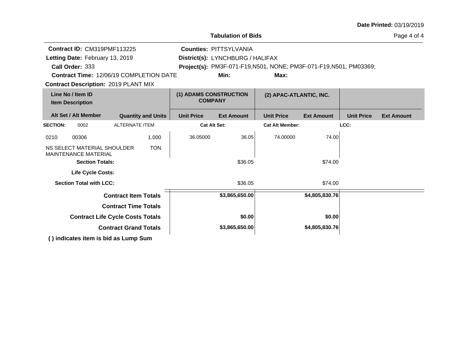| <b>Tabulation of Bids</b><br>Page 4 of 4                                                      |                                         |                                          |                   |                                                                   |                                                                    |                   |                   |                   |  |  |  |
|-----------------------------------------------------------------------------------------------|-----------------------------------------|------------------------------------------|-------------------|-------------------------------------------------------------------|--------------------------------------------------------------------|-------------------|-------------------|-------------------|--|--|--|
| Contract ID: CM319PMF113225<br>Letting Date: February 13, 2019<br>Call Order: 333             |                                         |                                          |                   | <b>Counties: PITTSYLVANIA</b><br>District(s): LYNCHBURG / HALIFAX | Project(s): PM3F-071-F19, N501, NONE; PM3F-071-F19, N501, PM03369; |                   |                   |                   |  |  |  |
| <b>Contract Time: 12/06/19 COMPLETION DATE</b><br><b>Contract Description: 2019 PLANT MIX</b> |                                         |                                          |                   | Min:                                                              | Max:                                                               |                   |                   |                   |  |  |  |
| Line No / Item ID<br><b>Item Description</b>                                                  |                                         | (1) ADAMS CONSTRUCTION<br><b>COMPANY</b> |                   | (2) APAC-ATLANTIC, INC.                                           |                                                                    |                   |                   |                   |  |  |  |
| Alt Set / Alt Member                                                                          |                                         | <b>Quantity and Units</b>                | <b>Unit Price</b> | <b>Ext Amount</b>                                                 | <b>Unit Price</b>                                                  | <b>Ext Amount</b> | <b>Unit Price</b> | <b>Ext Amount</b> |  |  |  |
| <b>SECTION:</b><br>0002                                                                       | <b>ALTERNATE ITEM</b>                   |                                          |                   | <b>Cat Alt Set:</b>                                               | <b>Cat Alt Member:</b>                                             |                   | LCC:              |                   |  |  |  |
| 00306<br>0210                                                                                 |                                         | 1.000                                    | 36.05000          | 36.05                                                             | 74.00000                                                           | 74.00             |                   |                   |  |  |  |
| NS SELECT MATERIAL SHOULDER<br><b>MAINTENANCE MATERIAL</b><br><b>Section Totals:</b>          |                                         | <b>TON</b>                               |                   | \$36.05                                                           |                                                                    | \$74.00           |                   |                   |  |  |  |
| <b>Life Cycle Costs:</b>                                                                      |                                         |                                          |                   |                                                                   |                                                                    |                   |                   |                   |  |  |  |
| <b>Section Total with LCC:</b>                                                                |                                         |                                          |                   | \$36.05                                                           |                                                                    | \$74.00           |                   |                   |  |  |  |
|                                                                                               | <b>Contract Item Totals</b>             |                                          |                   | \$3,865,650.00                                                    |                                                                    | \$4,805,830.76    |                   |                   |  |  |  |
|                                                                                               | <b>Contract Time Totals</b>             |                                          |                   |                                                                   |                                                                    |                   |                   |                   |  |  |  |
|                                                                                               | <b>Contract Life Cycle Costs Totals</b> |                                          |                   | \$0.00                                                            |                                                                    | \$0.00            |                   |                   |  |  |  |
|                                                                                               | <b>Contract Grand Totals</b>            |                                          |                   | \$3,865,650.00                                                    |                                                                    | \$4,805,830.76    |                   |                   |  |  |  |
| () indicates item is bid as Lump Sum                                                          |                                         |                                          |                   |                                                                   |                                                                    |                   |                   |                   |  |  |  |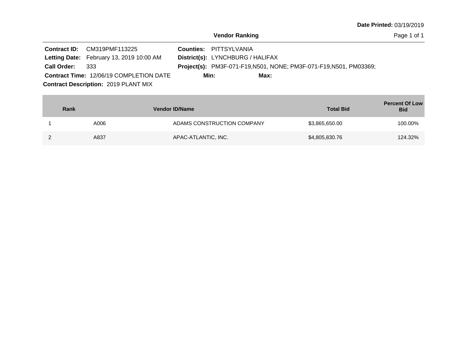|                 | <b>Contract ID: CM319PMF113225</b>             | <b>Counties: PITTSYLVANIA</b>           |                                                                           |  |
|-----------------|------------------------------------------------|-----------------------------------------|---------------------------------------------------------------------------|--|
|                 | Letting Date: February 13, 2019 10:00 AM       | <b>District(s): LYNCHBURG / HALIFAX</b> |                                                                           |  |
| Call Order: 333 |                                                |                                         | <b>Project(s):</b> PM3F-071-F19, N501, NONE; PM3F-071-F19, N501, PM03369; |  |
|                 | <b>Contract Time: 12/06/19 COMPLETION DATE</b> | Min:                                    | Max:                                                                      |  |
|                 | <b>Contract Description: 2019 PLANT MIX</b>    |                                         |                                                                           |  |

| Rank | <b>Vendor ID/Name</b>      | <b>Total Bid</b> | <b>Percent Of Low</b><br><b>Bid</b> |
|------|----------------------------|------------------|-------------------------------------|
| A006 | ADAMS CONSTRUCTION COMPANY | \$3,865,650.00   | 100.00%                             |
| A837 | APAC-ATLANTIC, INC.        | \$4,805,830.76   | 124.32%                             |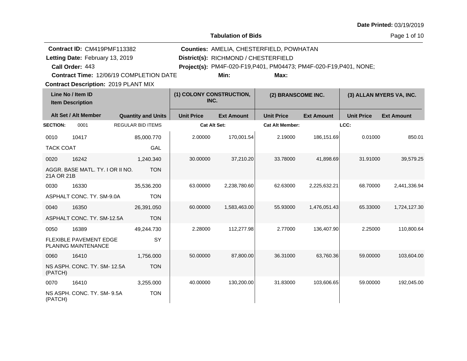**Tabulation of Bids**

|                  | Contract ID: CM419PMF113382                   |                                         |                                  |                                      | Counties: AMELIA, CHESTERFIELD, POWHATAN                           |                    |                   |                          |  |
|------------------|-----------------------------------------------|-----------------------------------------|----------------------------------|--------------------------------------|--------------------------------------------------------------------|--------------------|-------------------|--------------------------|--|
|                  | Letting Date: February 13, 2019               |                                         |                                  | District(s): RICHMOND / CHESTERFIELD |                                                                    |                    |                   |                          |  |
|                  | Call Order: 443                               |                                         |                                  |                                      | Project(s): PM4F-020-F19, P401, PM04473; PM4F-020-F19, P401, NONE; |                    |                   |                          |  |
|                  |                                               | Contract Time: 12/06/19 COMPLETION DATE |                                  | Min:                                 | Max:                                                               |                    |                   |                          |  |
|                  | <b>Contract Description: 2019 PLANT MIX</b>   |                                         |                                  |                                      |                                                                    |                    |                   |                          |  |
|                  | Line No / Item ID<br><b>Item Description</b>  |                                         | (1) COLONY CONSTRUCTION,<br>INC. |                                      |                                                                    | (2) BRANSCOME INC. |                   | (3) ALLAN MYERS VA, INC. |  |
|                  | Alt Set / Alt Member                          | <b>Quantity and Units</b>               | <b>Unit Price</b>                | <b>Ext Amount</b>                    | <b>Unit Price</b>                                                  | <b>Ext Amount</b>  | <b>Unit Price</b> | <b>Ext Amount</b>        |  |
| <b>SECTION:</b>  | 0001                                          | <b>REGULAR BID ITEMS</b>                | <b>Cat Alt Set:</b>              |                                      | <b>Cat Alt Member:</b>                                             |                    | LCC:              |                          |  |
| 0010             | 10417                                         | 85,000.770                              | 2.00000                          | 170,001.54                           | 2.19000                                                            | 186,151.69         | 0.01000           | 850.01                   |  |
| <b>TACK COAT</b> |                                               | GAL                                     |                                  |                                      |                                                                    |                    |                   |                          |  |
| 0020             | 16242                                         | 1,240.340                               | 30.00000                         | 37,210.20                            | 33.78000                                                           | 41,898.69          | 31.91000          | 39,579.25                |  |
| 21A OR 21B       | AGGR. BASE MATL. TY. I OR II NO.              | <b>TON</b>                              |                                  |                                      |                                                                    |                    |                   |                          |  |
| 0030             | 16330                                         | 35,536.200                              | 63.00000                         | 2,238,780.60                         | 62.63000                                                           | 2,225,632.21       | 68.70000          | 2,441,336.94             |  |
|                  | ASPHALT CONC. TY. SM-9.0A                     | <b>TON</b>                              |                                  |                                      |                                                                    |                    |                   |                          |  |
| 0040             | 16350                                         | 26,391.050                              | 60.00000                         | 1,583,463.00                         | 55.93000                                                           | 1,476,051.43       | 65.33000          | 1,724,127.30             |  |
|                  | ASPHALT CONC. TY, SM-12.5A                    | <b>TON</b>                              |                                  |                                      |                                                                    |                    |                   |                          |  |
| 0050             | 16389                                         | 49,244.730                              | 2.28000                          | 112,277.98                           | 2.77000                                                            | 136,407.90         | 2.25000           | 110,800.64               |  |
|                  | FLEXIBLE PAVEMENT EDGE<br>PLANING MAINTENANCE | SY                                      |                                  |                                      |                                                                    |                    |                   |                          |  |
| 0060             | 16410                                         | 1,756.000                               | 50.00000                         | 87,800.00                            | 36.31000                                                           | 63,760.36          | 59.00000          | 103,604.00               |  |
| (PATCH)          | NS ASPH. CONC. TY. SM-12.5A                   | <b>TON</b>                              |                                  |                                      |                                                                    |                    |                   |                          |  |
| 0070             | 16410                                         | 3,255.000                               | 40.00000                         | 130,200.00                           | 31.83000                                                           | 103,606.65         | 59.00000          | 192,045.00               |  |
| (PATCH)          | NS ASPH. CONC. TY. SM- 9.5A                   | <b>TON</b>                              |                                  |                                      |                                                                    |                    |                   |                          |  |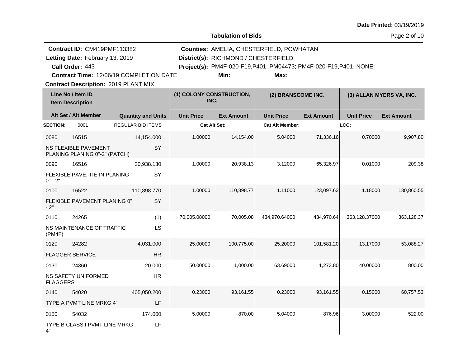|                 | Contract ID: CM419PMF113382                                                            |                           |                          |                                      | Counties: AMELIA, CHESTERFIELD, POWHATAN                           |                   |                   |                          |
|-----------------|----------------------------------------------------------------------------------------|---------------------------|--------------------------|--------------------------------------|--------------------------------------------------------------------|-------------------|-------------------|--------------------------|
|                 | Letting Date: February 13, 2019                                                        |                           |                          | District(s): RICHMOND / CHESTERFIELD |                                                                    |                   |                   |                          |
|                 | Call Order: 443                                                                        |                           |                          |                                      | Project(s): PM4F-020-F19, P401, PM04473; PM4F-020-F19, P401, NONE; |                   |                   |                          |
|                 | Contract Time: 12/06/19 COMPLETION DATE<br><b>Contract Description: 2019 PLANT MIX</b> |                           |                          | Min:                                 | Max:                                                               |                   |                   |                          |
|                 | Line No / Item ID                                                                      |                           | (1) COLONY CONSTRUCTION, |                                      |                                                                    |                   |                   |                          |
|                 | <b>Item Description</b>                                                                |                           | INC.                     |                                      | (2) BRANSCOME INC.                                                 |                   |                   | (3) ALLAN MYERS VA, INC. |
|                 | Alt Set / Alt Member                                                                   | <b>Quantity and Units</b> | <b>Unit Price</b>        | <b>Ext Amount</b>                    | <b>Unit Price</b>                                                  | <b>Ext Amount</b> | <b>Unit Price</b> | <b>Ext Amount</b>        |
| <b>SECTION:</b> | 0001                                                                                   | <b>REGULAR BID ITEMS</b>  |                          | <b>Cat Alt Set:</b>                  | <b>Cat Alt Member:</b>                                             |                   | LCC:              |                          |
| 0080            | 16515                                                                                  | 14,154.000                | 1.00000                  | 14,154.00                            | 5.04000                                                            | 71,336.16         | 0.70000           | 9,907.80                 |
|                 | NS FLEXIBLE PAVEMENT<br>PLANING PLANING 0"-2" (PATCH)                                  | SY                        |                          |                                      |                                                                    |                   |                   |                          |
| 0090            | 16516                                                                                  | 20,938.130                | 1.00000                  | 20,938.13                            | 3.12000                                                            | 65,326.97         | 0.01000           | 209.38                   |
| $0" - 2"$       | FLEXIBLE PAVE, TIE-IN PLANING                                                          | SY                        |                          |                                      |                                                                    |                   |                   |                          |
| 0100            | 16522                                                                                  | 110,898.770               | 1.00000                  | 110,898.77                           | 1.11000                                                            | 123,097.63        | 1.18000           | 130,860.55               |
| $-2"$           | FLEXIBLE PAVEMENT PLANING 0"                                                           | SY                        |                          |                                      |                                                                    |                   |                   |                          |
| 0110            | 24265                                                                                  | (1)                       | 70,005.08000             | 70,005.08                            | 434,970.64000                                                      | 434,970.64        | 363,128.37000     | 363,128.37               |
| (PMAF)          | NS MAINTENANCE OF TRAFFIC                                                              | LS                        |                          |                                      |                                                                    |                   |                   |                          |
| 0120            | 24282                                                                                  | 4,031.000                 | 25.00000                 | 100,775.00                           | 25.20000                                                           | 101,581.20        | 13.17000          | 53,088.27                |
|                 | <b>FLAGGER SERVICE</b>                                                                 | HR                        |                          |                                      |                                                                    |                   |                   |                          |
| 0130            | 24360                                                                                  | 20.000                    | 50.00000                 | 1,000.00                             | 63.69000                                                           | 1,273.80          | 40.00000          | 800.00                   |
| <b>FLAGGERS</b> | <b>NS SAFETY UNIFORMED</b>                                                             | <b>HR</b>                 |                          |                                      |                                                                    |                   |                   |                          |
| 0140            | 54020                                                                                  | 405,050.200               | 0.23000                  | 93,161.55                            | 0.23000                                                            | 93,161.55         | 0.15000           | 60,757.53                |
|                 | TYPE A PVMT LINE MRKG 4"                                                               | LF                        |                          |                                      |                                                                    |                   |                   |                          |
| 0150            | 54032                                                                                  | 174.000                   | 5.00000                  | 870.00                               | 5.04000                                                            | 876.96            | 3.00000           | 522.00                   |
| 4"              | TYPE B CLASS I PVMT LINE MRKG                                                          | LF                        |                          |                                      |                                                                    |                   |                   |                          |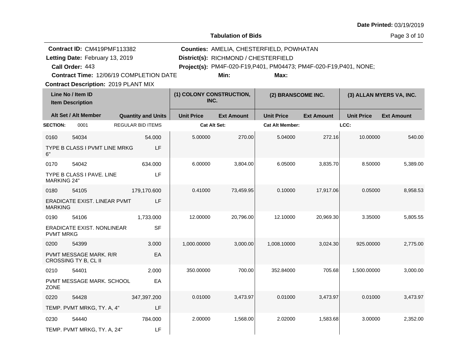|                    | Contract ID: CM419PMF113382                                |                           |                   |                                                                                                            | Counties: AMELIA, CHESTERFIELD, POWHATAN |                   |                   |                          |  |
|--------------------|------------------------------------------------------------|---------------------------|-------------------|------------------------------------------------------------------------------------------------------------|------------------------------------------|-------------------|-------------------|--------------------------|--|
|                    | Letting Date: February 13, 2019                            |                           |                   | District(s): RICHMOND / CHESTERFIELD<br>Project(s): PM4F-020-F19, P401, PM04473; PM4F-020-F19, P401, NONE; |                                          |                   |                   |                          |  |
|                    | Call Order: 443<br>Contract Time: 12/06/19 COMPLETION DATE |                           |                   | Min:                                                                                                       | Max:                                     |                   |                   |                          |  |
|                    | <b>Contract Description: 2019 PLANT MIX</b>                |                           |                   |                                                                                                            |                                          |                   |                   |                          |  |
|                    | Line No / Item ID<br><b>Item Description</b>               |                           | INC.              | (1) COLONY CONSTRUCTION,                                                                                   | (2) BRANSCOME INC.                       |                   |                   | (3) ALLAN MYERS VA, INC. |  |
|                    | Alt Set / Alt Member                                       | <b>Quantity and Units</b> | <b>Unit Price</b> | <b>Ext Amount</b>                                                                                          | <b>Unit Price</b>                        | <b>Ext Amount</b> | <b>Unit Price</b> | <b>Ext Amount</b>        |  |
| <b>SECTION:</b>    | 0001                                                       | <b>REGULAR BID ITEMS</b>  |                   | <b>Cat Alt Set:</b>                                                                                        | <b>Cat Alt Member:</b>                   |                   | LCC:              |                          |  |
| 0160               | 54034                                                      | 54.000                    | 5.00000           | 270.00                                                                                                     | 5.04000                                  | 272.16            | 10.00000          | 540.00                   |  |
| 6"                 | TYPE B CLASS I PVMT LINE MRKG                              | LF                        |                   |                                                                                                            |                                          |                   |                   |                          |  |
| 0170               | 54042                                                      | 634.000                   | 6.00000           | 3,804.00                                                                                                   | 6.05000                                  | 3,835.70          | 8.50000           | 5,389.00                 |  |
| <b>MARKING 24"</b> | TYPE B CLASS I PAVE. LINE                                  | LF                        |                   |                                                                                                            |                                          |                   |                   |                          |  |
| 0180               | 54105                                                      | 179,170.600               | 0.41000           | 73,459.95                                                                                                  | 0.10000                                  | 17,917.06         | 0.05000           | 8,958.53                 |  |
| <b>MARKING</b>     | ERADICATE EXIST. LINEAR PVMT                               | LF                        |                   |                                                                                                            |                                          |                   |                   |                          |  |
| 0190               | 54106                                                      | 1,733.000                 | 12.00000          | 20,796.00                                                                                                  | 12.10000                                 | 20,969.30         | 3.35000           | 5,805.55                 |  |
| <b>PVMT MRKG</b>   | ERADICATE EXIST. NONLINEAR                                 | <b>SF</b>                 |                   |                                                                                                            |                                          |                   |                   |                          |  |
| 0200               | 54399                                                      | 3.000                     | 1,000.00000       | 3,000.00                                                                                                   | 1,008.10000                              | 3,024.30          | 925.00000         | 2,775.00                 |  |
|                    | <b>PVMT MESSAGE MARK, R/R</b><br>CROSSING TY B, CL II      | EA                        |                   |                                                                                                            |                                          |                   |                   |                          |  |
| 0210               | 54401                                                      | 2.000                     | 350.00000         | 700.00                                                                                                     | 352.84000                                | 705.68            | 1,500.00000       | 3,000.00                 |  |
| <b>ZONE</b>        | PVMT MESSAGE MARK, SCHOOL                                  | EA                        |                   |                                                                                                            |                                          |                   |                   |                          |  |
| 0220               | 54428                                                      | 347,397.200               | 0.01000           | 3,473.97                                                                                                   | 0.01000                                  | 3,473.97          | 0.01000           | 3,473.97                 |  |
|                    | TEMP. PVMT MRKG, TY. A, 4"                                 | LF                        |                   |                                                                                                            |                                          |                   |                   |                          |  |
| 0230               | 54440                                                      | 784.000                   | 2.00000           | 1,568.00                                                                                                   | 2.02000                                  | 1,583.68          | 3.00000           | 2,352.00                 |  |
|                    | TEMP. PVMT MRKG, TY. A, 24"                                | LF                        |                   |                                                                                                            |                                          |                   |                   |                          |  |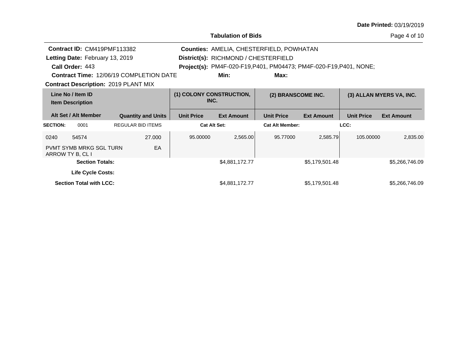| <b>Date Printed: 03/19/2019</b> |  |
|---------------------------------|--|
|---------------------------------|--|

|                                              |                                                    |                                                                           |                                                |                    | <b>Tabulation of Bids</b>                       |                          |                   |                   | Page 4 of 10      |
|----------------------------------------------|----------------------------------------------------|---------------------------------------------------------------------------|------------------------------------------------|--------------------|-------------------------------------------------|--------------------------|-------------------|-------------------|-------------------|
|                                              | Contract ID: CM419PMF113382                        |                                                                           |                                                |                    | <b>Counties: AMELIA, CHESTERFIELD, POWHATAN</b> |                          |                   |                   |                   |
|                                              | Letting Date: February 13, 2019                    |                                                                           |                                                |                    | District(s): RICHMOND / CHESTERFIELD            |                          |                   |                   |                   |
|                                              | Call Order: 443                                    | <b>Project(s):</b> PM4F-020-F19, P401, PM04473; PM4F-020-F19, P401, NONE; |                                                |                    |                                                 |                          |                   |                   |                   |
|                                              |                                                    |                                                                           | <b>Contract Time: 12/06/19 COMPLETION DATE</b> |                    | Min:                                            | Max:                     |                   |                   |                   |
|                                              | <b>Contract Description: 2019 PLANT MIX</b>        |                                                                           |                                                |                    |                                                 |                          |                   |                   |                   |
| Line No / Item ID<br><b>Item Description</b> |                                                    | (1) COLONY CONSTRUCTION,<br>INC.                                          |                                                | (2) BRANSCOME INC. |                                                 | (3) ALLAN MYERS VA, INC. |                   |                   |                   |
|                                              | Alt Set / Alt Member                               |                                                                           | <b>Quantity and Units</b>                      | <b>Unit Price</b>  | <b>Ext Amount</b>                               | <b>Unit Price</b>        | <b>Ext Amount</b> | <b>Unit Price</b> | <b>Ext Amount</b> |
| <b>SECTION:</b>                              | 0001                                               |                                                                           | <b>REGULAR BID ITEMS</b>                       |                    | <b>Cat Alt Set:</b>                             | <b>Cat Alt Member:</b>   |                   | LCC:              |                   |
| 0240                                         | 54574                                              |                                                                           | 27,000                                         | 95,00000           | 2,565.00                                        | 95.77000                 | 2,585.79          | 105.00000         | 2,835.00          |
|                                              | <b>PVMT SYMB MRKG SGL TURN</b><br>ARROW TY B, CL I |                                                                           | EA                                             |                    |                                                 |                          |                   |                   |                   |
|                                              | <b>Section Totals:</b>                             |                                                                           |                                                |                    | \$4,881,172.77                                  |                          | \$5,179,501.48    |                   | \$5,266,746.09    |
|                                              | Life Cycle Costs:                                  |                                                                           |                                                |                    |                                                 |                          |                   |                   |                   |
|                                              | <b>Section Total with LCC:</b>                     |                                                                           |                                                |                    | \$4,881,172.77                                  |                          | \$5,179,501.48    |                   | \$5,266,746.09    |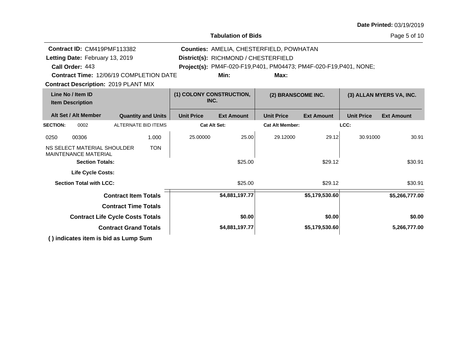| <b>Date Printed: 03/19/2019</b> |  |
|---------------------------------|--|
|---------------------------------|--|

|                                                                          |                     |                                      |                                                                    |                    |                   | . uyo o or 10            |  |
|--------------------------------------------------------------------------|---------------------|--------------------------------------|--------------------------------------------------------------------|--------------------|-------------------|--------------------------|--|
| Contract ID: CM419PMF113382                                              |                     |                                      | Counties: AMELIA, CHESTERFIELD, POWHATAN                           |                    |                   |                          |  |
| Letting Date: February 13, 2019                                          |                     | District(s): RICHMOND / CHESTERFIELD |                                                                    |                    |                   |                          |  |
| Call Order: 443                                                          |                     |                                      | Project(s): PM4F-020-F19, P401, PM04473; PM4F-020-F19, P401, NONE; |                    |                   |                          |  |
| <b>Contract Time: 12/06/19 COMPLETION DATE</b>                           |                     | Min:                                 | Max:                                                               |                    |                   |                          |  |
| <b>Contract Description: 2019 PLANT MIX</b>                              |                     |                                      |                                                                    |                    |                   |                          |  |
| Line No / Item ID<br><b>Item Description</b>                             |                     | (1) COLONY CONSTRUCTION,<br>INC.     |                                                                    | (2) BRANSCOME INC. |                   | (3) ALLAN MYERS VA, INC. |  |
| Alt Set / Alt Member<br><b>Quantity and Units</b>                        | <b>Unit Price</b>   | <b>Ext Amount</b>                    | <b>Unit Price</b>                                                  | <b>Ext Amount</b>  | <b>Unit Price</b> | <b>Ext Amount</b>        |  |
| ALTERNATE BID ITEMS<br><b>SECTION:</b><br>0002                           | <b>Cat Alt Set:</b> |                                      | <b>Cat Alt Member:</b>                                             |                    | LCC:              |                          |  |
| 00306<br>1.000<br>0250                                                   | 25.00000            | 25.00                                | 29.12000                                                           | 29.12              | 30.91000          | 30.91                    |  |
| <b>TON</b><br>NS SELECT MATERIAL SHOULDER<br><b>MAINTENANCE MATERIAL</b> |                     |                                      |                                                                    |                    |                   |                          |  |
| <b>Section Totals:</b>                                                   |                     | \$25.00                              |                                                                    | \$29.12            |                   | \$30.91                  |  |
| <b>Life Cycle Costs:</b>                                                 |                     |                                      |                                                                    |                    |                   |                          |  |
| <b>Section Total with LCC:</b>                                           |                     | \$25.00                              |                                                                    | \$29.12            |                   | \$30.91                  |  |
| <b>Contract Item Totals</b>                                              |                     | \$4,881,197.77                       |                                                                    | \$5,179,530.60     |                   | \$5,266,777.00           |  |
| <b>Contract Time Totals</b>                                              |                     |                                      |                                                                    |                    |                   |                          |  |
| <b>Contract Life Cycle Costs Totals</b>                                  |                     | \$0.00                               |                                                                    | \$0.00             |                   | \$0.00                   |  |
| <b>Contract Grand Totals</b>                                             |                     | \$4,881,197.77                       | \$5,179,530.60                                                     |                    |                   | 5,266,777.00             |  |
| () indicates item is bid as Lump Sum                                     |                     |                                      |                                                                    |                    |                   |                          |  |

**Tabulation of Bids**

#### Page 5 of 10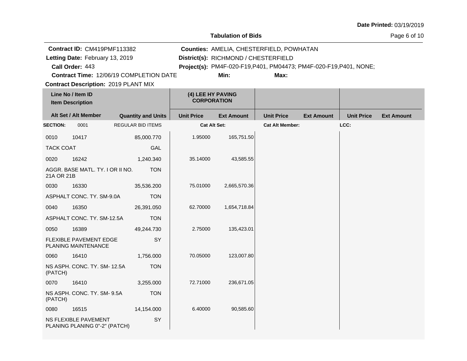**Tabulation of Bids**

Page 6 of 10

|                                              | Contract ID: CM419PMF113382                                  |                                         |                     | Counties: AMELIA, CHESTERFIELD, POWHATAN                                   |                        |                   |                   |                   |  |
|----------------------------------------------|--------------------------------------------------------------|-----------------------------------------|---------------------|----------------------------------------------------------------------------|------------------------|-------------------|-------------------|-------------------|--|
|                                              | Letting Date: February 13, 2019                              |                                         |                     | District(s): RICHMOND / CHESTERFIELD                                       |                        |                   |                   |                   |  |
|                                              | Call Order: 443                                              | Contract Time: 12/06/19 COMPLETION DATE |                     | Project(s): PM4F-020-F19, P401, PM04473; PM4F-020-F19, P401, NONE;<br>Min: | Max:                   |                   |                   |                   |  |
|                                              | <b>Contract Description: 2019 PLANT MIX</b>                  |                                         |                     |                                                                            |                        |                   |                   |                   |  |
| Line No / Item ID<br><b>Item Description</b> |                                                              | (4) LEE HY PAVING<br><b>CORPORATION</b> |                     |                                                                            |                        |                   |                   |                   |  |
| Alt Set / Alt Member                         |                                                              | <b>Quantity and Units</b>               | <b>Unit Price</b>   | <b>Ext Amount</b>                                                          | <b>Unit Price</b>      | <b>Ext Amount</b> | <b>Unit Price</b> | <b>Ext Amount</b> |  |
| <b>SECTION:</b>                              | 0001                                                         | <b>REGULAR BID ITEMS</b>                | <b>Cat Alt Set:</b> |                                                                            | <b>Cat Alt Member:</b> |                   | LCC:              |                   |  |
| 0010                                         | 10417                                                        | 85,000.770                              | 1.95000             | 165,751.50                                                                 |                        |                   |                   |                   |  |
| <b>TACK COAT</b>                             |                                                              | GAL                                     |                     |                                                                            |                        |                   |                   |                   |  |
| 0020                                         | 16242                                                        | 1,240.340                               | 35.14000            | 43,585.55                                                                  |                        |                   |                   |                   |  |
| 21A OR 21B                                   | AGGR. BASE MATL. TY. I OR II NO.                             | <b>TON</b>                              |                     |                                                                            |                        |                   |                   |                   |  |
| 0030                                         | 16330                                                        | 35,536.200                              | 75.01000            | 2,665,570.36                                                               |                        |                   |                   |                   |  |
|                                              | ASPHALT CONC. TY. SM-9.0A                                    | <b>TON</b>                              |                     |                                                                            |                        |                   |                   |                   |  |
| 0040                                         | 16350                                                        | 26,391.050                              | 62.70000            | 1,654,718.84                                                               |                        |                   |                   |                   |  |
|                                              | ASPHALT CONC. TY. SM-12.5A                                   | <b>TON</b>                              |                     |                                                                            |                        |                   |                   |                   |  |
| 0050                                         | 16389                                                        | 49,244.730                              | 2.75000             | 135,423.01                                                                 |                        |                   |                   |                   |  |
|                                              | <b>FLEXIBLE PAVEMENT EDGE</b><br>PLANING MAINTENANCE         | SY                                      |                     |                                                                            |                        |                   |                   |                   |  |
| 0060                                         | 16410                                                        | 1,756.000                               | 70.05000            | 123,007.80                                                                 |                        |                   |                   |                   |  |
| (PATCH)                                      | NS ASPH. CONC. TY. SM-12.5A                                  | <b>TON</b>                              |                     |                                                                            |                        |                   |                   |                   |  |
| 0070                                         | 16410                                                        | 3,255.000                               | 72.71000            | 236,671.05                                                                 |                        |                   |                   |                   |  |
| (PATCH)                                      | NS ASPH. CONC. TY. SM- 9.5A                                  | <b>TON</b>                              |                     |                                                                            |                        |                   |                   |                   |  |
| 0080                                         | 16515                                                        | 14,154.000                              | 6.40000             | 90,585.60                                                                  |                        |                   |                   |                   |  |
|                                              | <b>NS FLEXIBLE PAVEMENT</b><br>PLANING PLANING 0"-2" (PATCH) | SY                                      |                     |                                                                            |                        |                   |                   |                   |  |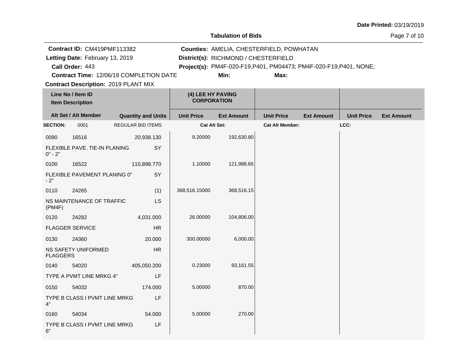**Tabulation of Bids**

Page 7 of 10

|                                              | Contract ID: CM419PMF113382                 |                                         |                   |                                      | Counties: AMELIA, CHESTERFIELD, POWHATAN                           |                   |                   |                   |
|----------------------------------------------|---------------------------------------------|-----------------------------------------|-------------------|--------------------------------------|--------------------------------------------------------------------|-------------------|-------------------|-------------------|
|                                              | Letting Date: February 13, 2019             |                                         |                   | District(s): RICHMOND / CHESTERFIELD |                                                                    |                   |                   |                   |
|                                              | Call Order: 443                             |                                         |                   |                                      | Project(s): PM4F-020-F19, P401, PM04473; PM4F-020-F19, P401, NONE; |                   |                   |                   |
|                                              | Contract Time: 12/06/19 COMPLETION DATE     |                                         |                   | Min:                                 | Max:                                                               |                   |                   |                   |
|                                              | <b>Contract Description: 2019 PLANT MIX</b> |                                         |                   |                                      |                                                                    |                   |                   |                   |
| Line No / Item ID<br><b>Item Description</b> |                                             | (4) LEE HY PAVING<br><b>CORPORATION</b> |                   |                                      |                                                                    |                   |                   |                   |
|                                              | Alt Set / Alt Member                        | <b>Quantity and Units</b>               | <b>Unit Price</b> | <b>Ext Amount</b>                    | <b>Unit Price</b>                                                  | <b>Ext Amount</b> | <b>Unit Price</b> | <b>Ext Amount</b> |
| <b>SECTION:</b>                              | 0001                                        | <b>REGULAR BID ITEMS</b>                |                   | Cat Alt Set:                         | <b>Cat Alt Member:</b>                                             |                   | LCC:              |                   |
| 0090                                         | 16516                                       | 20,938.130                              | 9.20000           | 192,630.80                           |                                                                    |                   |                   |                   |
| $0" - 2"$                                    | FLEXIBLE PAVE. TIE-IN PLANING               | SY                                      |                   |                                      |                                                                    |                   |                   |                   |
| 0100                                         | 16522                                       | 110,898.770                             | 1.10000           | 121,988.65                           |                                                                    |                   |                   |                   |
| - 2"                                         | FLEXIBLE PAVEMENT PLANING 0"                | SY                                      |                   |                                      |                                                                    |                   |                   |                   |
| 0110                                         | 24265                                       | (1)                                     | 368,516.15000     | 368,516.15                           |                                                                    |                   |                   |                   |
| (PMAF)                                       | NS MAINTENANCE OF TRAFFIC                   | <b>LS</b>                               |                   |                                      |                                                                    |                   |                   |                   |
| 0120                                         | 24282                                       | 4,031.000                               | 26.00000          | 104,806.00                           |                                                                    |                   |                   |                   |
|                                              | <b>FLAGGER SERVICE</b>                      | HR                                      |                   |                                      |                                                                    |                   |                   |                   |
| 0130                                         | 24360                                       | 20.000                                  | 300.00000         | 6,000.00                             |                                                                    |                   |                   |                   |
| <b>FLAGGERS</b>                              | NS SAFETY UNIFORMED                         | HR.                                     |                   |                                      |                                                                    |                   |                   |                   |
| 0140                                         | 54020                                       | 405,050.200                             | 0.23000           | 93,161.55                            |                                                                    |                   |                   |                   |
|                                              | TYPE A PVMT LINE MRKG 4"                    | LF                                      |                   |                                      |                                                                    |                   |                   |                   |
| 0150                                         | 54032                                       | 174.000                                 | 5.00000           | 870.00                               |                                                                    |                   |                   |                   |
| 4"                                           | TYPE B CLASS I PVMT LINE MRKG               | LF                                      |                   |                                      |                                                                    |                   |                   |                   |
| 0160                                         | 54034                                       | 54.000                                  | 5.00000           | 270.00                               |                                                                    |                   |                   |                   |
| 6"                                           | TYPE B CLASS I PVMT LINE MRKG               | LF                                      |                   |                                      |                                                                    |                   |                   |                   |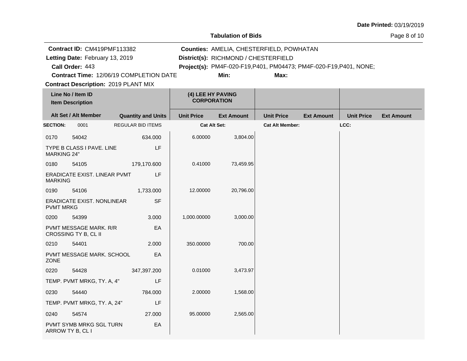**Tabulation of Bids**

Page 8 of 10

|                    | Contract ID: CM419PMF113382                        |                                         | Counties: AMELIA, CHESTERFIELD, POWHATAN |                                                                    |                        |                   |                   |                   |
|--------------------|----------------------------------------------------|-----------------------------------------|------------------------------------------|--------------------------------------------------------------------|------------------------|-------------------|-------------------|-------------------|
|                    | Letting Date: February 13, 2019                    |                                         | District(s): RICHMOND / CHESTERFIELD     |                                                                    |                        |                   |                   |                   |
|                    | Call Order: 443                                    |                                         |                                          | Project(s): PM4F-020-F19, P401, PM04473; PM4F-020-F19, P401, NONE; |                        |                   |                   |                   |
|                    |                                                    | Contract Time: 12/06/19 COMPLETION DATE |                                          | Min:                                                               | Max:                   |                   |                   |                   |
|                    | <b>Contract Description: 2019 PLANT MIX</b>        |                                         |                                          |                                                                    |                        |                   |                   |                   |
|                    | Line No / Item ID                                  |                                         | (4) LEE HY PAVING<br><b>CORPORATION</b>  |                                                                    |                        |                   |                   |                   |
|                    | <b>Item Description</b>                            |                                         |                                          |                                                                    |                        |                   |                   |                   |
|                    | Alt Set / Alt Member                               | <b>Quantity and Units</b>               | <b>Unit Price</b>                        | <b>Ext Amount</b>                                                  | <b>Unit Price</b>      | <b>Ext Amount</b> | <b>Unit Price</b> | <b>Ext Amount</b> |
| <b>SECTION:</b>    | 0001                                               | REGULAR BID ITEMS                       | <b>Cat Alt Set:</b>                      |                                                                    | <b>Cat Alt Member:</b> |                   | LCC:              |                   |
| 0170               | 54042                                              | 634.000                                 | 6.00000                                  | 3,804.00                                                           |                        |                   |                   |                   |
| <b>MARKING 24"</b> | TYPE B CLASS I PAVE. LINE                          | LF                                      |                                          |                                                                    |                        |                   |                   |                   |
| 0180               | 54105                                              | 179,170.600                             | 0.41000                                  | 73,459.95                                                          |                        |                   |                   |                   |
| <b>MARKING</b>     | <b>ERADICATE EXIST. LINEAR PVMT</b>                | LF                                      |                                          |                                                                    |                        |                   |                   |                   |
| 0190               | 54106                                              | 1,733.000                               | 12.00000                                 | 20,796.00                                                          |                        |                   |                   |                   |
| <b>PVMT MRKG</b>   | ERADICATE EXIST, NONLINEAR                         | <b>SF</b>                               |                                          |                                                                    |                        |                   |                   |                   |
| 0200               | 54399                                              | 3.000                                   | 1,000.00000                              | 3,000.00                                                           |                        |                   |                   |                   |
|                    | PVMT MESSAGE MARK. R/R<br>CROSSING TY B, CL II     | EA                                      |                                          |                                                                    |                        |                   |                   |                   |
| 0210               | 54401                                              | 2.000                                   | 350.00000                                | 700.00                                                             |                        |                   |                   |                   |
| <b>ZONE</b>        | PVMT MESSAGE MARK. SCHOOL                          | EA                                      |                                          |                                                                    |                        |                   |                   |                   |
| 0220               | 54428                                              | 347,397.200                             | 0.01000                                  | 3,473.97                                                           |                        |                   |                   |                   |
|                    | TEMP. PVMT MRKG, TY. A, 4"                         | LF                                      |                                          |                                                                    |                        |                   |                   |                   |
| 0230               | 54440                                              | 784.000                                 | 2.00000                                  | 1,568.00                                                           |                        |                   |                   |                   |
|                    | TEMP. PVMT MRKG, TY. A, 24"                        | LF                                      |                                          |                                                                    |                        |                   |                   |                   |
| 0240               | 54574                                              | 27.000                                  | 95.00000                                 | 2,565.00                                                           |                        |                   |                   |                   |
|                    | <b>PVMT SYMB MRKG SGL TURN</b><br>ARROW TY B, CL I | EA                                      |                                          |                                                                    |                        |                   |                   |                   |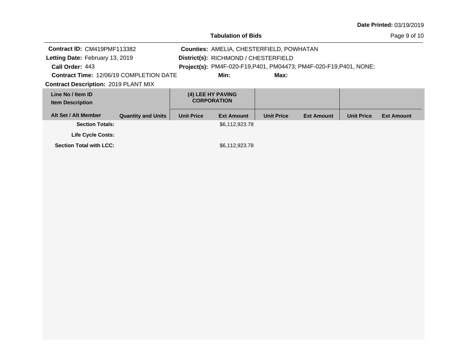| <b>Tabulation of Bids</b>                      |                                                                                |                                         |                                                                    |                   |                   |                   |                   |  |  |
|------------------------------------------------|--------------------------------------------------------------------------------|-----------------------------------------|--------------------------------------------------------------------|-------------------|-------------------|-------------------|-------------------|--|--|
|                                                | Contract ID: CM419PMF113382<br><b>Counties: AMELIA, CHESTERFIELD, POWHATAN</b> |                                         |                                                                    |                   |                   |                   |                   |  |  |
| Letting Date: February 13, 2019                |                                                                                |                                         | District(s): RICHMOND / CHESTERFIELD                               |                   |                   |                   |                   |  |  |
| Call Order: 443                                |                                                                                |                                         | Project(s): PM4F-020-F19, P401, PM04473; PM4F-020-F19, P401, NONE; |                   |                   |                   |                   |  |  |
| <b>Contract Time: 12/06/19 COMPLETION DATE</b> |                                                                                |                                         | Min:                                                               | Max:              |                   |                   |                   |  |  |
| <b>Contract Description: 2019 PLANT MIX</b>    |                                                                                |                                         |                                                                    |                   |                   |                   |                   |  |  |
| Line No / Item ID<br><b>Item Description</b>   |                                                                                | (4) LEE HY PAVING<br><b>CORPORATION</b> |                                                                    |                   |                   |                   |                   |  |  |
| Alt Set / Alt Member                           | <b>Quantity and Units</b>                                                      | <b>Unit Price</b>                       | <b>Ext Amount</b>                                                  | <b>Unit Price</b> | <b>Ext Amount</b> | <b>Unit Price</b> | <b>Ext Amount</b> |  |  |
| <b>Section Totals:</b>                         |                                                                                |                                         | \$6,112,923.78                                                     |                   |                   |                   |                   |  |  |
| <b>Life Cycle Costs:</b>                       |                                                                                |                                         |                                                                    |                   |                   |                   |                   |  |  |
| <b>Section Total with LCC:</b>                 |                                                                                |                                         | \$6.112,923.78                                                     |                   |                   |                   |                   |  |  |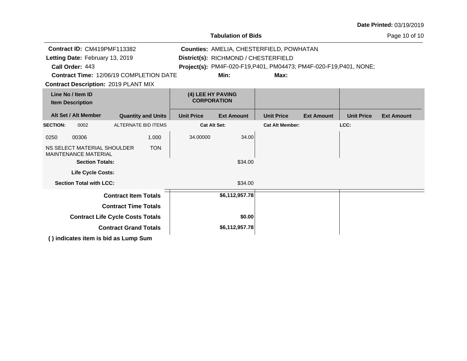| <b>Date Printed: 03/19/2019</b> |  |
|---------------------------------|--|
|---------------------------------|--|

|                                              | <b>Tabulation of Bids</b>                                  |                                                |                                         |                                                                    |                        |                   |                   |                   |
|----------------------------------------------|------------------------------------------------------------|------------------------------------------------|-----------------------------------------|--------------------------------------------------------------------|------------------------|-------------------|-------------------|-------------------|
|                                              | Contract ID: CM419PMF113382                                | Counties: AMELIA, CHESTERFIELD, POWHATAN       |                                         |                                                                    |                        |                   |                   |                   |
|                                              | Letting Date: February 13, 2019                            |                                                |                                         | District(s): RICHMOND / CHESTERFIELD                               |                        |                   |                   |                   |
|                                              | Call Order: 443                                            |                                                |                                         | Project(s): PM4F-020-F19, P401, PM04473; PM4F-020-F19, P401, NONE; |                        |                   |                   |                   |
|                                              |                                                            | <b>Contract Time: 12/06/19 COMPLETION DATE</b> |                                         | Min:                                                               | Max:                   |                   |                   |                   |
|                                              |                                                            | <b>Contract Description: 2019 PLANT MIX</b>    |                                         |                                                                    |                        |                   |                   |                   |
| Line No / Item ID<br><b>Item Description</b> |                                                            |                                                | (4) LEE HY PAVING<br><b>CORPORATION</b> |                                                                    |                        |                   |                   |                   |
|                                              | Alt Set / Alt Member                                       | <b>Quantity and Units</b>                      | <b>Unit Price</b>                       | <b>Ext Amount</b>                                                  | <b>Unit Price</b>      | <b>Ext Amount</b> | <b>Unit Price</b> | <b>Ext Amount</b> |
| <b>SECTION:</b>                              | 0002                                                       | <b>ALTERNATE BID ITEMS</b>                     | <b>Cat Alt Set:</b>                     |                                                                    | <b>Cat Alt Member:</b> |                   | LCC:              |                   |
| 0250                                         | 00306                                                      | 1.000                                          | 34.00000                                | 34.00                                                              |                        |                   |                   |                   |
|                                              | NS SELECT MATERIAL SHOULDER<br><b>MAINTENANCE MATERIAL</b> | <b>TON</b>                                     |                                         |                                                                    |                        |                   |                   |                   |
|                                              | <b>Section Totals:</b>                                     |                                                |                                         | \$34.00                                                            |                        |                   |                   |                   |
|                                              | <b>Life Cycle Costs:</b>                                   |                                                |                                         |                                                                    |                        |                   |                   |                   |
|                                              | <b>Section Total with LCC:</b>                             |                                                |                                         | \$34.00                                                            |                        |                   |                   |                   |
|                                              |                                                            | <b>Contract Item Totals</b>                    |                                         | \$6,112,957.78                                                     |                        |                   |                   |                   |
|                                              |                                                            | <b>Contract Time Totals</b>                    |                                         |                                                                    |                        |                   |                   |                   |
|                                              |                                                            | <b>Contract Life Cycle Costs Totals</b>        |                                         | \$0.00                                                             |                        |                   |                   |                   |
| <b>Contract Grand Totals</b>                 |                                                            |                                                |                                         | \$6,112,957.78                                                     |                        |                   |                   |                   |
|                                              |                                                            | () indicates item is bid as Lump Sum           |                                         |                                                                    |                        |                   |                   |                   |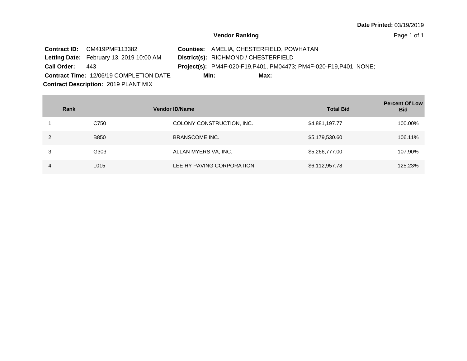|                                             | <b>Contract ID:</b> CM419PMF113382             |      | <b>Counties: AMELIA, CHESTERFIELD, POWHATAN</b> |                                                                           |  |  |  |
|---------------------------------------------|------------------------------------------------|------|-------------------------------------------------|---------------------------------------------------------------------------|--|--|--|
|                                             | Letting Date: February 13, 2019 10:00 AM       |      | District(s): RICHMOND / CHESTERFIELD            |                                                                           |  |  |  |
| <b>Call Order:</b>                          | 443                                            |      |                                                 | <b>Project(s):</b> PM4F-020-F19, P401, PM04473; PM4F-020-F19, P401, NONE; |  |  |  |
|                                             | <b>Contract Time: 12/06/19 COMPLETION DATE</b> | Min: | Max:                                            |                                                                           |  |  |  |
| <b>Contract Description: 2019 PLANT MIX</b> |                                                |      |                                                 |                                                                           |  |  |  |

| Rank |             | <b>Vendor ID/Name</b>     | <b>Total Bid</b> | <b>Percent Of Low</b><br><b>Bid</b> |
|------|-------------|---------------------------|------------------|-------------------------------------|
|      | C750        | COLONY CONSTRUCTION, INC. | \$4,881,197.77   | 100.00%                             |
|      | <b>B850</b> | <b>BRANSCOME INC.</b>     | \$5,179,530.60   | 106.11%                             |
| 3    | G303        | ALLAN MYERS VA, INC.      | \$5,266,777.00   | 107.90%                             |
| 4    | L015        | LEE HY PAVING CORPORATION | \$6,112,957.78   | 125.23%                             |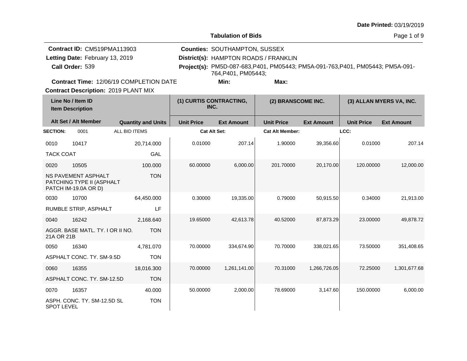**Tabulation of Bids**

| Contract ID: CM519PMA113903                    | <b>Counties: SOUTHAMPTON, SUSSEX</b>  |                                                                                 |  |
|------------------------------------------------|---------------------------------------|---------------------------------------------------------------------------------|--|
| Letting Date: February 13, 2019                | District(s): HAMPTON ROADS / FRANKLIN |                                                                                 |  |
| Call Order: 539                                | 764.P401. PM05443:                    | Project(s): PM5D-087-683, P401, PM05443; PM5A-091-763, P401, PM05443; PM5A-091- |  |
| <b>Contract Time: 12/06/19 COMPLETION DATE</b> | Min:                                  | Max:                                                                            |  |
| <b>Contract Description: 2019 PLANT MIX</b>    |                                       |                                                                                 |  |
|                                                |                                       |                                                                                 |  |

| Line No / Item ID<br><b>Item Description</b> |                                                                          | (1) CURTIS CONTRACTING,<br>INC. |                     | (2) BRANSCOME INC. |                        | (3) ALLAN MYERS VA, INC. |                   |                   |
|----------------------------------------------|--------------------------------------------------------------------------|---------------------------------|---------------------|--------------------|------------------------|--------------------------|-------------------|-------------------|
|                                              | Alt Set / Alt Member                                                     | <b>Quantity and Units</b>       | <b>Unit Price</b>   | <b>Ext Amount</b>  | <b>Unit Price</b>      | <b>Ext Amount</b>        | <b>Unit Price</b> | <b>Ext Amount</b> |
| <b>SECTION:</b>                              | 0001                                                                     | <b>ALL BID ITEMS</b>            | <b>Cat Alt Set:</b> |                    | <b>Cat Alt Member:</b> |                          | LCC:              |                   |
| 0010                                         | 10417                                                                    | 20,714.000                      | 0.01000             | 207.14             | 1.90000                | 39,356.60                | 0.01000           | 207.14            |
| <b>TACK COAT</b>                             |                                                                          | GAL                             |                     |                    |                        |                          |                   |                   |
| 0020                                         | 10505                                                                    | 100.000                         | 60.00000            | 6,000.00           | 201.70000              | 20,170.00                | 120.00000         | 12,000.00         |
|                                              | NS PAVEMENT ASPHALT<br>PATCHING TYPE II (ASPHALT<br>PATCH IM-19.0A OR D) | <b>TON</b>                      |                     |                    |                        |                          |                   |                   |
| 0030                                         | 10700                                                                    | 64,450.000                      | 0.30000             | 19,335.00          | 0.79000                | 50,915.50                | 0.34000           | 21,913.00         |
|                                              | RUMBLE STRIP, ASPHALT                                                    | LF                              |                     |                    |                        |                          |                   |                   |
| 0040                                         | 16242                                                                    | 2,168.640                       | 19.65000            | 42,613.78          | 40.52000               | 87,873.29                | 23.00000          | 49,878.72         |
| 21A OR 21B                                   | AGGR. BASE MATL, TY, I OR II NO.                                         | <b>TON</b>                      |                     |                    |                        |                          |                   |                   |
| 0050                                         | 16340                                                                    | 4.781.070                       | 70.00000            | 334.674.90         | 70.70000               | 338,021.65               | 73.50000          | 351,408.65        |
|                                              | ASPHALT CONC. TY. SM-9.5D                                                | <b>TON</b>                      |                     |                    |                        |                          |                   |                   |
| 0060                                         | 16355                                                                    | 18,016.300                      | 70.00000            | 1,261,141.00       | 70.31000               | 1,266,726.05             | 72.25000          | 1,301,677.68      |
|                                              | ASPHALT CONC. TY. SM-12.5D                                               | <b>TON</b>                      |                     |                    |                        |                          |                   |                   |
| 0070                                         | 16357                                                                    | 40.000                          | 50.00000            | 2,000.00           | 78.69000               | 3,147.60                 | 150.00000         | 6,000.00          |
| <b>SPOT LEVEL</b>                            | ASPH. CONC. TY. SM-12.5D SL                                              | <b>TON</b>                      |                     |                    |                        |                          |                   |                   |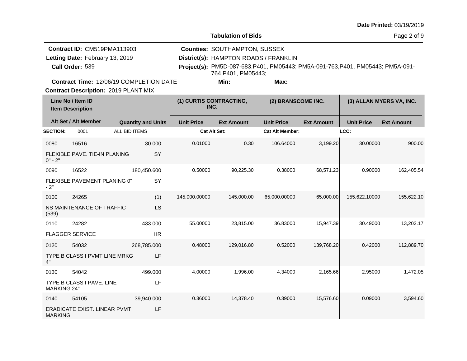|  |  | <b>Date Printed: 03/19/2019</b> |
|--|--|---------------------------------|
|--|--|---------------------------------|

| Contract ID: CM519PMA113903     |                                                |               | <b>Counties: SOUTHAMPTON, SUSSEX</b> |                                       |                     |                                                                                 |                   |                   |                          |
|---------------------------------|------------------------------------------------|---------------|--------------------------------------|---------------------------------------|---------------------|---------------------------------------------------------------------------------|-------------------|-------------------|--------------------------|
| Letting Date: February 13, 2019 |                                                |               |                                      | District(s): HAMPTON ROADS / FRANKLIN |                     |                                                                                 |                   |                   |                          |
|                                 | Call Order: 539                                |               |                                      |                                       | 764, P401, PM05443; | Project(s): PM5D-087-683, P401, PM05443; PM5A-091-763, P401, PM05443; PM5A-091- |                   |                   |                          |
|                                 | <b>Contract Time: 12/06/19 COMPLETION DATE</b> |               |                                      |                                       | Min:                | Max:                                                                            |                   |                   |                          |
|                                 | <b>Contract Description: 2019 PLANT MIX</b>    |               |                                      |                                       |                     |                                                                                 |                   |                   |                          |
|                                 | Line No / Item ID<br><b>Item Description</b>   |               |                                      | (1) CURTIS CONTRACTING,<br>INC.       |                     | (2) BRANSCOME INC.                                                              |                   |                   | (3) ALLAN MYERS VA, INC. |
|                                 | Alt Set / Alt Member                           |               | <b>Quantity and Units</b>            | <b>Unit Price</b>                     | <b>Ext Amount</b>   | <b>Unit Price</b>                                                               | <b>Ext Amount</b> | <b>Unit Price</b> | <b>Ext Amount</b>        |
| <b>SECTION:</b>                 | 0001                                           | ALL BID ITEMS |                                      | <b>Cat Alt Set:</b>                   |                     | <b>Cat Alt Member:</b>                                                          |                   | LCC:              |                          |
| 0080                            | 16516                                          |               | 30.000                               | 0.01000                               | 0.30                | 106.64000                                                                       | 3,199.20          | 30.00000          | 900.00                   |
| $0" - 2"$                       | FLEXIBLE PAVE. TIE-IN PLANING                  |               | SY                                   |                                       |                     |                                                                                 |                   |                   |                          |
| 0090                            | 16522                                          |               | 180,450.600                          | 0.50000                               | 90,225.30           | 0.38000                                                                         | 68,571.23         | 0.90000           | 162,405.54               |
| $-2"$                           | FLEXIBLE PAVEMENT PLANING 0"                   |               | SY                                   |                                       |                     |                                                                                 |                   |                   |                          |
| 0100                            | 24265                                          |               | (1)                                  | 145,000.00000                         | 145,000.00          | 65,000.00000                                                                    | 65,000.00         | 155,622.10000     | 155,622.10               |
| (539)                           | NS MAINTENANCE OF TRAFFIC                      |               | LS                                   |                                       |                     |                                                                                 |                   |                   |                          |
| 0110                            | 24282                                          |               | 433.000                              | 55.00000                              | 23,815.00           | 36.83000                                                                        | 15,947.39         | 30.49000          | 13,202.17                |
|                                 | <b>FLAGGER SERVICE</b>                         |               | <b>HR</b>                            |                                       |                     |                                                                                 |                   |                   |                          |
| 0120                            | 54032                                          |               | 268,785.000                          | 0.48000                               | 129,016.80          | 0.52000                                                                         | 139,768.20        | 0.42000           | 112,889.70               |
| 4"                              | TYPE B CLASS I PVMT LINE MRKG                  |               | LF                                   |                                       |                     |                                                                                 |                   |                   |                          |
| 0130                            | 54042                                          |               | 499.000                              | 4.00000                               | 1,996.00            | 4.34000                                                                         | 2,165.66          | 2.95000           | 1,472.05                 |
| <b>MARKING 24"</b>              | TYPE B CLASS I PAVE. LINE                      |               | LF                                   |                                       |                     |                                                                                 |                   |                   |                          |
| 0140                            | 54105                                          |               | 39,940.000                           | 0.36000                               | 14,378.40           | 0.39000                                                                         | 15,576.60         | 0.09000           | 3,594.60                 |
| <b>MARKING</b>                  | ERADICATE EXIST. LINEAR PVMT                   |               | LF                                   |                                       |                     |                                                                                 |                   |                   |                          |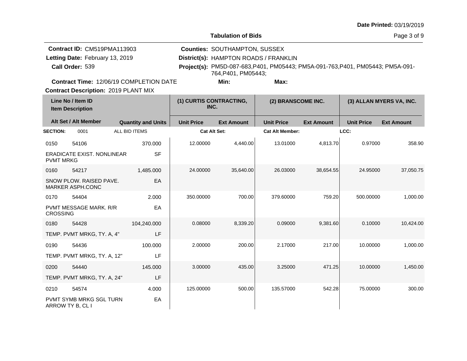**Tabulation of Bids**

Page 3 of 9

| Contract ID: CM519PMA113903<br>Letting Date: February 13, 2019<br>Call Order: 539             | <b>Counties: SOUTHAMPTON, SUSSEX</b><br>District(s): HAMPTON ROADS / FRANKLIN<br>Project(s): PM5D-087-683, P401, PM05443; PM5A-091-763, P401, PM05443; PM5A-091-<br>764.P401. PM05443: |                                 |                    |                          |  |  |  |  |
|-----------------------------------------------------------------------------------------------|----------------------------------------------------------------------------------------------------------------------------------------------------------------------------------------|---------------------------------|--------------------|--------------------------|--|--|--|--|
| <b>Contract Time: 12/06/19 COMPLETION DATE</b><br><b>Contract Description: 2019 PLANT MIX</b> |                                                                                                                                                                                        | Min:                            | Max:               |                          |  |  |  |  |
| Line No / Item ID<br><b>Item Description</b>                                                  |                                                                                                                                                                                        | (1) CURTIS CONTRACTING,<br>INC. | (2) BRANSCOME INC. | (3) ALLAN MYERS VA, INC. |  |  |  |  |

|                  | Alt Set / Alt Member                        |                           |                   |                   |                        |                   |                   |                   |
|------------------|---------------------------------------------|---------------------------|-------------------|-------------------|------------------------|-------------------|-------------------|-------------------|
|                  |                                             | <b>Quantity and Units</b> | <b>Unit Price</b> | <b>Ext Amount</b> | <b>Unit Price</b>      | <b>Ext Amount</b> | <b>Unit Price</b> | <b>Ext Amount</b> |
| <b>SECTION:</b>  | 0001                                        | ALL BID ITEMS             | Cat Alt Set:      |                   | <b>Cat Alt Member:</b> |                   | LCC:              |                   |
| 0150             | 54106                                       | 370.000                   | 12.00000          | 4,440.00          | 13.01000               | 4,813.70          | 0.97000           | 358.90            |
| <b>PVMT MRKG</b> | <b>ERADICATE EXIST, NONLINEAR</b>           | <b>SF</b>                 |                   |                   |                        |                   |                   |                   |
| 0160             | 54217                                       | 1,485.000                 | 24.00000          | 35,640.00         | 26.03000               | 38,654.55         | 24.95000          | 37,050.75         |
|                  | SNOW PLOW. RAISED PAVE.<br>MARKER ASPH.CONC | EA                        |                   |                   |                        |                   |                   |                   |
| 0170             | 54404                                       | 2.000                     | 350.00000         | 700.00            | 379.60000              | 759.20            | 500.00000         | 1,000.00          |
| <b>CROSSING</b>  | <b>PVMT MESSAGE MARK, R/R</b>               | EA                        |                   |                   |                        |                   |                   |                   |
| 0180             | 54428                                       | 104,240.000               | 0.08000           | 8,339.20          | 0.09000                | 9,381.60          | 0.10000           | 10,424.00         |
|                  | TEMP. PVMT MRKG, TY. A, 4"                  | LF                        |                   |                   |                        |                   |                   |                   |
| 0190             | 54436                                       | 100.000                   | 2.00000           | 200.00            | 2.17000                | 217.00            | 10.00000          | 1,000.00          |
|                  | TEMP. PVMT MRKG, TY. A, 12"                 | LF                        |                   |                   |                        |                   |                   |                   |
| 0200             | 54440                                       | 145.000                   | 3.00000           | 435.00            | 3.25000                | 471.25            | 10.00000          | 1,450.00          |
|                  | TEMP. PVMT MRKG, TY. A, 24"                 | LF                        |                   |                   |                        |                   |                   |                   |
| 0210             | 54574                                       | 4.000                     | 125.00000         | 500.00            | 135.57000              | 542.28            | 75.00000          | 300.00            |
| ARROW TY B, CL I | <b>PVMT SYMB MRKG SGL TURN</b>              | EA                        |                   |                   |                        |                   |                   |                   |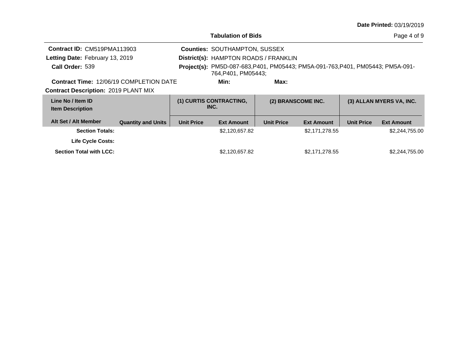|  |  | <b>Date Printed: 03/19/2019</b> |  |
|--|--|---------------------------------|--|
|--|--|---------------------------------|--|

|                                                |                           |                                                                                                        | <b>Tabulation of Bids</b>             |                   |                    |                   | Page 4 of 9              |
|------------------------------------------------|---------------------------|--------------------------------------------------------------------------------------------------------|---------------------------------------|-------------------|--------------------|-------------------|--------------------------|
| Contract ID: CM519PMA113903                    |                           |                                                                                                        | <b>Counties: SOUTHAMPTON, SUSSEX</b>  |                   |                    |                   |                          |
| Letting Date: February 13, 2019                |                           |                                                                                                        | District(s): HAMPTON ROADS / FRANKLIN |                   |                    |                   |                          |
| Call Order: 539                                |                           | Project(s): PM5D-087-683, P401, PM05443; PM5A-091-763, P401, PM05443; PM5A-091-<br>764, P401, PM05443; |                                       |                   |                    |                   |                          |
| <b>Contract Time: 12/06/19 COMPLETION DATE</b> |                           |                                                                                                        | Min:                                  | Max:              |                    |                   |                          |
| <b>Contract Description: 2019 PLANT MIX</b>    |                           |                                                                                                        |                                       |                   |                    |                   |                          |
| Line No / Item ID<br><b>Item Description</b>   |                           |                                                                                                        | (1) CURTIS CONTRACTING,<br>INC.       |                   | (2) BRANSCOME INC. |                   | (3) ALLAN MYERS VA, INC. |
| Alt Set / Alt Member                           | <b>Quantity and Units</b> | <b>Unit Price</b>                                                                                      | <b>Ext Amount</b>                     | <b>Unit Price</b> | <b>Ext Amount</b>  | <b>Unit Price</b> | <b>Ext Amount</b>        |
| <b>Section Totals:</b>                         |                           |                                                                                                        | \$2,120,657.82                        |                   | \$2,171,278.55     |                   | \$2,244,755.00           |
| <b>Life Cycle Costs:</b>                       |                           |                                                                                                        |                                       |                   |                    |                   |                          |
| <b>Section Total with LCC:</b>                 |                           |                                                                                                        | \$2,120,657.82                        |                   | \$2,171,278.55     |                   | \$2,244,755.00           |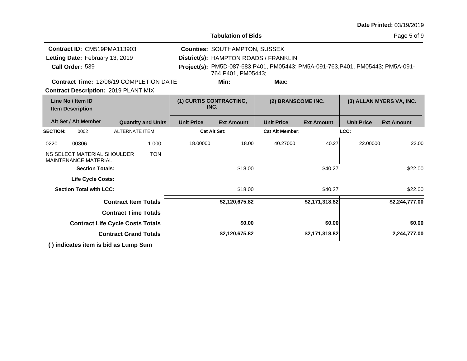| <b>Date Printed: 03/19/2019</b> |  |
|---------------------------------|--|
|---------------------------------|--|

|                                                                          | <b>Tabulation of Bids</b>              |                                                                                 | Page 5 of 9                            |
|--------------------------------------------------------------------------|----------------------------------------|---------------------------------------------------------------------------------|----------------------------------------|
| Contract ID: CM519PMA113903                                              | <b>Counties: SOUTHAMPTON, SUSSEX</b>   |                                                                                 |                                        |
| Letting Date: February 13, 2019                                          | District(s): HAMPTON ROADS / FRANKLIN  |                                                                                 |                                        |
| Call Order: 539                                                          | 764, P401, PM05443;                    | Project(s): PM5D-087-683, P401, PM05443; PM5A-091-763, P401, PM05443; PM5A-091- |                                        |
| <b>Contract Time: 12/06/19 COMPLETION DATE</b>                           | Min:                                   | Max:                                                                            |                                        |
| <b>Contract Description: 2019 PLANT MIX</b>                              |                                        |                                                                                 |                                        |
| Line No / Item ID<br><b>Item Description</b>                             | (1) CURTIS CONTRACTING,<br>INC.        | (2) BRANSCOME INC.                                                              | (3) ALLAN MYERS VA, INC.               |
| Alt Set / Alt Member<br><b>Quantity and Units</b>                        | <b>Unit Price</b><br><b>Ext Amount</b> | <b>Unit Price</b><br><b>Ext Amount</b>                                          | <b>Unit Price</b><br><b>Ext Amount</b> |
| <b>ALTERNATE ITEM</b><br><b>SECTION:</b><br>0002                         | <b>Cat Alt Set:</b>                    | <b>Cat Alt Member:</b>                                                          | LCC:                                   |
| 1.000<br>00306<br>0220                                                   | 18.00000<br>18.00                      | 40.27000<br>40.27                                                               | 22.00000<br>22.00                      |
| <b>TON</b><br>NS SELECT MATERIAL SHOULDER<br><b>MAINTENANCE MATERIAL</b> |                                        |                                                                                 |                                        |
| <b>Section Totals:</b>                                                   | \$18.00                                | \$40.27                                                                         | \$22.00                                |
| <b>Life Cycle Costs:</b>                                                 |                                        |                                                                                 |                                        |
| <b>Section Total with LCC:</b>                                           | \$18.00                                | \$40.27                                                                         | \$22.00                                |
| <b>Contract Item Totals</b>                                              | \$2,120,675.82                         | \$2,171,318.82                                                                  | \$2,244,777.00                         |
| <b>Contract Time Totals</b>                                              |                                        |                                                                                 |                                        |
| <b>Contract Life Cycle Costs Totals</b>                                  | \$0.00                                 | \$0.00                                                                          | \$0.00                                 |
| <b>Contract Grand Totals</b>                                             | \$2,120,675.82                         | \$2,171,318.82                                                                  | 2,244,777.00                           |

**( ) indicates item is bid as Lump Sum**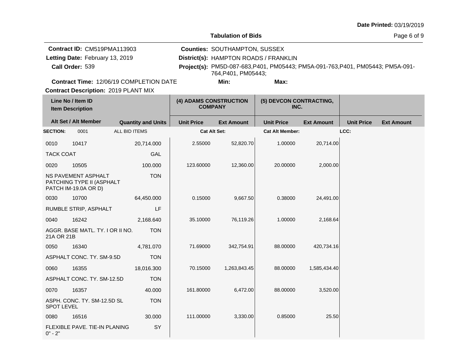# **Tabulation of Bids**

| Contract ID: CM519PMA113903                    | <b>Counties: SOUTHAMPTON, SUSSEX</b>  |                                                                                 |  |
|------------------------------------------------|---------------------------------------|---------------------------------------------------------------------------------|--|
| Letting Date: February 13, 2019                | District(s): HAMPTON ROADS / FRANKLIN |                                                                                 |  |
| Call Order: 539                                | 764.P401. PM05443:                    | Project(s): PM5D-087-683, P401, PM05443; PM5A-091-763, P401, PM05443; PM5A-091- |  |
| <b>Contract Time: 12/06/19 COMPLETION DATE</b> | Min:                                  | Max:                                                                            |  |

**Contract Description: 2019 PLANT MIX** 

|                   | Line No / Item ID<br><b>Item Description</b>                                    |                           | (4) ADAMS CONSTRUCTION<br><b>COMPANY</b> |                   | (5) DEVCON CONTRACTING,<br>INC. |                   |                   |                   |
|-------------------|---------------------------------------------------------------------------------|---------------------------|------------------------------------------|-------------------|---------------------------------|-------------------|-------------------|-------------------|
|                   | Alt Set / Alt Member                                                            | <b>Quantity and Units</b> | <b>Unit Price</b>                        | <b>Ext Amount</b> | <b>Unit Price</b>               | <b>Ext Amount</b> | <b>Unit Price</b> | <b>Ext Amount</b> |
| <b>SECTION:</b>   | 0001                                                                            | ALL BID ITEMS             | <b>Cat Alt Set:</b>                      |                   | <b>Cat Alt Member:</b>          |                   | LCC:              |                   |
| 0010              | 10417                                                                           | 20,714.000                | 2.55000                                  | 52,820.70         | 1.00000                         | 20,714.00         |                   |                   |
| <b>TACK COAT</b>  |                                                                                 | GAL                       |                                          |                   |                                 |                   |                   |                   |
| 0020              | 10505                                                                           | 100.000                   | 123.60000                                | 12,360.00         | 20.00000                        | 2,000.00          |                   |                   |
|                   | <b>NS PAVEMENT ASPHALT</b><br>PATCHING TYPE II (ASPHALT<br>PATCH IM-19.0A OR D) | <b>TON</b>                |                                          |                   |                                 |                   |                   |                   |
| 0030              | 10700                                                                           | 64,450.000                | 0.15000                                  | 9,667.50          | 0.38000                         | 24,491.00         |                   |                   |
|                   | RUMBLE STRIP, ASPHALT                                                           | LF                        |                                          |                   |                                 |                   |                   |                   |
| 0040              | 16242                                                                           | 2,168.640                 | 35.10000                                 | 76,119.26         | 1.00000                         | 2,168.64          |                   |                   |
| 21A OR 21B        | AGGR. BASE MATL. TY. I OR II NO.                                                | <b>TON</b>                |                                          |                   |                                 |                   |                   |                   |
| 0050              | 16340                                                                           | 4,781.070                 | 71.69000                                 | 342,754.91        | 88.00000                        | 420,734.16        |                   |                   |
|                   | ASPHALT CONC. TY. SM-9.5D                                                       | <b>TON</b>                |                                          |                   |                                 |                   |                   |                   |
| 0060              | 16355                                                                           | 18,016.300                | 70.15000                                 | 1,263,843.45      | 88.00000                        | 1,585,434.40      |                   |                   |
|                   | ASPHALT CONC. TY. SM-12.5D                                                      | <b>TON</b>                |                                          |                   |                                 |                   |                   |                   |
| 0070              | 16357                                                                           | 40.000                    | 161.80000                                | 6,472.00          | 88.00000                        | 3,520.00          |                   |                   |
| <b>SPOT LEVEL</b> | ASPH. CONC. TY. SM-12.5D SL                                                     | <b>TON</b>                |                                          |                   |                                 |                   |                   |                   |
| 0080              | 16516                                                                           | 30.000                    | 111.00000                                | 3,330.00          | 0.85000                         | 25.50             |                   |                   |
| $0" - 2"$         | <b>FLEXIBLE PAVE, TIE-IN PLANING</b>                                            | SY                        |                                          |                   |                                 |                   |                   |                   |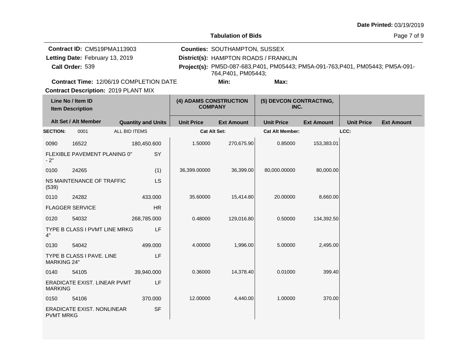**Tabulation of Bids**

Page 7 of 9

| Contract ID: CM519PMA113903                    | <b>Counties: SOUTHAMPTON, SUSSEX</b>  |                                                                                 |  |
|------------------------------------------------|---------------------------------------|---------------------------------------------------------------------------------|--|
| Letting Date: February 13, 2019                | District(s): HAMPTON ROADS / FRANKLIN |                                                                                 |  |
| Call Order: 539                                | 764.P401. PM05443:                    | Project(s): PM5D-087-683, P401, PM05443; PM5A-091-763, P401, PM05443; PM5A-091- |  |
| <b>Contract Time: 12/06/19 COMPLETION DATE</b> | Min:                                  | Max:                                                                            |  |

T.

**Contract Description: 2019 PLANT MIX** 

| Line No / Item ID<br><b>Item Description</b> |                               | (4) ADAMS CONSTRUCTION<br><b>COMPANY</b> |                     | (5) DEVCON CONTRACTING,<br>INC. |                        |                   |                   |                   |
|----------------------------------------------|-------------------------------|------------------------------------------|---------------------|---------------------------------|------------------------|-------------------|-------------------|-------------------|
|                                              | Alt Set / Alt Member          | <b>Quantity and Units</b>                | <b>Unit Price</b>   | <b>Ext Amount</b>               | <b>Unit Price</b>      | <b>Ext Amount</b> | <b>Unit Price</b> | <b>Ext Amount</b> |
| <b>SECTION:</b>                              | 0001                          | ALL BID ITEMS                            | <b>Cat Alt Set:</b> |                                 | <b>Cat Alt Member:</b> |                   | LCC:              |                   |
| 0090                                         | 16522                         | 180,450.600                              | 1.50000             | 270,675.90                      | 0.85000                | 153,383.01        |                   |                   |
| $-2"$                                        | FLEXIBLE PAVEMENT PLANING 0"  | SY                                       |                     |                                 |                        |                   |                   |                   |
| 0100                                         | 24265                         | (1)                                      | 36,399.00000        | 36,399.00                       | 80,000.00000           | 80,000.00         |                   |                   |
| (539)                                        | NS MAINTENANCE OF TRAFFIC     | LS                                       |                     |                                 |                        |                   |                   |                   |
| 0110                                         | 24282                         | 433.000                                  | 35.60000            | 15,414.80                       | 20.00000               | 8,660.00          |                   |                   |
|                                              | <b>FLAGGER SERVICE</b>        | <b>HR</b>                                |                     |                                 |                        |                   |                   |                   |
| 0120                                         | 54032                         | 268,785.000                              | 0.48000             | 129,016.80                      | 0.50000                | 134,392.50        |                   |                   |
| 4"                                           | TYPE B CLASS I PVMT LINE MRKG | LF                                       |                     |                                 |                        |                   |                   |                   |
| 0130                                         | 54042                         | 499.000                                  | 4.00000             | 1,996.00                        | 5.00000                | 2,495.00          |                   |                   |
| <b>MARKING 24"</b>                           | TYPE B CLASS I PAVE, LINE     | LF                                       |                     |                                 |                        |                   |                   |                   |
| 0140                                         | 54105                         | 39,940.000                               | 0.36000             | 14,378.40                       | 0.01000                | 399.40            |                   |                   |
| <b>MARKING</b>                               | ERADICATE EXIST. LINEAR PVMT  | LF                                       |                     |                                 |                        |                   |                   |                   |
| 0150                                         | 54106                         | 370.000                                  | 12.00000            | 4,440.00                        | 1.00000                | 370.00            |                   |                   |
| <b>PVMT MRKG</b>                             | ERADICATE EXIST. NONLINEAR    | <b>SF</b>                                |                     |                                 |                        |                   |                   |                   |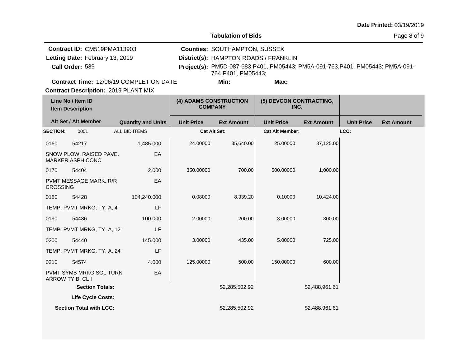**Tabulation of Bids**

Page 8 of 9

|                 | <b>Contract ID: CM519PMA113903</b>             | <b>Counties: SOUTHAMPTON, SUSSEX</b>  |                                                                                 |  |
|-----------------|------------------------------------------------|---------------------------------------|---------------------------------------------------------------------------------|--|
|                 | Letting Date: February 13, 2019                | District(s): HAMPTON ROADS / FRANKLIN |                                                                                 |  |
| Call Order: 539 |                                                | 764.P401. PM05443:                    | Project(s): PM5D-087-683, P401, PM05443; PM5A-091-763, P401, PM05443; PM5A-091- |  |
|                 | <b>Contract Time: 12/06/19 COMPLETION DATE</b> | Min:                                  | Max:                                                                            |  |

**Contract Description: 2019 PLANT MIX** 

|                 | Line No / Item ID<br><b>Item Description</b>       |                           | (4) ADAMS CONSTRUCTION<br><b>COMPANY</b> |                   | (5) DEVCON CONTRACTING,<br>INC. |                   |                   |                   |
|-----------------|----------------------------------------------------|---------------------------|------------------------------------------|-------------------|---------------------------------|-------------------|-------------------|-------------------|
|                 | Alt Set / Alt Member                               | <b>Quantity and Units</b> | <b>Unit Price</b>                        | <b>Ext Amount</b> | <b>Unit Price</b>               | <b>Ext Amount</b> | <b>Unit Price</b> | <b>Ext Amount</b> |
| <b>SECTION:</b> | 0001                                               | ALL BID ITEMS             | <b>Cat Alt Set:</b>                      |                   | <b>Cat Alt Member:</b>          |                   | LCC:              |                   |
| 0160            | 54217                                              | 1,485.000                 | 24.00000                                 | 35,640.00         | 25.00000                        | 37,125.00         |                   |                   |
|                 | SNOW PLOW. RAISED PAVE.<br><b>MARKER ASPH.CONC</b> | EA                        |                                          |                   |                                 |                   |                   |                   |
| 0170            | 54404                                              | 2.000                     | 350.00000                                | 700.00            | 500.00000                       | 1,000.00          |                   |                   |
| <b>CROSSING</b> | PVMT MESSAGE MARK. R/R                             | EA                        |                                          |                   |                                 |                   |                   |                   |
| 0180            | 54428                                              | 104,240.000               | 0.08000                                  | 8,339.20          | 0.10000                         | 10,424.00         |                   |                   |
|                 | TEMP. PVMT MRKG, TY. A, 4"                         | LF                        |                                          |                   |                                 |                   |                   |                   |
| 0190            | 54436                                              | 100.000                   | 2.00000                                  | 200.00            | 3.00000                         | 300.00            |                   |                   |
|                 | TEMP. PVMT MRKG, TY. A, 12"                        | LF                        |                                          |                   |                                 |                   |                   |                   |
| 0200            | 54440                                              | 145,000                   | 3.00000                                  | 435.00            | 5.00000                         | 725.00            |                   |                   |
|                 | TEMP. PVMT MRKG, TY. A, 24"                        | LF                        |                                          |                   |                                 |                   |                   |                   |
| 0210            | 54574                                              | 4.000                     | 125.00000                                | 500.00            | 150.00000                       | 600.00            |                   |                   |
|                 | PVMT SYMB MRKG SGL TURN<br>ARROW TY B, CL I        | EA                        |                                          |                   |                                 |                   |                   |                   |
|                 | <b>Section Totals:</b>                             |                           |                                          | \$2,285,502.92    |                                 | \$2,488,961.61    |                   |                   |
|                 | <b>Life Cycle Costs:</b>                           |                           |                                          |                   |                                 |                   |                   |                   |
|                 | <b>Section Total with LCC:</b>                     |                           |                                          | \$2,285,502.92    |                                 | \$2,488,961.61    |                   |                   |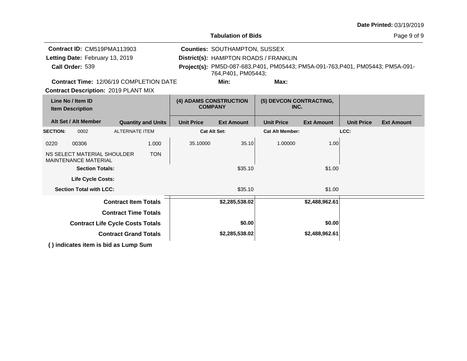|  |  | <b>Date Printed: 03/19/2019</b> |
|--|--|---------------------------------|
|--|--|---------------------------------|

| Tabulation of Bids |  |
|--------------------|--|
|--------------------|--|

Page 9 of 9

| Contract ID: CM519PMA113903<br>Letting Date: February 13, 2019           |                                                       |                                          |                           |                                 | <b>Counties: SOUTHAMPTON, SUSSEX</b>  |                                                                                 |                   |                   |                   |  |  |
|--------------------------------------------------------------------------|-------------------------------------------------------|------------------------------------------|---------------------------|---------------------------------|---------------------------------------|---------------------------------------------------------------------------------|-------------------|-------------------|-------------------|--|--|
|                                                                          |                                                       |                                          |                           |                                 | District(s): HAMPTON ROADS / FRANKLIN |                                                                                 |                   |                   |                   |  |  |
| Call Order: 539                                                          |                                                       |                                          |                           |                                 | 764.P401. PM05443:                    | Project(s): PM5D-087-683, P401, PM05443; PM5A-091-763, P401, PM05443; PM5A-091- |                   |                   |                   |  |  |
| <b>Contract Time: 12/06/19 COMPLETION DATE</b>                           |                                                       |                                          |                           |                                 | Min:                                  | Max:                                                                            |                   |                   |                   |  |  |
| <b>Contract Description: 2019 PLANT MIX</b>                              |                                                       |                                          |                           |                                 |                                       |                                                                                 |                   |                   |                   |  |  |
| Line No / Item ID<br><b>Item Description</b>                             |                                                       | (4) ADAMS CONSTRUCTION<br><b>COMPANY</b> |                           | (5) DEVCON CONTRACTING,<br>INC. |                                       |                                                                                 |                   |                   |                   |  |  |
|                                                                          | Alt Set / Alt Member                                  |                                          | <b>Quantity and Units</b> | <b>Unit Price</b>               | <b>Ext Amount</b>                     | <b>Unit Price</b>                                                               | <b>Ext Amount</b> | <b>Unit Price</b> | <b>Ext Amount</b> |  |  |
| <b>SECTION:</b>                                                          | 0002                                                  | <b>ALTERNATE ITEM</b>                    |                           |                                 | <b>Cat Alt Set:</b>                   | <b>Cat Alt Member:</b>                                                          |                   | LCC:              |                   |  |  |
| 0220                                                                     | 00306                                                 |                                          | 1.000                     | 35.10000                        | 35.10                                 | 1.00000                                                                         | 1.00              |                   |                   |  |  |
| NS SELECT MATERIAL SHOULDER<br><b>TON</b><br><b>MAINTENANCE MATERIAL</b> |                                                       |                                          |                           |                                 |                                       |                                                                                 |                   |                   |                   |  |  |
|                                                                          | <b>Section Totals:</b>                                |                                          |                           |                                 | \$35.10                               |                                                                                 | \$1.00            |                   |                   |  |  |
|                                                                          | <b>Life Cycle Costs:</b>                              |                                          |                           |                                 |                                       |                                                                                 |                   |                   |                   |  |  |
|                                                                          | <b>Section Total with LCC:</b>                        |                                          |                           |                                 | \$35.10                               |                                                                                 | \$1.00            |                   |                   |  |  |
|                                                                          |                                                       | <b>Contract Item Totals</b>              |                           |                                 | \$2,285,538.02                        |                                                                                 | \$2,488,962.61    |                   |                   |  |  |
|                                                                          |                                                       | <b>Contract Time Totals</b>              |                           |                                 |                                       |                                                                                 |                   |                   |                   |  |  |
| <b>Contract Life Cycle Costs Totals</b>                                  |                                                       |                                          |                           |                                 | \$0.00                                |                                                                                 | \$0.00            |                   |                   |  |  |
|                                                                          |                                                       | <b>Contract Grand Totals</b>             |                           |                                 | \$2,285,538.02                        |                                                                                 | \$2,488,962.61    |                   |                   |  |  |
|                                                                          | <u> 13 in die steel it was in hiel en Louwer Oran</u> |                                          |                           |                                 |                                       |                                                                                 |                   |                   |                   |  |  |

**( ) indicates item is bid as Lump Sum**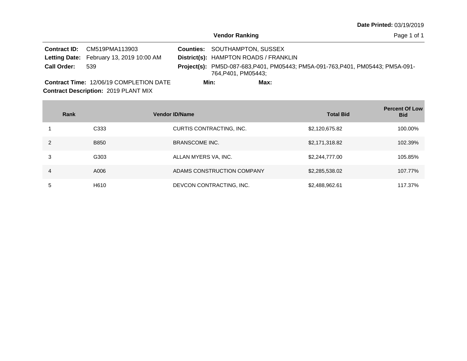Page 1 of 1

|                    | <b>Contract ID:</b> CM519PMA113903             |      | <b>Counties: SOUTHAMPTON, SUSSEX</b>  |      |                                                                                 |
|--------------------|------------------------------------------------|------|---------------------------------------|------|---------------------------------------------------------------------------------|
|                    | Letting Date: February 13, 2019 10:00 AM       |      | District(s): HAMPTON ROADS / FRANKLIN |      |                                                                                 |
| <b>Call Order:</b> | 539                                            |      | 764.P401. PM05443:                    |      | Project(s): PM5D-087-683, P401, PM05443; PM5A-091-763, P401, PM05443; PM5A-091- |
|                    | <b>Contract Time: 12/06/19 COMPLETION DATE</b> | Min: |                                       | Max: |                                                                                 |

**Contract Description: 2019 PLANT MIX** Contract Time: 12/06/19 COMPLETION DATE

**Contract Contract** 

|   | Rank             | <b>Vendor ID/Name</b>      | <b>Total Bid</b> | <b>Percent Of Low</b><br><b>Bid</b> |
|---|------------------|----------------------------|------------------|-------------------------------------|
|   | C <sub>333</sub> | CURTIS CONTRACTING, INC.   | \$2,120,675.82   | 100.00%                             |
|   | <b>B850</b>      | <b>BRANSCOME INC.</b>      | \$2,171,318.82   | 102.39%                             |
| 3 | G303             | ALLAN MYERS VA, INC.       | \$2,244,777.00   | 105.85%                             |
| 4 | A006             | ADAMS CONSTRUCTION COMPANY | \$2,285,538.02   | 107.77%                             |
| 5 | H610             | DEVCON CONTRACTING, INC.   | \$2,488,962.61   | 117.37%                             |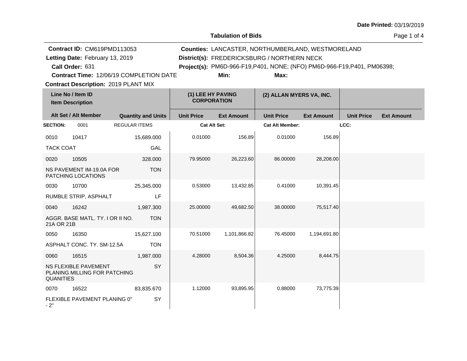**Tabulation of Bids**

| Contract ID: CM619PMD113053                    |  |                                                                          | <b>Counties: LANCASTER, NORTHUMBERLAND, WESTMORELAND</b> |  |  |  |  |  |
|------------------------------------------------|--|--------------------------------------------------------------------------|----------------------------------------------------------|--|--|--|--|--|
| Letting Date: February 13, 2019                |  |                                                                          | District(s): FREDERICKSBURG / NORTHERN NECK              |  |  |  |  |  |
| Call Order: 631                                |  | Project(s): PM6D-966-F19, P401, NONE; (NFO) PM6D-966-F19, P401, PM06398; |                                                          |  |  |  |  |  |
| <b>Contract Time: 12/06/19 COMPLETION DATE</b> |  | Min:                                                                     | Max:                                                     |  |  |  |  |  |
| <b>Contract Description: 2019 PLANT MIX</b>    |  |                                                                          |                                                          |  |  |  |  |  |
| Line No / Item ID<br><b>Item Description</b>   |  | (1) LEE HY PAVING<br><b>CORPORATION</b>                                  | (2) ALLAN MYERS VA, INC.                                 |  |  |  |  |  |

|                  | Alt Set / Alt Member                                  | <b>Quantity and Units</b> | <b>Unit Price</b> | <b>Ext Amount</b> | <b>Unit Price</b>      | <b>Ext Amount</b> | <b>Unit Price</b> | <b>Ext Amount</b> |
|------------------|-------------------------------------------------------|---------------------------|-------------------|-------------------|------------------------|-------------------|-------------------|-------------------|
| <b>SECTION:</b>  | 0001                                                  | <b>REGULAR ITEMS</b>      | Cat Alt Set:      |                   | <b>Cat Alt Member:</b> |                   | LCC:              |                   |
| 0010             | 10417                                                 | 15,689.000                | 0.01000           | 156.89            | 0.01000                | 156.89            |                   |                   |
| <b>TACK COAT</b> |                                                       | GAL                       |                   |                   |                        |                   |                   |                   |
| 0020             | 10505                                                 | 328,000                   | 79.95000          | 26,223.60         | 86.00000               | 28,208.00         |                   |                   |
|                  | NS PAVEMENT IM-19.0A FOR<br><b>PATCHING LOCATIONS</b> | <b>TON</b>                |                   |                   |                        |                   |                   |                   |
| 0030             | 10700                                                 | 25,345.000                | 0.53000           | 13,432.85         | 0.41000                | 10,391.45         |                   |                   |
|                  | RUMBLE STRIP, ASPHALT                                 | LF                        |                   |                   |                        |                   |                   |                   |
| 0040             | 16242                                                 | 1,987.300                 | 25.00000          | 49,682.50         | 38,00000               | 75,517.40         |                   |                   |
| 21A OR 21B       | AGGR. BASE MATL. TY. I OR II NO.                      | <b>TON</b>                |                   |                   |                        |                   |                   |                   |
| 0050             | 16350                                                 | 15,627.100                | 70.51000          | 1,101,866.82      | 76.45000               | 1,194,691.80      |                   |                   |
|                  | ASPHALT CONC. TY. SM-12.5A                            | <b>TON</b>                |                   |                   |                        |                   |                   |                   |
| 0060             | 16515                                                 | 1,987.000                 | 4.28000           | 8,504.36          | 4.25000                | 8,444.75          |                   |                   |
| <b>QUANITIES</b> | NS FLEXIBLE PAVEMENT<br>PLANING MILLING FOR PATCHING  | SY                        |                   |                   |                        |                   |                   |                   |
| 0070             | 16522                                                 | 83,835.670                | 1.12000           | 93,895.95         | 0.88000                | 73,775.39         |                   |                   |
| $-2"$            | FLEXIBLE PAVEMENT PLANING 0"                          | SY                        |                   |                   |                        |                   |                   |                   |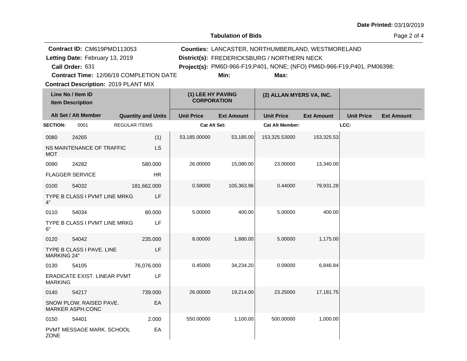**Tabulation of Bids**

Page 2 of 4

|                    | Contract ID: CM619PMD113053<br>Letting Date: February 13, 2019<br>Call Order: 631 |                           |                                         |                   | Counties: LANCASTER, NORTHUMBERLAND, WESTMORELAND<br>District(s): FREDERICKSBURG / NORTHERN NECK<br>Project(s): PM6D-966-F19, P401, NONE; (NFO) PM6D-966-F19, P401, PM06398; |                   |                   |                   |
|--------------------|-----------------------------------------------------------------------------------|---------------------------|-----------------------------------------|-------------------|------------------------------------------------------------------------------------------------------------------------------------------------------------------------------|-------------------|-------------------|-------------------|
|                    | Contract Time: 12/06/19 COMPLETION DATE                                           |                           |                                         | Min:              | Max:                                                                                                                                                                         |                   |                   |                   |
|                    | <b>Contract Description: 2019 PLANT MIX</b>                                       |                           |                                         |                   |                                                                                                                                                                              |                   |                   |                   |
|                    | Line No / Item ID<br><b>Item Description</b>                                      |                           | (1) LEE HY PAVING<br><b>CORPORATION</b> |                   | (2) ALLAN MYERS VA, INC.                                                                                                                                                     |                   |                   |                   |
|                    | Alt Set / Alt Member                                                              | <b>Quantity and Units</b> | <b>Unit Price</b>                       | <b>Ext Amount</b> | <b>Unit Price</b>                                                                                                                                                            | <b>Ext Amount</b> | <b>Unit Price</b> | <b>Ext Amount</b> |
| <b>SECTION:</b>    | 0001                                                                              | <b>REGULAR ITEMS</b>      | Cat Alt Set:                            |                   | <b>Cat Alt Member:</b>                                                                                                                                                       |                   | LCC:              |                   |
| 0080               | 24265                                                                             | (1)                       | 53,185.00000                            | 53,185.00         | 153,325.53000                                                                                                                                                                | 153,325.53        |                   |                   |
| <b>MOT</b>         | NS MAINTENANCE OF TRAFFIC                                                         | LS                        |                                         |                   |                                                                                                                                                                              |                   |                   |                   |
| 0090               | 24282                                                                             | 580.000                   | 26.00000                                | 15,080.00         | 23.00000                                                                                                                                                                     | 13,340.00         |                   |                   |
|                    | <b>FLAGGER SERVICE</b>                                                            | <b>HR</b>                 |                                         |                   |                                                                                                                                                                              |                   |                   |                   |
| 0100               | 54032                                                                             | 181,662.000               | 0.58000                                 | 105,363.96        | 0.44000                                                                                                                                                                      | 79,931.28         |                   |                   |
| 4"                 | TYPE B CLASS I PVMT LINE MRKG                                                     | LF                        |                                         |                   |                                                                                                                                                                              |                   |                   |                   |
| 0110               | 54034                                                                             | 80.000                    | 5.00000                                 | 400.00            | 5.00000                                                                                                                                                                      | 400.00            |                   |                   |
| 6"                 | TYPE B CLASS I PVMT LINE MRKG                                                     | LF                        |                                         |                   |                                                                                                                                                                              |                   |                   |                   |
| 0120               | 54042                                                                             | 235.000                   | 8.00000                                 | 1,880.00          | 5.00000                                                                                                                                                                      | 1,175.00          |                   |                   |
| <b>MARKING 24"</b> | TYPE B CLASS I PAVE. LINE                                                         | LF                        |                                         |                   |                                                                                                                                                                              |                   |                   |                   |
| 0130               | 54105                                                                             | 76,076.000                | 0.45000                                 | 34,234.20         | 0.09000                                                                                                                                                                      | 6,846.84          |                   |                   |
| <b>MARKING</b>     | ERADICATE EXIST. LINEAR PVMT                                                      | LF                        |                                         |                   |                                                                                                                                                                              |                   |                   |                   |
| 0140               | 54217                                                                             | 739.000                   | 26.00000                                | 19,214.00         | 23.25000                                                                                                                                                                     | 17,181.75         |                   |                   |
|                    | SNOW PLOW. RAISED PAVE.<br>MARKER ASPH.CONC                                       | EA                        |                                         |                   |                                                                                                                                                                              |                   |                   |                   |
| 0150               | 54401                                                                             | 2.000                     | 550.00000                               | 1,100.00          | 500.00000                                                                                                                                                                    | 1,000.00          |                   |                   |
| <b>ZONE</b>        | PVMT MESSAGE MARK. SCHOOL                                                         | EA                        |                                         |                   |                                                                                                                                                                              |                   |                   |                   |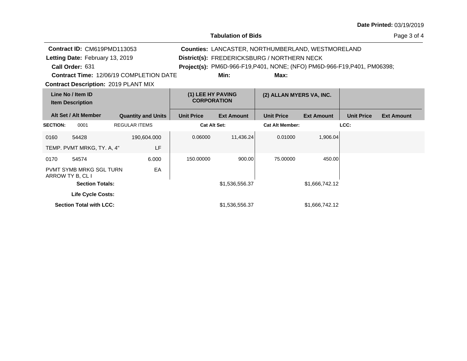**Tabulation of Bids**

Page 3 of 4

| Contract ID: CM619PMD113053<br><b>Counties: LANCASTER, NORTHUMBERLAND, WESTMORELAND</b><br>Letting Date: February 13, 2019<br>District(s): FREDERICKSBURG / NORTHERN NECK<br>Call Order: 631<br><b>Project(s):</b> PM6D-966-F19,P401, NONE; (NFO) PM6D-966-F19,P401, PM06398;<br><b>Contract Time: 12/06/19 COMPLETION DATE</b><br>Min:<br>Max:<br><b>Contract Description: 2019 PLANT MIX</b> |                                         |                                         |                           |                          |                   |                        |                   |                   |                   |
|------------------------------------------------------------------------------------------------------------------------------------------------------------------------------------------------------------------------------------------------------------------------------------------------------------------------------------------------------------------------------------------------|-----------------------------------------|-----------------------------------------|---------------------------|--------------------------|-------------------|------------------------|-------------------|-------------------|-------------------|
| Line No / Item ID<br><b>Item Description</b>                                                                                                                                                                                                                                                                                                                                                   |                                         | (1) LEE HY PAVING<br><b>CORPORATION</b> |                           | (2) ALLAN MYERS VA, INC. |                   |                        |                   |                   |                   |
|                                                                                                                                                                                                                                                                                                                                                                                                | Alt Set / Alt Member                    |                                         | <b>Quantity and Units</b> | <b>Unit Price</b>        | <b>Ext Amount</b> | <b>Unit Price</b>      | <b>Ext Amount</b> | <b>Unit Price</b> | <b>Ext Amount</b> |
| <b>SECTION:</b>                                                                                                                                                                                                                                                                                                                                                                                | 0001                                    |                                         | <b>REGULAR ITEMS</b>      | <b>Cat Alt Set:</b>      |                   | <b>Cat Alt Member:</b> |                   | LCC:              |                   |
| 0160                                                                                                                                                                                                                                                                                                                                                                                           | 54428<br>TEMP. PVMT MRKG, TY. A, 4"     |                                         | 190,604.000<br>LF         | 0.06000                  | 11,436.24         | 0.01000                | 1,906.04          |                   |                   |
| 0170<br>ARROW TY B, CL I                                                                                                                                                                                                                                                                                                                                                                       | 54574<br><b>PVMT SYMB MRKG SGL TURN</b> |                                         | 6.000<br>EA               | 150.00000                | 900.00            | 75.00000               | 450.00            |                   |                   |
|                                                                                                                                                                                                                                                                                                                                                                                                | <b>Section Totals:</b>                  |                                         |                           |                          | \$1,536,556.37    |                        | \$1,666,742.12    |                   |                   |
|                                                                                                                                                                                                                                                                                                                                                                                                | Life Cycle Costs:                       |                                         |                           |                          |                   |                        |                   |                   |                   |
|                                                                                                                                                                                                                                                                                                                                                                                                | <b>Section Total with LCC:</b>          |                                         |                           |                          | \$1,536,556.37    |                        | \$1,666,742.12    |                   |                   |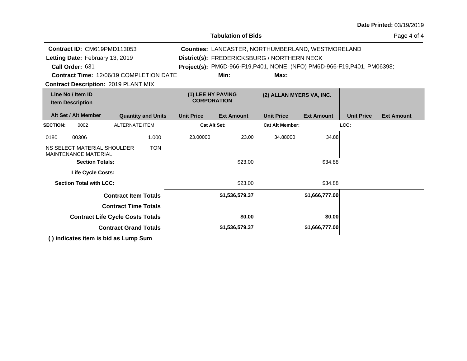| Contract ID: CM619PMD113053<br>Counties: LANCASTER, NORTHUMBERLAND, WESTMORELAND<br>Letting Date: February 13, 2019<br>District(s): FREDERICKSBURG / NORTHERN NECK<br>Call Order: 631<br>Project(s): PM6D-966-F19, P401, NONE; (NFO) PM6D-966-F19, P401, PM06398;<br><b>Contract Time: 12/06/19 COMPLETION DATE</b><br>Min:<br>Max:<br><b>Contract Description: 2019 PLANT MIX</b><br>Line No / Item ID<br>(1) LEE HY PAVING<br>(2) ALLAN MYERS VA, INC.<br><b>CORPORATION</b><br><b>Item Description</b><br>Alt Set / Alt Member<br><b>Quantity and Units</b><br><b>Unit Price</b><br><b>Unit Price</b><br><b>Unit Price</b><br><b>Ext Amount</b><br><b>Ext Amount</b><br><b>Ext Amount</b><br><b>ALTERNATE ITEM</b><br><b>Cat Alt Set:</b><br><b>Cat Alt Member:</b><br>LCC:<br>0002 |
|----------------------------------------------------------------------------------------------------------------------------------------------------------------------------------------------------------------------------------------------------------------------------------------------------------------------------------------------------------------------------------------------------------------------------------------------------------------------------------------------------------------------------------------------------------------------------------------------------------------------------------------------------------------------------------------------------------------------------------------------------------------------------------------|
| <b>SECTION:</b>                                                                                                                                                                                                                                                                                                                                                                                                                                                                                                                                                                                                                                                                                                                                                                        |
|                                                                                                                                                                                                                                                                                                                                                                                                                                                                                                                                                                                                                                                                                                                                                                                        |
|                                                                                                                                                                                                                                                                                                                                                                                                                                                                                                                                                                                                                                                                                                                                                                                        |
|                                                                                                                                                                                                                                                                                                                                                                                                                                                                                                                                                                                                                                                                                                                                                                                        |
|                                                                                                                                                                                                                                                                                                                                                                                                                                                                                                                                                                                                                                                                                                                                                                                        |
|                                                                                                                                                                                                                                                                                                                                                                                                                                                                                                                                                                                                                                                                                                                                                                                        |
|                                                                                                                                                                                                                                                                                                                                                                                                                                                                                                                                                                                                                                                                                                                                                                                        |
|                                                                                                                                                                                                                                                                                                                                                                                                                                                                                                                                                                                                                                                                                                                                                                                        |
| 23.00000<br>23.00<br>34.88000<br>34.88<br>00306<br>1.000<br>0180                                                                                                                                                                                                                                                                                                                                                                                                                                                                                                                                                                                                                                                                                                                       |
| NS SELECT MATERIAL SHOULDER<br><b>TON</b><br><b>MAINTENANCE MATERIAL</b>                                                                                                                                                                                                                                                                                                                                                                                                                                                                                                                                                                                                                                                                                                               |
| <b>Section Totals:</b><br>\$23.00<br>\$34.88                                                                                                                                                                                                                                                                                                                                                                                                                                                                                                                                                                                                                                                                                                                                           |
| <b>Life Cycle Costs:</b>                                                                                                                                                                                                                                                                                                                                                                                                                                                                                                                                                                                                                                                                                                                                                               |
| <b>Section Total with LCC:</b><br>\$23.00<br>\$34.88                                                                                                                                                                                                                                                                                                                                                                                                                                                                                                                                                                                                                                                                                                                                   |
| \$1,666,777.00<br><b>Contract Item Totals</b><br>\$1,536,579.37                                                                                                                                                                                                                                                                                                                                                                                                                                                                                                                                                                                                                                                                                                                        |
| <b>Contract Time Totals</b>                                                                                                                                                                                                                                                                                                                                                                                                                                                                                                                                                                                                                                                                                                                                                            |
| <b>Contract Life Cycle Costs Totals</b><br>\$0.00<br>\$0.00                                                                                                                                                                                                                                                                                                                                                                                                                                                                                                                                                                                                                                                                                                                            |
| <b>Contract Grand Totals</b><br>\$1,536,579.37<br>\$1,666,777.00                                                                                                                                                                                                                                                                                                                                                                                                                                                                                                                                                                                                                                                                                                                       |
| () indicates item is bid as Lump Sum                                                                                                                                                                                                                                                                                                                                                                                                                                                                                                                                                                                                                                                                                                                                                   |

**Tabulation of Bids**

#### Page 4 of 4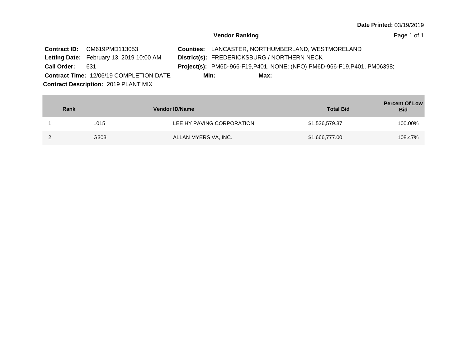|                    | Contract ID: CM619PMD113053                    |      |                                             | <b>Counties: LANCASTER, NORTHUMBERLAND, WESTMORELAND</b>                        |  |
|--------------------|------------------------------------------------|------|---------------------------------------------|---------------------------------------------------------------------------------|--|
|                    | Letting Date: February 13, 2019 10:00 AM       |      | District(s): FREDERICKSBURG / NORTHERN NECK |                                                                                 |  |
| <b>Call Order:</b> | -631                                           |      |                                             | <b>Project(s):</b> PM6D-966-F19, P401, NONE; (NFO) PM6D-966-F19, P401, PM06398; |  |
|                    | <b>Contract Time: 12/06/19 COMPLETION DATE</b> | Min: | Max:                                        |                                                                                 |  |
|                    | <b>Contract Description: 2019 PLANT MIX</b>    |      |                                             |                                                                                 |  |

| Rank |      | <b>Vendor ID/Name</b>     | <b>Total Bid</b> | <b>Percent Of Low</b><br><b>Bid</b> |
|------|------|---------------------------|------------------|-------------------------------------|
|      | L015 | LEE HY PAVING CORPORATION | \$1,536,579.37   | 100.00%                             |
|      | G303 | ALLAN MYERS VA, INC.      | \$1,666,777.00   | 108.47%                             |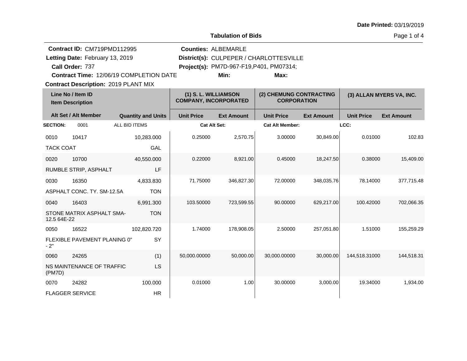|                  | Contract ID: CM719PMD112995                  |                                         |                                                      | <b>Counties: ALBEMARLE</b>               |                                               |                   |                   |                          |
|------------------|----------------------------------------------|-----------------------------------------|------------------------------------------------------|------------------------------------------|-----------------------------------------------|-------------------|-------------------|--------------------------|
|                  | Letting Date: February 13, 2019              |                                         |                                                      |                                          | District(s): CULPEPER / CHARLOTTESVILLE       |                   |                   |                          |
|                  | Call Order: 737                              |                                         |                                                      | Project(s): PM7D-967-F19, P401, PM07314; |                                               |                   |                   |                          |
|                  |                                              | Contract Time: 12/06/19 COMPLETION DATE |                                                      | Min:                                     | Max:                                          |                   |                   |                          |
|                  | <b>Contract Description: 2019 PLANT MIX</b>  |                                         |                                                      |                                          |                                               |                   |                   |                          |
|                  | Line No / Item ID<br><b>Item Description</b> |                                         | (1) S. L. WILLIAMSON<br><b>COMPANY, INCORPORATED</b> |                                          | (2) CHEMUNG CONTRACTING<br><b>CORPORATION</b> |                   |                   | (3) ALLAN MYERS VA, INC. |
|                  | Alt Set / Alt Member                         | <b>Quantity and Units</b>               | <b>Unit Price</b>                                    | <b>Ext Amount</b>                        | <b>Unit Price</b>                             | <b>Ext Amount</b> | <b>Unit Price</b> | <b>Ext Amount</b>        |
| <b>SECTION:</b>  | 0001                                         | ALL BID ITEMS                           |                                                      | <b>Cat Alt Set:</b>                      | <b>Cat Alt Member:</b>                        |                   | LCC:              |                          |
| 0010             | 10417                                        | 10,283.000                              | 0.25000                                              | 2,570.75                                 | 3.00000                                       | 30,849.00         | 0.01000           | 102.83                   |
| <b>TACK COAT</b> |                                              | GAL                                     |                                                      |                                          |                                               |                   |                   |                          |
| 0020             | 10700                                        | 40,550.000                              | 0.22000                                              | 8,921.00                                 | 0.45000                                       | 18,247.50         | 0.38000           | 15,409.00                |
|                  | RUMBLE STRIP, ASPHALT                        | LF                                      |                                                      |                                          |                                               |                   |                   |                          |
| 0030             | 16350                                        | 4,833.830                               | 71.75000                                             | 346,827.30                               | 72.00000                                      | 348,035.76        | 78.14000          | 377,715.48               |
|                  | ASPHALT CONC. TY. SM-12.5A                   | <b>TON</b>                              |                                                      |                                          |                                               |                   |                   |                          |
| 0040             | 16403                                        | 6,991.300                               | 103.50000                                            | 723,599.55                               | 90.00000                                      | 629,217.00        | 100.42000         | 702,066.35               |
| 12.5 64E-22      | STONE MATRIX ASPHALT SMA-                    | <b>TON</b>                              |                                                      |                                          |                                               |                   |                   |                          |
| 0050             | 16522                                        | 102,820.720                             | 1.74000                                              | 178,908.05                               | 2.50000                                       | 257,051.80        | 1.51000           | 155,259.29               |
| $-2"$            | FLEXIBLE PAVEMENT PLANING 0"                 | SY                                      |                                                      |                                          |                                               |                   |                   |                          |
| 0060             | 24265                                        | (1)                                     | 50,000.00000                                         | 50,000.00                                | 30,000.00000                                  | 30,000.00         | 144,518.31000     | 144,518.31               |
| (PM7D)           | NS MAINTENANCE OF TRAFFIC                    | LS                                      |                                                      |                                          |                                               |                   |                   |                          |
| 0070             | 24282                                        | 100.000                                 | 0.01000                                              | 1.00                                     | 30.00000                                      | 3,000.00          | 19.34000          | 1,934.00                 |
|                  | <b>FLAGGER SERVICE</b>                       | <b>HR</b>                               |                                                      |                                          |                                               |                   |                   |                          |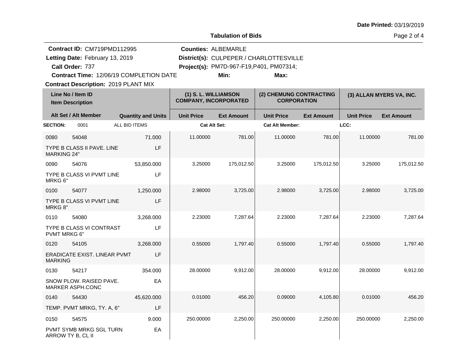**Tabulation of Bids**

Page 2 of 4

| Contract ID: CM719PMD112995                             |               |                           |                                                      | <b>Counties: ALBEMARLE</b> |                                               |                   |                   |                          |
|---------------------------------------------------------|---------------|---------------------------|------------------------------------------------------|----------------------------|-----------------------------------------------|-------------------|-------------------|--------------------------|
| Letting Date: February 13, 2019                         |               |                           |                                                      |                            | District(s): CULPEPER / CHARLOTTESVILLE       |                   |                   |                          |
| Call Order: 737                                         |               |                           |                                                      |                            | Project(s): PM7D-967-F19,P401, PM07314;       |                   |                   |                          |
| Contract Time: 12/06/19 COMPLETION DATE                 |               |                           |                                                      | Min:                       | Max:                                          |                   |                   |                          |
| <b>Contract Description: 2019 PLANT MIX</b>             |               |                           |                                                      |                            |                                               |                   |                   |                          |
| Line No / Item ID<br><b>Item Description</b>            |               |                           | (1) S. L. WILLIAMSON<br><b>COMPANY, INCORPORATED</b> |                            | (2) CHEMUNG CONTRACTING<br><b>CORPORATION</b> |                   |                   | (3) ALLAN MYERS VA, INC. |
| Alt Set / Alt Member                                    |               | <b>Quantity and Units</b> | <b>Unit Price</b>                                    | <b>Ext Amount</b>          | <b>Unit Price</b>                             | <b>Ext Amount</b> | <b>Unit Price</b> | <b>Ext Amount</b>        |
| <b>SECTION:</b><br>0001                                 | ALL BID ITEMS |                           | <b>Cat Alt Set:</b>                                  |                            | <b>Cat Alt Member:</b>                        |                   | LCC:              |                          |
| 54048<br>0080                                           |               | 71.000                    | 11.00000                                             | 781.00                     | 11.00000                                      | 781.00            | 11.00000          | 781.00                   |
| <b>TYPE B CLASS II PAVE, LINE</b><br><b>MARKING 24"</b> |               | LF                        |                                                      |                            |                                               |                   |                   |                          |
| 0090<br>54076                                           |               | 53,850.000                | 3.25000                                              | 175,012.50                 | 3.25000                                       | 175,012.50        | 3.25000           | 175,012.50               |
| TYPE B CLASS VI PVMT LINE<br>MRKG 6"                    |               | LF                        |                                                      |                            |                                               |                   |                   |                          |
| 0100<br>54077                                           |               | 1,250.000                 | 2.98000                                              | 3,725.00                   | 2.98000                                       | 3.725.00          | 2.98000           | 3,725.00                 |
| TYPE B CLASS VI PVMT LINE<br>MRKG 8"                    |               | LF                        |                                                      |                            |                                               |                   |                   |                          |
| 0110<br>54080                                           |               | 3,268.000                 | 2.23000                                              | 7,287.64                   | 2.23000                                       | 7,287.64          | 2.23000           | 7,287.64                 |
| TYPE B CLASS VI CONTRAST<br>PVMT MRKG 6"                |               | LF                        |                                                      |                            |                                               |                   |                   |                          |
| 0120<br>54105                                           |               | 3,268.000                 | 0.55000                                              | 1,797.40                   | 0.55000                                       | 1,797.40          | 0.55000           | 1,797.40                 |
| ERADICATE EXIST. LINEAR PVMT<br><b>MARKING</b>          |               | LF                        |                                                      |                            |                                               |                   |                   |                          |
| 0130<br>54217                                           |               | 354.000                   | 28.00000                                             | 9,912.00                   | 28.00000                                      | 9,912.00          | 28.00000          | 9,912.00                 |
| SNOW PLOW. RAISED PAVE.<br><b>MARKER ASPH.CONC</b>      |               | EA                        |                                                      |                            |                                               |                   |                   |                          |
| 0140<br>54430                                           |               | 45,620.000                | 0.01000                                              | 456.20                     | 0.09000                                       | 4,105.80          | 0.01000           | 456.20                   |
| TEMP. PVMT MRKG, TY. A, 6"                              |               | LF                        |                                                      |                            |                                               |                   |                   |                          |
| 0150<br>54575                                           |               | 9.000                     | 250.00000                                            | 2,250.00                   | 250,00000                                     | 2,250.00          | 250.00000         | 2.250.00                 |
| <b>PVMT SYMB MRKG SGL TURN</b><br>ARROW TY B, CL II     |               | EA                        |                                                      |                            |                                               |                   |                   |                          |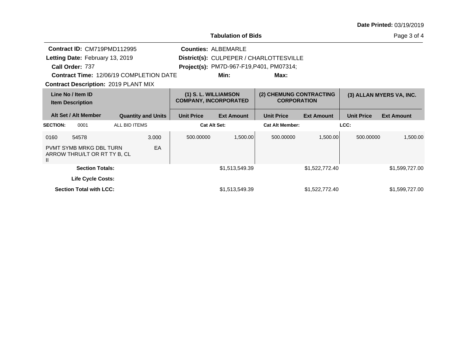| Date Printed: 03/19/2019 |  |
|--------------------------|--|
|--------------------------|--|

**Tabulation of Bids**

Page 3 of 4

|                                              | Contract ID: CM719PMD112995<br>Letting Date: February 13, 2019<br>Call Order: 737<br><b>Contract Time: 12/06/19 COMPLETION DATE</b> |               |                           |                   | <b>Counties: ALBEMARLE</b><br>Min:                   | District(s): CULPEPER / CHARLOTTESVILLE<br>Project(s): PM7D-967-F19,P401, PM07314;<br>Max: |                   |                   |                          |
|----------------------------------------------|-------------------------------------------------------------------------------------------------------------------------------------|---------------|---------------------------|-------------------|------------------------------------------------------|--------------------------------------------------------------------------------------------|-------------------|-------------------|--------------------------|
|                                              | <b>Contract Description: 2019 PLANT MIX</b>                                                                                         |               |                           |                   |                                                      |                                                                                            |                   |                   |                          |
| Line No / Item ID<br><b>Item Description</b> |                                                                                                                                     |               |                           |                   | (1) S. L. WILLIAMSON<br><b>COMPANY, INCORPORATED</b> | (2) CHEMUNG CONTRACTING<br><b>CORPORATION</b>                                              |                   |                   | (3) ALLAN MYERS VA, INC. |
|                                              | Alt Set / Alt Member                                                                                                                |               | <b>Quantity and Units</b> | <b>Unit Price</b> | <b>Ext Amount</b>                                    | <b>Unit Price</b>                                                                          | <b>Ext Amount</b> | <b>Unit Price</b> | <b>Ext Amount</b>        |
| <b>SECTION:</b>                              | 0001                                                                                                                                | ALL BID ITEMS |                           |                   | <b>Cat Alt Set:</b>                                  | <b>Cat Alt Member:</b>                                                                     |                   | LCC:              |                          |
| 0160                                         | 54578                                                                                                                               |               | 3.000                     | 500,00000         | 1,500.00                                             | 500.00000                                                                                  | 1,500.00          | 500.00000         | 1,500.00                 |
| $\mathbf{I}$                                 | <b>PVMT SYMB MRKG DBL TURN</b><br>ARROW THRU/LT OR RT TY B, CL                                                                      |               | EA                        |                   |                                                      |                                                                                            |                   |                   |                          |
|                                              | <b>Section Totals:</b>                                                                                                              |               |                           |                   | \$1,513,549.39                                       |                                                                                            | \$1,522,772.40    |                   | \$1,599,727.00           |
|                                              | <b>Life Cycle Costs:</b>                                                                                                            |               |                           |                   |                                                      |                                                                                            |                   |                   |                          |
|                                              | <b>Section Total with LCC:</b>                                                                                                      |               |                           |                   | \$1,513,549.39                                       |                                                                                            | \$1,522,772.40    |                   | \$1,599,727.00           |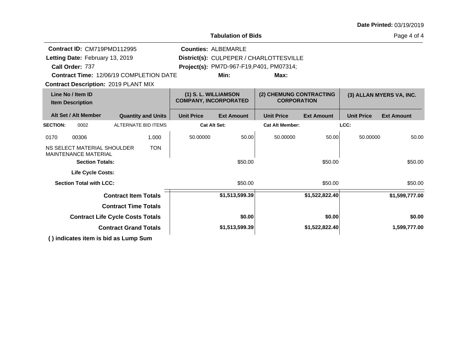|                                              |                                                            |                                                |                           |                                                      | <b>Tabulation of Bids</b>  |                                               |                   | Page 4 of 4       |                          |
|----------------------------------------------|------------------------------------------------------------|------------------------------------------------|---------------------------|------------------------------------------------------|----------------------------|-----------------------------------------------|-------------------|-------------------|--------------------------|
|                                              | Contract ID: CM719PMD112995                                |                                                |                           |                                                      | <b>Counties: ALBEMARLE</b> |                                               |                   |                   |                          |
|                                              | Letting Date: February 13, 2019                            |                                                |                           |                                                      |                            | District(s): CULPEPER / CHARLOTTESVILLE       |                   |                   |                          |
| Call Order: 737                              |                                                            |                                                |                           |                                                      |                            | Project(s): PM7D-967-F19, P401, PM07314;      |                   |                   |                          |
|                                              |                                                            | <b>Contract Time: 12/06/19 COMPLETION DATE</b> |                           |                                                      | Min:                       | Max:                                          |                   |                   |                          |
|                                              |                                                            | <b>Contract Description: 2019 PLANT MIX</b>    |                           |                                                      |                            |                                               |                   |                   |                          |
| Line No / Item ID<br><b>Item Description</b> |                                                            |                                                |                           | (1) S. L. WILLIAMSON<br><b>COMPANY, INCORPORATED</b> |                            | (2) CHEMUNG CONTRACTING<br><b>CORPORATION</b> |                   |                   | (3) ALLAN MYERS VA, INC. |
|                                              | Alt Set / Alt Member                                       |                                                | <b>Quantity and Units</b> | <b>Unit Price</b>                                    | <b>Ext Amount</b>          | <b>Unit Price</b>                             | <b>Ext Amount</b> | <b>Unit Price</b> | <b>Ext Amount</b>        |
| <b>SECTION:</b>                              | 0002                                                       | <b>ALTERNATE BID ITEMS</b>                     |                           | <b>Cat Alt Set:</b>                                  |                            | <b>Cat Alt Member:</b>                        |                   | LCC:              |                          |
| 0170                                         | 00306                                                      |                                                | 1.000                     | 50.00000                                             | 50.00                      | 50.00000                                      | 50.00             | 50.00000          | 50.00                    |
|                                              | NS SELECT MATERIAL SHOULDER<br><b>MAINTENANCE MATERIAL</b> |                                                | <b>TON</b>                |                                                      |                            |                                               |                   |                   |                          |
|                                              | <b>Section Totals:</b>                                     |                                                |                           |                                                      | \$50.00                    |                                               | \$50.00           |                   | \$50.00                  |
|                                              | <b>Life Cycle Costs:</b>                                   |                                                |                           |                                                      |                            |                                               |                   |                   |                          |
|                                              | <b>Section Total with LCC:</b>                             |                                                |                           |                                                      | \$50.00                    |                                               | \$50.00           |                   | \$50.00                  |
|                                              |                                                            | <b>Contract Item Totals</b>                    |                           |                                                      | \$1,513,599.39             |                                               | \$1,522,822.40    |                   | \$1,599,777.00           |
|                                              |                                                            | <b>Contract Time Totals</b>                    |                           |                                                      |                            |                                               |                   |                   |                          |
|                                              |                                                            | <b>Contract Life Cycle Costs Totals</b>        |                           |                                                      | \$0.00                     |                                               | \$0.00            |                   | \$0.00                   |
|                                              |                                                            | <b>Contract Grand Totals</b>                   |                           |                                                      | \$1,513,599.39             |                                               | \$1,522,822.40    |                   | 1,599,777.00             |
|                                              |                                                            | () indicates item is bid as Lump Sum           |                           |                                                      |                            |                                               |                   |                   |                          |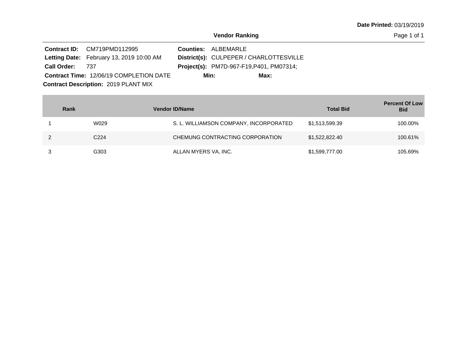|                 | <b>Contract ID:</b> CM719PMD112995             | <b>Counties: ALBEMARLE</b>                      |
|-----------------|------------------------------------------------|-------------------------------------------------|
|                 | Letting Date: February 13, 2019 10:00 AM       | District(s): CULPEPER / CHARLOTTESVILLE         |
| Call Order: 737 |                                                | <b>Project(s):</b> PM7D-967-F19, P401, PM07314; |
|                 | <b>Contract Time: 12/06/19 COMPLETION DATE</b> | Min:<br>Max:                                    |
|                 | <b>Contract Description: 2019 PLANT MIX</b>    |                                                 |

| Rank             | <b>Vendor ID/Name</b>                  | <b>Total Bid</b> | <b>Percent Of Low</b><br><b>Bid</b> |
|------------------|----------------------------------------|------------------|-------------------------------------|
| W029             | S. L. WILLIAMSON COMPANY, INCORPORATED | \$1,513,599.39   | 100.00%                             |
| C <sub>224</sub> | CHEMUNG CONTRACTING CORPORATION        | \$1,522,822.40   | 100.61%                             |
| G303             | ALLAN MYERS VA, INC.                   | \$1,599,777.00   | 105.69%                             |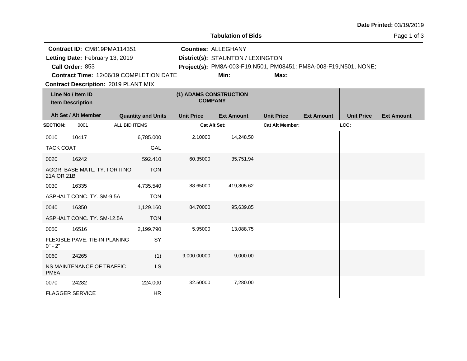|                  |                                                                                               |               |                           |                                          | <b>Tabulation of Bids</b>                                                                                                             |                        |                   |                   | Page 1 of 3       |
|------------------|-----------------------------------------------------------------------------------------------|---------------|---------------------------|------------------------------------------|---------------------------------------------------------------------------------------------------------------------------------------|------------------------|-------------------|-------------------|-------------------|
|                  | Contract ID: CM819PMA114351<br>Letting Date: February 13, 2019<br>Call Order: 853             |               |                           |                                          | <b>Counties: ALLEGHANY</b><br>District(s): STAUNTON / LEXINGTON<br>Project(s): PM8A-003-F19, N501, PM08451; PM8A-003-F19, N501, NONE; |                        |                   |                   |                   |
|                  | <b>Contract Time: 12/06/19 COMPLETION DATE</b><br><b>Contract Description: 2019 PLANT MIX</b> |               |                           |                                          | Min:                                                                                                                                  | Max:                   |                   |                   |                   |
|                  | Line No / Item ID<br><b>Item Description</b>                                                  |               |                           | (1) ADAMS CONSTRUCTION<br><b>COMPANY</b> |                                                                                                                                       |                        |                   |                   |                   |
|                  | Alt Set / Alt Member                                                                          |               | <b>Quantity and Units</b> | <b>Unit Price</b>                        | <b>Ext Amount</b>                                                                                                                     | <b>Unit Price</b>      | <b>Ext Amount</b> | <b>Unit Price</b> | <b>Ext Amount</b> |
| <b>SECTION:</b>  | 0001                                                                                          | ALL BID ITEMS |                           |                                          | <b>Cat Alt Set:</b>                                                                                                                   | <b>Cat Alt Member:</b> |                   | LCC:              |                   |
| 0010             | 10417                                                                                         |               | 6,785.000                 | 2.10000                                  | 14,248.50                                                                                                                             |                        |                   |                   |                   |
| <b>TACK COAT</b> |                                                                                               |               | GAL                       |                                          |                                                                                                                                       |                        |                   |                   |                   |
| 0020             | 16242                                                                                         |               | 592.410                   | 60.35000                                 | 35,751.94                                                                                                                             |                        |                   |                   |                   |
| 21A OR 21B       | AGGR. BASE MATL. TY. I OR II NO.                                                              |               | <b>TON</b>                |                                          |                                                                                                                                       |                        |                   |                   |                   |
| 0030             | 16335                                                                                         |               | 4,735.540                 | 88.65000                                 | 419,805.62                                                                                                                            |                        |                   |                   |                   |
|                  | ASPHALT CONC. TY. SM-9.5A                                                                     |               | <b>TON</b>                |                                          |                                                                                                                                       |                        |                   |                   |                   |
| 0040             | 16350                                                                                         |               | 1,129.160                 | 84.70000                                 | 95,639.85                                                                                                                             |                        |                   |                   |                   |
|                  | ASPHALT CONC. TY. SM-12.5A                                                                    |               | <b>TON</b>                |                                          |                                                                                                                                       |                        |                   |                   |                   |
| 0050             | 16516                                                                                         |               | 2,199.790                 | 5.95000                                  | 13,088.75                                                                                                                             |                        |                   |                   |                   |
| $0" - 2"$        | FLEXIBLE PAVE. TIE-IN PLANING                                                                 |               | SY                        |                                          |                                                                                                                                       |                        |                   |                   |                   |
| 0060             | 24265                                                                                         |               | (1)                       | 9,000.00000                              | 9,000.00                                                                                                                              |                        |                   |                   |                   |
| PM8A             | NS MAINTENANCE OF TRAFFIC                                                                     |               | <b>LS</b>                 |                                          |                                                                                                                                       |                        |                   |                   |                   |
| 0070             | 24282                                                                                         |               | 224.000                   | 32.50000                                 | 7,280.00                                                                                                                              |                        |                   |                   |                   |
|                  | <b>FLAGGER SERVICE</b>                                                                        |               | HR                        |                                          |                                                                                                                                       |                        |                   |                   |                   |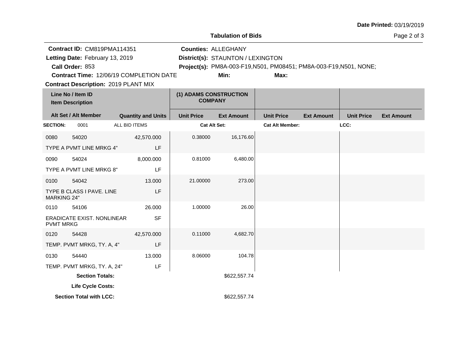|                            |                                                                                                                                  |                                                |                                          | <b>Tabulation of Bids</b>                                               |                                                                            |                   |                   | Page 2 of 3       |
|----------------------------|----------------------------------------------------------------------------------------------------------------------------------|------------------------------------------------|------------------------------------------|-------------------------------------------------------------------------|----------------------------------------------------------------------------|-------------------|-------------------|-------------------|
|                            | Contract ID: CM819PMA114351<br>Letting Date: February 13, 2019<br>Call Order: 853<br><b>Contract Description: 2019 PLANT MIX</b> | <b>Contract Time: 12/06/19 COMPLETION DATE</b> |                                          | <b>Counties: ALLEGHANY</b><br>District(s): STAUNTON / LEXINGTON<br>Min: | Project(s): PM8A-003-F19, N501, PM08451; PM8A-003-F19, N501, NONE;<br>Max: |                   |                   |                   |
|                            | Line No / Item ID<br><b>Item Description</b>                                                                                     |                                                | (1) ADAMS CONSTRUCTION<br><b>COMPANY</b> |                                                                         |                                                                            |                   |                   |                   |
|                            | Alt Set / Alt Member                                                                                                             | <b>Quantity and Units</b>                      | <b>Unit Price</b>                        | <b>Ext Amount</b>                                                       | <b>Unit Price</b>                                                          | <b>Ext Amount</b> | <b>Unit Price</b> | <b>Ext Amount</b> |
| <b>SECTION:</b>            | 0001                                                                                                                             | ALL BID ITEMS                                  | <b>Cat Alt Set:</b>                      |                                                                         | <b>Cat Alt Member:</b>                                                     |                   | LCC:              |                   |
| 0080                       | 54020                                                                                                                            | 42,570.000                                     | 0.38000                                  | 16,176.60                                                               |                                                                            |                   |                   |                   |
|                            | TYPE A PVMT LINE MRKG 4"                                                                                                         | LF                                             |                                          |                                                                         |                                                                            |                   |                   |                   |
| 0090                       | 54024                                                                                                                            | 8,000.000                                      | 0.81000                                  | 6,480.00                                                                |                                                                            |                   |                   |                   |
|                            | TYPE A PVMT LINE MRKG 8"                                                                                                         | LF                                             |                                          |                                                                         |                                                                            |                   |                   |                   |
| 0100<br><b>MARKING 24"</b> | 54042<br>TYPE B CLASS I PAVE. LINE                                                                                               | 13.000<br>LF                                   | 21.00000                                 | 273.00                                                                  |                                                                            |                   |                   |                   |
| 0110                       | 54106                                                                                                                            | 26.000                                         | 1.00000                                  | 26.00                                                                   |                                                                            |                   |                   |                   |
| <b>PVMT MRKG</b>           | <b>ERADICATE EXIST. NONLINEAR</b>                                                                                                | <b>SF</b>                                      |                                          |                                                                         |                                                                            |                   |                   |                   |
| 0120                       | 54428                                                                                                                            | 42,570.000                                     | 0.11000                                  | 4,682.70                                                                |                                                                            |                   |                   |                   |
|                            | TEMP. PVMT MRKG, TY. A, 4"                                                                                                       | LF                                             |                                          |                                                                         |                                                                            |                   |                   |                   |
| 0130                       | 54440                                                                                                                            | 13.000                                         | 8.06000                                  | 104.78                                                                  |                                                                            |                   |                   |                   |
|                            | TEMP. PVMT MRKG, TY. A, 24"                                                                                                      | LF                                             |                                          |                                                                         |                                                                            |                   |                   |                   |
|                            | <b>Section Totals:</b>                                                                                                           |                                                |                                          | \$622,557.74                                                            |                                                                            |                   |                   |                   |
|                            | Life Cycle Costs:                                                                                                                |                                                |                                          |                                                                         |                                                                            |                   |                   |                   |
|                            | <b>Section Total with LCC:</b>                                                                                                   |                                                |                                          | \$622,557.74                                                            |                                                                            |                   |                   |                   |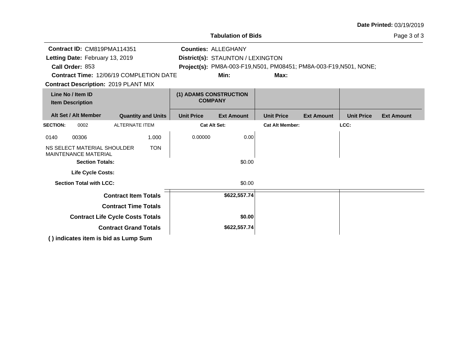|                                                                                                                                     |                                                                                      |                              |                           |                   | <b>Tabulation of Bids</b>                                                                                                                     |                        |                   |                   | Page 3 of 3       |
|-------------------------------------------------------------------------------------------------------------------------------------|--------------------------------------------------------------------------------------|------------------------------|---------------------------|-------------------|-----------------------------------------------------------------------------------------------------------------------------------------------|------------------------|-------------------|-------------------|-------------------|
| Contract ID: CM819PMA114351<br>Letting Date: February 13, 2019<br>Call Order: 853<br><b>Contract Time: 12/06/19 COMPLETION DATE</b> |                                                                                      |                              |                           |                   | <b>Counties: ALLEGHANY</b><br>District(s): STAUNTON / LEXINGTON<br>Project(s): PM8A-003-F19, N501, PM08451; PM8A-003-F19, N501, NONE;<br>Min: | Max:                   |                   |                   |                   |
|                                                                                                                                     | <b>Contract Description: 2019 PLANT MIX</b>                                          |                              |                           |                   |                                                                                                                                               |                        |                   |                   |                   |
|                                                                                                                                     | Line No / Item ID<br><b>Item Description</b>                                         |                              |                           |                   | (1) ADAMS CONSTRUCTION<br><b>COMPANY</b>                                                                                                      |                        |                   |                   |                   |
|                                                                                                                                     | Alt Set / Alt Member                                                                 |                              | <b>Quantity and Units</b> | <b>Unit Price</b> | <b>Ext Amount</b>                                                                                                                             | <b>Unit Price</b>      | <b>Ext Amount</b> | <b>Unit Price</b> | <b>Ext Amount</b> |
| <b>SECTION:</b>                                                                                                                     | 0002                                                                                 | <b>ALTERNATE ITEM</b>        |                           |                   | <b>Cat Alt Set:</b>                                                                                                                           | <b>Cat Alt Member:</b> |                   | LCC:              |                   |
| 0140                                                                                                                                | 00306                                                                                |                              | 1.000                     | 0.00000           | 0.00                                                                                                                                          |                        |                   |                   |                   |
|                                                                                                                                     | NS SELECT MATERIAL SHOULDER<br><b>MAINTENANCE MATERIAL</b><br><b>Section Totals:</b> |                              | <b>TON</b>                |                   | \$0.00                                                                                                                                        |                        |                   |                   |                   |
|                                                                                                                                     | Life Cycle Costs:                                                                    |                              |                           |                   |                                                                                                                                               |                        |                   |                   |                   |
|                                                                                                                                     | <b>Section Total with LCC:</b>                                                       |                              |                           |                   | \$0.00                                                                                                                                        |                        |                   |                   |                   |
|                                                                                                                                     |                                                                                      | <b>Contract Item Totals</b>  |                           |                   | \$622,557.74                                                                                                                                  |                        |                   |                   |                   |
|                                                                                                                                     |                                                                                      | <b>Contract Time Totals</b>  |                           |                   |                                                                                                                                               |                        |                   |                   |                   |
|                                                                                                                                     | <b>Contract Life Cycle Costs Totals</b>                                              |                              |                           |                   | \$0.00                                                                                                                                        |                        |                   |                   |                   |
|                                                                                                                                     |                                                                                      | <b>Contract Grand Totals</b> |                           |                   | \$622,557.74                                                                                                                                  |                        |                   |                   |                   |
|                                                                                                                                     | () indicates item is bid as Lump Sum                                                 |                              |                           |                   |                                                                                                                                               |                        |                   |                   |                   |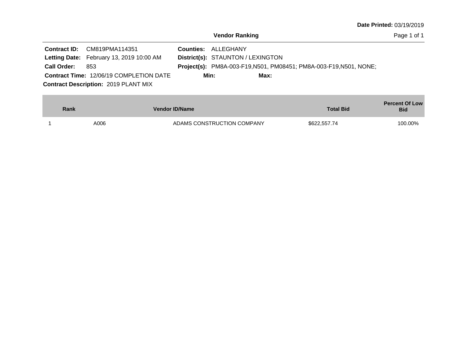| <b>Date Printed: 03/19/2019</b> |  |
|---------------------------------|--|
|---------------------------------|--|

|                    | Contract ID: CM819PMA114351                    | <b>Counties: ALLEGHANY</b>                                                |  |
|--------------------|------------------------------------------------|---------------------------------------------------------------------------|--|
|                    | Letting Date: February 13, 2019 10:00 AM       | District(s): STAUNTON / LEXINGTON                                         |  |
| <b>Call Order:</b> | 853                                            | <b>Project(s):</b> PM8A-003-F19, N501, PM08451; PM8A-003-F19, N501, NONE; |  |
|                    | <b>Contract Time: 12/06/19 COMPLETION DATE</b> | Min:<br>Max:                                                              |  |
|                    | <b>Contract Description: 2019 PLANT MIX</b>    |                                                                           |  |

| Rank | Vendor ID/Name             | <b>Total Bid</b> | <b>Percent Of Low</b><br><b>Bid</b> |
|------|----------------------------|------------------|-------------------------------------|
| A006 | ADAMS CONSTRUCTION COMPANY | \$622,557.74     | 100.00%                             |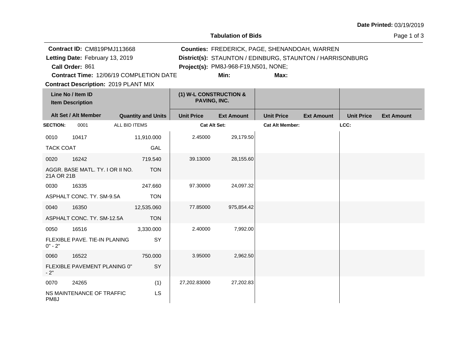**Tabulation of Bids**

|                   | Contract ID: CM819PMJ113668                  |                                         |                                        | Counties: FREDERICK, PAGE, SHENANDOAH, WARREN             |                        |                   |                   |                   |  |
|-------------------|----------------------------------------------|-----------------------------------------|----------------------------------------|-----------------------------------------------------------|------------------------|-------------------|-------------------|-------------------|--|
|                   | Letting Date: February 13, 2019              |                                         |                                        | District(s): STAUNTON / EDINBURG, STAUNTON / HARRISONBURG |                        |                   |                   |                   |  |
|                   | Call Order: 861                              |                                         |                                        | Project(s): PM8J-968-F19, N501, NONE;                     |                        |                   |                   |                   |  |
|                   |                                              | Contract Time: 12/06/19 COMPLETION DATE |                                        | Min:                                                      | Max:                   |                   |                   |                   |  |
|                   | <b>Contract Description: 2019 PLANT MIX</b>  |                                         |                                        |                                                           |                        |                   |                   |                   |  |
|                   | Line No / Item ID<br><b>Item Description</b> |                                         | (1) W-L CONSTRUCTION &<br>PAVING, INC. |                                                           |                        |                   |                   |                   |  |
|                   | Alt Set / Alt Member                         | <b>Quantity and Units</b>               | <b>Unit Price</b>                      | <b>Ext Amount</b>                                         | <b>Unit Price</b>      | <b>Ext Amount</b> | <b>Unit Price</b> | <b>Ext Amount</b> |  |
| <b>SECTION:</b>   | 0001                                         | ALL BID ITEMS                           | <b>Cat Alt Set:</b>                    |                                                           | <b>Cat Alt Member:</b> |                   | LCC:              |                   |  |
| 0010              | 10417                                        | 11,910.000                              | 2.45000                                | 29,179.50                                                 |                        |                   |                   |                   |  |
| <b>TACK COAT</b>  |                                              | GAL                                     |                                        |                                                           |                        |                   |                   |                   |  |
| 0020              | 16242                                        | 719.540                                 | 39.13000                               | 28,155.60                                                 |                        |                   |                   |                   |  |
| 21A OR 21B        | AGGR. BASE MATL. TY. I OR II NO.             | <b>TON</b>                              |                                        |                                                           |                        |                   |                   |                   |  |
| 0030              | 16335                                        | 247.660                                 | 97.30000                               | 24,097.32                                                 |                        |                   |                   |                   |  |
|                   | ASPHALT CONC. TY. SM-9.5A                    | <b>TON</b>                              |                                        |                                                           |                        |                   |                   |                   |  |
| 0040              | 16350                                        | 12,535.060                              | 77.85000                               | 975,854.42                                                |                        |                   |                   |                   |  |
|                   | ASPHALT CONC. TY. SM-12.5A                   | <b>TON</b>                              |                                        |                                                           |                        |                   |                   |                   |  |
| 0050              | 16516                                        | 3,330.000                               | 2.40000                                | 7,992.00                                                  |                        |                   |                   |                   |  |
| $0" - 2"$         | FLEXIBLE PAVE. TIE-IN PLANING                | SY                                      |                                        |                                                           |                        |                   |                   |                   |  |
| 0060              | 16522                                        | 750.000                                 | 3.95000                                | 2,962.50                                                  |                        |                   |                   |                   |  |
| $-2"$             | FLEXIBLE PAVEMENT PLANING 0"                 | SY                                      |                                        |                                                           |                        |                   |                   |                   |  |
| 0070              | 24265                                        | (1)                                     | 27,202.83000                           | 27,202.83                                                 |                        |                   |                   |                   |  |
| PM <sub>8</sub> J | NS MAINTENANCE OF TRAFFIC                    | <b>LS</b>                               |                                        |                                                           |                        |                   |                   |                   |  |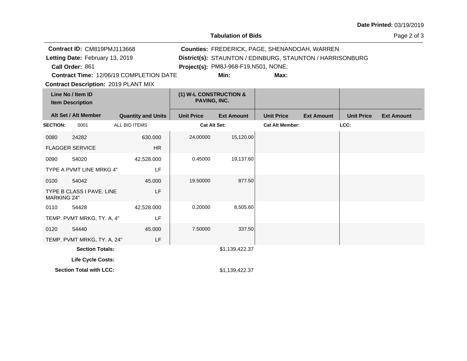**Tabulation of Bids**

Page 2 of 3

| Contract ID: CM819PMJ113668<br>Letting Date: February 13, 2019<br>Call Order: 861<br><b>Contract Time: 12/06/19 COMPLETION DATE</b><br><b>Contract Description: 2019 PLANT MIX</b> |                                              |                           |                                        | Project(s): PM8J-968-F19, N501, NONE;<br>Min: | Counties: FREDERICK, PAGE, SHENANDOAH, WARREN<br>District(s): STAUNTON / EDINBURG, STAUNTON / HARRISONBURG<br>Max: |                   |                   |                   |
|------------------------------------------------------------------------------------------------------------------------------------------------------------------------------------|----------------------------------------------|---------------------------|----------------------------------------|-----------------------------------------------|--------------------------------------------------------------------------------------------------------------------|-------------------|-------------------|-------------------|
|                                                                                                                                                                                    | Line No / Item ID<br><b>Item Description</b> |                           | (1) W-L CONSTRUCTION &<br>PAVING, INC. |                                               |                                                                                                                    |                   |                   |                   |
|                                                                                                                                                                                    | Alt Set / Alt Member                         | <b>Quantity and Units</b> | <b>Unit Price</b>                      | <b>Ext Amount</b>                             | <b>Unit Price</b>                                                                                                  | <b>Ext Amount</b> | <b>Unit Price</b> | <b>Ext Amount</b> |
| <b>SECTION:</b>                                                                                                                                                                    | 0001                                         | ALL BID ITEMS             | <b>Cat Alt Set:</b>                    |                                               | <b>Cat Alt Member:</b>                                                                                             |                   | LCC:              |                   |
| 0080                                                                                                                                                                               | 24282                                        | 630,000                   | 24.00000                               | 15,120.00                                     |                                                                                                                    |                   |                   |                   |
|                                                                                                                                                                                    | <b>FLAGGER SERVICE</b>                       | <b>HR</b>                 |                                        |                                               |                                                                                                                    |                   |                   |                   |
| 0090                                                                                                                                                                               | 54020                                        | 42,528.000                | 0.45000                                | 19,137.60                                     |                                                                                                                    |                   |                   |                   |
|                                                                                                                                                                                    | TYPE A PVMT LINE MRKG 4"                     | LF                        |                                        |                                               |                                                                                                                    |                   |                   |                   |
| 0100                                                                                                                                                                               | 54042                                        | 45.000                    | 19.50000                               | 877.50                                        |                                                                                                                    |                   |                   |                   |
| <b>MARKING 24"</b>                                                                                                                                                                 | TYPE B CLASS I PAVE, LINE                    | LF                        |                                        |                                               |                                                                                                                    |                   |                   |                   |
| 0110                                                                                                                                                                               | 54428                                        | 42,528.000                | 0.20000                                | 8,505.60                                      |                                                                                                                    |                   |                   |                   |
|                                                                                                                                                                                    | TEMP. PVMT MRKG, TY. A, 4"                   | LF                        |                                        |                                               |                                                                                                                    |                   |                   |                   |
| 0120                                                                                                                                                                               | 54440                                        | 45,000                    | 7.50000                                | 337.50                                        |                                                                                                                    |                   |                   |                   |
|                                                                                                                                                                                    | TEMP. PVMT MRKG, TY. A, 24"                  | LF                        |                                        |                                               |                                                                                                                    |                   |                   |                   |
|                                                                                                                                                                                    | <b>Section Totals:</b>                       |                           |                                        | \$1,139,422.37                                |                                                                                                                    |                   |                   |                   |
|                                                                                                                                                                                    | Life Cycle Costs:                            |                           |                                        |                                               |                                                                                                                    |                   |                   |                   |
|                                                                                                                                                                                    | <b>Section Total with LCC:</b>               |                           |                                        | \$1,139,422.37                                |                                                                                                                    |                   |                   |                   |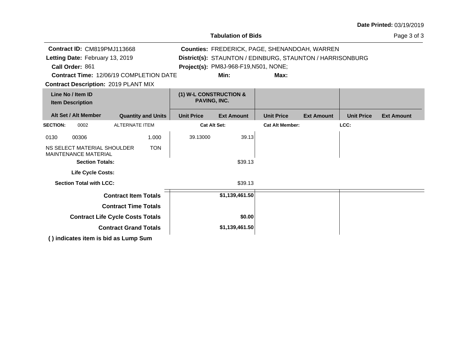| <b>Date Printed: 03/19/2019</b> |  |
|---------------------------------|--|
|---------------------------------|--|

|                                                            |                                             |                                               | <b>Tabulation of Bids</b>             |                                                           |                   |                   | Page 3 of 3       |
|------------------------------------------------------------|---------------------------------------------|-----------------------------------------------|---------------------------------------|-----------------------------------------------------------|-------------------|-------------------|-------------------|
| Contract ID: CM819PMJ113668                                |                                             |                                               |                                       | Counties: FREDERICK, PAGE, SHENANDOAH, WARREN             |                   |                   |                   |
| Letting Date: February 13, 2019                            |                                             |                                               |                                       | District(s): STAUNTON / EDINBURG, STAUNTON / HARRISONBURG |                   |                   |                   |
| Call Order: 861                                            |                                             |                                               | Project(s): PM8J-968-F19, N501, NONE; |                                                           |                   |                   |                   |
|                                                            | Contract Time: 12/06/19 COMPLETION DATE     |                                               | Min:                                  | Max:                                                      |                   |                   |                   |
|                                                            | <b>Contract Description: 2019 PLANT MIX</b> |                                               |                                       |                                                           |                   |                   |                   |
| Line No / Item ID<br><b>Item Description</b>               |                                             | (1) W-L CONSTRUCTION &<br><b>PAVING, INC.</b> |                                       |                                                           |                   |                   |                   |
| Alt Set / Alt Member                                       | <b>Quantity and Units</b>                   | <b>Unit Price</b>                             | <b>Ext Amount</b>                     | <b>Unit Price</b>                                         | <b>Ext Amount</b> | <b>Unit Price</b> | <b>Ext Amount</b> |
| <b>SECTION:</b><br>0002                                    | <b>ALTERNATE ITEM</b>                       | <b>Cat Alt Set:</b>                           |                                       | <b>Cat Alt Member:</b>                                    |                   | LCC:              |                   |
| 0130<br>00306                                              | 1.000                                       | 39.13000                                      | 39.13                                 |                                                           |                   |                   |                   |
| NS SELECT MATERIAL SHOULDER<br><b>MAINTENANCE MATERIAL</b> | <b>TON</b>                                  |                                               |                                       |                                                           |                   |                   |                   |
| <b>Section Totals:</b>                                     |                                             |                                               | \$39.13                               |                                                           |                   |                   |                   |
| <b>Life Cycle Costs:</b>                                   |                                             |                                               |                                       |                                                           |                   |                   |                   |
| <b>Section Total with LCC:</b>                             |                                             |                                               | \$39.13                               |                                                           |                   |                   |                   |
|                                                            | <b>Contract Item Totals</b>                 |                                               | \$1,139,461.50                        |                                                           |                   |                   |                   |
|                                                            | <b>Contract Time Totals</b>                 |                                               |                                       |                                                           |                   |                   |                   |
|                                                            | <b>Contract Life Cycle Costs Totals</b>     |                                               | \$0.00                                |                                                           |                   |                   |                   |
|                                                            | <b>Contract Grand Totals</b>                |                                               | \$1,139,461.50                        |                                                           |                   |                   |                   |
|                                                            | () indicates item is bid as Lump Sum        |                                               |                                       |                                                           |                   |                   |                   |

**Tabulation of Bids**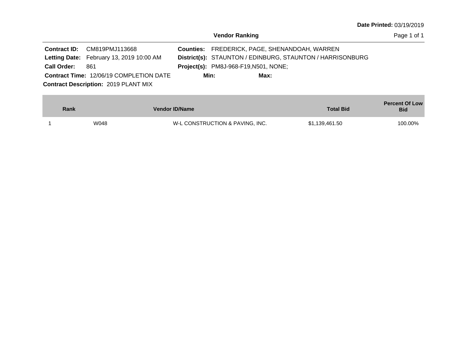| Contract ID: CM819PMJ113668                     |                                             | Counties: FREDERICK, PAGE, SHENANDOAH, WARREN             |
|-------------------------------------------------|---------------------------------------------|-----------------------------------------------------------|
| <b>Letting Date:</b> February 13, 2019 10:00 AM |                                             | District(s): STAUNTON / EDINBURG, STAUNTON / HARRISONBURG |
| <b>Call Order:</b><br>861                       | <b>Project(s):</b> PM8J-968-F19,N501, NONE; |                                                           |
| <b>Contract Time: 12/06/19 COMPLETION DATE</b>  | Min:                                        | Max:                                                      |
| <b>Contract Description: 2019 PLANT MIX</b>     |                                             |                                                           |

| Rank | <b>Vendor ID/Name</b>           | <b>Total Bid</b> | <b>Percent Of Low</b><br><b>Bid</b> |
|------|---------------------------------|------------------|-------------------------------------|
| W048 | W-L CONSTRUCTION & PAVING, INC. | \$1,139,461.50   | 100.00%                             |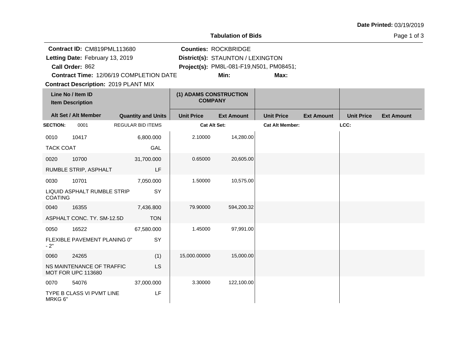|                                                                                   |                                                                                             |                                         |                                          | <b>Tabulation of Bids</b>                                                                                    |                        |                   |                   | Page 1 of 3       |
|-----------------------------------------------------------------------------------|---------------------------------------------------------------------------------------------|-----------------------------------------|------------------------------------------|--------------------------------------------------------------------------------------------------------------|------------------------|-------------------|-------------------|-------------------|
| Contract ID: CM819PML113680<br>Letting Date: February 13, 2019<br>Call Order: 862 |                                                                                             |                                         |                                          | <b>Counties: ROCKBRIDGE</b><br>District(s): STAUNTON / LEXINGTON<br>Project(s): PM8L-081-F19, N501, PM08451; |                        |                   |                   |                   |
|                                                                                   |                                                                                             | Contract Time: 12/06/19 COMPLETION DATE |                                          | Min:                                                                                                         | Max:                   |                   |                   |                   |
|                                                                                   | <b>Contract Description: 2019 PLANT MIX</b><br>Line No / Item ID<br><b>Item Description</b> |                                         | (1) ADAMS CONSTRUCTION<br><b>COMPANY</b> |                                                                                                              |                        |                   |                   |                   |
|                                                                                   | Alt Set / Alt Member                                                                        | <b>Quantity and Units</b>               | <b>Unit Price</b>                        | <b>Ext Amount</b>                                                                                            | <b>Unit Price</b>      | <b>Ext Amount</b> | <b>Unit Price</b> | <b>Ext Amount</b> |
| <b>SECTION:</b>                                                                   | 0001                                                                                        | REGULAR BID ITEMS                       | <b>Cat Alt Set:</b>                      |                                                                                                              | <b>Cat Alt Member:</b> |                   | LCC:              |                   |
| 0010                                                                              | 10417                                                                                       | 6,800.000                               | 2.10000                                  | 14,280.00                                                                                                    |                        |                   |                   |                   |
| <b>TACK COAT</b>                                                                  |                                                                                             | GAL                                     |                                          |                                                                                                              |                        |                   |                   |                   |
| 0020                                                                              | 10700                                                                                       | 31,700.000                              | 0.65000                                  | 20,605.00                                                                                                    |                        |                   |                   |                   |
|                                                                                   | RUMBLE STRIP, ASPHALT                                                                       | LF                                      |                                          |                                                                                                              |                        |                   |                   |                   |
| 0030                                                                              | 10701                                                                                       | 7,050.000                               | 1.50000                                  | 10,575.00                                                                                                    |                        |                   |                   |                   |
| <b>COATING</b>                                                                    | LIQUID ASPHALT RUMBLE STRIP                                                                 | SY                                      |                                          |                                                                                                              |                        |                   |                   |                   |
| 0040                                                                              | 16355                                                                                       | 7,436.800                               | 79.90000                                 | 594,200.32                                                                                                   |                        |                   |                   |                   |
|                                                                                   | ASPHALT CONC. TY. SM-12.5D                                                                  | <b>TON</b>                              |                                          |                                                                                                              |                        |                   |                   |                   |
| 0050                                                                              | 16522                                                                                       | 67,580.000                              | 1.45000                                  | 97,991.00                                                                                                    |                        |                   |                   |                   |
| $-2"$                                                                             | FLEXIBLE PAVEMENT PLANING 0"                                                                | SY                                      |                                          |                                                                                                              |                        |                   |                   |                   |
| 0060                                                                              | 24265                                                                                       | (1)                                     | 15,000.00000                             | 15,000.00                                                                                                    |                        |                   |                   |                   |
|                                                                                   | NS MAINTENANCE OF TRAFFIC<br><b>MOT FOR UPC 113680</b>                                      | <b>LS</b>                               |                                          |                                                                                                              |                        |                   |                   |                   |
| 0070                                                                              | 54076                                                                                       | 37,000.000                              | 3.30000                                  | 122,100.00                                                                                                   |                        |                   |                   |                   |
| MRKG 6"                                                                           | TYPE B CLASS VI PVMT LINE                                                                   | LF                                      |                                          |                                                                                                              |                        |                   |                   |                   |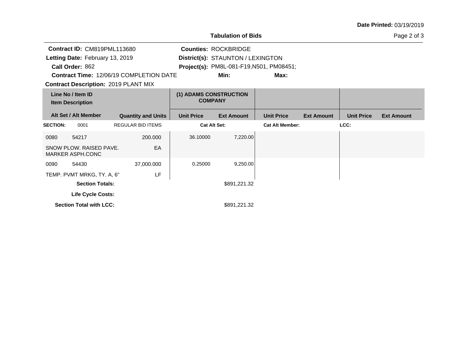| <b>Date Printed: 03/19/2019</b> |  |
|---------------------------------|--|
|---------------------------------|--|

|                                                                                             | Contract ID: CM819PML113680<br>Letting Date: February 13, 2019<br>Call Order: 862 | <b>Contract Time: 12/06/19 COMPLETION DATE</b> |                                          | <b>Counties: ROCKBRIDGE</b><br>District(s): STAUNTON / LEXINGTON<br>Min: | Project(s): PM8L-081-F19,N501, PM08451;<br>Max: |                   |                   |                   |
|---------------------------------------------------------------------------------------------|-----------------------------------------------------------------------------------|------------------------------------------------|------------------------------------------|--------------------------------------------------------------------------|-------------------------------------------------|-------------------|-------------------|-------------------|
| <b>Contract Description: 2019 PLANT MIX</b><br>Line No / Item ID<br><b>Item Description</b> |                                                                                   |                                                | (1) ADAMS CONSTRUCTION<br><b>COMPANY</b> |                                                                          |                                                 |                   |                   |                   |
|                                                                                             | Alt Set / Alt Member                                                              | <b>Quantity and Units</b>                      | <b>Unit Price</b>                        | <b>Ext Amount</b>                                                        | <b>Unit Price</b>                               | <b>Ext Amount</b> | <b>Unit Price</b> | <b>Ext Amount</b> |
| <b>SECTION:</b>                                                                             | 0001                                                                              | <b>REGULAR BID ITEMS</b>                       | <b>Cat Alt Set:</b>                      |                                                                          | <b>Cat Alt Member:</b>                          |                   | LCC:              |                   |
| 0080                                                                                        | 54217                                                                             | 200.000                                        | 36.10000                                 | 7,220.00                                                                 |                                                 |                   |                   |                   |
| SNOW PLOW, RAISED PAVE.<br>EA<br>MARKER ASPH.CONC                                           |                                                                                   |                                                |                                          |                                                                          |                                                 |                   |                   |                   |
| 0090                                                                                        | 54430                                                                             | 37,000.000                                     | 0.25000                                  | 9,250.00                                                                 |                                                 |                   |                   |                   |
|                                                                                             | TEMP. PVMT MRKG, TY. A, 6"                                                        | LF                                             |                                          |                                                                          |                                                 |                   |                   |                   |
| <b>Section Totals:</b>                                                                      |                                                                                   |                                                |                                          | \$891,221.32                                                             |                                                 |                   |                   |                   |
| Life Cycle Costs:                                                                           |                                                                                   |                                                |                                          |                                                                          |                                                 |                   |                   |                   |
|                                                                                             | <b>Section Total with LCC:</b>                                                    |                                                |                                          | \$891,221.32                                                             |                                                 |                   |                   |                   |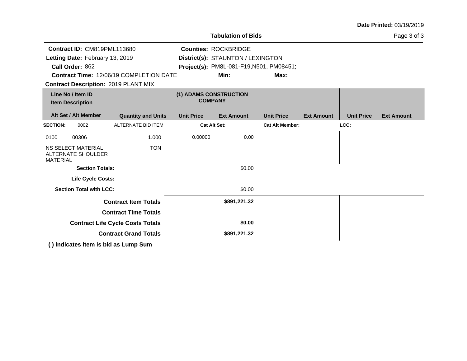|                                                                                  |                                 |                                                                                               |                     | <b>Tabulation of Bids</b>                |                        |                   | Page 3 of 3       |                   |
|----------------------------------------------------------------------------------|---------------------------------|-----------------------------------------------------------------------------------------------|---------------------|------------------------------------------|------------------------|-------------------|-------------------|-------------------|
|                                                                                  | Contract ID: CM819PML113680     |                                                                                               |                     | <b>Counties: ROCKBRIDGE</b>              |                        |                   |                   |                   |
|                                                                                  | Letting Date: February 13, 2019 |                                                                                               |                     | District(s): STAUNTON / LEXINGTON        |                        |                   |                   |                   |
|                                                                                  | Call Order: 862                 |                                                                                               |                     | Project(s): PM8L-081-F19, N501, PM08451; |                        |                   |                   |                   |
|                                                                                  |                                 | <b>Contract Time: 12/06/19 COMPLETION DATE</b><br><b>Contract Description: 2019 PLANT MIX</b> |                     | Min:                                     | Max:                   |                   |                   |                   |
| Line No / Item ID<br><b>Item Description</b>                                     |                                 | (1) ADAMS CONSTRUCTION<br><b>COMPANY</b>                                                      |                     |                                          |                        |                   |                   |                   |
|                                                                                  | Alt Set / Alt Member            | <b>Quantity and Units</b>                                                                     | <b>Unit Price</b>   | <b>Ext Amount</b>                        | <b>Unit Price</b>      | <b>Ext Amount</b> | <b>Unit Price</b> | <b>Ext Amount</b> |
| <b>SECTION:</b>                                                                  | 0002                            | ALTERNATE BID ITEM                                                                            | <b>Cat Alt Set:</b> |                                          | <b>Cat Alt Member:</b> |                   | LCC:              |                   |
| 0100                                                                             | 00306                           | 1.000                                                                                         | 0.00000             | 0.00                                     |                        |                   |                   |                   |
| <b>NS SELECT MATERIAL</b><br><b>TON</b><br>ALTERNATE SHOULDER<br><b>MATERIAL</b> |                                 |                                                                                               |                     |                                          |                        |                   |                   |                   |
|                                                                                  | <b>Section Totals:</b>          |                                                                                               |                     | \$0.00                                   |                        |                   |                   |                   |
|                                                                                  | Life Cycle Costs:               |                                                                                               |                     |                                          |                        |                   |                   |                   |
|                                                                                  | <b>Section Total with LCC:</b>  |                                                                                               |                     | \$0.00                                   |                        |                   |                   |                   |
|                                                                                  |                                 | <b>Contract Item Totals</b>                                                                   |                     | \$891,221.32                             |                        |                   |                   |                   |
| <b>Contract Time Totals</b>                                                      |                                 |                                                                                               |                     |                                          |                        |                   |                   |                   |
| <b>Contract Life Cycle Costs Totals</b>                                          |                                 |                                                                                               |                     | \$0.00                                   |                        |                   |                   |                   |
|                                                                                  |                                 | <b>Contract Grand Totals</b>                                                                  |                     | \$891,221.32                             |                        |                   |                   |                   |
| $\left( \right)$ indicates item is hid so Lump Cum                               |                                 |                                                                                               |                     |                                          |                        |                   |                   |                   |

**( ) indicates item is bid as Lump Sum**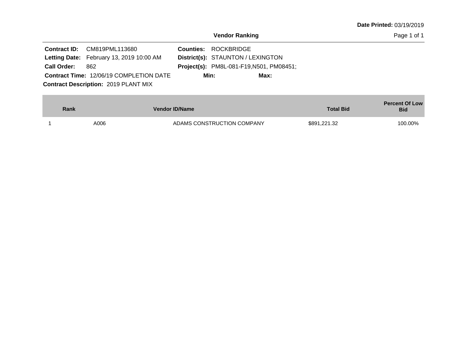| <b>Date Printed: 03/19/2019</b> |  |
|---------------------------------|--|
|---------------------------------|--|

|                    | <b>Contract ID:</b> CM819PML113680              | <b>Counties: ROCKBRIDGE</b>                     |      |
|--------------------|-------------------------------------------------|-------------------------------------------------|------|
|                    | <b>Letting Date:</b> February 13, 2019 10:00 AM | <b>District(s): STAUNTON / LEXINGTON</b>        |      |
| <b>Call Order:</b> | - 862                                           | <b>Project(s): PM8L-081-F19, N501, PM08451;</b> |      |
|                    | <b>Contract Time: 12/06/19 COMPLETION DATE</b>  | Min:                                            | Max: |
|                    | <b>Contract Description: 2019 PLANT MIX</b>     |                                                 |      |

| Rank | <b>Vendor ID/Name</b> |                            | <b>Total Bid</b> | <b>Percent Of Low</b><br><b>Bid</b> |
|------|-----------------------|----------------------------|------------------|-------------------------------------|
|      | A006                  | ADAMS CONSTRUCTION COMPANY | \$891,221.32     | 100.00%                             |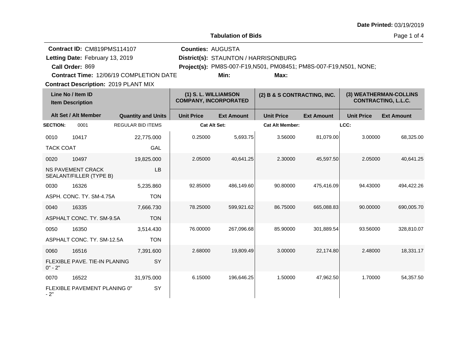**Tabulation of Bids**

Page 1 of 4

| Contract ID: CM819PMS114107                    |                                                     |                           | <b>Counties: AUGUSTA</b>                             |                                                                    |                             |                   |                                                      |                   |
|------------------------------------------------|-----------------------------------------------------|---------------------------|------------------------------------------------------|--------------------------------------------------------------------|-----------------------------|-------------------|------------------------------------------------------|-------------------|
| Letting Date: February 13, 2019                |                                                     |                           | District(s): STAUNTON / HARRISONBURG                 |                                                                    |                             |                   |                                                      |                   |
|                                                | Call Order: 869                                     |                           |                                                      | Project(s): PM8S-007-F19, N501, PM08451; PM8S-007-F19, N501, NONE; |                             |                   |                                                      |                   |
| <b>Contract Time: 12/06/19 COMPLETION DATE</b> |                                                     |                           |                                                      | Min:                                                               | Max:                        |                   |                                                      |                   |
|                                                | <b>Contract Description: 2019 PLANT MIX</b>         |                           |                                                      |                                                                    |                             |                   |                                                      |                   |
| Line No / Item ID<br><b>Item Description</b>   |                                                     |                           | (1) S. L. WILLIAMSON<br><b>COMPANY, INCORPORATED</b> |                                                                    | (2) B & S CONTRACTING, INC. |                   | (3) WEATHERMAN-COLLINS<br><b>CONTRACTING, L.L.C.</b> |                   |
|                                                | Alt Set / Alt Member                                | <b>Quantity and Units</b> | <b>Unit Price</b>                                    | <b>Ext Amount</b>                                                  | <b>Unit Price</b>           | <b>Ext Amount</b> | <b>Unit Price</b>                                    | <b>Ext Amount</b> |
| <b>SECTION:</b>                                | 0001                                                | <b>REGULAR BID ITEMS</b>  | <b>Cat Alt Set:</b>                                  |                                                                    | <b>Cat Alt Member:</b>      |                   | LCC:                                                 |                   |
| 0010                                           | 10417                                               | 22,775.000                | 0.25000                                              | 5,693.75                                                           | 3.56000                     | 81,079.00         | 3.00000                                              | 68,325.00         |
| <b>TACK COAT</b>                               |                                                     | GAL                       |                                                      |                                                                    |                             |                   |                                                      |                   |
| 0020                                           | 10497                                               | 19,825.000                | 2.05000                                              | 40,641.25                                                          | 2.30000                     | 45,597.50         | 2.05000                                              | 40,641.25         |
|                                                | <b>NS PAVEMENT CRACK</b><br>SEALANT/FILLER (TYPE B) | LB                        |                                                      |                                                                    |                             |                   |                                                      |                   |
| 0030                                           | 16326                                               | 5,235.860                 | 92.85000                                             | 486,149.60                                                         | 90.80000                    | 475,416.09        | 94.43000                                             | 494,422.26        |
| ASPH. CONC. TY. SM-4.75A<br><b>TON</b>         |                                                     |                           |                                                      |                                                                    |                             |                   |                                                      |                   |
| 0040                                           | 16335                                               | 7,666.730                 | 78.25000                                             | 599,921.62                                                         | 86.75000                    | 665,088.83        | 90.00000                                             | 690,005.70        |
| <b>TON</b><br>ASPHALT CONC. TY, SM-9.5A        |                                                     |                           |                                                      |                                                                    |                             |                   |                                                      |                   |
| 0050                                           | 16350                                               | 3,514.430                 | 76.00000                                             | 267,096.68                                                         | 85.90000                    | 301,889.54        | 93.56000                                             | 328,810.07        |
|                                                | ASPHALT CONC. TY. SM-12.5A                          | <b>TON</b>                |                                                      |                                                                    |                             |                   |                                                      |                   |

2.68000 19,809.49 3.00000 22,174.80 2.48000 18,331.17

6.15000 196,646.25 1.50000 47,962.50 1.70000 54,357.50

0060 16516

0070 16522

 $0" - 2"$ 

 $-2"$ 

FLEXIBLE PAVE. TIE-IN PLANING

FLEXIBLE PAVEMENT PLANING 0"

7,391.600

31,975.000

SY

SY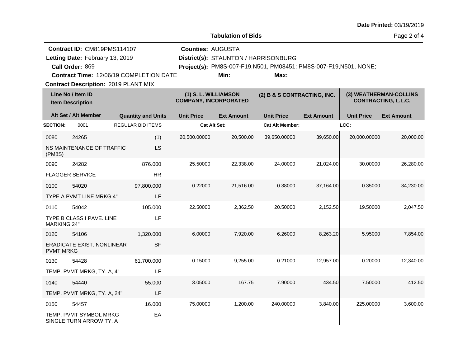**Quantity and Units Unit Price Alt Set / Alt Member Ext Amount Ext Amount Line No / Item ID Unit Price Ext Amount Unit Price Item Description (1) S. L. WILLIAMSON COMPANY, INCORPORATED (2) B & S CONTRACTING, INC. (3) WEATHERMAN-COLLINS CONTRACTING, L.L.C. SECTION:** 0001 REGULAR BID ITEMS **Cat Alt Set: Cat Alt Member: LCC:** 0080 24265 NS MAINTENANCE OF TRAFFIC (PM8S) (1) LS 20,500.00000 20,500.00 39,650.00000 39,650.00 20,000.00000 20,000.00 0090 24282 FLAGGER SERVICE 876.000 HR 25.50000 22,338.00 24.00000 21,024.00 30.00000 26,280.00 0100 54020 TYPE A PVMT LINE MRKG 4" 97,800.000 LF 0.22000 21,516.00 0.38000 37,164.00 0.35000 34,230.00 0110 54042 TYPE B CLASS I PAVE. LINE MARKING 24" 105.000 LF 22.50000 2,362.50 20.50000 2,152.50 19.50000 2,047.50 0120 54106 ERADICATE EXIST. NONLINEAR PVMT MRKG 1,320.000 SF 6.00000 7,920.00 6.26000 8,263.20 5.95000 7,854.00 0130 54428 TEMP. PVMT MRKG, TY. A, 4" 61,700.000 LF 0.15000 9,255.00 0.21000 12,957.00 0.20000 12,340.00 0140 54440 TEMP. PVMT MRKG, TY. A, 24" 55.000 LF 3.05000 167.75 7.90000 434.50 7.50000 412.50 0150 54457 TEMP. PVMT SYMBOL MRKG SINGLE TURN ARROW TY. A 16.000 EA 75.00000 1,200.00 240.00000 3,840.00 225.00000 3,600.00 **Contract Description: 2019 PLANT MIX Call Order: Letting Date:** February 13, 2019 **District(s): STAUNTON / HARRISONBURG Contract ID: CM819PMS114107 Counties:** AUGUSTA 869 **Project(s):** PM8S-007-F19,N501, PM08451; PM8S-007-F19,N501, NONE;**Tabulation of Bids Contract Time:** 12/06/19 COMPLETION DATE Letting Date: February 13, 2019 **Min: Max:**

**Date Printed:** 03/19/2019

Page 2 of 4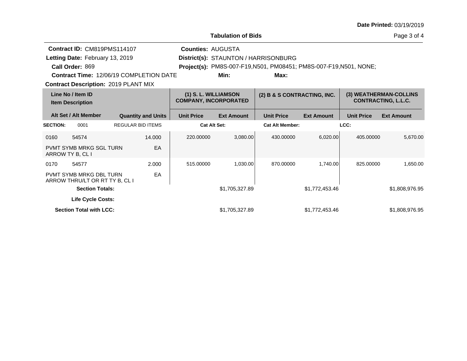|                                                     |                                                                                                                                                                                    |                                                      |                           |                             | <b>Tabulation of Bids</b> |                                                                                                                    |                                                      |                   | Page 3 of 4       |
|-----------------------------------------------------|------------------------------------------------------------------------------------------------------------------------------------------------------------------------------------|------------------------------------------------------|---------------------------|-----------------------------|---------------------------|--------------------------------------------------------------------------------------------------------------------|------------------------------------------------------|-------------------|-------------------|
|                                                     | Contract ID: CM819PMS114107<br>Letting Date: February 13, 2019<br>Call Order: 869<br><b>Contract Time: 12/06/19 COMPLETION DATE</b><br><b>Contract Description: 2019 PLANT MIX</b> |                                                      |                           | <b>Counties: AUGUSTA</b>    | Min:                      | District(s): STAUNTON / HARRISONBURG<br>Project(s): PM8S-007-F19, N501, PM08451; PM8S-007-F19, N501, NONE;<br>Max: |                                                      |                   |                   |
|                                                     |                                                                                                                                                                                    |                                                      |                           |                             |                           |                                                                                                                    |                                                      |                   |                   |
| Line No / Item ID<br><b>Item Description</b>        |                                                                                                                                                                                    | (1) S. L. WILLIAMSON<br><b>COMPANY, INCORPORATED</b> |                           | (2) B & S CONTRACTING, INC. |                           |                                                                                                                    | (3) WEATHERMAN-COLLINS<br><b>CONTRACTING, L.L.C.</b> |                   |                   |
|                                                     | Alt Set / Alt Member                                                                                                                                                               |                                                      | <b>Quantity and Units</b> | <b>Unit Price</b>           | <b>Ext Amount</b>         | <b>Unit Price</b>                                                                                                  | <b>Ext Amount</b>                                    | <b>Unit Price</b> | <b>Ext Amount</b> |
| <b>SECTION:</b>                                     | 0001                                                                                                                                                                               | <b>REGULAR BID ITEMS</b>                             |                           | <b>Cat Alt Set:</b>         |                           | <b>Cat Alt Member:</b>                                                                                             |                                                      | LCC:              |                   |
| 0160                                                | 54574                                                                                                                                                                              |                                                      | 14.000                    | 220.00000                   | 3,080.00                  | 430.00000                                                                                                          | 6,020.00                                             | 405.00000         | 5,670.00          |
|                                                     | <b>PVMT SYMB MRKG SGL TURN</b><br>ARROW TY B, CL I                                                                                                                                 |                                                      | EA                        |                             |                           |                                                                                                                    |                                                      |                   |                   |
| 0170                                                | 54577                                                                                                                                                                              |                                                      | 2.000                     | 515.00000                   | 1,030.00                  | 870.00000                                                                                                          | 1.740.00                                             | 825.00000         | 1.650.00          |
|                                                     | <b>PVMT SYMB MRKG DBL TURN</b><br>ARROW THRU/LT OR RT TY B, CL I                                                                                                                   |                                                      | EA                        |                             |                           |                                                                                                                    |                                                      |                   |                   |
|                                                     | <b>Section Totals:</b>                                                                                                                                                             |                                                      |                           |                             | \$1,705,327.89            |                                                                                                                    | \$1,772,453.46                                       |                   | \$1,808,976.95    |
| Life Cycle Costs:<br><b>Section Total with LCC:</b> |                                                                                                                                                                                    |                                                      | \$1,705,327.89            |                             | \$1,772,453.46            |                                                                                                                    | \$1,808,976.95                                       |                   |                   |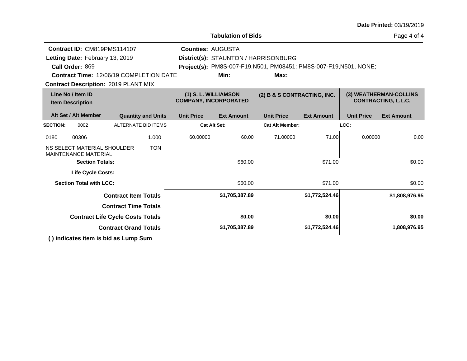|                                              |                                                                       |                             |                                                      |                          | <b>Tabulation of Bids</b>                                          |                        |                                                      |                   | Page 4 of 4       |
|----------------------------------------------|-----------------------------------------------------------------------|-----------------------------|------------------------------------------------------|--------------------------|--------------------------------------------------------------------|------------------------|------------------------------------------------------|-------------------|-------------------|
|                                              | Contract ID: CM819PMS114107                                           |                             |                                                      | <b>Counties: AUGUSTA</b> |                                                                    |                        |                                                      |                   |                   |
|                                              | Letting Date: February 13, 2019                                       |                             |                                                      |                          | District(s): STAUNTON / HARRISONBURG                               |                        |                                                      |                   |                   |
|                                              | Call Order: 869                                                       |                             |                                                      |                          | Project(s): PM8S-007-F19, N501, PM08451; PM8S-007-F19, N501, NONE; |                        |                                                      |                   |                   |
|                                              | <b>Contract Time: 12/06/19 COMPLETION DATE</b>                        |                             |                                                      |                          | Min:                                                               | Max:                   |                                                      |                   |                   |
|                                              | <b>Contract Description: 2019 PLANT MIX</b>                           |                             |                                                      |                          |                                                                    |                        |                                                      |                   |                   |
| Line No / Item ID<br><b>Item Description</b> |                                                                       |                             | (1) S. L. WILLIAMSON<br><b>COMPANY, INCORPORATED</b> |                          | (2) B & S CONTRACTING, INC.                                        |                        | (3) WEATHERMAN-COLLINS<br><b>CONTRACTING, L.L.C.</b> |                   |                   |
|                                              | Alt Set / Alt Member                                                  |                             | <b>Quantity and Units</b>                            | <b>Unit Price</b>        | <b>Ext Amount</b>                                                  | <b>Unit Price</b>      | <b>Ext Amount</b>                                    | <b>Unit Price</b> | <b>Ext Amount</b> |
| <b>SECTION:</b>                              | 0002                                                                  |                             | <b>ALTERNATE BID ITEMS</b>                           |                          | <b>Cat Alt Set:</b>                                                | <b>Cat Alt Member:</b> |                                                      | LCC:              |                   |
| 0180                                         | 00306                                                                 |                             | 1.000                                                | 60.00000                 | 60.00                                                              | 71.00000               | 71.00                                                | 0.00000           | 0.00              |
|                                              | NS SELECT MATERIAL SHOULDER<br><b>MAINTENANCE MATERIAL</b>            |                             | <b>TON</b>                                           |                          |                                                                    |                        |                                                      |                   |                   |
|                                              | <b>Section Totals:</b>                                                |                             |                                                      |                          | \$60.00                                                            |                        | \$71.00                                              |                   | \$0.00            |
|                                              | Life Cycle Costs:                                                     |                             |                                                      |                          |                                                                    |                        |                                                      |                   |                   |
|                                              | <b>Section Total with LCC:</b>                                        |                             |                                                      |                          | \$60.00                                                            |                        | \$71.00                                              |                   | \$0.00            |
|                                              |                                                                       | <b>Contract Item Totals</b> |                                                      |                          | \$1,705,387.89                                                     |                        | \$1,772,524.46                                       |                   | \$1,808,976.95    |
|                                              |                                                                       | <b>Contract Time Totals</b> |                                                      |                          |                                                                    |                        |                                                      |                   |                   |
|                                              | <b>Contract Life Cycle Costs Totals</b>                               |                             |                                                      |                          | \$0.00                                                             |                        | \$0.00                                               |                   | \$0.00            |
|                                              | <b>Contract Grand Totals</b>                                          |                             |                                                      |                          | \$1,705,387.89                                                     |                        | \$1,772,524.46                                       |                   | 1,808,976.95      |
|                                              | $\bigwedge$ in diagram is not in the late of $\bigcap_{n=1}^{\infty}$ |                             |                                                      |                          |                                                                    |                        |                                                      |                   |                   |

**( ) indicates item is bid as Lump Sum**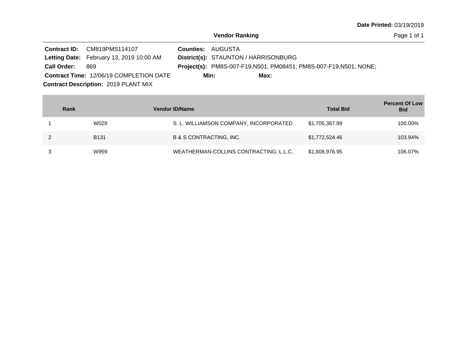Page 1 of 1

|                    | Contract ID: CM819PMS114107                     | <b>Counties: AUGUSTA</b>                                                  |  |
|--------------------|-------------------------------------------------|---------------------------------------------------------------------------|--|
|                    | <b>Letting Date:</b> February 13, 2019 10:00 AM | District(s): STAUNTON / HARRISONBURG                                      |  |
| <b>Call Order:</b> | 869                                             | <b>Project(s):</b> PM8S-007-F19, N501, PM08451; PM8S-007-F19, N501, NONE; |  |
|                    | <b>Contract Time: 12/06/19 COMPLETION DATE</b>  | Min:<br>Max:                                                              |  |
|                    | <b>Contract Description: 2019 PLANT MIX</b>     |                                                                           |  |

| Rank |             | <b>Vendor ID/Name</b>                  | <b>Total Bid</b> | <b>Percent Of Low</b><br><b>Bid</b> |
|------|-------------|----------------------------------------|------------------|-------------------------------------|
|      | W029        | S. L. WILLIAMSON COMPANY, INCORPORATED | \$1,705,387.89   | 100.00%                             |
|      | <b>B131</b> | <b>B &amp; S CONTRACTING, INC.</b>     | \$1,772,524.46   | 103.94%                             |
|      | W959        | WEATHERMAN-COLLINS CONTRACTING, L.L.C. | \$1,808,976.95   | 106.07%                             |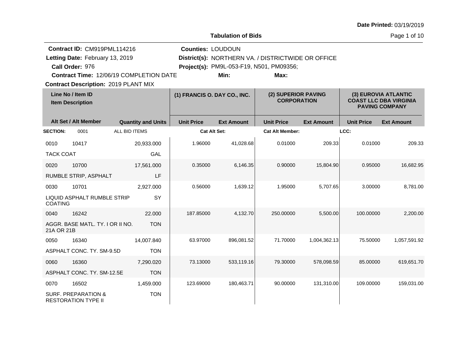**Tabulation of Bids**

Page 1 of 10

|                  | Contract ID: CM919PML114216                                  |               |                           |                              | <b>Counties: LOUDOUN</b> |                                                    |                                           |                   |                                                                                |  |
|------------------|--------------------------------------------------------------|---------------|---------------------------|------------------------------|--------------------------|----------------------------------------------------|-------------------------------------------|-------------------|--------------------------------------------------------------------------------|--|
|                  | Letting Date: February 13, 2019                              |               |                           |                              |                          | District(s): NORTHERN VA. / DISTRICTWIDE OR OFFICE |                                           |                   |                                                                                |  |
|                  | Call Order: 976                                              |               |                           |                              |                          | Project(s): PM9L-053-F19, N501, PM09356;           |                                           |                   |                                                                                |  |
|                  | <b>Contract Time: 12/06/19 COMPLETION DATE</b>               |               |                           |                              | Min:                     | Max:                                               |                                           |                   |                                                                                |  |
|                  | <b>Contract Description: 2019 PLANT MIX</b>                  |               |                           |                              |                          |                                                    |                                           |                   |                                                                                |  |
|                  | Line No / Item ID<br><b>Item Description</b>                 |               |                           | (1) FRANCIS O. DAY CO., INC. |                          |                                                    | (2) SUPERIOR PAVING<br><b>CORPORATION</b> |                   | (3) EUROVIA ATLANTIC<br><b>COAST LLC DBA VIRGINIA</b><br><b>PAVING COMPANY</b> |  |
|                  | Alt Set / Alt Member                                         |               | <b>Quantity and Units</b> | <b>Unit Price</b>            | <b>Ext Amount</b>        | <b>Unit Price</b>                                  | <b>Ext Amount</b>                         | <b>Unit Price</b> | <b>Ext Amount</b>                                                              |  |
| <b>SECTION:</b>  | 0001                                                         | ALL BID ITEMS |                           |                              | Cat Alt Set:             | <b>Cat Alt Member:</b>                             |                                           | LCC:              |                                                                                |  |
| 0010             | 10417                                                        |               | 20,933.000                | 1.96000                      | 41,028.68                | 0.01000                                            | 209.33                                    | 0.01000           | 209.33                                                                         |  |
| <b>TACK COAT</b> |                                                              |               | GAL                       |                              |                          |                                                    |                                           |                   |                                                                                |  |
| 0020             | 10700                                                        |               | 17,561.000                | 0.35000                      | 6,146.35                 | 0.90000                                            | 15,804.90                                 | 0.95000           | 16,682.95                                                                      |  |
|                  | RUMBLE STRIP, ASPHALT                                        |               | LF                        |                              |                          |                                                    |                                           |                   |                                                                                |  |
| 0030             | 10701                                                        |               | 2,927.000                 | 0.56000                      | 1,639.12                 | 1.95000                                            | 5,707.65                                  | 3.00000           | 8,781.00                                                                       |  |
| <b>COATING</b>   | LIQUID ASPHALT RUMBLE STRIP                                  |               | SY                        |                              |                          |                                                    |                                           |                   |                                                                                |  |
| 0040             | 16242                                                        |               | 22,000                    | 187.85000                    | 4,132.70                 | 250.00000                                          | 5,500.00                                  | 100.00000         | 2,200.00                                                                       |  |
| 21A OR 21B       | AGGR. BASE MATL. TY. I OR II NO.                             |               | <b>TON</b>                |                              |                          |                                                    |                                           |                   |                                                                                |  |
| 0050             | 16340                                                        |               | 14,007.840                | 63.97000                     | 896,081.52               | 71.70000                                           | 1,004,362.13                              | 75.50000          | 1,057,591.92                                                                   |  |
|                  | ASPHALT CONC. TY. SM-9.5D                                    |               | <b>TON</b>                |                              |                          |                                                    |                                           |                   |                                                                                |  |
| 0060             | 16360                                                        |               | 7,290.020                 | 73.13000                     | 533,119.16               | 79.30000                                           | 578,098.59                                | 85.00000          | 619,651.70                                                                     |  |
|                  | ASPHALT CONC. TY. SM-12.5E                                   |               | <b>TON</b>                |                              |                          |                                                    |                                           |                   |                                                                                |  |
| 0070             | 16502                                                        |               | 1,459.000                 | 123.69000                    | 180,463.71               | 90.00000                                           | 131,310.00                                | 109.00000         | 159,031.00                                                                     |  |
|                  | <b>SURF. PREPARATION &amp;</b><br><b>RESTORATION TYPE II</b> |               | <b>TON</b>                |                              |                          |                                                    |                                           |                   |                                                                                |  |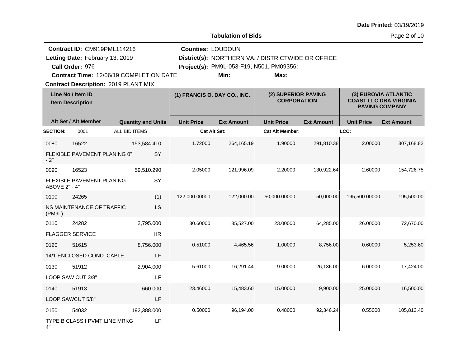**Tabulation of Bids**

Page 2 of 10

|                 | Contract ID: CM919PML114216<br>Letting Date: February 13, 2019<br>Call Order: 976 |                                             |           |                              | <b>Counties: LOUDOUN</b><br>District(s): NORTHERN VA. / DISTRICTWIDE OR OFFICE<br>Project(s): PM9L-053-F19, N501, PM09356; |                        |                                           |                   |                                                                                |
|-----------------|-----------------------------------------------------------------------------------|---------------------------------------------|-----------|------------------------------|----------------------------------------------------------------------------------------------------------------------------|------------------------|-------------------------------------------|-------------------|--------------------------------------------------------------------------------|
|                 |                                                                                   | Contract Time: 12/06/19 COMPLETION DATE     |           |                              | Min:                                                                                                                       | Max:                   |                                           |                   |                                                                                |
|                 |                                                                                   | <b>Contract Description: 2019 PLANT MIX</b> |           |                              |                                                                                                                            |                        |                                           |                   |                                                                                |
|                 | Line No / Item ID<br><b>Item Description</b>                                      |                                             |           | (1) FRANCIS O. DAY CO., INC. |                                                                                                                            |                        | (2) SUPERIOR PAVING<br><b>CORPORATION</b> |                   | (3) EUROVIA ATLANTIC<br><b>COAST LLC DBA VIRGINIA</b><br><b>PAVING COMPANY</b> |
|                 | Alt Set / Alt Member                                                              | <b>Quantity and Units</b>                   |           | <b>Unit Price</b>            | <b>Ext Amount</b>                                                                                                          | <b>Unit Price</b>      | <b>Ext Amount</b>                         | <b>Unit Price</b> | <b>Ext Amount</b>                                                              |
| <b>SECTION:</b> | 0001                                                                              | ALL BID ITEMS                               |           |                              | <b>Cat Alt Set:</b>                                                                                                        | <b>Cat Alt Member:</b> |                                           | LCC:              |                                                                                |
| 0080            | 16522                                                                             | 153,584.410                                 |           | 1.72000                      | 264,165.19                                                                                                                 | 1.90000                | 291,810.38                                | 2.00000           | 307,168.82                                                                     |
| $-2"$           | FLEXIBLE PAVEMENT PLANING 0"                                                      |                                             | <b>SY</b> |                              |                                                                                                                            |                        |                                           |                   |                                                                                |
| 0090            | 16523                                                                             | 59,510.290                                  |           | 2.05000                      | 121,996.09                                                                                                                 | 2.20000                | 130,922.64                                | 2.60000           | 154,726.75                                                                     |
| ABOVE 2" - 4"   | FLEXIBLE PAVEMENT PLANING                                                         |                                             | SY        |                              |                                                                                                                            |                        |                                           |                   |                                                                                |
| 0100            | 24265                                                                             |                                             | (1)       | 122,000.00000                | 122,000.00                                                                                                                 | 50,000.00000           | 50,000.00                                 | 195,500.00000     | 195,500.00                                                                     |
| (PM9L)          | NS MAINTENANCE OF TRAFFIC                                                         |                                             | LS        |                              |                                                                                                                            |                        |                                           |                   |                                                                                |
| 0110            | 24282                                                                             | 2,795.000                                   |           | 30.60000                     | 85,527.00                                                                                                                  | 23.00000               | 64,285.00                                 | 26.00000          | 72,670.00                                                                      |
|                 | <b>FLAGGER SERVICE</b>                                                            |                                             | <b>HR</b> |                              |                                                                                                                            |                        |                                           |                   |                                                                                |
| 0120            | 51615                                                                             | 8,756.000                                   |           | 0.51000                      | 4,465.56                                                                                                                   | 1.00000                | 8,756.00                                  | 0.60000           | 5,253.60                                                                       |
|                 | 14/1 ENCLOSED COND. CABLE                                                         |                                             | LF        |                              |                                                                                                                            |                        |                                           |                   |                                                                                |
| 0130            | 51912                                                                             | 2,904.000                                   |           | 5.61000                      | 16,291.44                                                                                                                  | 9.00000                | 26,136.00                                 | 6.00000           | 17,424.00                                                                      |
|                 | LOOP SAW CUT 3/8"                                                                 |                                             | LF        |                              |                                                                                                                            |                        |                                           |                   |                                                                                |
| 0140            | 51913                                                                             | 660,000                                     |           | 23.46000                     | 15,483.60                                                                                                                  | 15.00000               | 9,900.00                                  | 25.00000          | 16,500.00                                                                      |
|                 | LOOP SAWCUT 5/8"                                                                  |                                             | LF        |                              |                                                                                                                            |                        |                                           |                   |                                                                                |
| 0150            | 54032                                                                             | 192,388.000                                 |           | 0.50000                      | 96,194.00                                                                                                                  | 0.48000                | 92,346.24                                 | 0.55000           | 105,813.40                                                                     |
| 4"              | TYPE B CLASS I PVMT LINE MRKG                                                     |                                             | LF        |                              |                                                                                                                            |                        |                                           |                   |                                                                                |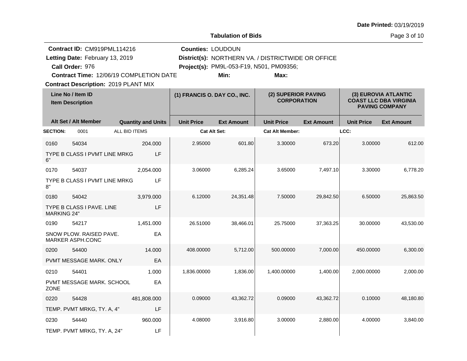**Tabulation of Bids**

Page 3 of 10

|                    | Contract ID: CM919PML114216<br>Letting Date: February 13, 2019<br>Call Order: 976 |                           |                              | <b>Counties: LOUDOUN</b> | District(s): NORTHERN VA. / DISTRICTWIDE OR OFFICE<br>Project(s): PM9L-053-F19, N501, PM09356; |                                           |                   |                                                                                |
|--------------------|-----------------------------------------------------------------------------------|---------------------------|------------------------------|--------------------------|------------------------------------------------------------------------------------------------|-------------------------------------------|-------------------|--------------------------------------------------------------------------------|
|                    | Contract Time: 12/06/19 COMPLETION DATE                                           |                           |                              | Min:                     | Max:                                                                                           |                                           |                   |                                                                                |
|                    | <b>Contract Description: 2019 PLANT MIX</b>                                       |                           |                              |                          |                                                                                                |                                           |                   |                                                                                |
|                    | Line No / Item ID<br><b>Item Description</b>                                      |                           | (1) FRANCIS O. DAY CO., INC. |                          |                                                                                                | (2) SUPERIOR PAVING<br><b>CORPORATION</b> |                   | (3) EUROVIA ATLANTIC<br><b>COAST LLC DBA VIRGINIA</b><br><b>PAVING COMPANY</b> |
|                    | Alt Set / Alt Member                                                              | <b>Quantity and Units</b> | <b>Unit Price</b>            | <b>Ext Amount</b>        | <b>Unit Price</b>                                                                              | <b>Ext Amount</b>                         | <b>Unit Price</b> | <b>Ext Amount</b>                                                              |
| <b>SECTION:</b>    | 0001                                                                              | ALL BID ITEMS             |                              | <b>Cat Alt Set:</b>      | <b>Cat Alt Member:</b>                                                                         |                                           | LCC:              |                                                                                |
| 0160               | 54034                                                                             | 204.000                   | 2.95000                      | 601.80                   | 3.30000                                                                                        | 673.20                                    | 3.00000           | 612.00                                                                         |
| 6"                 | TYPE B CLASS I PVMT LINE MRKG                                                     | LF                        |                              |                          |                                                                                                |                                           |                   |                                                                                |
| 0170               | 54037                                                                             | 2,054.000                 | 3.06000                      | 6,285.24                 | 3.65000                                                                                        | 7,497.10                                  | 3.30000           | 6,778.20                                                                       |
| 8"                 | TYPE B CLASS I PVMT LINE MRKG                                                     | LF                        |                              |                          |                                                                                                |                                           |                   |                                                                                |
| 0180               | 54042                                                                             | 3,979.000                 | 6.12000                      | 24,351.48                | 7.50000                                                                                        | 29,842.50                                 | 6.50000           | 25,863.50                                                                      |
| <b>MARKING 24"</b> | TYPE B CLASS I PAVE. LINE                                                         | LF                        |                              |                          |                                                                                                |                                           |                   |                                                                                |
| 0190               | 54217                                                                             | 1,451.000                 | 26.51000                     | 38,466.01                | 25.75000                                                                                       | 37,363.25                                 | 30.00000          | 43,530.00                                                                      |
|                    | SNOW PLOW. RAISED PAVE.<br>MARKER ASPH.CONC                                       | EA                        |                              |                          |                                                                                                |                                           |                   |                                                                                |
| 0200               | 54400                                                                             | 14.000                    | 408.00000                    | 5,712.00                 | 500.00000                                                                                      | 7,000.00                                  | 450.00000         | 6,300.00                                                                       |
|                    | PVMT MESSAGE MARK. ONLY                                                           | EA                        |                              |                          |                                                                                                |                                           |                   |                                                                                |
| 0210               | 54401                                                                             | 1.000                     | 1,836.00000                  | 1,836.00                 | 1,400.00000                                                                                    | 1,400.00                                  | 2,000.00000       | 2,000.00                                                                       |
| <b>ZONE</b>        | PVMT MESSAGE MARK. SCHOOL                                                         | EA                        |                              |                          |                                                                                                |                                           |                   |                                                                                |
| 0220               | 54428                                                                             | 481,808.000               | 0.09000                      | 43,362.72                | 0.09000                                                                                        | 43,362.72                                 | 0.10000           | 48,180.80                                                                      |
|                    | TEMP. PVMT MRKG, TY. A, 4"                                                        | LF                        |                              |                          |                                                                                                |                                           |                   |                                                                                |
| 0230               | 54440                                                                             | 960,000                   | 4.08000                      | 3,916.80                 | 3.00000                                                                                        | 2,880.00                                  | 4.00000           | 3,840.00                                                                       |
|                    | TEMP. PVMT MRKG, TY. A, 24"                                                       | LF                        |                              |                          |                                                                                                |                                           |                   |                                                                                |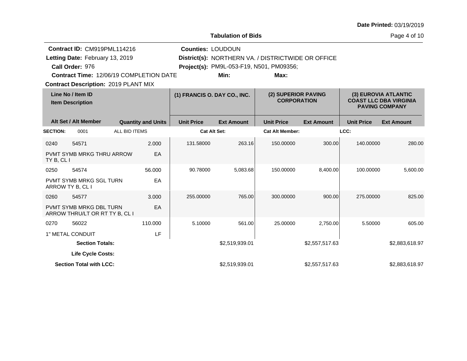**Tabulation of Bids**

Page 4 of 10

|                 | Contract ID: CM919PML114216<br>Letting Date: February 13, 2019<br>Call Order: 976<br><b>Contract Time: 12/06/19 COMPLETION DATE</b><br><b>Contract Description: 2019 PLANT MIX</b> |               |                           | <b>Counties: LOUDOUN</b>     | Min:              | District(s): NORTHERN VA. / DISTRICTWIDE OR OFFICE<br>Project(s): PM9L-053-F19, N501, PM09356;<br>Max: |                   |                                                                                |                   |
|-----------------|------------------------------------------------------------------------------------------------------------------------------------------------------------------------------------|---------------|---------------------------|------------------------------|-------------------|--------------------------------------------------------------------------------------------------------|-------------------|--------------------------------------------------------------------------------|-------------------|
|                 | Line No / Item ID<br><b>Item Description</b>                                                                                                                                       |               |                           | (1) FRANCIS O. DAY CO., INC. |                   | (2) SUPERIOR PAVING<br><b>CORPORATION</b>                                                              |                   | (3) EUROVIA ATLANTIC<br><b>COAST LLC DBA VIRGINIA</b><br><b>PAVING COMPANY</b> |                   |
|                 | Alt Set / Alt Member                                                                                                                                                               |               | <b>Quantity and Units</b> | <b>Unit Price</b>            | <b>Ext Amount</b> | <b>Unit Price</b>                                                                                      | <b>Ext Amount</b> | <b>Unit Price</b>                                                              | <b>Ext Amount</b> |
| <b>SECTION:</b> | 0001                                                                                                                                                                               | ALL BID ITEMS |                           | <b>Cat Alt Set:</b>          |                   | <b>Cat Alt Member:</b>                                                                                 |                   | LCC:                                                                           |                   |
| 0240            | 54571                                                                                                                                                                              |               | 2.000                     | 131.58000                    | 263.16            | 150.00000                                                                                              | 300.00            | 140.00000                                                                      | 280.00            |
| TY B, CL I      | PVMT SYMB MRKG THRU ARROW                                                                                                                                                          |               | EA                        |                              |                   |                                                                                                        |                   |                                                                                |                   |
| 0250            | 54574                                                                                                                                                                              |               | 56.000                    | 90.78000                     | 5,083.68          | 150.00000                                                                                              | 8,400.00          | 100.00000                                                                      | 5,600.00          |
|                 | <b>PVMT SYMB MRKG SGL TURN</b><br>ARROW TY B, CL I                                                                                                                                 |               | EA                        |                              |                   |                                                                                                        |                   |                                                                                |                   |
| 0260            | 54577                                                                                                                                                                              |               | 3.000                     | 255.00000                    | 765.00            | 300.00000                                                                                              | 900.00            | 275.00000                                                                      | 825.00            |
|                 | <b>PVMT SYMB MRKG DBL TURN</b><br>ARROW THRU/LT OR RT TY B, CL I                                                                                                                   |               | EA                        |                              |                   |                                                                                                        |                   |                                                                                |                   |
| 0270            | 56022                                                                                                                                                                              |               | 110.000                   | 5.10000                      | 561.00            | 25.00000                                                                                               | 2,750.00          | 5.50000                                                                        | 605.00            |
|                 | 1" METAL CONDUIT                                                                                                                                                                   |               | LF                        |                              |                   |                                                                                                        |                   |                                                                                |                   |
|                 | <b>Section Totals:</b>                                                                                                                                                             |               |                           |                              | \$2,519,939.01    |                                                                                                        | \$2,557,517.63    |                                                                                | \$2,883,618.97    |
|                 | <b>Life Cycle Costs:</b>                                                                                                                                                           |               |                           |                              |                   |                                                                                                        |                   |                                                                                |                   |
|                 | <b>Section Total with LCC:</b>                                                                                                                                                     |               |                           |                              | \$2,519,939.01    |                                                                                                        | \$2,557,517.63    |                                                                                | \$2,883,618.97    |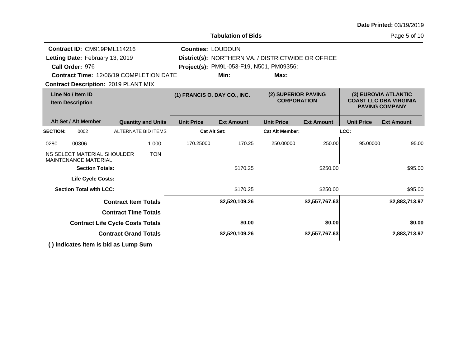**Tabulation of Bids**

Page 5 of 10

|                                              | Contract ID: CM919PML114216                                                                                         |  |                           |                              | <b>Counties: LOUDOUN</b>                           |                                           |                   |                                                                                |                   |
|----------------------------------------------|---------------------------------------------------------------------------------------------------------------------|--|---------------------------|------------------------------|----------------------------------------------------|-------------------------------------------|-------------------|--------------------------------------------------------------------------------|-------------------|
|                                              | Letting Date: February 13, 2019                                                                                     |  |                           |                              | District(s): NORTHERN VA. / DISTRICTWIDE OR OFFICE |                                           |                   |                                                                                |                   |
|                                              | Call Order: 976                                                                                                     |  |                           |                              | Project(s): PM9L-053-F19, N501, PM09356;           |                                           |                   |                                                                                |                   |
|                                              | <b>Contract Time: 12/06/19 COMPLETION DATE</b>                                                                      |  |                           |                              | Min:                                               | Max:                                      |                   |                                                                                |                   |
|                                              | <b>Contract Description: 2019 PLANT MIX</b>                                                                         |  |                           |                              |                                                    |                                           |                   |                                                                                |                   |
| Line No / Item ID<br><b>Item Description</b> |                                                                                                                     |  |                           | (1) FRANCIS O. DAY CO., INC. |                                                    | (2) SUPERIOR PAVING<br><b>CORPORATION</b> |                   | (3) EUROVIA ATLANTIC<br><b>COAST LLC DBA VIRGINIA</b><br><b>PAVING COMPANY</b> |                   |
|                                              | Alt Set / Alt Member                                                                                                |  | <b>Quantity and Units</b> | <b>Unit Price</b>            | <b>Ext Amount</b>                                  | <b>Unit Price</b>                         | <b>Ext Amount</b> | <b>Unit Price</b>                                                              | <b>Ext Amount</b> |
| <b>SECTION:</b>                              | ALTERNATE BID ITEMS<br>0002                                                                                         |  |                           | <b>Cat Alt Set:</b>          |                                                    | <b>Cat Alt Member:</b>                    |                   | LCC:                                                                           |                   |
| 0280<br>00306<br>1.000                       |                                                                                                                     |  | 170.25000                 | 170.25                       | 250.00000                                          | 250.00                                    | 95.00000          | 95.00                                                                          |                   |
|                                              | NS SELECT MATERIAL SHOULDER<br><b>MAINTENANCE MATERIAL</b>                                                          |  | <b>TON</b>                |                              |                                                    |                                           |                   |                                                                                |                   |
|                                              | <b>Section Totals:</b>                                                                                              |  |                           |                              | \$170.25                                           |                                           | \$250.00          |                                                                                | \$95.00           |
|                                              | <b>Life Cycle Costs:</b>                                                                                            |  |                           |                              |                                                    |                                           |                   |                                                                                |                   |
|                                              | <b>Section Total with LCC:</b>                                                                                      |  |                           |                              | \$170.25                                           |                                           | \$250.00          |                                                                                | \$95.00           |
|                                              | <b>Contract Item Totals</b>                                                                                         |  |                           |                              | \$2,520,109.26                                     |                                           | \$2,557,767.63    |                                                                                | \$2,883,713.97    |
| <b>Contract Time Totals</b>                  |                                                                                                                     |  |                           |                              |                                                    |                                           |                   |                                                                                |                   |
| <b>Contract Life Cycle Costs Totals</b>      |                                                                                                                     |  |                           |                              | \$0.00                                             |                                           | \$0.00            |                                                                                | \$0.00            |
|                                              | <b>Contract Grand Totals</b>                                                                                        |  |                           |                              | \$2,520,109.26                                     |                                           | \$2,557,767.63    |                                                                                | 2,883,713.97      |
|                                              | $\lambda$ and $\lambda$ and $\lambda$ are the set of $\lambda$ and $\lambda$ are the set of $\lambda$ and $\lambda$ |  |                           |                              |                                                    |                                           |                   |                                                                                |                   |

**( ) indicates item is bid as Lump Sum**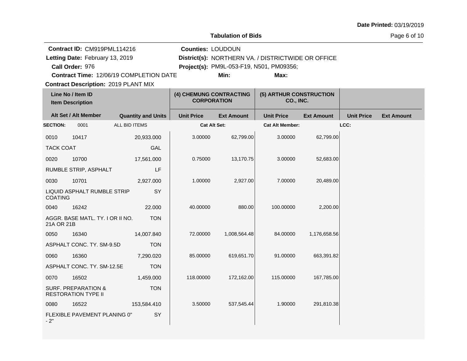**Tabulation of Bids**

Page 6 of 10

| Contract ID: CM919PML114216                    | <b>Counties: LOUDOUN</b>                        |                                                    |  |
|------------------------------------------------|-------------------------------------------------|----------------------------------------------------|--|
| Letting Date: February 13, 2019                |                                                 | District(s): NORTHERN VA. / DISTRICTWIDE OR OFFICE |  |
| Call Order: 976                                | <b>Project(s): PM9L-053-F19, N501, PM09356;</b> |                                                    |  |
| <b>Contract Time: 12/06/19 COMPLETION DATE</b> | Min:                                            | Max:                                               |  |
| <b>Contract Description: 2019 PLANT MIX</b>    |                                                 |                                                    |  |

|                  | Line No / Item ID<br><b>Item Description</b>                 |                           | (4) CHEMUNG CONTRACTING<br><b>CORPORATION</b> |                   | (5) ARTHUR CONSTRUCTION<br>CO., INC. |                   |                   |                   |
|------------------|--------------------------------------------------------------|---------------------------|-----------------------------------------------|-------------------|--------------------------------------|-------------------|-------------------|-------------------|
|                  | Alt Set / Alt Member                                         | <b>Quantity and Units</b> | <b>Unit Price</b>                             | <b>Ext Amount</b> | <b>Unit Price</b>                    | <b>Ext Amount</b> | <b>Unit Price</b> | <b>Ext Amount</b> |
| <b>SECTION:</b>  | 0001                                                         | ALL BID ITEMS             | <b>Cat Alt Set:</b>                           |                   | <b>Cat Alt Member:</b>               |                   | LCC:              |                   |
| 0010             | 10417                                                        | 20,933.000                | 3.00000                                       | 62,799.00         | 3.00000                              | 62,799.00         |                   |                   |
| <b>TACK COAT</b> |                                                              | GAL                       |                                               |                   |                                      |                   |                   |                   |
| 0020             | 10700                                                        | 17,561.000                | 0.75000                                       | 13,170.75         | 3.00000                              | 52,683.00         |                   |                   |
|                  | RUMBLE STRIP, ASPHALT                                        | LF                        |                                               |                   |                                      |                   |                   |                   |
| 0030             | 10701                                                        | 2,927.000                 | 1.00000                                       | 2,927.00          | 7.00000                              | 20,489.00         |                   |                   |
| <b>COATING</b>   | LIQUID ASPHALT RUMBLE STRIP                                  | SY                        |                                               |                   |                                      |                   |                   |                   |
| 0040             | 16242                                                        | 22,000                    | 40.00000                                      | 880.00            | 100.00000                            | 2,200.00          |                   |                   |
| 21A OR 21B       | AGGR. BASE MATL. TY. I OR II NO.                             | <b>TON</b>                |                                               |                   |                                      |                   |                   |                   |
| 0050             | 16340                                                        | 14,007.840                | 72.00000                                      | 1,008,564.48      | 84.00000                             | 1,176,658.56      |                   |                   |
|                  | ASPHALT CONC. TY. SM-9.5D                                    | <b>TON</b>                |                                               |                   |                                      |                   |                   |                   |
| 0060             | 16360                                                        | 7,290.020                 | 85.00000                                      | 619,651.70        | 91.00000                             | 663,391.82        |                   |                   |
|                  | ASPHALT CONC. TY. SM-12.5E                                   | <b>TON</b>                |                                               |                   |                                      |                   |                   |                   |
| 0070             | 16502                                                        | 1,459.000                 | 118.00000                                     | 172,162.00        | 115.00000                            | 167,785.00        |                   |                   |
|                  | <b>SURF. PREPARATION &amp;</b><br><b>RESTORATION TYPE II</b> | <b>TON</b>                |                                               |                   |                                      |                   |                   |                   |
| 0080             | 16522                                                        | 153,584.410               | 3.50000                                       | 537,545.44        | 1.90000                              | 291,810.38        |                   |                   |
| $-2"$            | FLEXIBLE PAVEMENT PLANING 0"                                 | SY                        |                                               |                   |                                      |                   |                   |                   |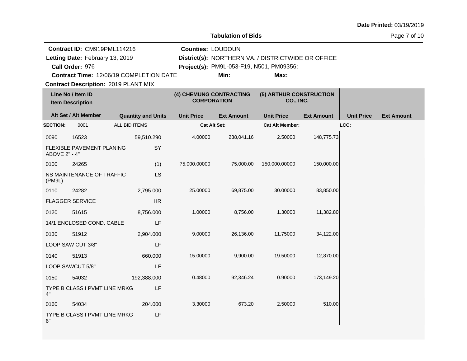**Tabulation of Bids**

Page 7 of 10

 $\overline{a}$ 

|                      | Contract ID: CM919PML114216                  |                           |                   | <b>Counties: LOUDOUN</b>                      |                   |                                                    |                   |                   |  |
|----------------------|----------------------------------------------|---------------------------|-------------------|-----------------------------------------------|-------------------|----------------------------------------------------|-------------------|-------------------|--|
|                      | Letting Date: February 13, 2019              |                           |                   |                                               |                   | District(s): NORTHERN VA. / DISTRICTWIDE OR OFFICE |                   |                   |  |
|                      | Call Order: 976                              |                           |                   |                                               |                   | Project(s): PM9L-053-F19, N501, PM09356;           |                   |                   |  |
|                      | Contract Time: 12/06/19 COMPLETION DATE      |                           |                   |                                               | Min:              | Max:                                               |                   |                   |  |
|                      | <b>Contract Description: 2019 PLANT MIX</b>  |                           |                   |                                               |                   |                                                    |                   |                   |  |
|                      | Line No / Item ID<br><b>Item Description</b> |                           |                   | (4) CHEMUNG CONTRACTING<br><b>CORPORATION</b> |                   | (5) ARTHUR CONSTRUCTION<br>CO., INC.               |                   |                   |  |
| Alt Set / Alt Member |                                              | <b>Quantity and Units</b> | <b>Unit Price</b> | <b>Ext Amount</b>                             | <b>Unit Price</b> | <b>Ext Amount</b>                                  | <b>Unit Price</b> | <b>Ext Amount</b> |  |
| <b>SECTION:</b>      | 0001                                         | <b>ALL BID ITEMS</b>      |                   | <b>Cat Alt Set:</b>                           |                   | <b>Cat Alt Member:</b>                             |                   | LCC:              |  |
| 0090                 | 16523                                        |                           | 59,510.290        | 4.00000                                       | 238,041.16        | 2.50000                                            | 148,775.73        |                   |  |
| ABOVE 2" - 4"        | FLEXIBLE PAVEMENT PLANING                    |                           | SY                |                                               |                   |                                                    |                   |                   |  |
| 0100                 | 24265                                        |                           | (1)               | 75,000.00000                                  | 75,000.00         | 150,000.00000                                      | 150,000.00        |                   |  |
| (PM9L)               | NS MAINTENANCE OF TRAFFIC                    |                           | LS                |                                               |                   |                                                    |                   |                   |  |
| 0110                 | 24282                                        |                           | 2,795.000         | 25.00000                                      | 69,875.00         | 30.00000                                           | 83,850.00         |                   |  |
|                      | <b>FLAGGER SERVICE</b>                       |                           | <b>HR</b>         |                                               |                   |                                                    |                   |                   |  |
| 0120                 | 51615                                        |                           | 8,756.000         | 1.00000                                       | 8,756.00          | 1.30000                                            | 11,382.80         |                   |  |
|                      | 14/1 ENCLOSED COND. CABLE                    |                           | LF                |                                               |                   |                                                    |                   |                   |  |
| 0130                 | 51912                                        |                           | 2,904.000         | 9.00000                                       | 26,136.00         | 11.75000                                           | 34,122.00         |                   |  |
|                      | LOOP SAW CUT 3/8"                            |                           | LF                |                                               |                   |                                                    |                   |                   |  |
| 0140                 | 51913                                        |                           | 660.000           | 15.00000                                      | 9,900.00          | 19.50000                                           | 12,870.00         |                   |  |
|                      | LOOP SAWCUT 5/8"                             |                           | LF                |                                               |                   |                                                    |                   |                   |  |
| 0150                 | 54032                                        |                           | 192,388.000       | 0.48000                                       | 92,346.24         | 0.90000                                            | 173,149.20        |                   |  |
| 4"                   | TYPE B CLASS I PVMT LINE MRKG                |                           | LF                |                                               |                   |                                                    |                   |                   |  |
| 0160                 | 54034                                        |                           | 204.000           | 3.30000                                       | 673.20            | 2.50000                                            | 510.00            |                   |  |
| 6"                   | TYPE B CLASS I PVMT LINE MRKG                |                           | LF                |                                               |                   |                                                    |                   |                   |  |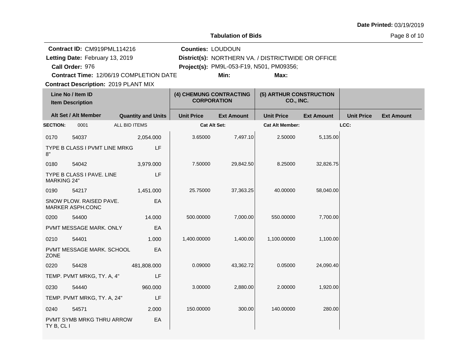**Tabulation of Bids**

Page 8 of 10

| Contract ID: CM919PML114216                                    | <b>Counties: LOUDOUN</b>                      |                     |                                      |                                                    |                   |                   |                   |  |  |
|----------------------------------------------------------------|-----------------------------------------------|---------------------|--------------------------------------|----------------------------------------------------|-------------------|-------------------|-------------------|--|--|
| Letting Date: February 13, 2019                                |                                               |                     |                                      | District(s): NORTHERN VA. / DISTRICTWIDE OR OFFICE |                   |                   |                   |  |  |
| Call Order: 976                                                |                                               |                     |                                      | <b>Project(s): PM9L-053-F19, N501, PM09356;</b>    |                   |                   |                   |  |  |
| <b>Contract Time: 12/06/19 COMPLETION DATE</b><br>Min:<br>Max: |                                               |                     |                                      |                                                    |                   |                   |                   |  |  |
|                                                                | <b>Contract Description: 2019 PLANT MIX</b>   |                     |                                      |                                                    |                   |                   |                   |  |  |
| Line No / Item ID<br><b>Item Description</b>                   | (4) CHEMUNG CONTRACTING<br><b>CORPORATION</b> |                     | (5) ARTHUR CONSTRUCTION<br>CO., INC. |                                                    |                   |                   |                   |  |  |
| Alt Set / Alt Member                                           | <b>Quantity and Units</b>                     | <b>Unit Price</b>   | <b>Ext Amount</b>                    | <b>Unit Price</b>                                  | <b>Ext Amount</b> | <b>Unit Price</b> | <b>Ext Amount</b> |  |  |
| <b>SECTION:</b><br>0001                                        | ALL BID ITEMS                                 | <b>Cat Alt Set:</b> |                                      | <b>Cat Alt Member:</b>                             |                   | LCC:              |                   |  |  |

| <b>SECTION:</b>    | 0001                                        | ALL BID ITEMS | <b>Cat Alt Set:</b> |           | <b>Cat Alt Member:</b> | LCC:      |
|--------------------|---------------------------------------------|---------------|---------------------|-----------|------------------------|-----------|
| 0170               | 54037                                       | 2,054.000     | 3.65000             | 7,497.10  | 2.50000                | 5,135.00  |
| 8"                 | TYPE B CLASS I PVMT LINE MRKG               | <b>LF</b>     |                     |           |                        |           |
| 0180               | 54042                                       | 3,979.000     | 7.50000             | 29,842.50 | 8.25000                | 32,826.75 |
| <b>MARKING 24"</b> | TYPE B CLASS I PAVE. LINE                   | LF            |                     |           |                        |           |
| 0190               | 54217                                       | 1,451.000     | 25.75000            | 37,363.25 | 40.00000               | 58,040.00 |
|                    | SNOW PLOW. RAISED PAVE.<br>MARKER ASPH.CONC | EA            |                     |           |                        |           |
| 0200               | 54400                                       | 14.000        | 500.00000           | 7,000.00  | 550.00000              | 7,700.00  |
|                    | PVMT MESSAGE MARK. ONLY                     | EA            |                     |           |                        |           |
| 0210               | 54401                                       | 1.000         | 1,400.00000         | 1,400.00  | 1,100.00000            | 1,100.00  |
| <b>ZONE</b>        | PVMT MESSAGE MARK. SCHOOL                   | EA            |                     |           |                        |           |
| 0220               | 54428                                       | 481,808.000   | 0.09000             | 43,362.72 | 0.05000                | 24,090.40 |
|                    | TEMP. PVMT MRKG, TY. A, 4"                  | LF            |                     |           |                        |           |
| 0230               | 54440                                       | 960.000       | 3.00000             | 2,880.00  | 2.00000                | 1,920.00  |
|                    | TEMP. PVMT MRKG, TY. A, 24"                 | LF            |                     |           |                        |           |
| 0240               | 54571                                       | 2.000         | 150.00000           | 300.00    | 140.00000              | 280.00    |
| TY B, CL I         | PVMT SYMB MRKG THRU ARROW                   | EA            |                     |           |                        |           |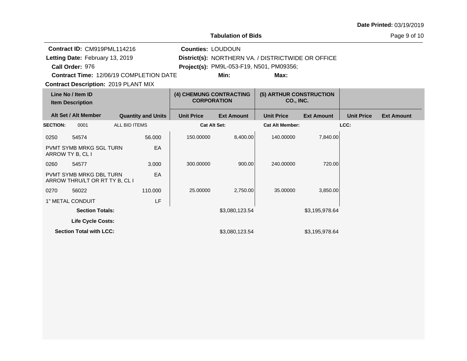**Tabulation of Bids**

Page 9 of 10

 $\overline{a}$ 

|                                              | Contract ID: CM919PML114216                                      |  |                           | <b>Counties: LOUDOUN</b>                      |                   |                                                    |                   |                   |                   |
|----------------------------------------------|------------------------------------------------------------------|--|---------------------------|-----------------------------------------------|-------------------|----------------------------------------------------|-------------------|-------------------|-------------------|
|                                              | Letting Date: February 13, 2019                                  |  |                           |                                               |                   | District(s): NORTHERN VA. / DISTRICTWIDE OR OFFICE |                   |                   |                   |
|                                              | Call Order: 976                                                  |  |                           |                                               |                   | Project(s): PM9L-053-F19, N501, PM09356;           |                   |                   |                   |
|                                              | <b>Contract Time: 12/06/19 COMPLETION DATE</b>                   |  |                           |                                               | Min:              | Max:                                               |                   |                   |                   |
|                                              | <b>Contract Description: 2019 PLANT MIX</b>                      |  |                           |                                               |                   |                                                    |                   |                   |                   |
| Line No / Item ID<br><b>Item Description</b> |                                                                  |  |                           | (4) CHEMUNG CONTRACTING<br><b>CORPORATION</b> |                   | (5) ARTHUR CONSTRUCTION<br>CO., INC.               |                   |                   |                   |
|                                              | Alt Set / Alt Member                                             |  | <b>Quantity and Units</b> | <b>Unit Price</b>                             | <b>Ext Amount</b> | <b>Unit Price</b>                                  | <b>Ext Amount</b> | <b>Unit Price</b> | <b>Ext Amount</b> |
| <b>SECTION:</b>                              | <b>ALL BID ITEMS</b><br>0001                                     |  |                           | <b>Cat Alt Set:</b>                           |                   | <b>Cat Alt Member:</b>                             |                   | LCC:              |                   |
| 0250                                         | 54574                                                            |  | 56.000                    | 150.00000                                     | 8.400.00          | 140.00000                                          | 7,840.00          |                   |                   |
|                                              | <b>PVMT SYMB MRKG SGL TURN</b><br>ARROW TY B, CL I               |  | EA                        |                                               |                   |                                                    |                   |                   |                   |
| 0260                                         | 54577                                                            |  | 3.000                     | 300.00000                                     | 900.00            | 240.00000                                          | 720.00            |                   |                   |
|                                              | <b>PVMT SYMB MRKG DBL TURN</b><br>ARROW THRU/LT OR RT TY B, CL I |  | EA                        |                                               |                   |                                                    |                   |                   |                   |
| 0270                                         | 56022                                                            |  | 110.000                   | 25.00000                                      | 2,750.00          | 35.00000                                           | 3,850.00          |                   |                   |
|                                              | 1" METAL CONDUIT                                                 |  | LF                        |                                               |                   |                                                    |                   |                   |                   |
|                                              | <b>Section Totals:</b>                                           |  |                           |                                               | \$3,080,123.54    |                                                    | \$3,195,978.64    |                   |                   |
|                                              | <b>Life Cycle Costs:</b>                                         |  |                           |                                               |                   |                                                    |                   |                   |                   |
|                                              | <b>Section Total with LCC:</b>                                   |  |                           |                                               | \$3,080,123.54    |                                                    | \$3,195,978.64    |                   |                   |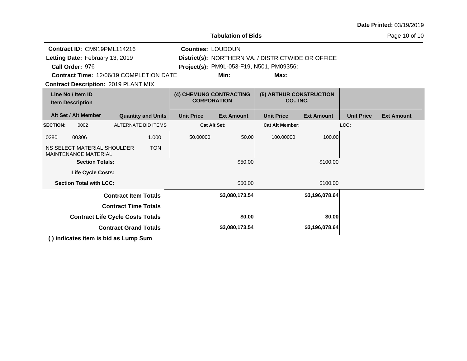| <b>Tabulation of Bids</b>                                                          |                                        |                                                                                                |  |  |  |  |  |  |  |
|------------------------------------------------------------------------------------|----------------------------------------|------------------------------------------------------------------------------------------------|--|--|--|--|--|--|--|
| <b>Counties: LOUDOUN</b><br><b>Contract Time: 12/06/19 COMPLETION DATE</b><br>Min: | Max:                                   |                                                                                                |  |  |  |  |  |  |  |
| (4) CHEMUNG CONTRACTING<br><b>CORPORATION</b>                                      | (5) ARTHUR CONSTRUCTION<br>CO., INC.   |                                                                                                |  |  |  |  |  |  |  |
| <b>Unit Price</b><br><b>Ext Amount</b>                                             | <b>Unit Price</b><br><b>Ext Amount</b> | <b>Unit Price</b><br><b>Ext Amount</b>                                                         |  |  |  |  |  |  |  |
| <b>Cat Alt Set:</b>                                                                | <b>Cat Alt Member:</b>                 | LCC:                                                                                           |  |  |  |  |  |  |  |
| 50.00000<br>50.00                                                                  | 100.00000<br>100.00                    |                                                                                                |  |  |  |  |  |  |  |
|                                                                                    |                                        |                                                                                                |  |  |  |  |  |  |  |
| \$50.00                                                                            | \$100.00                               |                                                                                                |  |  |  |  |  |  |  |
|                                                                                    |                                        |                                                                                                |  |  |  |  |  |  |  |
| \$50.00                                                                            | \$100.00                               |                                                                                                |  |  |  |  |  |  |  |
| \$3,080,173.54                                                                     | \$3,196,078.64                         |                                                                                                |  |  |  |  |  |  |  |
|                                                                                    |                                        |                                                                                                |  |  |  |  |  |  |  |
| \$0.00                                                                             | \$0.00                                 |                                                                                                |  |  |  |  |  |  |  |
| \$3,080,173.54                                                                     | \$3,196,078.64                         |                                                                                                |  |  |  |  |  |  |  |
|                                                                                    |                                        | District(s): NORTHERN VA. / DISTRICTWIDE OR OFFICE<br>Project(s): PM9L-053-F19, N501, PM09356; |  |  |  |  |  |  |  |

**( ) indicates item is bid as Lump Sum**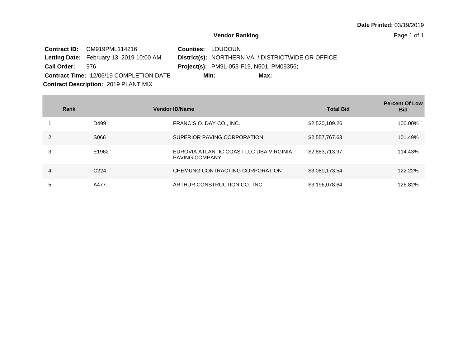Page 1 of 1

|                 | Contract ID: CM919PML114216                     | <b>Counties: LOUDOUN</b> |                                                 |                                                    |  |
|-----------------|-------------------------------------------------|--------------------------|-------------------------------------------------|----------------------------------------------------|--|
|                 | <b>Letting Date:</b> February 13, 2019 10:00 AM |                          |                                                 | District(s): NORTHERN VA. / DISTRICTWIDE OR OFFICE |  |
| Call Order: 976 |                                                 |                          | <b>Project(s):</b> PM9L-053-F19, N501, PM09356; |                                                    |  |
|                 | <b>Contract Time: 12/06/19 COMPLETION DATE</b>  |                          | Min:                                            | Max:                                               |  |
|                 | <b>Contract Description: 2019 PLANT MIX</b>     |                          |                                                 |                                                    |  |

**Contract Contract Contract Contract** 

|   | Rank             | <b>Vendor ID/Name</b>                                            | <b>Total Bid</b> | <b>Percent Of Low</b><br><b>Bid</b> |
|---|------------------|------------------------------------------------------------------|------------------|-------------------------------------|
|   | D499             | FRANCIS O. DAY CO., INC.                                         | \$2,520,109.26   | 100.00%                             |
|   | S066             | SUPERIOR PAVING CORPORATION                                      | \$2,557,767.63   | 101.49%                             |
|   | E1962            | EUROVIA ATLANTIC COAST LLC DBA VIRGINIA<br><b>PAVING COMPANY</b> | \$2,883,713.97   | 114.43%                             |
| 4 | C <sub>224</sub> | CHEMUNG CONTRACTING CORPORATION                                  | \$3,080,173.54   | 122.22%                             |
| 5 | A477             | ARTHUR CONSTRUCTION CO., INC.                                    | \$3,196,078.64   | 126.82%                             |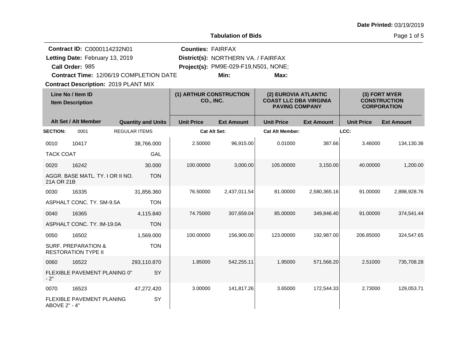Page 1 of 5

| <b>Contract ID: C0000114232N01</b>           |                                                              |                      | <b>Counties: FAIRFAX</b>             |                     |                                                                                |                        |                                                            |                   |                   |
|----------------------------------------------|--------------------------------------------------------------|----------------------|--------------------------------------|---------------------|--------------------------------------------------------------------------------|------------------------|------------------------------------------------------------|-------------------|-------------------|
|                                              | Letting Date: February 13, 2019                              |                      |                                      |                     | District(s): NORTHERN VA. / FAIRFAX                                            |                        |                                                            |                   |                   |
|                                              | Call Order: 985                                              |                      |                                      |                     | Project(s): PM9E-029-F19,N501, NONE;                                           |                        |                                                            |                   |                   |
|                                              | Contract Time: 12/06/19 COMPLETION DATE                      |                      |                                      |                     | Min:                                                                           | Max:                   |                                                            |                   |                   |
|                                              | <b>Contract Description: 2019 PLANT MIX</b>                  |                      |                                      |                     |                                                                                |                        |                                                            |                   |                   |
| Line No / Item ID<br><b>Item Description</b> |                                                              |                      | (1) ARTHUR CONSTRUCTION<br>CO., INC. |                     | (2) EUROVIA ATLANTIC<br><b>COAST LLC DBA VIRGINIA</b><br><b>PAVING COMPANY</b> |                        | (3) FORT MYER<br><b>CONSTRUCTION</b><br><b>CORPORATION</b> |                   |                   |
|                                              | Alt Set / Alt Member                                         |                      | <b>Quantity and Units</b>            | <b>Unit Price</b>   | <b>Ext Amount</b>                                                              | <b>Unit Price</b>      | <b>Ext Amount</b>                                          | <b>Unit Price</b> | <b>Ext Amount</b> |
| <b>SECTION:</b>                              | 0001                                                         | <b>REGULAR ITEMS</b> |                                      | <b>Cat Alt Set:</b> |                                                                                | <b>Cat Alt Member:</b> |                                                            | LCC:              |                   |
| 0010                                         | 10417                                                        |                      | 38,766.000                           | 2.50000             | 96,915.00                                                                      | 0.01000                | 387.66                                                     | 3.46000           | 134,130.36        |
| <b>TACK COAT</b>                             |                                                              |                      | GAL                                  |                     |                                                                                |                        |                                                            |                   |                   |
| 0020                                         | 16242                                                        |                      | 30.000                               | 100.00000           | 3,000.00                                                                       | 105.00000              | 3,150.00                                                   | 40.00000          | 1,200.00          |
| 21A OR 21B                                   | AGGR. BASE MATL. TY. I OR II NO.                             |                      | <b>TON</b>                           |                     |                                                                                |                        |                                                            |                   |                   |
| 0030                                         | 16335                                                        |                      | 31,856.360                           | 76.50000            | 2,437,011.54                                                                   | 81.00000               | 2,580,365.16                                               | 91.00000          | 2,898,928.76      |
|                                              | ASPHALT CONC. TY. SM-9.5A                                    |                      | <b>TON</b>                           |                     |                                                                                |                        |                                                            |                   |                   |
| 0040                                         | 16365                                                        |                      | 4,115.840                            | 74.75000            | 307,659.04                                                                     | 85.00000               | 349.846.40                                                 | 91.00000          | 374,541.44        |
|                                              | ASPHALT CONC. TY. IM-19.0A                                   |                      | <b>TON</b>                           |                     |                                                                                |                        |                                                            |                   |                   |
| 0050                                         | 16502                                                        |                      | 1,569.000                            | 100.00000           | 156,900.00                                                                     | 123.00000              | 192,987.00                                                 | 206.85000         | 324,547.65        |
|                                              | <b>SURF. PREPARATION &amp;</b><br><b>RESTORATION TYPE II</b> |                      | <b>TON</b>                           |                     |                                                                                |                        |                                                            |                   |                   |
| 0060                                         | 16522                                                        |                      | 293,110.870                          | 1.85000             | 542,255.11                                                                     | 1.95000                | 571,566.20                                                 | 2.51000           | 735,708.28        |
| $-2"$                                        | FLEXIBLE PAVEMENT PLANING 0"                                 |                      | SY                                   |                     |                                                                                |                        |                                                            |                   |                   |
| 0070                                         | 16523                                                        |                      | 47,272.420                           | 3.00000             | 141,817.26                                                                     | 3.65000                | 172,544.33                                                 | 2.73000           | 129,053.71        |
| ABOVE 2" - 4"                                | FLEXIBLE PAVEMENT PLANING                                    |                      | SY                                   |                     |                                                                                |                        |                                                            |                   |                   |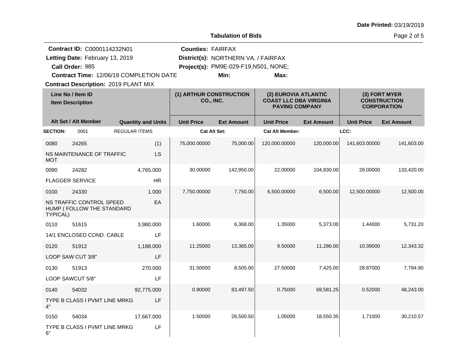|  |  | Date Printed: 03/19/2019 |
|--|--|--------------------------|
|--|--|--------------------------|

Page 2 of 5

| <b>Contract ID: C0000114232N01</b> |                                                       |                           | <b>Counties: FAIRFAX</b> |                                      |                        |                                                                                |                   |                                                            |  |
|------------------------------------|-------------------------------------------------------|---------------------------|--------------------------|--------------------------------------|------------------------|--------------------------------------------------------------------------------|-------------------|------------------------------------------------------------|--|
|                                    | Letting Date: February 13, 2019                       |                           |                          | District(s): NORTHERN VA. / FAIRFAX  |                        |                                                                                |                   |                                                            |  |
|                                    | Call Order: 985                                       |                           |                          | Project(s): PM9E-029-F19,N501, NONE; |                        |                                                                                |                   |                                                            |  |
|                                    | Contract Time: 12/06/19 COMPLETION DATE               |                           |                          | Min:                                 | Max:                   |                                                                                |                   |                                                            |  |
|                                    | <b>Contract Description: 2019 PLANT MIX</b>           |                           |                          |                                      |                        |                                                                                |                   |                                                            |  |
|                                    | Line No / Item ID<br><b>Item Description</b>          |                           |                          | (1) ARTHUR CONSTRUCTION<br>CO., INC. |                        | (2) EUROVIA ATLANTIC<br><b>COAST LLC DBA VIRGINIA</b><br><b>PAVING COMPANY</b> |                   | (3) FORT MYER<br><b>CONSTRUCTION</b><br><b>CORPORATION</b> |  |
|                                    | Alt Set / Alt Member                                  | <b>Quantity and Units</b> | <b>Unit Price</b>        | <b>Ext Amount</b>                    | <b>Unit Price</b>      | <b>Ext Amount</b>                                                              | <b>Unit Price</b> | <b>Ext Amount</b>                                          |  |
| <b>SECTION:</b>                    | 0001                                                  | <b>REGULAR ITEMS</b>      | <b>Cat Alt Set:</b>      |                                      | <b>Cat Alt Member:</b> |                                                                                | LCC:              |                                                            |  |
| 0080                               | 24265                                                 | (1)                       | 75,000.00000             | 75,000.00                            | 120,000.00000          | 120,000.00                                                                     | 141,603.00000     | 141,603.00                                                 |  |
| MOT                                | NS MAINTENANCE OF TRAFFIC                             | LS                        |                          |                                      |                        |                                                                                |                   |                                                            |  |
| 0090                               | 24282                                                 | 4,765.000                 | 30.00000                 | 142,950.00                           | 22.00000               | 104,830.00                                                                     | 28.00000          | 133,420.00                                                 |  |
|                                    | <b>FLAGGER SERVICE</b>                                | HR                        |                          |                                      |                        |                                                                                |                   |                                                            |  |
| 0100                               | 24330                                                 | 1.000                     | 7,750.00000              | 7,750.00                             | 6,500.00000            | 6,500.00                                                                       | 12,500.00000      | 12,500.00                                                  |  |
| <b>TYPICAL)</b>                    | NS TRAFFIC CONTROL SPEED<br>HUMP (FOLLOW THE STANDARD | EA                        |                          |                                      |                        |                                                                                |                   |                                                            |  |
| 0110                               | 51615                                                 | 3,980.000                 | 1.60000                  | 6,368.00                             | 1.35000                | 5,373.00                                                                       | 1.44000           | 5,731.20                                                   |  |
|                                    | 14/1 ENCLOSED COND. CABLE                             | LF                        |                          |                                      |                        |                                                                                |                   |                                                            |  |
| 0120                               | 51912                                                 | 1,188.000                 | 11.25000                 | 13,365.00                            | 9.50000                | 11,286.00                                                                      | 10.39000          | 12,343.32                                                  |  |
|                                    | LOOP SAW CUT 3/8"                                     | LF                        |                          |                                      |                        |                                                                                |                   |                                                            |  |
| 0130                               | 51913                                                 | 270.000                   | 31.50000                 | 8,505.00                             | 27.50000               | 7,425.00                                                                       | 28.87000          | 7,794.90                                                   |  |
|                                    | LOOP SAWCUT 5/8"                                      | LF                        |                          |                                      |                        |                                                                                |                   |                                                            |  |
| 0140                               | 54032                                                 | 92,775.000                | 0.90000                  | 83,497.50                            | 0.75000                | 69.581.25                                                                      | 0.52000           | 48,243.00                                                  |  |
| 4"                                 | TYPE B CLASS I PVMT LINE MRKG                         | LF                        |                          |                                      |                        |                                                                                |                   |                                                            |  |
| 0150                               | 54034                                                 | 17,667.000                | 1.50000                  | 26,500.50                            | 1.05000                | 18,550.35                                                                      | 1.71000           | 30,210.57                                                  |  |
| 6"                                 | TYPE B CLASS I PVMT LINE MRKG                         | LF                        |                          |                                      |                        |                                                                                |                   |                                                            |  |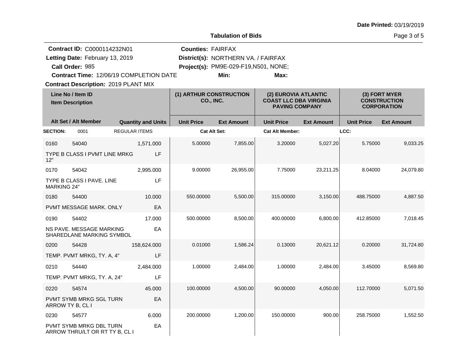Page 3 of 5

|                                              | <b>Contract ID: C0000114232N01</b>                        |                           | <b>Counties: FAIRFAX</b> |                                      |                        |                                                                                |                   |                                                            |  |
|----------------------------------------------|-----------------------------------------------------------|---------------------------|--------------------------|--------------------------------------|------------------------|--------------------------------------------------------------------------------|-------------------|------------------------------------------------------------|--|
|                                              | Letting Date: February 13, 2019                           |                           |                          | District(s): NORTHERN VA. / FAIRFAX  |                        |                                                                                |                   |                                                            |  |
|                                              | Call Order: 985                                           |                           |                          | Project(s): PM9E-029-F19,N501, NONE; |                        |                                                                                |                   |                                                            |  |
|                                              | Contract Time: 12/06/19 COMPLETION DATE                   |                           |                          | Min:                                 | Max:                   |                                                                                |                   |                                                            |  |
|                                              | <b>Contract Description: 2019 PLANT MIX</b>               |                           |                          |                                      |                        |                                                                                |                   |                                                            |  |
| Line No / Item ID<br><b>Item Description</b> |                                                           |                           |                          | (1) ARTHUR CONSTRUCTION<br>CO., INC. |                        | (2) EUROVIA ATLANTIC<br><b>COAST LLC DBA VIRGINIA</b><br><b>PAVING COMPANY</b> |                   | (3) FORT MYER<br><b>CONSTRUCTION</b><br><b>CORPORATION</b> |  |
|                                              | Alt Set / Alt Member                                      | <b>Quantity and Units</b> | <b>Unit Price</b>        | <b>Ext Amount</b>                    | <b>Unit Price</b>      | <b>Ext Amount</b>                                                              | <b>Unit Price</b> | <b>Ext Amount</b>                                          |  |
| <b>SECTION:</b>                              | 0001                                                      | <b>REGULAR ITEMS</b>      |                          | Cat Alt Set:                         | <b>Cat Alt Member:</b> |                                                                                | LCC:              |                                                            |  |
| 0160                                         | 54040                                                     | 1,571.000                 | 5.00000                  | 7,855.00                             | 3.20000                | 5,027.20                                                                       | 5.75000           | 9,033.25                                                   |  |
| 12"                                          | TYPE B CLASS I PVMT LINE MRKG                             | LF                        |                          |                                      |                        |                                                                                |                   |                                                            |  |
| 0170                                         | 54042                                                     | 2,995.000                 | 9.00000                  | 26,955.00                            | 7.75000                | 23,211.25                                                                      | 8.04000           | 24,079.80                                                  |  |
| <b>MARKING 24"</b>                           | TYPE B CLASS I PAVE. LINE                                 | LF                        |                          |                                      |                        |                                                                                |                   |                                                            |  |
| 0180                                         | 54400                                                     | 10.000                    | 550.00000                | 5,500.00                             | 315.00000              | 3,150.00                                                                       | 488.75000         | 4,887.50                                                   |  |
|                                              | PVMT MESSAGE MARK. ONLY                                   | EA                        |                          |                                      |                        |                                                                                |                   |                                                            |  |
| 0190                                         | 54402                                                     | 17.000                    | 500.00000                | 8,500.00                             | 400.00000              | 6,800.00                                                                       | 412.85000         | 7,018.45                                                   |  |
|                                              | NS PAVE. MESSAGE MARKING<br>SHAREDLANE MARKING SYMBOL     | EA                        |                          |                                      |                        |                                                                                |                   |                                                            |  |
| 0200                                         | 54428                                                     | 158,624.000               | 0.01000                  | 1,586.24                             | 0.13000                | 20,621.12                                                                      | 0.20000           | 31,724.80                                                  |  |
|                                              | TEMP. PVMT MRKG, TY. A, 4"                                | LF                        |                          |                                      |                        |                                                                                |                   |                                                            |  |
| 0210                                         | 54440                                                     | 2,484.000                 | 1.00000                  | 2,484.00                             | 1.00000                | 2,484.00                                                                       | 3.45000           | 8,569.80                                                   |  |
|                                              | TEMP. PVMT MRKG, TY. A, 24"                               | LF                        |                          |                                      |                        |                                                                                |                   |                                                            |  |
| 0220                                         | 54574                                                     | 45.000                    | 100.00000                | 4,500.00                             | 90.00000               | 4,050.00                                                                       | 112.70000         | 5,071.50                                                   |  |
| ARROW TY B, CL I                             | PVMT SYMB MRKG SGL TURN                                   | EA                        |                          |                                      |                        |                                                                                |                   |                                                            |  |
| 0230                                         | 54577                                                     | 6.000                     | 200.00000                | 1,200.00                             | 150.00000              | 900.00                                                                         | 258.75000         | 1,552.50                                                   |  |
|                                              | PVMT SYMB MRKG DBL TURN<br>ARROW THRU/LT OR RT TY B, CL I | EA                        |                          |                                      |                        |                                                                                |                   |                                                            |  |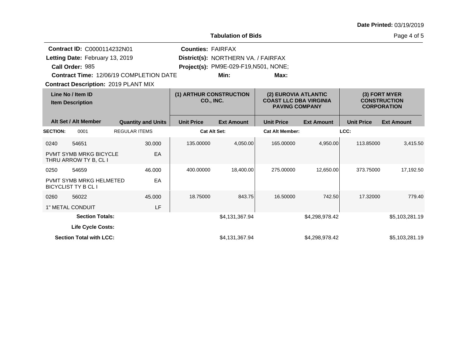Page 4 of 5

|                 | <b>Contract ID: C0000114232N01</b>                           |                                                | <b>Counties: FAIRFAX</b> |                                       |                                                        |                   |                   |                                           |
|-----------------|--------------------------------------------------------------|------------------------------------------------|--------------------------|---------------------------------------|--------------------------------------------------------|-------------------|-------------------|-------------------------------------------|
|                 | Letting Date: February 13, 2019                              |                                                |                          | District(s): NORTHERN VA. / FAIRFAX   |                                                        |                   |                   |                                           |
|                 | Call Order: 985                                              |                                                |                          | Project(s): PM9E-029-F19, N501, NONE; |                                                        |                   |                   |                                           |
|                 |                                                              | <b>Contract Time: 12/06/19 COMPLETION DATE</b> |                          | Min:                                  | Max:                                                   |                   |                   |                                           |
|                 |                                                              | <b>Contract Description: 2019 PLANT MIX</b>    |                          |                                       |                                                        |                   |                   |                                           |
|                 |                                                              |                                                |                          |                                       |                                                        |                   |                   |                                           |
|                 | Line No / Item ID                                            |                                                | (1) ARTHUR CONSTRUCTION  |                                       | (2) EUROVIA ATLANTIC                                   |                   | (3) FORT MYER     |                                           |
|                 | <b>Item Description</b>                                      |                                                | CO., INC.                |                                       | <b>COAST LLC DBA VIRGINIA</b><br><b>PAVING COMPANY</b> |                   |                   | <b>CONSTRUCTION</b><br><b>CORPORATION</b> |
|                 |                                                              |                                                |                          |                                       |                                                        |                   |                   |                                           |
|                 | Alt Set / Alt Member                                         | <b>Quantity and Units</b>                      | <b>Unit Price</b>        | <b>Ext Amount</b>                     | <b>Unit Price</b>                                      | <b>Ext Amount</b> | <b>Unit Price</b> | <b>Ext Amount</b>                         |
| <b>SECTION:</b> | 0001                                                         | <b>REGULAR ITEMS</b>                           |                          | Cat Alt Set:                          | <b>Cat Alt Member:</b>                                 |                   | LCC:              |                                           |
| 0240            | 54651                                                        | 30,000                                         | 135.00000                | 4,050.00                              | 165.00000                                              | 4,950.00          | 113.85000         | 3,415.50                                  |
|                 | <b>PVMT SYMB MRKG BICYCLE</b><br>THRU ARROW TY B, CL I       | EA                                             |                          |                                       |                                                        |                   |                   |                                           |
| 0250            | 54659                                                        | 46.000                                         | 400.00000                | 18,400.00                             | 275.00000                                              | 12,650.00         | 373.75000         | 17,192.50                                 |
|                 | <b>PVMT SYMB MRKG HELMETED</b><br><b>BICYCLIST TY B CL I</b> | EA                                             |                          |                                       |                                                        |                   |                   |                                           |
| 0260            | 56022                                                        | 45.000                                         | 18.75000                 | 843.75                                | 16.50000                                               | 742.50            | 17.32000          | 779.40                                    |
|                 | 1" METAL CONDUIT                                             | LF                                             |                          |                                       |                                                        |                   |                   |                                           |
|                 | <b>Section Totals:</b>                                       |                                                |                          | \$4,131,367.94                        |                                                        | \$4,298,978.42    |                   | \$5,103,281.19                            |
|                 | <b>Life Cycle Costs:</b>                                     |                                                |                          |                                       |                                                        |                   |                   |                                           |
|                 | <b>Section Total with LCC:</b>                               |                                                |                          | \$4,131,367.94                        |                                                        | \$4.298.978.42    |                   | \$5,103,281.19                            |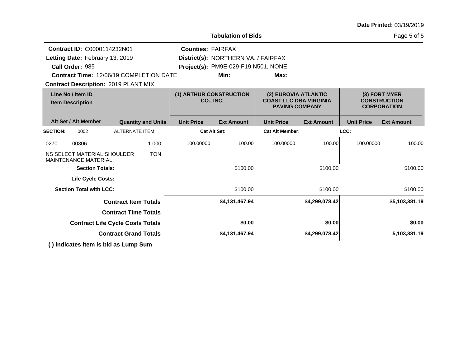|                                              | <b>Contract ID: C0000114232N01</b>                         |                                             |                           | <b>Counties: FAIRFAX</b>                                                       |                                       |                                                            |                   |                   |                   |  |
|----------------------------------------------|------------------------------------------------------------|---------------------------------------------|---------------------------|--------------------------------------------------------------------------------|---------------------------------------|------------------------------------------------------------|-------------------|-------------------|-------------------|--|
|                                              | Letting Date: February 13, 2019                            |                                             |                           |                                                                                | District(s): NORTHERN VA. / FAIRFAX   |                                                            |                   |                   |                   |  |
|                                              | Call Order: 985                                            |                                             |                           |                                                                                | Project(s): PM9E-029-F19, N501, NONE; |                                                            |                   |                   |                   |  |
|                                              | <b>Contract Time: 12/06/19 COMPLETION DATE</b>             |                                             |                           |                                                                                | Min:                                  | Max:                                                       |                   |                   |                   |  |
|                                              | <b>Contract Description: 2019 PLANT MIX</b>                |                                             |                           |                                                                                |                                       |                                                            |                   |                   |                   |  |
| Line No / Item ID<br><b>Item Description</b> |                                                            | (1) ARTHUR CONSTRUCTION<br><b>CO., INC.</b> |                           | (2) EUROVIA ATLANTIC<br><b>COAST LLC DBA VIRGINIA</b><br><b>PAVING COMPANY</b> |                                       | (3) FORT MYER<br><b>CONSTRUCTION</b><br><b>CORPORATION</b> |                   |                   |                   |  |
|                                              | Alt Set / Alt Member                                       |                                             | <b>Quantity and Units</b> | <b>Unit Price</b>                                                              | <b>Ext Amount</b>                     | <b>Unit Price</b>                                          | <b>Ext Amount</b> | <b>Unit Price</b> | <b>Ext Amount</b> |  |
| <b>SECTION:</b>                              | 0002                                                       | <b>ALTERNATE ITEM</b>                       |                           |                                                                                | <b>Cat Alt Set:</b>                   | <b>Cat Alt Member:</b>                                     |                   | LCC:              |                   |  |
| 0270                                         | 00306                                                      |                                             | 1.000                     | 100.00000                                                                      | 100.00                                | 100.00000                                                  | 100.00            | 100.00000         | 100.00            |  |
|                                              | NS SELECT MATERIAL SHOULDER<br><b>MAINTENANCE MATERIAL</b> |                                             | <b>TON</b>                |                                                                                |                                       |                                                            |                   |                   |                   |  |
|                                              | <b>Section Totals:</b>                                     |                                             |                           |                                                                                | \$100.00                              |                                                            | \$100.00          |                   | \$100.00          |  |
|                                              | <b>Life Cycle Costs:</b>                                   |                                             |                           |                                                                                |                                       |                                                            |                   |                   |                   |  |
|                                              | <b>Section Total with LCC:</b>                             |                                             |                           |                                                                                | \$100.00                              |                                                            | \$100.00          |                   | \$100.00          |  |
|                                              |                                                            | <b>Contract Item Totals</b>                 |                           |                                                                                | \$4,131,467.94                        |                                                            | \$4,299,078.42    |                   | \$5,103,381.19    |  |
|                                              |                                                            | <b>Contract Time Totals</b>                 |                           |                                                                                |                                       |                                                            |                   |                   |                   |  |
|                                              |                                                            | <b>Contract Life Cycle Costs Totals</b>     |                           |                                                                                | \$0.00                                |                                                            | \$0.00            |                   | \$0.00            |  |
| <b>Contract Grand Totals</b>                 |                                                            |                                             |                           |                                                                                | \$4,131,467.94                        |                                                            | \$4,299,078.42    | 5,103,381.19      |                   |  |
|                                              | () indicates item is bid as Lump Sum                       |                                             |                           |                                                                                |                                       |                                                            |                   |                   |                   |  |
|                                              |                                                            |                                             |                           |                                                                                |                                       |                                                            |                   |                   |                   |  |

**Tabulation of Bids**

Page 5 of 5

**Date Printed:** 03/19/2019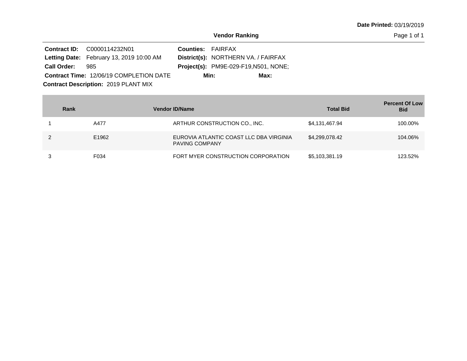|                                             | <b>Contract ID:</b> C0000114232N01              | <b>Counties: FAIRFAX</b> |                                              |  |  |  |  |
|---------------------------------------------|-------------------------------------------------|--------------------------|----------------------------------------------|--|--|--|--|
|                                             | <b>Letting Date:</b> February 13, 2019 10:00 AM |                          | District(s): NORTHERN VA. / FAIRFAX          |  |  |  |  |
| <b>Call Order:</b>                          | 985                                             |                          | <b>Project(s): PM9E-029-F19, N501, NONE;</b> |  |  |  |  |
|                                             | Contract Time: 12/06/19 COMPLETION DATE         |                          | Min:<br>Max:                                 |  |  |  |  |
| <b>Contract Description: 2019 PLANT MIX</b> |                                                 |                          |                                              |  |  |  |  |

**College** 

| Rank  | <b>Vendor ID/Name</b>                                            | <b>Total Bid</b> | <b>Percent Of Low</b><br><b>Bid</b> |
|-------|------------------------------------------------------------------|------------------|-------------------------------------|
| A477  | ARTHUR CONSTRUCTION CO., INC.                                    | \$4,131,467.94   | 100.00%                             |
| E1962 | EUROVIA ATLANTIC COAST LLC DBA VIRGINIA<br><b>PAVING COMPANY</b> | \$4,299,078.42   | 104.06%                             |
| F034  | FORT MYER CONSTRUCTION CORPORATION                               | \$5,103,381.19   | 123.52%                             |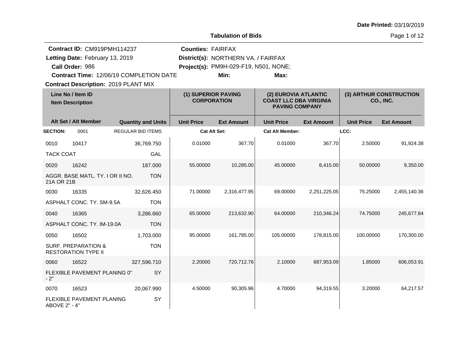|  |  | Date Printed: 03/19/2019 |
|--|--|--------------------------|
|--|--|--------------------------|

Page 1 of 12

|                  |                                                              | Contract ID: CM919PMH114237<br><b>Counties: FAIRFAX</b> |                   |                                           |                        |                                                                                |                   |                                      |  |
|------------------|--------------------------------------------------------------|---------------------------------------------------------|-------------------|-------------------------------------------|------------------------|--------------------------------------------------------------------------------|-------------------|--------------------------------------|--|
|                  | Letting Date: February 13, 2019                              |                                                         |                   | District(s): NORTHERN VA. / FAIRFAX       |                        |                                                                                |                   |                                      |  |
|                  | Call Order: 986                                              |                                                         |                   | Project(s): PM9H-029-F19, N501, NONE;     |                        |                                                                                |                   |                                      |  |
|                  |                                                              | Contract Time: 12/06/19 COMPLETION DATE                 |                   | Min:                                      | Max:                   |                                                                                |                   |                                      |  |
|                  | <b>Contract Description: 2019 PLANT MIX</b>                  |                                                         |                   |                                           |                        |                                                                                |                   |                                      |  |
|                  | Line No / Item ID<br><b>Item Description</b>                 |                                                         |                   | (1) SUPERIOR PAVING<br><b>CORPORATION</b> |                        | (2) EUROVIA ATLANTIC<br><b>COAST LLC DBA VIRGINIA</b><br><b>PAVING COMPANY</b> |                   | (3) ARTHUR CONSTRUCTION<br>CO., INC. |  |
|                  | Alt Set / Alt Member                                         | <b>Quantity and Units</b>                               | <b>Unit Price</b> | <b>Ext Amount</b>                         | <b>Unit Price</b>      | <b>Ext Amount</b>                                                              | <b>Unit Price</b> | <b>Ext Amount</b>                    |  |
| <b>SECTION:</b>  | 0001                                                         | <b>REGULAR BID ITEMS</b>                                | Cat Alt Set:      |                                           | <b>Cat Alt Member:</b> |                                                                                | LCC:              |                                      |  |
| 0010             | 10417                                                        | 36,769.750                                              | 0.01000           | 367.70                                    | 0.01000                | 367.70                                                                         | 2.50000           | 91,924.38                            |  |
| <b>TACK COAT</b> |                                                              | GAL                                                     |                   |                                           |                        |                                                                                |                   |                                      |  |
| 0020             | 16242                                                        | 187.000                                                 | 55.00000          | 10,285.00                                 | 45.00000               | 8,415.00                                                                       | 50.00000          | 9,350.00                             |  |
| 21A OR 21B       | AGGR. BASE MATL. TY. I OR II NO.                             | <b>TON</b>                                              |                   |                                           |                        |                                                                                |                   |                                      |  |
| 0030             | 16335                                                        | 32,626.450                                              | 71.00000          | 2,316,477.95                              | 69.00000               | 2,251,225.05                                                                   | 75.25000          | 2,455,140.36                         |  |
|                  | ASPHALT CONC. TY, SM-9.5A                                    | <b>TON</b>                                              |                   |                                           |                        |                                                                                |                   |                                      |  |
| 0040             | 16365                                                        | 3,286.660                                               | 65.00000          | 213,632.90                                | 64.00000               | 210,346.24                                                                     | 74.75000          | 245,677.84                           |  |
|                  | ASPHALT CONC. TY. IM-19.0A                                   | <b>TON</b>                                              |                   |                                           |                        |                                                                                |                   |                                      |  |
| 0050             | 16502                                                        | 1,703.000                                               | 95.00000          | 161,785.00                                | 105.00000              | 178,815.00                                                                     | 100.00000         | 170,300.00                           |  |
|                  | <b>SURF. PREPARATION &amp;</b><br><b>RESTORATION TYPE II</b> | <b>TON</b>                                              |                   |                                           |                        |                                                                                |                   |                                      |  |
| 0060             | 16522                                                        | 327,596.710                                             | 2.20000           | 720,712.76                                | 2.10000                | 687,953.09                                                                     | 1.85000           | 606,053.91                           |  |
| $-2"$            | FLEXIBLE PAVEMENT PLANING 0"                                 | SY                                                      |                   |                                           |                        |                                                                                |                   |                                      |  |
| 0070             | 16523                                                        | 20,067.990                                              | 4.50000           | 90,305.96                                 | 4.70000                | 94,319.55                                                                      | 3.20000           | 64,217.57                            |  |
| ABOVE 2" - 4"    | <b>FLEXIBLE PAVEMENT PLANING</b>                             | SY                                                      |                   |                                           |                        |                                                                                |                   |                                      |  |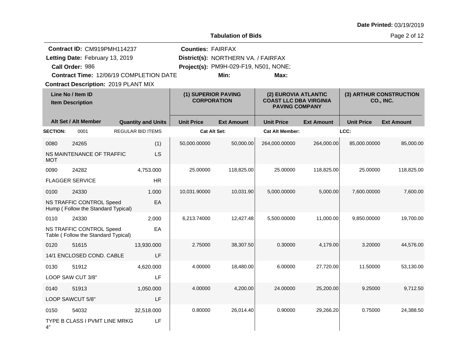|  |  | Date Printed: 03/19/2019 |
|--|--|--------------------------|
|--|--|--------------------------|

Page 2 of 12

| Contract ID: CM919PMH114237     |                                                                        |                                         | <b>Counties: FAIRFAX</b> |                                           |                        |                                                                                |                   |                                      |  |
|---------------------------------|------------------------------------------------------------------------|-----------------------------------------|--------------------------|-------------------------------------------|------------------------|--------------------------------------------------------------------------------|-------------------|--------------------------------------|--|
| Letting Date: February 13, 2019 |                                                                        |                                         |                          | District(s): NORTHERN VA. / FAIRFAX       |                        |                                                                                |                   |                                      |  |
|                                 | Call Order: 986                                                        |                                         |                          | Project(s): PM9H-029-F19, N501, NONE;     |                        |                                                                                |                   |                                      |  |
|                                 |                                                                        | Contract Time: 12/06/19 COMPLETION DATE |                          | Min:                                      | Max:                   |                                                                                |                   |                                      |  |
|                                 | <b>Contract Description: 2019 PLANT MIX</b>                            |                                         |                          |                                           |                        |                                                                                |                   |                                      |  |
|                                 | Line No / Item ID<br><b>Item Description</b>                           |                                         |                          | (1) SUPERIOR PAVING<br><b>CORPORATION</b> |                        | (2) EUROVIA ATLANTIC<br><b>COAST LLC DBA VIRGINIA</b><br><b>PAVING COMPANY</b> |                   | (3) ARTHUR CONSTRUCTION<br>CO., INC. |  |
|                                 | Alt Set / Alt Member                                                   | <b>Quantity and Units</b>               | <b>Unit Price</b>        | <b>Ext Amount</b>                         | <b>Unit Price</b>      | <b>Ext Amount</b>                                                              | <b>Unit Price</b> | <b>Ext Amount</b>                    |  |
| <b>SECTION:</b>                 | 0001                                                                   | <b>REGULAR BID ITEMS</b>                | <b>Cat Alt Set:</b>      |                                           | <b>Cat Alt Member:</b> |                                                                                | LCC:              |                                      |  |
| 0080                            | 24265                                                                  | (1)                                     | 50,000.00000             | 50,000.00                                 | 264,000.00000          | 264,000.00                                                                     | 85,000.00000      | 85,000.00                            |  |
| MOT                             | NS MAINTENANCE OF TRAFFIC                                              | LS                                      |                          |                                           |                        |                                                                                |                   |                                      |  |
| 0090                            | 24282                                                                  | 4,753.000                               | 25.00000                 | 118,825.00                                | 25.00000               | 118,825.00                                                                     | 25.00000          | 118,825.00                           |  |
|                                 | <b>FLAGGER SERVICE</b>                                                 | HR.                                     |                          |                                           |                        |                                                                                |                   |                                      |  |
| 0100                            | 24330                                                                  | 1.000                                   | 10,031.90000             | 10,031.90                                 | 5,000.00000            | 5,000.00                                                                       | 7,600.00000       | 7,600.00                             |  |
|                                 | NS TRAFFIC CONTROL Speed<br>Hump (Follow the Standard Typical)         | EA                                      |                          |                                           |                        |                                                                                |                   |                                      |  |
| 0110                            | 24330                                                                  | 2.000                                   | 6,213.74000              | 12,427.48                                 | 5,500.00000            | 11,000.00                                                                      | 9,850.00000       | 19,700.00                            |  |
|                                 | <b>NS TRAFFIC CONTROL Speed</b><br>Table (Follow the Standard Typical) | EA                                      |                          |                                           |                        |                                                                                |                   |                                      |  |
| 0120                            | 51615                                                                  | 13,930.000                              | 2.75000                  | 38,307.50                                 | 0.30000                | 4,179.00                                                                       | 3.20000           | 44,576.00                            |  |
|                                 | 14/1 ENCLOSED COND. CABLE                                              | LF                                      |                          |                                           |                        |                                                                                |                   |                                      |  |
| 0130                            | 51912                                                                  | 4,620.000                               | 4.00000                  | 18,480.00                                 | 6.00000                | 27,720.00                                                                      | 11.50000          | 53,130.00                            |  |
|                                 | LOOP SAW CUT 3/8"                                                      | LF                                      |                          |                                           |                        |                                                                                |                   |                                      |  |
| 0140                            | 51913                                                                  | 1,050.000                               | 4.00000                  | 4,200.00                                  | 24.00000               | 25,200.00                                                                      | 9.25000           | 9,712.50                             |  |
|                                 | LOOP SAWCUT 5/8"                                                       | LF                                      |                          |                                           |                        |                                                                                |                   |                                      |  |
| 0150                            | 54032                                                                  | 32,518.000                              | 0.80000                  | 26,014.40                                 | 0.90000                | 29,266.20                                                                      | 0.75000           | 24,388.50                            |  |
| 4"                              | TYPE B CLASS I PVMT LINE MRKG                                          | LF                                      |                          |                                           |                        |                                                                                |                   |                                      |  |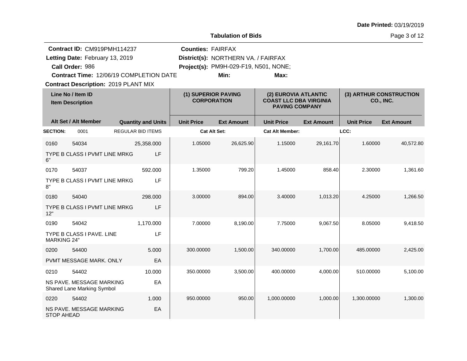| Date Printed: 03/19/2019 |  |
|--------------------------|--|
|--------------------------|--|

Page 3 of 12

| Contract ID: CM919PMH114237<br>Letting Date: February 13, 2019<br>Call Order: 986 |                                                        |  | <b>Counties: FAIRFAX</b><br>District(s): NORTHERN VA. / FAIRFAX<br>Project(s): PM9H-029-F19, N501, NONE; |                     |                                           |                        |                                                                                |                   |                                             |  |
|-----------------------------------------------------------------------------------|--------------------------------------------------------|--|----------------------------------------------------------------------------------------------------------|---------------------|-------------------------------------------|------------------------|--------------------------------------------------------------------------------|-------------------|---------------------------------------------|--|
|                                                                                   | Contract Time: 12/06/19 COMPLETION DATE                |  |                                                                                                          |                     | Min:                                      | Max:                   |                                                                                |                   |                                             |  |
|                                                                                   | <b>Contract Description: 2019 PLANT MIX</b>            |  |                                                                                                          |                     |                                           |                        |                                                                                |                   |                                             |  |
|                                                                                   | Line No / Item ID<br><b>Item Description</b>           |  |                                                                                                          |                     | (1) SUPERIOR PAVING<br><b>CORPORATION</b> |                        | (2) EUROVIA ATLANTIC<br><b>COAST LLC DBA VIRGINIA</b><br><b>PAVING COMPANY</b> |                   | (3) ARTHUR CONSTRUCTION<br><b>CO., INC.</b> |  |
|                                                                                   | Alt Set / Alt Member                                   |  | <b>Quantity and Units</b>                                                                                | <b>Unit Price</b>   | <b>Ext Amount</b>                         | <b>Unit Price</b>      | <b>Ext Amount</b>                                                              | <b>Unit Price</b> | <b>Ext Amount</b>                           |  |
| <b>SECTION:</b>                                                                   | 0001                                                   |  | <b>REGULAR BID ITEMS</b>                                                                                 | <b>Cat Alt Set:</b> |                                           | <b>Cat Alt Member:</b> |                                                                                | LCC:              |                                             |  |
| 0160                                                                              | 54034                                                  |  | 25,358.000                                                                                               | 1.05000             | 26,625.90                                 | 1.15000                | 29,161.70                                                                      | 1.60000           | 40,572.80                                   |  |
| հ"                                                                                | TYPE B CLASS I PVMT LINE MRKG                          |  | LF                                                                                                       |                     |                                           |                        |                                                                                |                   |                                             |  |
| 0170                                                                              | 54037                                                  |  | 592.000                                                                                                  | 1.35000             | 799.20                                    | 1.45000                | 858.40                                                                         | 2.30000           | 1,361.60                                    |  |
| 8"                                                                                | TYPE B CLASS I PVMT LINE MRKG                          |  | LF                                                                                                       |                     |                                           |                        |                                                                                |                   |                                             |  |
| 0180                                                                              | 54040                                                  |  | 298,000                                                                                                  | 3.00000             | 894.00                                    | 3.40000                | 1,013.20                                                                       | 4.25000           | 1,266.50                                    |  |
| 12"                                                                               | TYPE B CLASS I PVMT LINE MRKG                          |  | LF                                                                                                       |                     |                                           |                        |                                                                                |                   |                                             |  |
| 0190                                                                              | 54042                                                  |  | 1,170.000                                                                                                | 7.00000             | 8,190.00                                  | 7.75000                | 9,067.50                                                                       | 8.05000           | 9,418.50                                    |  |
| <b>MARKING 24"</b>                                                                | TYPE B CLASS I PAVE. LINE                              |  | LF                                                                                                       |                     |                                           |                        |                                                                                |                   |                                             |  |
| 0200                                                                              | 54400                                                  |  | 5.000                                                                                                    | 300.00000           | 1,500.00                                  | 340.00000              | 1,700.00                                                                       | 485.00000         | 2,425.00                                    |  |
|                                                                                   | PVMT MESSAGE MARK. ONLY                                |  | EA                                                                                                       |                     |                                           |                        |                                                                                |                   |                                             |  |
| 0210                                                                              | 54402                                                  |  | 10.000                                                                                                   | 350.00000           | 3,500.00                                  | 400.00000              | 4,000.00                                                                       | 510.00000         | 5,100.00                                    |  |
|                                                                                   | NS PAVE. MESSAGE MARKING<br>Shared Lane Marking Symbol |  | EA                                                                                                       |                     |                                           |                        |                                                                                |                   |                                             |  |
| 0220                                                                              | 54402                                                  |  | 1.000                                                                                                    | 950.00000           | 950.00                                    | 1,000.00000            | 1,000.00                                                                       | 1,300.00000       | 1,300.00                                    |  |
| <b>STOP AHEAD</b>                                                                 | NS PAVE. MESSAGE MARKING                               |  | EA                                                                                                       |                     |                                           |                        |                                                                                |                   |                                             |  |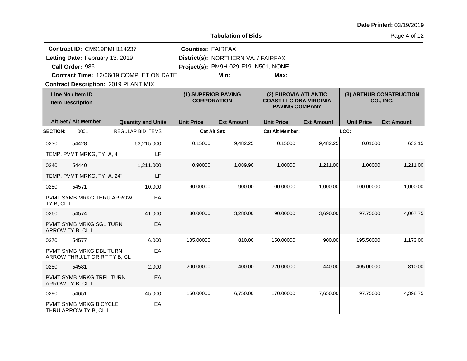| Date Printed: 03/19/2019 |  |
|--------------------------|--|
|--------------------------|--|

Page 4 of 12

|                 | Contract ID: CM919PMH114237                               |                          |                           | <b>Counties: FAIRFAX</b> |                                           |                        |                                                                                |                   |                                             |  |  |
|-----------------|-----------------------------------------------------------|--------------------------|---------------------------|--------------------------|-------------------------------------------|------------------------|--------------------------------------------------------------------------------|-------------------|---------------------------------------------|--|--|
|                 | Letting Date: February 13, 2019                           |                          |                           |                          | District(s): NORTHERN VA. / FAIRFAX       |                        |                                                                                |                   |                                             |  |  |
|                 | Call Order: 986                                           |                          |                           |                          | Project(s): PM9H-029-F19, N501, NONE;     |                        |                                                                                |                   |                                             |  |  |
|                 | Contract Time: 12/06/19 COMPLETION DATE                   |                          |                           |                          | Min:                                      | Max:                   |                                                                                |                   |                                             |  |  |
|                 | <b>Contract Description: 2019 PLANT MIX</b>               |                          |                           |                          |                                           |                        |                                                                                |                   |                                             |  |  |
|                 | Line No / Item ID<br><b>Item Description</b>              |                          |                           |                          | (1) SUPERIOR PAVING<br><b>CORPORATION</b> |                        | (2) EUROVIA ATLANTIC<br><b>COAST LLC DBA VIRGINIA</b><br><b>PAVING COMPANY</b> |                   | (3) ARTHUR CONSTRUCTION<br><b>CO., INC.</b> |  |  |
|                 | Alt Set / Alt Member                                      |                          | <b>Quantity and Units</b> | <b>Unit Price</b>        | <b>Ext Amount</b>                         | <b>Unit Price</b>      | <b>Ext Amount</b>                                                              | <b>Unit Price</b> | <b>Ext Amount</b>                           |  |  |
| <b>SECTION:</b> | 0001                                                      | <b>REGULAR BID ITEMS</b> |                           | <b>Cat Alt Set:</b>      |                                           | <b>Cat Alt Member:</b> |                                                                                | LCC:              |                                             |  |  |
| 0230            | 54428                                                     |                          | 63,215.000                | 0.15000                  | 9,482.25                                  | 0.15000                | 9,482.25                                                                       | 0.01000           | 632.15                                      |  |  |
|                 | TEMP. PVMT MRKG, TY. A, 4"                                |                          | LF                        |                          |                                           |                        |                                                                                |                   |                                             |  |  |
| 0240            | 54440                                                     |                          | 1,211.000                 | 0.90000                  | 1,089.90                                  | 1.00000                | 1,211.00                                                                       | 1.00000           | 1,211.00                                    |  |  |
|                 | TEMP. PVMT MRKG, TY. A, 24"                               |                          | LF                        |                          |                                           |                        |                                                                                |                   |                                             |  |  |
| 0250            | 54571                                                     |                          | 10.000                    | 90.00000                 | 900.00                                    | 100.00000              | 1,000.00                                                                       | 100.00000         | 1,000.00                                    |  |  |
| TY B, CL I      | PVMT SYMB MRKG THRU ARROW                                 |                          | EA                        |                          |                                           |                        |                                                                                |                   |                                             |  |  |
| 0260            | 54574                                                     |                          | 41.000                    | 80.00000                 | 3,280.00                                  | 90.00000               | 3,690.00                                                                       | 97.75000          | 4,007.75                                    |  |  |
|                 | PVMT SYMB MRKG SGL TURN<br>ARROW TY B, CL I               |                          | EA                        |                          |                                           |                        |                                                                                |                   |                                             |  |  |
| 0270            | 54577                                                     |                          | 6.000                     | 135.00000                | 810.00                                    | 150.00000              | 900.00                                                                         | 195.50000         | 1,173.00                                    |  |  |
|                 | PVMT SYMB MRKG DBL TURN<br>ARROW THRU/LT OR RT TY B, CL I |                          | EA                        |                          |                                           |                        |                                                                                |                   |                                             |  |  |
| 0280            | 54581                                                     |                          | 2.000                     | 200.00000                | 400.00                                    | 220.00000              | 440.00                                                                         | 405.00000         | 810.00                                      |  |  |
|                 | PVMT SYMB MRKG TRPL TURN<br>ARROW TY B, CL I              |                          | EA                        |                          |                                           |                        |                                                                                |                   |                                             |  |  |
| 0290            | 54651                                                     |                          | 45.000                    | 150.00000                | 6,750.00                                  | 170.00000              | 7,650.00                                                                       | 97.75000          | 4,398.75                                    |  |  |
|                 | PVMT SYMB MRKG BICYCLE<br>THRU ARROW TY B, CL I           |                          | EA                        |                          |                                           |                        |                                                                                |                   |                                             |  |  |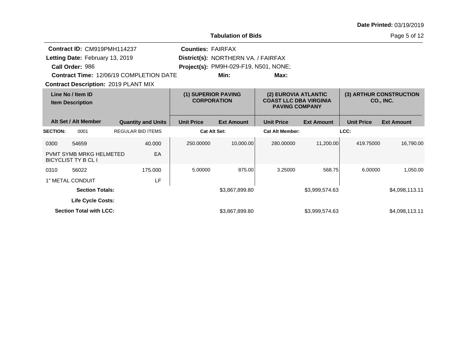| Date Printed: 03/19/2019 |  |
|--------------------------|--|
|--------------------------|--|

Page 5 of 12

|                                              | Contract ID: CM919PMH114237<br>Letting Date: February 13, 2019<br>Call Order: 986 | <b>Contract Time: 12/06/19 COMPLETION DATE</b><br><b>Contract Description: 2019 PLANT MIX</b> | <b>Counties: FAIRFAX</b> | District(s): NORTHERN VA. / FAIRFAX<br>Project(s): PM9H-029-F19, N501, NONE;<br>Min: | Max:                   |                                             |                   |                   |
|----------------------------------------------|-----------------------------------------------------------------------------------|-----------------------------------------------------------------------------------------------|--------------------------|--------------------------------------------------------------------------------------|------------------------|---------------------------------------------|-------------------|-------------------|
| Line No / Item ID<br><b>Item Description</b> |                                                                                   | (1) SUPERIOR PAVING<br><b>CORPORATION</b>                                                     |                          | (2) EUROVIA ATLANTIC<br><b>COAST LLC DBA VIRGINIA</b><br><b>PAVING COMPANY</b>       |                        | (3) ARTHUR CONSTRUCTION<br><b>CO., INC.</b> |                   |                   |
|                                              | Alt Set / Alt Member                                                              | <b>Quantity and Units</b>                                                                     | <b>Unit Price</b>        | <b>Ext Amount</b>                                                                    | <b>Unit Price</b>      | <b>Ext Amount</b>                           | <b>Unit Price</b> | <b>Ext Amount</b> |
| <b>SECTION:</b>                              | 0001                                                                              | <b>REGULAR BID ITEMS</b>                                                                      | <b>Cat Alt Set:</b>      |                                                                                      | <b>Cat Alt Member:</b> |                                             | LCC:              |                   |
| 0300                                         | 54659                                                                             | 40.000                                                                                        | 250.00000                | 10.000.00                                                                            | 280.00000              | 11,200.00                                   | 419.75000         | 16.790.00         |
|                                              | <b>PVMT SYMB MRKG HELMETED</b><br><b>BICYCLIST TY B CL I</b>                      | EA                                                                                            |                          |                                                                                      |                        |                                             |                   |                   |
| 0310                                         | 56022                                                                             | 175.000                                                                                       | 5.00000                  | 875.00                                                                               | 3.25000                | 568.75                                      | 6.00000           | 1.050.00          |
|                                              | 1" METAL CONDUIT                                                                  | LF                                                                                            |                          |                                                                                      |                        |                                             |                   |                   |
| <b>Section Totals:</b>                       |                                                                                   |                                                                                               | \$3,867,899.80           |                                                                                      | \$3,999,574.63         |                                             | \$4,098,113.11    |                   |
|                                              | <b>Life Cycle Costs:</b>                                                          |                                                                                               |                          |                                                                                      |                        |                                             |                   |                   |
|                                              | <b>Section Total with LCC:</b>                                                    |                                                                                               |                          | \$3,867,899.80                                                                       |                        | \$3,999,574.63                              |                   | \$4,098,113.11    |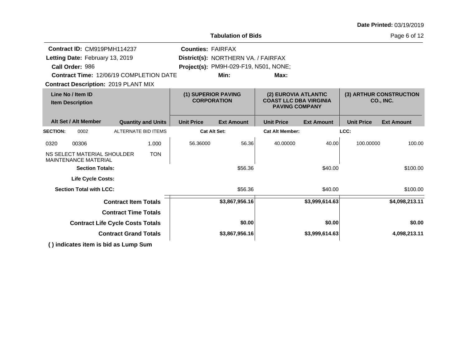|                                                                             |                                                                                                                              |                           |                          | <b>Tabulation of Bids</b>                                                            |                                                                                |                   | Page 6 of 12      |                                      |
|-----------------------------------------------------------------------------|------------------------------------------------------------------------------------------------------------------------------|---------------------------|--------------------------|--------------------------------------------------------------------------------------|--------------------------------------------------------------------------------|-------------------|-------------------|--------------------------------------|
| Letting Date: February 13, 2019<br>Call Order: 986                          | Contract ID: CM919PMH114237<br><b>Contract Time: 12/06/19 COMPLETION DATE</b><br><b>Contract Description: 2019 PLANT MIX</b> |                           | <b>Counties: FAIRFAX</b> | District(s): NORTHERN VA. / FAIRFAX<br>Project(s): PM9H-029-F19, N501, NONE;<br>Min: | Max:                                                                           |                   |                   |                                      |
| Line No / Item ID<br><b>Item Description</b>                                |                                                                                                                              |                           | (1) SUPERIOR PAVING      | <b>CORPORATION</b>                                                                   | (2) EUROVIA ATLANTIC<br><b>COAST LLC DBA VIRGINIA</b><br><b>PAVING COMPANY</b> |                   |                   | (3) ARTHUR CONSTRUCTION<br>CO., INC. |
| Alt Set / Alt Member                                                        |                                                                                                                              | <b>Quantity and Units</b> | <b>Unit Price</b>        | <b>Ext Amount</b>                                                                    | <b>Unit Price</b>                                                              | <b>Ext Amount</b> | <b>Unit Price</b> | <b>Ext Amount</b>                    |
| <b>SECTION:</b><br>0002                                                     |                                                                                                                              | ALTERNATE BID ITEMS       |                          | <b>Cat Alt Set:</b>                                                                  | <b>Cat Alt Member:</b>                                                         |                   | LCC:              |                                      |
| 0320<br>00306<br>NS SELECT MATERIAL SHOULDER<br><b>MAINTENANCE MATERIAL</b> |                                                                                                                              | 1.000<br><b>TON</b>       | 56.36000                 | 56.36                                                                                | 40.00000                                                                       | 40.00             | 100.00000         | 100.00                               |
|                                                                             | <b>Section Totals:</b>                                                                                                       |                           |                          | \$56.36                                                                              |                                                                                | \$40.00           |                   | \$100.00                             |
|                                                                             | <b>Life Cycle Costs:</b>                                                                                                     |                           |                          |                                                                                      |                                                                                |                   |                   |                                      |
| <b>Section Total with LCC:</b>                                              |                                                                                                                              |                           |                          | \$56.36                                                                              |                                                                                | \$40.00           |                   | \$100.00                             |
|                                                                             | <b>Contract Item Totals</b>                                                                                                  |                           |                          | \$3,867,956.16                                                                       |                                                                                | \$3,999,614.63    |                   | \$4,098,213.11                       |
|                                                                             | <b>Contract Time Totals</b>                                                                                                  |                           |                          |                                                                                      |                                                                                |                   |                   |                                      |
|                                                                             | <b>Contract Life Cycle Costs Totals</b>                                                                                      |                           |                          | \$0.00                                                                               |                                                                                | \$0.00            |                   | \$0.00                               |
|                                                                             | <b>Contract Grand Totals</b>                                                                                                 |                           |                          | \$3,867,956.16                                                                       |                                                                                | \$3,999,614.63    |                   | 4,098,213.11                         |

**( ) indicates item is bid as Lump Sum**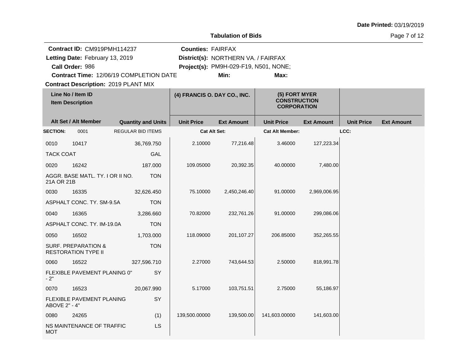|  |  | Date Printed: 03/19/2019 |
|--|--|--------------------------|
|--|--|--------------------------|

Page 7 of 12

|                  | Contract ID: CM919PMH114237                       |                                             | <b>Counties: FAIRFAX</b>     |                                       |                                                            |                   |                   |                   |
|------------------|---------------------------------------------------|---------------------------------------------|------------------------------|---------------------------------------|------------------------------------------------------------|-------------------|-------------------|-------------------|
|                  | Letting Date: February 13, 2019                   |                                             |                              | District(s): NORTHERN VA. / FAIRFAX   |                                                            |                   |                   |                   |
|                  | Call Order: 986                                   |                                             |                              | Project(s): PM9H-029-F19, N501, NONE; |                                                            |                   |                   |                   |
|                  |                                                   | Contract Time: 12/06/19 COMPLETION DATE     |                              | Min:                                  | Max:                                                       |                   |                   |                   |
|                  |                                                   | <b>Contract Description: 2019 PLANT MIX</b> |                              |                                       |                                                            |                   |                   |                   |
|                  | Line No / Item ID<br><b>Item Description</b>      |                                             | (4) FRANCIS O. DAY CO., INC. |                                       | (5) FORT MYER<br><b>CONSTRUCTION</b><br><b>CORPORATION</b> |                   |                   |                   |
|                  | Alt Set / Alt Member                              | <b>Quantity and Units</b>                   | <b>Unit Price</b>            | <b>Ext Amount</b>                     | <b>Unit Price</b>                                          | <b>Ext Amount</b> | <b>Unit Price</b> | <b>Ext Amount</b> |
| <b>SECTION:</b>  | 0001                                              | <b>REGULAR BID ITEMS</b>                    | <b>Cat Alt Set:</b>          |                                       | <b>Cat Alt Member:</b>                                     |                   | LCC:              |                   |
| 0010             | 10417                                             | 36,769.750                                  | 2.10000                      | 77,216.48                             | 3.46000                                                    | 127,223.34        |                   |                   |
| <b>TACK COAT</b> |                                                   | <b>GAL</b>                                  |                              |                                       |                                                            |                   |                   |                   |
| 0020             | 16242                                             | 187.000                                     | 109.05000                    | 20,392.35                             | 40.00000                                                   | 7,480.00          |                   |                   |
| 21A OR 21B       | AGGR. BASE MATL. TY. I OR II NO.                  | <b>TON</b>                                  |                              |                                       |                                                            |                   |                   |                   |
| 0030             | 16335                                             | 32,626.450                                  | 75.10000                     | 2,450,246.40                          | 91.00000                                                   | 2,969,006.95      |                   |                   |
|                  | ASPHALT CONC. TY. SM-9.5A                         | <b>TON</b>                                  |                              |                                       |                                                            |                   |                   |                   |
| 0040             | 16365                                             | 3,286.660                                   | 70.82000                     | 232,761.26                            | 91.00000                                                   | 299,086.06        |                   |                   |
|                  | ASPHALT CONC. TY. IM-19.0A                        | <b>TON</b>                                  |                              |                                       |                                                            |                   |                   |                   |
| 0050             | 16502                                             | 1,703.000                                   | 118.09000                    | 201,107.27                            | 206.85000                                                  | 352,265.55        |                   |                   |
|                  | SURF. PREPARATION &<br><b>RESTORATION TYPE II</b> | <b>TON</b>                                  |                              |                                       |                                                            |                   |                   |                   |
| 0060             | 16522                                             | 327,596.710                                 | 2.27000                      | 743,644.53                            | 2.50000                                                    | 818,991.78        |                   |                   |
| $-2"$            | FLEXIBLE PAVEMENT PLANING 0"                      | SY                                          |                              |                                       |                                                            |                   |                   |                   |
| 0070             | 16523                                             | 20,067.990                                  | 5.17000                      | 103,751.51                            | 2.75000                                                    | 55,186.97         |                   |                   |
| ABOVE 2" - 4"    | FLEXIBLE PAVEMENT PLANING                         | SY                                          |                              |                                       |                                                            |                   |                   |                   |
| 0080             | 24265                                             | (1)                                         | 139,500.00000                | 139,500.00                            | 141,603.00000                                              | 141,603.00        |                   |                   |
| <b>MOT</b>       | NS MAINTENANCE OF TRAFFIC                         | LS                                          |                              |                                       |                                                            |                   |                   |                   |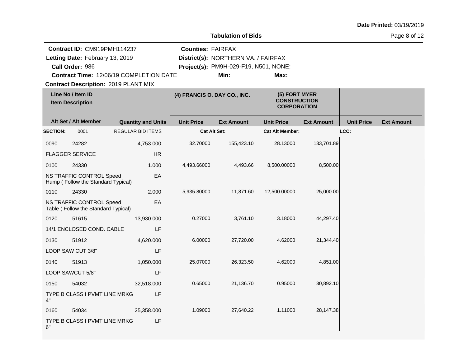|  |  | Date Printed: 03/19/2019 |
|--|--|--------------------------|
|--|--|--------------------------|

Page 8 of 12

|                 | Contract ID: CM919PMH114237                                            |                                         | <b>Counties: FAIRFAX</b>     |                                       |                                                            |                   |                   |                   |
|-----------------|------------------------------------------------------------------------|-----------------------------------------|------------------------------|---------------------------------------|------------------------------------------------------------|-------------------|-------------------|-------------------|
|                 | Letting Date: February 13, 2019                                        |                                         |                              | District(s): NORTHERN VA. / FAIRFAX   |                                                            |                   |                   |                   |
|                 | Call Order: 986                                                        |                                         |                              | Project(s): PM9H-029-F19, N501, NONE; |                                                            |                   |                   |                   |
|                 |                                                                        | Contract Time: 12/06/19 COMPLETION DATE |                              | Min:                                  | Max:                                                       |                   |                   |                   |
|                 | <b>Contract Description: 2019 PLANT MIX</b>                            |                                         |                              |                                       |                                                            |                   |                   |                   |
|                 | Line No / Item ID<br><b>Item Description</b>                           |                                         | (4) FRANCIS O. DAY CO., INC. |                                       | (5) FORT MYER<br><b>CONSTRUCTION</b><br><b>CORPORATION</b> |                   |                   |                   |
|                 | Alt Set / Alt Member                                                   | <b>Quantity and Units</b>               | <b>Unit Price</b>            | <b>Ext Amount</b>                     | <b>Unit Price</b>                                          | <b>Ext Amount</b> | <b>Unit Price</b> | <b>Ext Amount</b> |
| <b>SECTION:</b> | 0001                                                                   | <b>REGULAR BID ITEMS</b>                | Cat Alt Set:                 |                                       | <b>Cat Alt Member:</b>                                     |                   | LCC:              |                   |
| 0090            | 24282                                                                  | 4,753.000                               | 32.70000                     | 155,423.10                            | 28.13000                                                   | 133,701.89        |                   |                   |
|                 | <b>FLAGGER SERVICE</b>                                                 | HR                                      |                              |                                       |                                                            |                   |                   |                   |
| 0100            | 24330                                                                  | 1.000                                   | 4,493.66000                  | 4,493.66                              | 8,500.00000                                                | 8,500.00          |                   |                   |
|                 | <b>NS TRAFFIC CONTROL Speed</b><br>Hump (Follow the Standard Typical)  | EA                                      |                              |                                       |                                                            |                   |                   |                   |
| 0110            | 24330                                                                  | 2.000                                   | 5,935.80000                  | 11,871.60                             | 12,500.00000                                               | 25,000.00         |                   |                   |
|                 | <b>NS TRAFFIC CONTROL Speed</b><br>Table (Follow the Standard Typical) | EA                                      |                              |                                       |                                                            |                   |                   |                   |
| 0120            | 51615                                                                  | 13,930.000                              | 0.27000                      | 3,761.10                              | 3.18000                                                    | 44,297.40         |                   |                   |
|                 | 14/1 ENCLOSED COND. CABLE                                              | LF                                      |                              |                                       |                                                            |                   |                   |                   |
| 0130            | 51912                                                                  | 4,620.000                               | 6.00000                      | 27,720.00                             | 4.62000                                                    | 21,344.40         |                   |                   |
|                 | LOOP SAW CUT 3/8"                                                      | LF                                      |                              |                                       |                                                            |                   |                   |                   |
| 0140            | 51913                                                                  | 1,050.000                               | 25.07000                     | 26,323.50                             | 4.62000                                                    | 4,851.00          |                   |                   |
|                 | LOOP SAWCUT 5/8"                                                       | LF                                      |                              |                                       |                                                            |                   |                   |                   |
| 0150            | 54032                                                                  | 32,518.000                              | 0.65000                      | 21,136.70                             | 0.95000                                                    | 30,892.10         |                   |                   |
| 4"              | TYPE B CLASS I PVMT LINE MRKG                                          | LF                                      |                              |                                       |                                                            |                   |                   |                   |
| 0160            | 54034                                                                  | 25,358.000                              | 1.09000                      | 27,640.22                             | 1.11000                                                    | 28,147.38         |                   |                   |
| 6"              | TYPE B CLASS I PVMT LINE MRKG                                          | LF                                      |                              |                                       |                                                            |                   |                   |                   |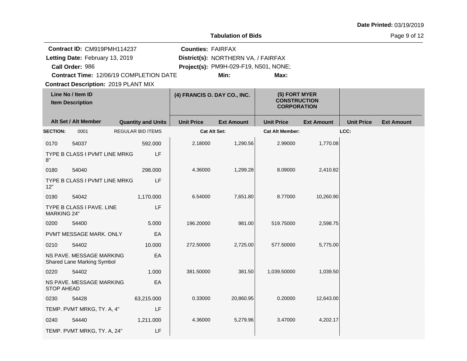| Date Printed: 03/19/2019 |  |
|--------------------------|--|
|--------------------------|--|

Page 9 of 12

|                    | Contract ID: CM919PMH114237                            |                           | <b>Counties: FAIRFAX</b>     |                                       |                                                            |                   |                   |                   |
|--------------------|--------------------------------------------------------|---------------------------|------------------------------|---------------------------------------|------------------------------------------------------------|-------------------|-------------------|-------------------|
|                    | Letting Date: February 13, 2019                        |                           |                              | District(s): NORTHERN VA. / FAIRFAX   |                                                            |                   |                   |                   |
|                    | Call Order: 986                                        |                           |                              | Project(s): PM9H-029-F19, N501, NONE; |                                                            |                   |                   |                   |
|                    | Contract Time: 12/06/19 COMPLETION DATE                |                           |                              | Min:                                  | Max:                                                       |                   |                   |                   |
|                    | <b>Contract Description: 2019 PLANT MIX</b>            |                           |                              |                                       |                                                            |                   |                   |                   |
|                    | Line No / Item ID<br><b>Item Description</b>           |                           | (4) FRANCIS O. DAY CO., INC. |                                       | (5) FORT MYER<br><b>CONSTRUCTION</b><br><b>CORPORATION</b> |                   |                   |                   |
|                    | Alt Set / Alt Member                                   | <b>Quantity and Units</b> | <b>Unit Price</b>            | <b>Ext Amount</b>                     | <b>Unit Price</b>                                          | <b>Ext Amount</b> | <b>Unit Price</b> | <b>Ext Amount</b> |
| <b>SECTION:</b>    | 0001                                                   | <b>REGULAR BID ITEMS</b>  |                              | <b>Cat Alt Set:</b>                   | <b>Cat Alt Member:</b>                                     |                   | LCC:              |                   |
| 0170               | 54037                                                  | 592.000                   | 2.18000                      | 1,290.56                              | 2.99000                                                    | 1,770.08          |                   |                   |
| 8"                 | TYPE B CLASS I PVMT LINE MRKG                          | LF                        |                              |                                       |                                                            |                   |                   |                   |
| 0180               | 54040                                                  | 298.000                   | 4.36000                      | 1,299.28                              | 8.09000                                                    | 2,410.82          |                   |                   |
| 12"                | TYPE B CLASS I PVMT LINE MRKG                          | LF                        |                              |                                       |                                                            |                   |                   |                   |
| 0190               | 54042                                                  | 1,170.000                 | 6.54000                      | 7,651.80                              | 8.77000                                                    | 10,260.90         |                   |                   |
| <b>MARKING 24"</b> | TYPE B CLASS I PAVE. LINE                              | LF                        |                              |                                       |                                                            |                   |                   |                   |
| 0200               | 54400                                                  | 5.000                     | 196.20000                    | 981.00                                | 519.75000                                                  | 2,598.75          |                   |                   |
|                    | PVMT MESSAGE MARK, ONLY                                | EA                        |                              |                                       |                                                            |                   |                   |                   |
| 0210               | 54402                                                  | 10.000                    | 272.50000                    | 2,725.00                              | 577.50000                                                  | 5,775.00          |                   |                   |
|                    | NS PAVE. MESSAGE MARKING<br>Shared Lane Marking Symbol | EA                        |                              |                                       |                                                            |                   |                   |                   |
| 0220               | 54402                                                  | 1.000                     | 381.50000                    | 381.50                                | 1,039.50000                                                | 1,039.50          |                   |                   |
| <b>STOP AHEAD</b>  | NS PAVE. MESSAGE MARKING                               | EA                        |                              |                                       |                                                            |                   |                   |                   |
| 0230               | 54428                                                  | 63,215.000                | 0.33000                      | 20,860.95                             | 0.20000                                                    | 12,643.00         |                   |                   |
|                    | TEMP. PVMT MRKG, TY. A, 4"                             | LF                        |                              |                                       |                                                            |                   |                   |                   |
| 0240               | 54440                                                  | 1,211.000                 | 4.36000                      | 5,279.96                              | 3.47000                                                    | 4,202.17          |                   |                   |
|                    | TEMP. PVMT MRKG, TY. A, 24"                            | LF                        |                              |                                       |                                                            |                   |                   |                   |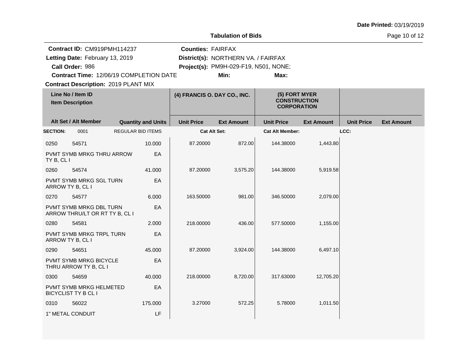| Date Printed: 03/19/2019 |  |  |
|--------------------------|--|--|
|--------------------------|--|--|

Page 10 of 12

|                  | Contract ID: CM919PMH114237                               |                   |                           | <b>Counties: FAIRFAX</b>     |                                       |                                                            |                   |                   |                   |
|------------------|-----------------------------------------------------------|-------------------|---------------------------|------------------------------|---------------------------------------|------------------------------------------------------------|-------------------|-------------------|-------------------|
|                  | Letting Date: February 13, 2019                           |                   |                           |                              | District(s): NORTHERN VA. / FAIRFAX   |                                                            |                   |                   |                   |
|                  | Call Order: 986                                           |                   |                           |                              | Project(s): PM9H-029-F19, N501, NONE; |                                                            |                   |                   |                   |
|                  | Contract Time: 12/06/19 COMPLETION DATE                   |                   |                           |                              | Min:                                  | Max:                                                       |                   |                   |                   |
|                  | <b>Contract Description: 2019 PLANT MIX</b>               |                   |                           |                              |                                       |                                                            |                   |                   |                   |
|                  | Line No / Item ID<br><b>Item Description</b>              |                   |                           | (4) FRANCIS O. DAY CO., INC. |                                       | (5) FORT MYER<br><b>CONSTRUCTION</b><br><b>CORPORATION</b> |                   |                   |                   |
|                  | Alt Set / Alt Member                                      |                   | <b>Quantity and Units</b> | <b>Unit Price</b>            | <b>Ext Amount</b>                     | <b>Unit Price</b>                                          | <b>Ext Amount</b> | <b>Unit Price</b> | <b>Ext Amount</b> |
| <b>SECTION:</b>  | 0001                                                      | REGULAR BID ITEMS |                           | <b>Cat Alt Set:</b>          |                                       | <b>Cat Alt Member:</b>                                     |                   | LCC:              |                   |
| 0250             | 54571                                                     |                   | 10.000                    | 87.20000                     | 872.00                                | 144.38000                                                  | 1,443.80          |                   |                   |
| TY B, CL I       | PVMT SYMB MRKG THRU ARROW                                 |                   | EA                        |                              |                                       |                                                            |                   |                   |                   |
| 0260             | 54574                                                     |                   | 41.000                    | 87.20000                     | 3,575.20                              | 144.38000                                                  | 5,919.58          |                   |                   |
| ARROW TY B, CL I | PVMT SYMB MRKG SGL TURN                                   |                   | EA                        |                              |                                       |                                                            |                   |                   |                   |
| 0270             | 54577                                                     |                   | 6.000                     | 163.50000                    | 981.00                                | 346.50000                                                  | 2,079.00          |                   |                   |
|                  | PVMT SYMB MRKG DBL TURN<br>ARROW THRU/LT OR RT TY B, CL I |                   | EA                        |                              |                                       |                                                            |                   |                   |                   |
| 0280             | 54581                                                     |                   | 2.000                     | 218.00000                    | 436.00                                | 577.50000                                                  | 1,155.00          |                   |                   |
| ARROW TY B, CL I | PVMT SYMB MRKG TRPL TURN                                  |                   | EA                        |                              |                                       |                                                            |                   |                   |                   |
| 0290             | 54651                                                     |                   | 45.000                    | 87.20000                     | 3,924.00                              | 144.38000                                                  | 6,497.10          |                   |                   |
|                  | PVMT SYMB MRKG BICYCLE<br>THRU ARROW TY B, CL I           |                   | EA                        |                              |                                       |                                                            |                   |                   |                   |
| 0300             | 54659                                                     |                   | 40.000                    | 218.00000                    | 8,720.00                              | 317.63000                                                  | 12,705.20         |                   |                   |
|                  | PVMT SYMB MRKG HELMETED<br>BICYCLIST TY B CL I            |                   | EA                        |                              |                                       |                                                            |                   |                   |                   |
| 0310             | 56022                                                     |                   | 175.000                   | 3.27000                      | 572.25                                | 5.78000                                                    | 1,011.50          |                   |                   |
|                  | 1" METAL CONDUIT                                          |                   | LF                        |                              |                                       |                                                            |                   |                   |                   |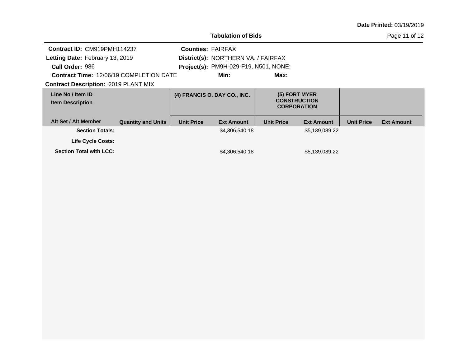Page 11 of 12

| Contract ID: CM919PMH114237<br>Letting Date: February 13, 2019<br>Call Order: 986<br><b>Contract Time: 12/06/19 COMPLETION DATE</b><br><b>Contract Description: 2019 PLANT MIX</b> |                           | <b>Counties: FAIRFAX</b> | District(s): NORTHERN VA. / FAIRFAX<br>Project(s): PM9H-029-F19, N501, NONE;<br>Min: | Max:               |                     |                   |                   |
|------------------------------------------------------------------------------------------------------------------------------------------------------------------------------------|---------------------------|--------------------------|--------------------------------------------------------------------------------------|--------------------|---------------------|-------------------|-------------------|
|                                                                                                                                                                                    |                           |                          |                                                                                      |                    |                     |                   |                   |
| Line No / Item ID                                                                                                                                                                  |                           |                          | (4) FRANCIS O. DAY CO., INC.                                                         | (5) FORT MYER      |                     |                   |                   |
| <b>Item Description</b>                                                                                                                                                            |                           |                          |                                                                                      | <b>CORPORATION</b> | <b>CONSTRUCTION</b> |                   |                   |
| Alt Set / Alt Member                                                                                                                                                               | <b>Quantity and Units</b> | <b>Unit Price</b>        | <b>Ext Amount</b>                                                                    | <b>Unit Price</b>  | <b>Ext Amount</b>   | <b>Unit Price</b> | <b>Ext Amount</b> |
| <b>Section Totals:</b>                                                                                                                                                             |                           |                          | \$4,306,540.18                                                                       |                    | \$5,139,089.22      |                   |                   |
| <b>Life Cycle Costs:</b>                                                                                                                                                           |                           |                          |                                                                                      |                    |                     |                   |                   |
| <b>Section Total with LCC:</b>                                                                                                                                                     |                           |                          | \$4,306,540.18                                                                       |                    | \$5,139,089.22      |                   |                   |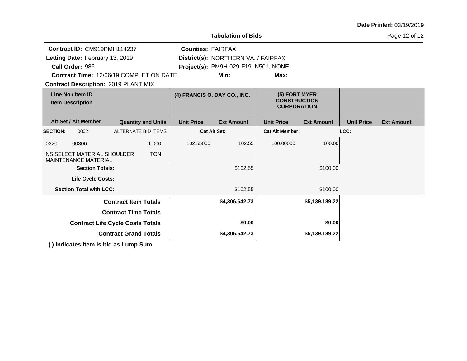| <b>Tabulation of Bids</b>                    |                                                                                               |                           |                              |                                                                              |                                                            |                   |                   | Page 12 of 12     |
|----------------------------------------------|-----------------------------------------------------------------------------------------------|---------------------------|------------------------------|------------------------------------------------------------------------------|------------------------------------------------------------|-------------------|-------------------|-------------------|
| Call Order: 986                              | Contract ID: CM919PMH114237<br>Letting Date: February 13, 2019                                |                           | <b>Counties: FAIRFAX</b>     | District(s): NORTHERN VA. / FAIRFAX<br>Project(s): PM9H-029-F19, N501, NONE; |                                                            |                   |                   |                   |
|                                              | <b>Contract Time: 12/06/19 COMPLETION DATE</b><br><b>Contract Description: 2019 PLANT MIX</b> |                           |                              | Min:                                                                         | Max:                                                       |                   |                   |                   |
| Line No / Item ID<br><b>Item Description</b> |                                                                                               |                           | (4) FRANCIS O. DAY CO., INC. |                                                                              | (5) FORT MYER<br><b>CONSTRUCTION</b><br><b>CORPORATION</b> |                   |                   |                   |
| Alt Set / Alt Member                         |                                                                                               | <b>Quantity and Units</b> | <b>Unit Price</b>            | <b>Ext Amount</b>                                                            | <b>Unit Price</b>                                          | <b>Ext Amount</b> | <b>Unit Price</b> | <b>Ext Amount</b> |
| <b>SECTION:</b><br>0002                      |                                                                                               | ALTERNATE BID ITEMS       | <b>Cat Alt Set:</b>          |                                                                              | <b>Cat Alt Member:</b>                                     |                   | LCC:              |                   |
| 00306<br>0320                                |                                                                                               | 1.000                     | 102.55000                    | 102.55                                                                       | 100.00000                                                  | 100.00            |                   |                   |
| <b>MAINTENANCE MATERIAL</b>                  | NS SELECT MATERIAL SHOULDER                                                                   | <b>TON</b>                |                              |                                                                              |                                                            |                   |                   |                   |
|                                              | <b>Section Totals:</b>                                                                        |                           |                              | \$102.55                                                                     |                                                            | \$100.00          |                   |                   |
|                                              | <b>Life Cycle Costs:</b>                                                                      |                           |                              |                                                                              |                                                            |                   |                   |                   |
| <b>Section Total with LCC:</b>               |                                                                                               |                           |                              | \$102.55                                                                     |                                                            | \$100.00          |                   |                   |
|                                              | <b>Contract Item Totals</b>                                                                   |                           |                              | \$4,306,642.73                                                               |                                                            | \$5,139,189.22    |                   |                   |
|                                              | <b>Contract Time Totals</b>                                                                   |                           |                              |                                                                              |                                                            |                   |                   |                   |
|                                              | <b>Contract Life Cycle Costs Totals</b>                                                       |                           |                              | \$0.00                                                                       |                                                            | \$0.00            |                   |                   |
|                                              | <b>Contract Grand Totals</b>                                                                  |                           |                              | \$4,306,642.73                                                               |                                                            | \$5,139,189.22    |                   |                   |

**( ) indicates item is bid as Lump Sum**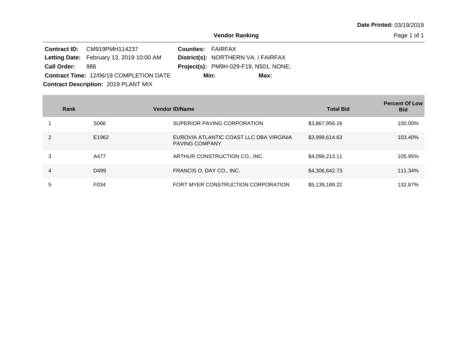|                    | Contract ID: CM919PMH114237                     | <b>Counties: FAIRFAX</b> |                                              |      |
|--------------------|-------------------------------------------------|--------------------------|----------------------------------------------|------|
|                    | <b>Letting Date:</b> February 13, 2019 10:00 AM |                          | District(s): NORTHERN VA. / FAIRFAX          |      |
| <b>Call Order:</b> | 986.                                            |                          | <b>Project(s): PM9H-029-F19, N501, NONE;</b> |      |
|                    | <b>Contract Time: 12/06/19 COMPLETION DATE</b>  |                          | Min:                                         | Max: |
|                    | <b>Contract Description: 2019 PLANT MIX</b>     |                          |                                              |      |

| Rank          |       | <b>Vendor ID/Name</b>                                            | <b>Total Bid</b> | <b>Percent Of Low</b><br><b>Bid</b> |
|---------------|-------|------------------------------------------------------------------|------------------|-------------------------------------|
|               | S066  | SUPERIOR PAVING CORPORATION                                      | \$3,867,956.16   | 100.00%                             |
| $\mathcal{P}$ | E1962 | EUROVIA ATLANTIC COAST LLC DBA VIRGINIA<br><b>PAVING COMPANY</b> | \$3,999,614.63   | 103.40%                             |
| 3             | A477  | ARTHUR CONSTRUCTION CO., INC.                                    | \$4,098,213.11   | 105.95%                             |
| 4             | D499  | FRANCIS O. DAY CO., INC.                                         | \$4,306,642.73   | 111.34%                             |
| 5             | F034  | FORT MYER CONSTRUCTION CORPORATION                               | \$5,139,189.22   | 132.87%                             |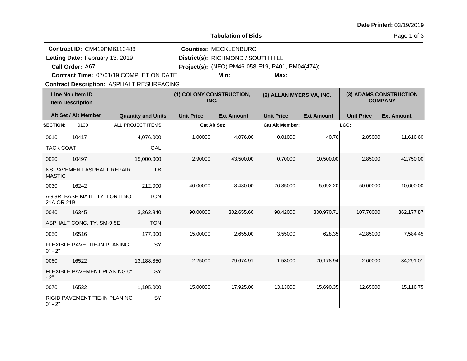| Date Printed: 03/19/2019 |  |
|--------------------------|--|
|--------------------------|--|

**Tabulation of Bids**

Page 1 of 3

**Quantity and Units Unit Price Alt Set / Alt Member Ext Amount Ext Amount Line No / Item ID Unit Price Ext Amount Unit Price Item Description (1) COLONY CONSTRUCTION, INC. (2) ALLAN MYERS VA, INC. (3) ADAMS CONSTRUCTION COMPANY SECTION:** 0100 ALL PROJECT ITEMS **Cat Alt Set: Cat Alt Member: LCC:** 0010 10417 TACK COAT 4,076.000 GAL 1.00000 4,076.00 0.01000 40.76 2.85000 11,616.60 0020 10497 NS PAVEMENT ASPHALT REPAIR MASTIC 15,000.000 LB 2.90000 43,500.00 0.70000 10,500.00 2.85000 42,750.00 0030 16242 AGGR. BASE MATL. TY. I OR II NO. 21A OR 21B 212.000 TON 40.00000 8,480.00 26.85000 5,692.20 50.00000 10,600.00 0040 16345 ASPHALT CONC. TY. SM-9.5E 3,362.840 **TON** 90.00000 302,655.60 98.42000 330,970.71 107.70000 362,177.87 0050 16516 FLEXIBLE PAVE. TIE-IN PLANING  $0" - 2"$ 177.000 **SY** 15.00000 2,655.00 3.55000 628.35 42.85000 7,584.45 0060 16522 FLEXIBLE PAVEMENT PLANING 0"  $-2"$ 13,188.850 **SY** 2.25000 29,674.91 1.53000 20,178.94 2.60000 34,291.01 0070 16532 RIGID PAVEMENT TIE-IN PLANING  $0" - 2"$ 1,195.000 SY 15.00000 17,925.00 13.13000 15,690.35 12.65000 15,116.75 **Contract Description: ASPHALT RESURFACING Call Order: Letting Date:** February 13, 2019 **District(s): RICHMOND / SOUTH HILL** Contract ID: CM419PM6113488 **Counties:** MECKLENBURG A67 **Project(s):** (NFO) PM46-058-F19, P401, PM04(474);**Contract Time:** 07/01/19 COMPLETION DATE Letting Date: February 13, 2019 **Min: Max:**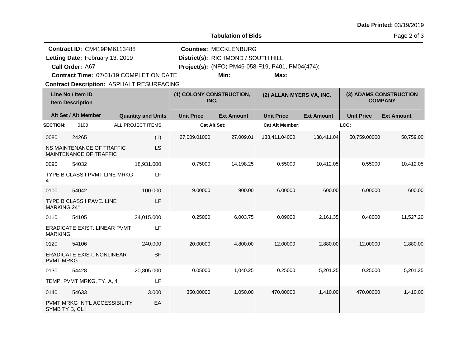| <b>Date Printed: 03/19/2019</b> |  |
|---------------------------------|--|
|---------------------------------|--|

**Tabulation of Bids**

Page 2 of 3

| <b>Contract ID: CM419PM6113488</b>               |                                                     |                                  |                     | <b>Counties: MECKLENBURG</b>                     |                        |                                          |                   |                   |  |  |  |  |
|--------------------------------------------------|-----------------------------------------------------|----------------------------------|---------------------|--------------------------------------------------|------------------------|------------------------------------------|-------------------|-------------------|--|--|--|--|
| Letting Date: February 13, 2019                  |                                                     |                                  |                     | District(s): RICHMOND / SOUTH HILL               |                        |                                          |                   |                   |  |  |  |  |
|                                                  | Call Order: A67                                     |                                  |                     | Project(s): (NFO) PM46-058-F19, P401, PM04(474); |                        |                                          |                   |                   |  |  |  |  |
|                                                  | Contract Time: 07/01/19 COMPLETION DATE             |                                  |                     | Min:                                             | Max:                   |                                          |                   |                   |  |  |  |  |
| <b>Contract Description: ASPHALT RESURFACING</b> |                                                     |                                  |                     |                                                  |                        |                                          |                   |                   |  |  |  |  |
| Line No / Item ID<br><b>Item Description</b>     |                                                     | (1) COLONY CONSTRUCTION,<br>INC. |                     | (2) ALLAN MYERS VA, INC.                         |                        | (3) ADAMS CONSTRUCTION<br><b>COMPANY</b> |                   |                   |  |  |  |  |
|                                                  | Alt Set / Alt Member                                | <b>Quantity and Units</b>        | <b>Unit Price</b>   | <b>Ext Amount</b>                                | <b>Unit Price</b>      | <b>Ext Amount</b>                        | <b>Unit Price</b> | <b>Ext Amount</b> |  |  |  |  |
| <b>SECTION:</b>                                  | 0100                                                | <b>ALL PROJECT ITEMS</b>         | <b>Cat Alt Set:</b> |                                                  | <b>Cat Alt Member:</b> |                                          | LCC:              |                   |  |  |  |  |
| 0080                                             | 24265                                               | (1)                              | 27,009.01000        | 27,009.01                                        | 138,411.04000          | 138,411.04                               | 50,759.00000      | 50,759.00         |  |  |  |  |
|                                                  | NS MAINTENANCE OF TRAFFIC<br>MAINTENANCE OF TRAFFIC | LS                               |                     |                                                  |                        |                                          |                   |                   |  |  |  |  |
| 0090                                             | 54032                                               | 18,931.000                       | 0.75000             | 14,198.25                                        | 0.55000                | 10,412.05                                | 0.55000           | 10,412.05         |  |  |  |  |
| 4"                                               | TYPE B CLASS I PVMT LINE MRKG                       | LF                               |                     |                                                  |                        |                                          |                   |                   |  |  |  |  |
| 0100                                             | 54042                                               | 100.000                          | 9.00000             | 900.00                                           | 6.00000                | 600.00                                   | 6.00000           | 600.00            |  |  |  |  |
| <b>MARKING 24"</b>                               | TYPE B CLASS I PAVE. LINE                           | LF                               |                     |                                                  |                        |                                          |                   |                   |  |  |  |  |
| 0110                                             | 54105                                               | 24,015.000                       | 0.25000             | 6,003.75                                         | 0.09000                | 2,161.35                                 | 0.48000           | 11,527.20         |  |  |  |  |
| <b>MARKING</b>                                   | ERADICATE EXIST. LINEAR PVMT                        | LF                               |                     |                                                  |                        |                                          |                   |                   |  |  |  |  |
| 0120                                             | 54106                                               | 240.000                          | 20.00000            | 4,800.00                                         | 12.00000               | 2,880.00                                 | 12.00000          | 2,880.00          |  |  |  |  |
| <b>PVMT MRKG</b>                                 | <b>ERADICATE EXIST. NONLINEAR</b>                   | <b>SF</b>                        |                     |                                                  |                        |                                          |                   |                   |  |  |  |  |
| 0130                                             | 54428                                               | 20,805.000                       | 0.05000             | 1,040.25                                         | 0.25000                | 5,201.25                                 | 0.25000           | 5,201.25          |  |  |  |  |
|                                                  | TEMP. PVMT MRKG, TY. A, 4"                          | LF                               |                     |                                                  |                        |                                          |                   |                   |  |  |  |  |
| 0140                                             | 54633                                               | 3.000                            | 350.00000           | 1,050.00                                         | 470.00000              | 1,410.00                                 | 470.00000         | 1,410.00          |  |  |  |  |
| SYMB TY B, CL I                                  | PVMT MRKG INT'L ACCESSIBILITY                       | EA                               |                     |                                                  |                        |                                          |                   |                   |  |  |  |  |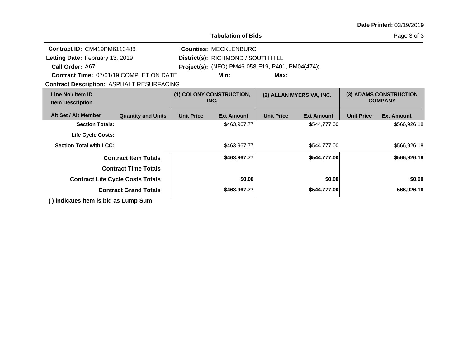| <b>Date Printed: 03/19/2019</b> |  |
|---------------------------------|--|
|---------------------------------|--|

|                                                                    |                   | <b>Tabulation of Bids</b>                        |                   |                          |                   | Page 3 of 3                              |
|--------------------------------------------------------------------|-------------------|--------------------------------------------------|-------------------|--------------------------|-------------------|------------------------------------------|
| <b>Contract ID: CM419PM6113488</b><br><b>Counties: MECKLENBURG</b> |                   |                                                  |                   |                          |                   |                                          |
| Letting Date: February 13, 2019                                    |                   | District(s): RICHMOND / SOUTH HILL               |                   |                          |                   |                                          |
| Call Order: A67                                                    |                   | Project(s): (NFO) PM46-058-F19, P401, PM04(474); |                   |                          |                   |                                          |
| <b>Contract Time: 07/01/19 COMPLETION DATE</b>                     |                   | Min:                                             | Max:              |                          |                   |                                          |
| <b>Contract Description: ASPHALT RESURFACING</b>                   |                   |                                                  |                   |                          |                   |                                          |
| Line No / Item ID<br><b>Item Description</b>                       |                   | (1) COLONY CONSTRUCTION,<br>INC.                 |                   | (2) ALLAN MYERS VA, INC. |                   | (3) ADAMS CONSTRUCTION<br><b>COMPANY</b> |
| Alt Set / Alt Member<br><b>Quantity and Units</b>                  | <b>Unit Price</b> | <b>Ext Amount</b>                                | <b>Unit Price</b> | <b>Ext Amount</b>        | <b>Unit Price</b> | <b>Ext Amount</b>                        |
| <b>Section Totals:</b>                                             |                   | \$463,967.77                                     |                   | \$544,777.00             |                   | \$566,926.18                             |
| <b>Life Cycle Costs:</b>                                           |                   |                                                  |                   |                          |                   |                                          |
| <b>Section Total with LCC:</b>                                     |                   | \$463,967.77                                     |                   | \$544,777.00             |                   | \$566,926.18                             |
| <b>Contract Item Totals</b>                                        |                   | \$463,967.77                                     |                   | \$544,777.00             |                   | \$566,926.18                             |
| <b>Contract Time Totals</b>                                        |                   |                                                  |                   |                          |                   |                                          |
| <b>Contract Life Cycle Costs Totals</b>                            |                   | \$0.00                                           |                   | \$0.00                   |                   | \$0.00                                   |
| <b>Contract Grand Totals</b>                                       |                   | \$463,967.77                                     |                   | \$544,777.00             |                   | 566,926.18                               |
| () indicates item is bid as Lump Sum                               |                   |                                                  |                   |                          |                   |                                          |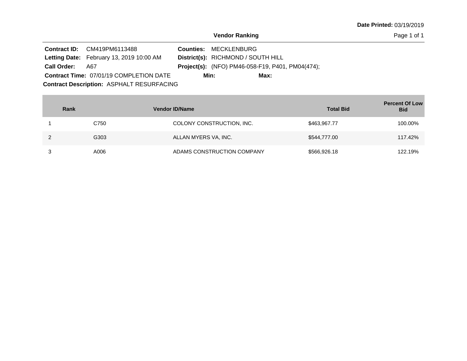**Date Printed:** 03/19/2019

|                    | <b>Contract ID:</b> CM419PM6113488               | <b>Counties: MECKLENBURG</b>                            |
|--------------------|--------------------------------------------------|---------------------------------------------------------|
|                    | <b>Letting Date:</b> February 13, 2019 10:00 AM  | District(s): RICHMOND / SOUTH HILL                      |
| <b>Call Order:</b> | A67                                              | <b>Project(s):</b> (NFO) PM46-058-F19, P401, PM04(474); |
|                    | <b>Contract Time: 07/01/19 COMPLETION DATE</b>   | Max:<br>Min:                                            |
|                    | <b>Contract Description: ASPHALT RESURFACING</b> |                                                         |

| Rank | <b>Vendor ID/Name</b>      | <b>Total Bid</b> | <b>Percent Of Low</b><br><b>Bid</b> |
|------|----------------------------|------------------|-------------------------------------|
| C750 | COLONY CONSTRUCTION, INC.  | \$463,967.77     | 100.00%                             |
| G303 | ALLAN MYERS VA, INC.       | \$544,777.00     | 117.42%                             |
| A006 | ADAMS CONSTRUCTION COMPANY | \$566,926.18     | 122.19%                             |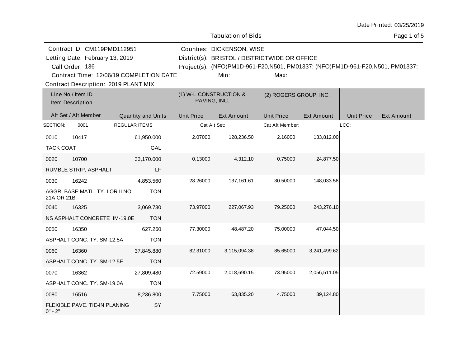|                          |                                                                                                                              |                           |                   | <b>Tabulation of Bids</b>              |                                                                                                                                        |              |                   | Page 1 of 5       |
|--------------------------|------------------------------------------------------------------------------------------------------------------------------|---------------------------|-------------------|----------------------------------------|----------------------------------------------------------------------------------------------------------------------------------------|--------------|-------------------|-------------------|
|                          | Contract ID: CM119PMD112951<br>Letting Date: February 13, 2019<br>Call Order: 136<br>Contract Time: 12/06/19 COMPLETION DATE |                           |                   | Counties: DICKENSON, WISE<br>Min:      | District(s): BRISTOL / DISTRICTWIDE OR OFFICE<br>Project(s): (NFO)PM1D-961-F20,N501, PM01337; (NFO)PM1D-961-F20,N501, PM01337;<br>Max: |              |                   |                   |
|                          | Contract Description: 2019 PLANT MIX<br>Line No / Item ID<br>Item Description                                                |                           |                   | (1) W-L CONSTRUCTION &<br>PAVING, INC. | (2) ROGERS GROUP, INC.                                                                                                                 |              |                   |                   |
|                          | Alt Set / Alt Member                                                                                                         | <b>Quantity and Units</b> | <b>Unit Price</b> | <b>Ext Amount</b>                      | <b>Unit Price</b>                                                                                                                      | Ext Amount   | <b>Unit Price</b> | <b>Ext Amount</b> |
| SECTION:                 | 0001                                                                                                                         | <b>REGULAR ITEMS</b>      |                   | Cat Alt Set:                           | Cat Alt Member:                                                                                                                        |              | LCC:              |                   |
| 0010<br><b>TACK COAT</b> | 10417                                                                                                                        | 61,950.000<br>GAL         | 2.07000           | 128,236.50                             | 2.16000                                                                                                                                | 133,812.00   |                   |                   |
| 0020                     | 10700<br>RUMBLE STRIP, ASPHALT                                                                                               | 33,170.000<br>LF          | 0.13000           | 4,312.10                               | 0.75000                                                                                                                                | 24,877.50    |                   |                   |
| 0030<br>21A OR 21B       | 16242<br>AGGR. BASE MATL. TY. I OR II NO.                                                                                    | 4,853.560<br><b>TON</b>   | 28.26000          | 137,161.61                             | 30.50000                                                                                                                               | 148,033.58   |                   |                   |
| 0040                     | 16325<br>NS ASPHALT CONCRETE IM-19.0E                                                                                        | 3,069.730<br><b>TON</b>   | 73.97000          | 227,067.93                             | 79.25000                                                                                                                               | 243,276.10   |                   |                   |
| 0050                     | 16350<br>ASPHALT CONC. TY. SM-12.5A                                                                                          | 627.260<br><b>TON</b>     | 77.30000          | 48,487.20                              | 75.00000                                                                                                                               | 47,044.50    |                   |                   |
| 0060                     | 16360<br>ASPHALT CONC. TY. SM-12.5E                                                                                          | 37,845.880<br><b>TON</b>  | 82.31000          | 3,115,094.38                           | 85.65000                                                                                                                               | 3,241,499.62 |                   |                   |
| 0070                     | 16362<br>ASPHALT CONC. TY. SM-19.0A                                                                                          | 27,809.480<br><b>TON</b>  | 72.59000          | 2,018,690.15                           | 73.95000                                                                                                                               | 2,056,511.05 |                   |                   |
| 0080<br>$0" - 2"$        | 16516<br>FLEXIBLE PAVE. TIE-IN PLANING                                                                                       | 8,236.800<br>SY           | 7.75000           | 63,835.20                              | 4.75000                                                                                                                                | 39,124.80    |                   |                   |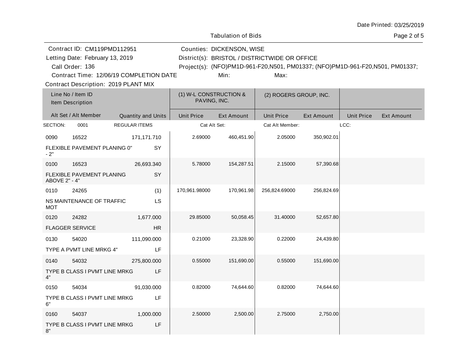|                       |                                                                                                                                                                             |                      |                          |                                        | <b>Tabulation of Bids</b>         |                                                                                                                                        |                   |                   | Page 2 of 5       |
|-----------------------|-----------------------------------------------------------------------------------------------------------------------------------------------------------------------------|----------------------|--------------------------|----------------------------------------|-----------------------------------|----------------------------------------------------------------------------------------------------------------------------------------|-------------------|-------------------|-------------------|
|                       | Contract ID: CM119PMD112951<br>Letting Date: February 13, 2019<br>Call Order: 136<br>Contract Time: 12/06/19 COMPLETION DATE<br><b>Contract Description: 2019 PLANT MIX</b> |                      |                          |                                        | Counties: DICKENSON, WISE<br>Min: | District(s): BRISTOL / DISTRICTWIDE OR OFFICE<br>Project(s): (NFO)PM1D-961-F20,N501, PM01337; (NFO)PM1D-961-F20,N501, PM01337;<br>Max: |                   |                   |                   |
|                       | Line No / Item ID<br>Item Description                                                                                                                                       |                      |                          | (1) W-L CONSTRUCTION &<br>PAVING, INC. |                                   | (2) ROGERS GROUP, INC.                                                                                                                 |                   |                   |                   |
|                       | Alt Set / Alt Member                                                                                                                                                        | Quantity and Units   |                          | <b>Unit Price</b>                      | <b>Ext Amount</b>                 | <b>Unit Price</b>                                                                                                                      | <b>Ext Amount</b> | <b>Unit Price</b> | <b>Ext Amount</b> |
| SECTION:              | 0001                                                                                                                                                                        | <b>REGULAR ITEMS</b> |                          | Cat Alt Set:                           |                                   | Cat Alt Member:                                                                                                                        |                   | LCC:              |                   |
| 0090<br>$-2"$         | 16522<br>FLEXIBLE PAVEMENT PLANING 0"                                                                                                                                       |                      | 171,171.710<br><b>SY</b> | 2.69000                                | 460,451.90                        | 2.05000                                                                                                                                | 350,902.01        |                   |                   |
| 0100<br>ABOVE 2" - 4" | 16523<br>FLEXIBLE PAVEMENT PLANING                                                                                                                                          |                      | 26,693.340<br>SY         | 5.78000                                | 154,287.51                        | 2.15000                                                                                                                                | 57,390.68         |                   |                   |
| 0110<br><b>MOT</b>    | 24265<br>NS MAINTENANCE OF TRAFFIC                                                                                                                                          |                      | (1)<br>LS.               | 170,961.98000                          | 170,961.98                        | 256,824.69000                                                                                                                          | 256,824.69        |                   |                   |
| 0120                  | 24282<br><b>FLAGGER SERVICE</b>                                                                                                                                             |                      | 1,677.000<br><b>HR</b>   | 29.85000                               | 50,058.45                         | 31.40000                                                                                                                               | 52,657.80         |                   |                   |
| 0130                  | 54020<br>TYPE A PVMT LINE MRKG 4"                                                                                                                                           |                      | 111,090.000<br>LF        | 0.21000                                | 23,328.90                         | 0.22000                                                                                                                                | 24,439.80         |                   |                   |
| 0140<br>4"            | 54032<br>TYPE B CLASS I PVMT LINE MRKG                                                                                                                                      |                      | 275,800.000<br>LF        | 0.55000                                | 151,690.00                        | 0.55000                                                                                                                                | 151,690.00        |                   |                   |
| 0150<br>6"            | 54034<br>TYPE B CLASS I PVMT LINE MRKG                                                                                                                                      |                      | 91,030.000<br>LF         | 0.82000                                | 74,644.60                         | 0.82000                                                                                                                                | 74,644.60         |                   |                   |
| 0160<br>8"            | 54037<br>TYPE B CLASS I PVMT LINE MRKG                                                                                                                                      |                      | 1,000.000<br>LF          | 2.50000                                | 2,500.00                          | 2.75000                                                                                                                                | 2,750.00          |                   |                   |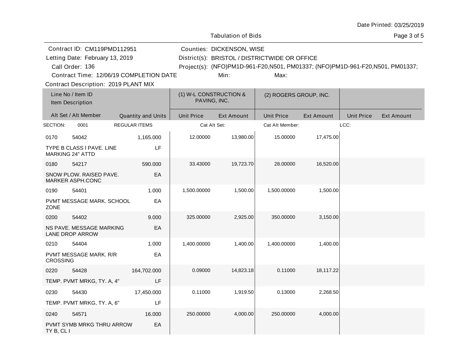|                         |                                                                                                                                                                             |                           |             |                                        | <b>Tabulation of Bids</b>         |                                                                                                                                        |                   |                   | Page 3 of 5       |
|-------------------------|-----------------------------------------------------------------------------------------------------------------------------------------------------------------------------|---------------------------|-------------|----------------------------------------|-----------------------------------|----------------------------------------------------------------------------------------------------------------------------------------|-------------------|-------------------|-------------------|
|                         | Contract ID: CM119PMD112951<br>Letting Date: February 13, 2019<br>Call Order: 136<br>Contract Time: 12/06/19 COMPLETION DATE<br><b>Contract Description: 2019 PLANT MIX</b> |                           |             |                                        | Counties: DICKENSON, WISE<br>Min: | District(s): BRISTOL / DISTRICTWIDE OR OFFICE<br>Project(s): (NFO)PM1D-961-F20,N501, PM01337; (NFO)PM1D-961-F20,N501, PM01337;<br>Max: |                   |                   |                   |
|                         | Line No / Item ID<br>Item Description                                                                                                                                       |                           |             | (1) W-L CONSTRUCTION &<br>PAVING, INC. |                                   | (2) ROGERS GROUP, INC.                                                                                                                 |                   |                   |                   |
|                         | Alt Set / Alt Member                                                                                                                                                        | <b>Quantity and Units</b> |             | <b>Unit Price</b>                      | <b>Ext Amount</b>                 | <b>Unit Price</b>                                                                                                                      | <b>Ext Amount</b> | <b>Unit Price</b> | <b>Ext Amount</b> |
| SECTION:                | 0001                                                                                                                                                                        | REGULAR ITEMS             |             | Cat Alt Set:                           |                                   | Cat Alt Member:                                                                                                                        |                   | LCC:              |                   |
| 0170                    | 54042<br>TYPE B CLASS I PAVE. LINE<br><b>MARKING 24" ATTD</b>                                                                                                               | 1,165.000                 | LF          | 12.00000                               | 13,980.00                         | 15.00000                                                                                                                               | 17,475.00         |                   |                   |
| 0180                    | 54217<br>SNOW PLOW. RAISED PAVE.<br><b>MARKER ASPH.CONC</b>                                                                                                                 | 590.000                   | EA          | 33.43000                               | 19,723.70                         | 28.00000                                                                                                                               | 16,520.00         |                   |                   |
| 0190<br><b>ZONE</b>     | 54401<br>PVMT MESSAGE MARK. SCHOOL                                                                                                                                          |                           | 1.000<br>EA | 1,500.00000                            | 1,500.00                          | 1,500.00000                                                                                                                            | 1,500.00          |                   |                   |
| 0200                    | 54402<br>NS PAVE. MESSAGE MARKING<br><b>LANE DROP ARROW</b>                                                                                                                 |                           | 9.000<br>EA | 325.00000                              | 2,925.00                          | 350.00000                                                                                                                              | 3,150.00          |                   |                   |
| 0210<br><b>CROSSING</b> | 54404<br><b>PVMT MESSAGE MARK, R/R</b>                                                                                                                                      | 1.000                     | EA          | 1,400.00000                            | 1,400.00                          | 1,400.00000                                                                                                                            | 1,400.00          |                   |                   |
| 0220                    | 54428                                                                                                                                                                       | 164,702.000               |             | 0.09000                                | 14,823.18                         | 0.11000                                                                                                                                | 18,117.22         |                   |                   |
|                         | TEMP. PVMT MRKG, TY. A, 4"                                                                                                                                                  |                           | LF          |                                        |                                   |                                                                                                                                        |                   |                   |                   |
| 0230                    | 54430<br>TEMP. PVMT MRKG, TY. A, 6"                                                                                                                                         | 17,450.000                | LF          | 0.11000                                | 1,919.50                          | 0.13000                                                                                                                                | 2,268.50          |                   |                   |
| 0240<br>TY B, CL I      | 54571<br>PVMT SYMB MRKG THRU ARROW                                                                                                                                          | 16.000                    | EA          | 250.00000                              | 4,000.00                          | 250.00000                                                                                                                              | 4,000.00          |                   |                   |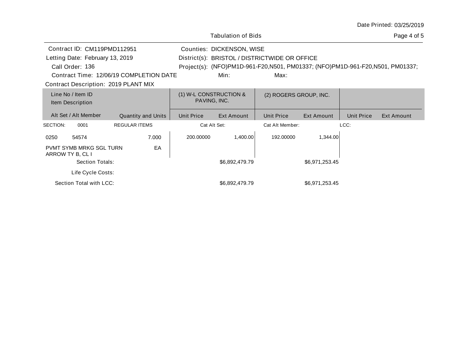|                                       |                                         |                                        | <b>Tabulation of Bids</b> |                                                                               |            |                   | Page 4 of 5 |
|---------------------------------------|-----------------------------------------|----------------------------------------|---------------------------|-------------------------------------------------------------------------------|------------|-------------------|-------------|
| Contract ID: CM119PMD112951           |                                         |                                        | Counties: DICKENSON, WISE |                                                                               |            |                   |             |
| Letting Date: February 13, 2019       |                                         |                                        |                           | District(s): BRISTOL / DISTRICTWIDE OR OFFICE                                 |            |                   |             |
| Call Order: 136                       |                                         |                                        |                           | Project(s): (NFO)PM1D-961-F20,N501, PM01337; (NFO)PM1D-961-F20,N501, PM01337; |            |                   |             |
|                                       | Contract Time: 12/06/19 COMPLETION DATE |                                        | Min:                      | Max:                                                                          |            |                   |             |
| Contract Description: 2019 PLANT MIX  |                                         |                                        |                           |                                                                               |            |                   |             |
| Line No / Item ID<br>Item Description |                                         | (1) W-L CONSTRUCTION &<br>PAVING, INC. |                           | (2) ROGERS GROUP, INC.                                                        |            |                   |             |
| Alt Set / Alt Member                  | <b>Quantity and Units</b>               | <b>Unit Price</b>                      | Ext Amount                | <b>Unit Price</b>                                                             | Ext Amount | <b>Unit Price</b> | Ext Amount  |
| SECTION:<br>0001                      | <b>REGULAR ITEMS</b>                    |                                        | Cat Alt Set:              | Cat Alt Member:                                                               |            | LCC:              |             |
| 0250<br>54574                         | 7.000                                   | 200.00000                              | 1,400.00                  | 192.00000                                                                     | 1,344.00   |                   |             |

ARROW TY B, CL I

PVMT SYMB MRKG SGL TURN

Life Cycle Costs:

EA

Section Total with LCC: <br>\$6,892,479.79 \$6,971,253.45

Section Totals:  $$6,892,479.79$  \$6,971,253.45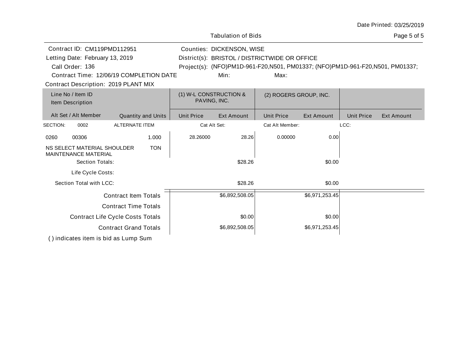|                                                                                                                           |                                                            |                                        | <b>Tabulation of Bids</b>         |                                                                                                                                        |                |                   | Page 5 of 5 |
|---------------------------------------------------------------------------------------------------------------------------|------------------------------------------------------------|----------------------------------------|-----------------------------------|----------------------------------------------------------------------------------------------------------------------------------------|----------------|-------------------|-------------|
| Contract ID: CM119PMD112951<br>Letting Date: February 13, 2019<br>Call Order: 136<br>Contract Description: 2019 PLANT MIX | Contract Time: 12/06/19 COMPLETION DATE                    |                                        | Counties: DICKENSON, WISE<br>Min: | District(s): BRISTOL / DISTRICTWIDE OR OFFICE<br>Project(s): (NFO)PM1D-961-F20,N501, PM01337; (NFO)PM1D-961-F20,N501, PM01337;<br>Max: |                |                   |             |
| Line No / Item ID<br>Item Description                                                                                     |                                                            | (1) W-L CONSTRUCTION &<br>PAVING, INC. |                                   | (2) ROGERS GROUP, INC.                                                                                                                 |                |                   |             |
| Alt Set / Alt Member                                                                                                      | <b>Quantity and Units</b>                                  | <b>Unit Price</b>                      | Ext Amount                        | <b>Unit Price</b>                                                                                                                      | Ext Amount     | <b>Unit Price</b> | Ext Amount  |
| SECTION:<br>0002                                                                                                          | <b>ALTERNATE ITEM</b>                                      | Cat Alt Set:                           |                                   | Cat Alt Member:                                                                                                                        |                | LCC:              |             |
| 00306<br>0260                                                                                                             | 1.000                                                      | 28.26000                               | 28.26                             | 0.00000                                                                                                                                | 0.00           |                   |             |
| NS SELECT MATERIAL SHOULDER<br><b>MAINTENANCE MATERIAL</b><br>Section Totals:<br>Life Cycle Costs:                        | <b>TON</b>                                                 |                                        | \$28.26                           |                                                                                                                                        | \$0.00         |                   |             |
| Section Total with LCC:                                                                                                   |                                                            |                                        | \$28.26                           |                                                                                                                                        | \$0.00         |                   |             |
|                                                                                                                           | <b>Contract Item Totals</b><br><b>Contract Time Totals</b> |                                        | \$6,892,508.05                    |                                                                                                                                        | \$6,971,253.45 |                   |             |
|                                                                                                                           | <b>Contract Life Cycle Costs Totals</b>                    |                                        | \$0.00                            |                                                                                                                                        | \$0.00         |                   |             |
|                                                                                                                           | <b>Contract Grand Totals</b>                               |                                        | \$6,892,508.05                    |                                                                                                                                        | \$6,971,253.45 |                   |             |
| () indicates item is bid as Lump Sum                                                                                      |                                                            |                                        |                                   |                                                                                                                                        |                |                   |             |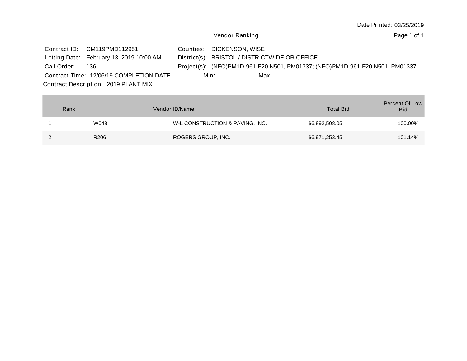Vendor Ranking

|                 | Contract ID: CM119PMD112951              |      | Counties: DICKENSON, WISE                     |      |                                                                               |
|-----------------|------------------------------------------|------|-----------------------------------------------|------|-------------------------------------------------------------------------------|
|                 | Letting Date: February 13, 2019 10:00 AM |      | District(s): BRISTOL / DISTRICTWIDE OR OFFICE |      |                                                                               |
| Call Order: 136 |                                          |      |                                               |      | Project(s): (NFO)PM1D-961-F20,N501, PM01337; (NFO)PM1D-961-F20,N501, PM01337; |
|                 | Contract Time: 12/06/19 COMPLETION DATE  | Min: |                                               | Max: |                                                                               |
|                 | Contract Description: 2019 PLANT MIX     |      |                                               |      |                                                                               |

| Rank |                  | Vendor ID/Name                  | <b>Total Bid</b> | <b>Percent Of Low</b><br><b>Bid</b> |
|------|------------------|---------------------------------|------------------|-------------------------------------|
|      | W048             | W-L CONSTRUCTION & PAVING, INC. | \$6,892,508.05   | 100.00%                             |
|      | R <sub>206</sub> | ROGERS GROUP, INC.              | \$6,971,253.45   | 101.14%                             |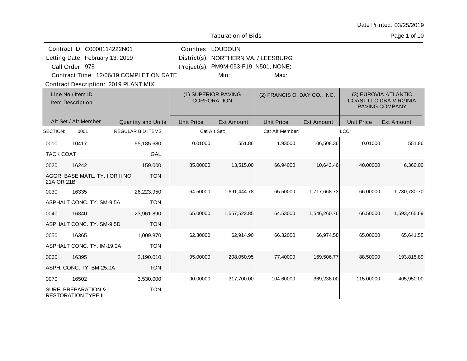|  |  | Date Printed: 03/25/2019 |
|--|--|--------------------------|
|--|--|--------------------------|

|                                       | Contract ID: C0000114222N01                                  |                                         |                   | <b>Counties: LOUDOUN</b>                                                      |                   |                              |                   |                                                                         |  |
|---------------------------------------|--------------------------------------------------------------|-----------------------------------------|-------------------|-------------------------------------------------------------------------------|-------------------|------------------------------|-------------------|-------------------------------------------------------------------------|--|
|                                       | Letting Date: February 13, 2019<br>Call Order: 978           |                                         |                   | District(s): NORTHERN VA. / LEESBURG<br>Project(s): PM9M-053-F19, N501, NONE; |                   |                              |                   |                                                                         |  |
|                                       |                                                              | Contract Time: 12/06/19 COMPLETION DATE |                   | Min:                                                                          | Max:              |                              |                   |                                                                         |  |
|                                       |                                                              |                                         |                   |                                                                               |                   |                              |                   |                                                                         |  |
|                                       | <b>Contract Description: 2019 PLANT MIX</b>                  |                                         |                   |                                                                               |                   |                              |                   |                                                                         |  |
| Line No / Item ID<br>Item Description |                                                              |                                         |                   | (1) SUPERIOR PAVING<br><b>CORPORATION</b>                                     |                   | (2) FRANCIS O. DAY CO., INC. |                   | (3) EUROVIA ATLANTIC<br><b>COAST LLC DBA VIRGINIA</b><br>PAVING COMPANY |  |
|                                       | Alt Set / Alt Member                                         | <b>Quantity and Units</b>               | <b>Unit Price</b> | <b>Ext Amount</b>                                                             | <b>Unit Price</b> | <b>Ext Amount</b>            | <b>Unit Price</b> | <b>Ext Amount</b>                                                       |  |
| SECTION:                              | 0001                                                         | <b>REGULAR BID ITEMS</b>                |                   | Cat Alt Set:                                                                  | Cat Alt Member:   |                              | LCC:              |                                                                         |  |
| 0010                                  | 10417                                                        | 55,185.680                              | 0.01000           | 551.86                                                                        | 1.93000           | 106,508.36                   | 0.01000           | 551.86                                                                  |  |
| <b>TACK COAT</b>                      |                                                              | GAL                                     |                   |                                                                               |                   |                              |                   |                                                                         |  |
| 0020                                  | 16242                                                        | 159.000                                 | 85.00000          | 13,515.00                                                                     | 66.94000          | 10,643.46                    | 40.00000          | 6,360.00                                                                |  |
| 21A OR 21B                            | AGGR. BASE MATL. TY. I OR II NO.                             | <b>TON</b>                              |                   |                                                                               |                   |                              |                   |                                                                         |  |
| 0030                                  | 16335                                                        | 26,223.950                              | 64.50000          | 1,691,444.78                                                                  | 65.50000          | 1,717,668.73                 | 66.00000          | 1,730,780.70                                                            |  |
|                                       | ASPHALT CONC. TY. SM-9.5A                                    | <b>TON</b>                              |                   |                                                                               |                   |                              |                   |                                                                         |  |
| 0040                                  | 16340                                                        | 23,961.890                              | 65.00000          | 1,557,522.85                                                                  | 64.53000          | 1,546,260.76                 | 66.50000          | 1,593,465.69                                                            |  |
|                                       | ASPHALT CONC. TY. SM-9.5D                                    | <b>TON</b>                              |                   |                                                                               |                   |                              |                   |                                                                         |  |
| 0050                                  | 16365                                                        | 1,009.870                               | 62.30000          | 62,914.90                                                                     | 66.32000          | 66,974.58                    | 65.00000          | 65,641.55                                                               |  |
|                                       | ASPHALT CONC. TY. IM-19.0A                                   | <b>TON</b>                              |                   |                                                                               |                   |                              |                   |                                                                         |  |
| 0060                                  | 16395                                                        | 2,190.010                               | 95.00000          | 208,050.95                                                                    | 77.40000          | 169,506.77                   | 88.50000          | 193,815.89                                                              |  |
|                                       | ASPH. CONC. TY. BM-25.0A T                                   | <b>TON</b>                              |                   |                                                                               |                   |                              |                   |                                                                         |  |
| 0070                                  | 16502                                                        | 3,530.000                               | 90.00000          | 317,700.00                                                                    | 104.60000         | 369,238.00                   | 115.00000         | 405,950.00                                                              |  |
|                                       | <b>SURF. PREPARATION &amp;</b><br><b>RESTORATION TYPE II</b> | <b>TON</b>                              |                   |                                                                               |                   |                              |                   |                                                                         |  |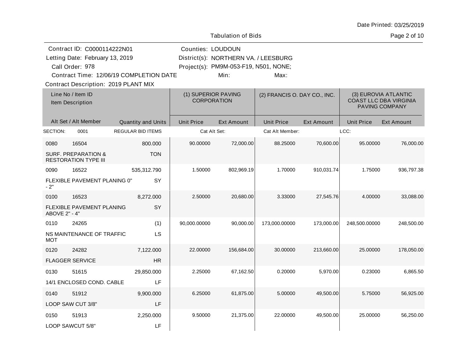| Date Printed: 03/25/2019 |
|--------------------------|
| Page 2 of 10             |
|                          |

|                                 | Contract ID: C0000114222N01                                   |                                         | <b>Counties: LOUDOUN</b>                  |                                       |                              |                   |                   |                                                                         |
|---------------------------------|---------------------------------------------------------------|-----------------------------------------|-------------------------------------------|---------------------------------------|------------------------------|-------------------|-------------------|-------------------------------------------------------------------------|
| Letting Date: February 13, 2019 |                                                               |                                         |                                           | District(s): NORTHERN VA. / LEESBURG  |                              |                   |                   |                                                                         |
|                                 | Call Order: 978                                               |                                         |                                           | Project(s): PM9M-053-F19, N501, NONE; |                              |                   |                   |                                                                         |
|                                 |                                                               | Contract Time: 12/06/19 COMPLETION DATE |                                           | Min:                                  | Max:                         |                   |                   |                                                                         |
|                                 | Contract Description: 2019 PLANT MIX                          |                                         |                                           |                                       |                              |                   |                   |                                                                         |
|                                 | Line No / Item ID<br>Item Description                         |                                         | (1) SUPERIOR PAVING<br><b>CORPORATION</b> |                                       | (2) FRANCIS O. DAY CO., INC. |                   |                   | (3) EUROVIA ATLANTIC<br><b>COAST LLC DBA VIRGINIA</b><br>PAVING COMPANY |
|                                 | Alt Set / Alt Member                                          | Quantity and Units                      | <b>Unit Price</b>                         | <b>Ext Amount</b>                     | <b>Unit Price</b>            | <b>Ext Amount</b> | <b>Unit Price</b> | <b>Ext Amount</b>                                                       |
| SECTION:                        | 0001                                                          | <b>REGULAR BID ITEMS</b>                | Cat Alt Set:                              |                                       | Cat Alt Member:              |                   | LCC:              |                                                                         |
| 0080                            | 16504                                                         | 800.000                                 | 90.00000                                  | 72,000.00                             | 88.25000                     | 70,600.00         | 95.00000          | 76,000.00                                                               |
|                                 | <b>SURF. PREPARATION &amp;</b><br><b>RESTORATION TYPE III</b> | <b>TON</b>                              |                                           |                                       |                              |                   |                   |                                                                         |
| 0090                            | 16522                                                         | 535,312.790                             | 1.50000                                   | 802,969.19                            | 1.70000                      | 910,031.74        | 1.75000           | 936,797.38                                                              |
| $-2"$                           | FLEXIBLE PAVEMENT PLANING 0"                                  | <b>SY</b>                               |                                           |                                       |                              |                   |                   |                                                                         |
| 0100                            | 16523                                                         | 8,272.000                               | 2.50000                                   | 20,680.00                             | 3.33000                      | 27,545.76         | 4.00000           | 33,088.00                                                               |
| ABOVE 2" - 4"                   | FLEXIBLE PAVEMENT PLANING                                     | SY                                      |                                           |                                       |                              |                   |                   |                                                                         |
| 0110                            | 24265                                                         | (1)                                     | 90,000.00000                              | 90,000.00                             | 173,000.00000                | 173,000.00        | 248,500.00000     | 248,500.00                                                              |
| MOT                             | NS MAINTENANCE OF TRAFFIC                                     | LS                                      |                                           |                                       |                              |                   |                   |                                                                         |
| 0120                            | 24282                                                         | 7,122.000                               | 22.00000                                  | 156,684.00                            | 30.00000                     | 213,660.00        | 25.00000          | 178,050.00                                                              |
|                                 | <b>FLAGGER SERVICE</b>                                        | <b>HR</b>                               |                                           |                                       |                              |                   |                   |                                                                         |
| 0130                            | 51615                                                         | 29,850.000                              | 2.25000                                   | 67,162.50                             | 0.20000                      | 5,970.00          | 0.23000           | 6,865.50                                                                |
|                                 | 14/1 ENCLOSED COND. CABLE                                     | LF                                      |                                           |                                       |                              |                   |                   |                                                                         |
| 0140                            | 51912                                                         | 9,900.000                               | 6.25000                                   | 61,875.00                             | 5.00000                      | 49,500.00         | 5.75000           | 56,925.00                                                               |
|                                 | LOOP SAW CUT 3/8"                                             | LF                                      |                                           |                                       |                              |                   |                   |                                                                         |
| 0150                            | 51913                                                         | 2,250.000                               | 9.50000                                   | 21,375.00                             | 22.00000                     | 49,500.00         | 25.00000          | 56,250.00                                                               |
|                                 | LOOP SAWCUT 5/8"                                              | LF                                      |                                           |                                       |                              |                   |                   |                                                                         |
|                                 |                                                               |                                         |                                           |                                       |                              |                   |                   |                                                                         |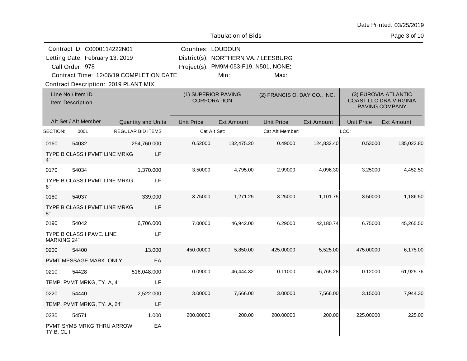|                            | Contract ID: C0000114222N01<br>Letting Date: February 13, 2019<br>Call Order: 978<br>Contract Time: 12/06/19 COMPLETION DATE<br><b>Contract Description: 2019 PLANT MIX</b> |                          | Counties: LOUDOUN                         | District(s): NORTHERN VA. / LEESBURG<br>Project(s): PM9M-053-F19, N501, NONE;<br>Min: | Max:                         |                   |                   |                                                                         |
|----------------------------|-----------------------------------------------------------------------------------------------------------------------------------------------------------------------------|--------------------------|-------------------------------------------|---------------------------------------------------------------------------------------|------------------------------|-------------------|-------------------|-------------------------------------------------------------------------|
|                            | Line No / Item ID<br>Item Description                                                                                                                                       |                          | (1) SUPERIOR PAVING<br><b>CORPORATION</b> |                                                                                       | (2) FRANCIS O. DAY CO., INC. |                   |                   | (3) EUROVIA ATLANTIC<br><b>COAST LLC DBA VIRGINIA</b><br>PAVING COMPANY |
|                            | Alt Set / Alt Member                                                                                                                                                        | Quantity and Units       | <b>Unit Price</b>                         | <b>Ext Amount</b>                                                                     | <b>Unit Price</b>            | <b>Ext Amount</b> | <b>Unit Price</b> | <b>Ext Amount</b>                                                       |
| SECTION:                   | 0001                                                                                                                                                                        | <b>REGULAR BID ITEMS</b> |                                           | Cat Alt Set:                                                                          | Cat Alt Member:              |                   | LCC:              |                                                                         |
| 0160<br>4"                 | 54032<br>TYPE B CLASS I PVMT LINE MRKG                                                                                                                                      | 254,760.000<br>LF        | 0.52000                                   | 132,475.20                                                                            | 0.49000                      | 124,832.40        | 0.53000           | 135,022.80                                                              |
| 0170<br>6"                 | 54034<br>TYPE B CLASS I PVMT LINE MRKG                                                                                                                                      | 1,370.000<br>LF          | 3.50000                                   | 4,795.00                                                                              | 2.99000                      | 4,096.30          | 3.25000           | 4,452.50                                                                |
| 0180<br>8"                 | 54037<br>TYPE B CLASS I PVMT LINE MRKG                                                                                                                                      | 339.000<br>LF            | 3.75000                                   | 1,271.25                                                                              | 3.25000                      | 1,101.75          | 3.50000           | 1,186.50                                                                |
| 0190<br><b>MARKING 24"</b> | 54042<br>TYPE B CLASS I PAVE. LINE                                                                                                                                          | 6,706.000<br>LF          | 7.00000                                   | 46,942.00                                                                             | 6.29000                      | 42,180.74         | 6.75000           | 45,265.50                                                               |
| 0200                       | 54400                                                                                                                                                                       | 13,000                   | 450.00000                                 | 5,850.00                                                                              | 425.00000                    | 5,525.00          | 475.00000         | 6,175.00                                                                |
|                            | PVMT MESSAGE MARK. ONLY                                                                                                                                                     | EA                       |                                           |                                                                                       |                              |                   |                   |                                                                         |
| 0210                       | 54428<br>TEMP. PVMT MRKG, TY. A, 4"                                                                                                                                         | 516,048.000<br>LF        | 0.09000                                   | 46,444.32                                                                             | 0.11000                      | 56,765.28         | 0.12000           | 61,925.76                                                               |
| 0220                       | 54440<br>TEMP. PVMT MRKG, TY. A, 24"                                                                                                                                        | 2,522.000<br>LF          | 3.00000                                   | 7,566.00                                                                              | 3.00000                      | 7,566.00          | 3.15000           | 7,944.30                                                                |
|                            |                                                                                                                                                                             |                          |                                           |                                                                                       |                              |                   |                   |                                                                         |

200.00000 200.00 200.0000 200.000 200.00 225.00000 225.00

Date Printed: 03/25/2019

Page 3 of 10

PVMT SYMB MRKG THRU ARROW TY B, CL I

0230 54571

1.000 EA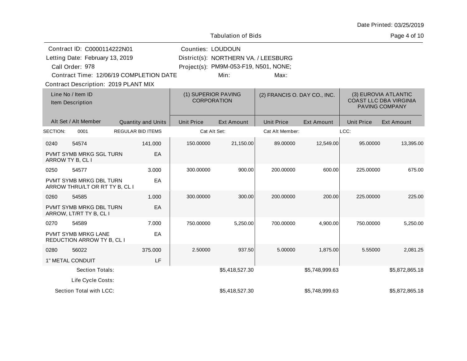|          |                                                                                   |                           |                          | <b>Tabulation of Bids</b>                                                     |                              |                   |                   | Page 4 of 10                                                            |
|----------|-----------------------------------------------------------------------------------|---------------------------|--------------------------|-------------------------------------------------------------------------------|------------------------------|-------------------|-------------------|-------------------------------------------------------------------------|
|          | Contract ID: C0000114222N01<br>Letting Date: February 13, 2019<br>Call Order: 978 |                           | <b>Counties: LOUDOUN</b> | District(s): NORTHERN VA. / LEESBURG<br>Project(s): PM9M-053-F19, N501, NONE; |                              |                   |                   |                                                                         |
|          | Contract Time: 12/06/19 COMPLETION DATE<br>Contract Description: 2019 PLANT MIX   |                           |                          | Min:                                                                          | Max:                         |                   |                   |                                                                         |
|          | Line No / Item ID<br>Item Description                                             |                           |                          | (1) SUPERIOR PAVING<br><b>CORPORATION</b>                                     | (2) FRANCIS O. DAY CO., INC. |                   |                   | (3) EUROVIA ATLANTIC<br><b>COAST LLC DBA VIRGINIA</b><br>PAVING COMPANY |
|          | Alt Set / Alt Member                                                              | <b>Quantity and Units</b> | <b>Unit Price</b>        | <b>Ext Amount</b>                                                             | <b>Unit Price</b>            | <b>Ext Amount</b> | <b>Unit Price</b> | <b>Ext Amount</b>                                                       |
| SECTION: | 0001                                                                              | <b>REGULAR BID ITEMS</b>  |                          | Cat Alt Set:                                                                  | Cat Alt Member:              |                   | LCC:              |                                                                         |
| 0240     | 54574                                                                             | 141.000                   | 150.00000                | 21,150.00                                                                     | 89.00000                     | 12,549.00         | 95.00000          | 13,395.00                                                               |
|          | PVMT SYMB MRKG SGL TURN<br>ARROW TY B, CL I                                       | EA                        |                          |                                                                               |                              |                   |                   |                                                                         |
| 0250     | 54577                                                                             | 3.000                     | 300.00000                | 900.00                                                                        | 200.00000                    | 600.00            | 225.00000         | 675.00                                                                  |
|          | PVMT SYMB MRKG DBL TURN<br>ARROW THRU/LT OR RT TY B, CL I                         | EA                        |                          |                                                                               |                              |                   |                   |                                                                         |
| 0260     | 54585                                                                             | 1.000                     | 300.00000                | 300.00                                                                        | 200.00000                    | 200.00            | 225.00000         | 225.00                                                                  |
|          | PVMT SYMB MRKG DBL TURN<br>ARROW, LT/RT TY B, CL I                                | EA                        |                          |                                                                               |                              |                   |                   |                                                                         |
| 0270     | 54589                                                                             | 7.000                     | 750.00000                | 5,250.00                                                                      | 700.00000                    | 4,900.00          | 750.00000         | 5,250.00                                                                |
|          | PVMT SYMB MRKG LANE<br><b>REDUCTION ARROW TY B, CL I</b>                          | EA                        |                          |                                                                               |                              |                   |                   |                                                                         |
| 0280     | 56022                                                                             | 375.000                   | 2.50000                  | 937.50                                                                        | 5.00000                      | 1,875.00          | 5.55000           | 2,081.25                                                                |
|          | 1" METAL CONDUIT                                                                  | LF                        |                          |                                                                               |                              |                   |                   |                                                                         |
|          | Section Totals:                                                                   |                           |                          | \$5,418,527.30                                                                |                              | \$5,748,999.63    |                   | \$5,872,865.18                                                          |
|          | Life Cycle Costs:                                                                 |                           |                          |                                                                               |                              |                   |                   |                                                                         |
|          | Section Total with LCC:                                                           |                           |                          | \$5,418,527.30                                                                |                              | \$5,748,999.63    |                   | \$5,872,865.18                                                          |

10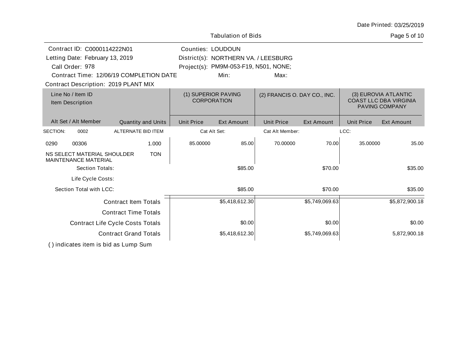|                                                                                   |                                         |                   | <b>Tabulation of Bids</b>                                                     |                              |                   |                   | Page 5 of 10                                                                   |
|-----------------------------------------------------------------------------------|-----------------------------------------|-------------------|-------------------------------------------------------------------------------|------------------------------|-------------------|-------------------|--------------------------------------------------------------------------------|
| Contract ID: C0000114222N01<br>Letting Date: February 13, 2019<br>Call Order: 978 |                                         | Counties: LOUDOUN | District(s): NORTHERN VA. / LEESBURG<br>Project(s): PM9M-053-F19, N501, NONE; |                              |                   |                   |                                                                                |
| Contract Description: 2019 PLANT MIX                                              | Contract Time: 12/06/19 COMPLETION DATE |                   | Min:                                                                          | Max:                         |                   |                   |                                                                                |
| Line No / Item ID<br>Item Description                                             |                                         |                   | (1) SUPERIOR PAVING<br><b>CORPORATION</b>                                     | (2) FRANCIS O. DAY CO., INC. |                   |                   | (3) EUROVIA ATLANTIC<br><b>COAST LLC DBA VIRGINIA</b><br><b>PAVING COMPANY</b> |
| Alt Set / Alt Member                                                              | <b>Quantity and Units</b>               | <b>Unit Price</b> | <b>Ext Amount</b>                                                             | <b>Unit Price</b>            | <b>Ext Amount</b> | <b>Unit Price</b> | <b>Ext Amount</b>                                                              |
| SECTION:<br>0002                                                                  | ALTERNATE BID ITEM                      |                   | Cat Alt Set:                                                                  | Cat Alt Member:              |                   | LCC:              |                                                                                |
| 00306<br>0290                                                                     | 1.000                                   | 85.00000          | 85.00                                                                         | 70.00000                     | 70.00             | 35.00000          | 35.00                                                                          |
| NS SELECT MATERIAL SHOULDER<br><b>MAINTENANCE MATERIAL</b>                        | <b>TON</b>                              |                   |                                                                               |                              |                   |                   |                                                                                |
| Section Totals:                                                                   |                                         |                   | \$85.00                                                                       |                              | \$70.00           |                   | \$35.00                                                                        |
| Life Cycle Costs:                                                                 |                                         |                   |                                                                               |                              |                   |                   |                                                                                |
| Section Total with LCC:                                                           |                                         |                   | \$85.00                                                                       |                              | \$70.00           |                   | \$35.00                                                                        |
|                                                                                   | <b>Contract Item Totals</b>             |                   | \$5,418,612.30                                                                |                              | \$5,749,069.63    |                   | \$5,872,900.18                                                                 |
|                                                                                   | <b>Contract Time Totals</b>             |                   |                                                                               |                              |                   |                   |                                                                                |
|                                                                                   | <b>Contract Life Cycle Costs Totals</b> |                   | \$0.00                                                                        |                              | \$0.00            |                   | \$0.00                                                                         |
|                                                                                   | <b>Contract Grand Totals</b>            |                   | \$5,418,612.30                                                                |                              | \$5,749,069.63    |                   | 5,872,900.18                                                                   |
|                                                                                   |                                         |                   |                                                                               |                              |                   |                   |                                                                                |

( ) indicates item is bid as Lump Sum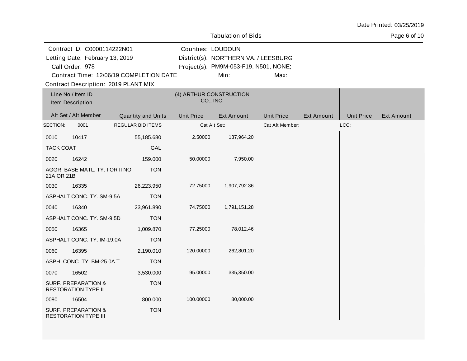|                                       |                                                                                   |                                         |                                      | <b>Tabulation of Bids</b>                                                             |                   |                   |                   | Page 6 of 10      |
|---------------------------------------|-----------------------------------------------------------------------------------|-----------------------------------------|--------------------------------------|---------------------------------------------------------------------------------------|-------------------|-------------------|-------------------|-------------------|
|                                       | Contract ID: C0000114222N01<br>Letting Date: February 13, 2019<br>Call Order: 978 | Contract Time: 12/06/19 COMPLETION DATE | Counties: LOUDOUN                    | District(s): NORTHERN VA. / LEESBURG<br>Project(s): PM9M-053-F19, N501, NONE;<br>Min: | Max:              |                   |                   |                   |
|                                       | Contract Description: 2019 PLANT MIX                                              |                                         |                                      |                                                                                       |                   |                   |                   |                   |
| Line No / Item ID<br>Item Description |                                                                                   |                                         | (4) ARTHUR CONSTRUCTION<br>CO., INC. |                                                                                       |                   |                   |                   |                   |
|                                       | Alt Set / Alt Member                                                              | Quantity and Units                      | <b>Unit Price</b>                    | <b>Ext Amount</b>                                                                     | <b>Unit Price</b> | <b>Ext Amount</b> | <b>Unit Price</b> | <b>Ext Amount</b> |
| SECTION:                              | 0001                                                                              | <b>REGULAR BID ITEMS</b>                | Cat Alt Set:                         |                                                                                       | Cat Alt Member:   |                   | LCC:              |                   |
| 0010                                  | 10417                                                                             | 55,185.680                              | 2.50000                              | 137,964.20                                                                            |                   |                   |                   |                   |
| <b>TACK COAT</b>                      |                                                                                   | <b>GAL</b>                              |                                      |                                                                                       |                   |                   |                   |                   |
| 0020                                  | 16242                                                                             | 159.000                                 | 50.00000                             | 7,950.00                                                                              |                   |                   |                   |                   |
| 21A OR 21B                            | AGGR. BASE MATL. TY. I OR II NO.                                                  | <b>TON</b>                              |                                      |                                                                                       |                   |                   |                   |                   |
| 0030                                  | 16335                                                                             | 26,223.950                              | 72.75000                             | 1,907,792.36                                                                          |                   |                   |                   |                   |
|                                       | ASPHALT CONC. TY. SM-9.5A                                                         | <b>TON</b>                              |                                      |                                                                                       |                   |                   |                   |                   |
| 0040                                  | 16340                                                                             | 23,961.890                              | 74.75000                             | 1,791,151.28                                                                          |                   |                   |                   |                   |
|                                       | ASPHALT CONC. TY. SM-9.5D                                                         | <b>TON</b>                              |                                      |                                                                                       |                   |                   |                   |                   |
| 0050                                  | 16365                                                                             | 1,009.870                               | 77.25000                             | 78,012.46                                                                             |                   |                   |                   |                   |
|                                       | ASPHALT CONC. TY. IM-19.0A                                                        | <b>TON</b>                              |                                      |                                                                                       |                   |                   |                   |                   |
| 0060                                  | 16395                                                                             | 2,190.010                               | 120.00000                            | 262,801.20                                                                            |                   |                   |                   |                   |
|                                       | ASPH. CONC. TY. BM-25.0A T                                                        | <b>TON</b>                              |                                      |                                                                                       |                   |                   |                   |                   |
| 0070                                  | 16502                                                                             | 3,530.000                               | 95.00000                             | 335,350.00                                                                            |                   |                   |                   |                   |
|                                       | <b>SURF. PREPARATION &amp;</b><br><b>RESTORATION TYPE II</b>                      | <b>TON</b>                              |                                      |                                                                                       |                   |                   |                   |                   |
| 0080                                  | 16504                                                                             | 800.000                                 | 100.00000                            | 80,000.00                                                                             |                   |                   |                   |                   |
|                                       | <b>SURF. PREPARATION &amp;</b><br><b>RESTORATION TYPE III</b>                     | <b>TON</b>                              |                                      |                                                                                       |                   |                   |                   |                   |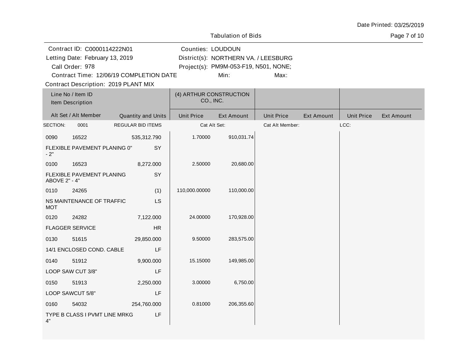|                                 |                                       |                                         |                   | <b>Tabulation of Bids</b>             |                   |                   |                   | Page 7 of 10      |
|---------------------------------|---------------------------------------|-----------------------------------------|-------------------|---------------------------------------|-------------------|-------------------|-------------------|-------------------|
|                                 | Contract ID: C0000114222N01           |                                         | Counties: LOUDOUN |                                       |                   |                   |                   |                   |
| Letting Date: February 13, 2019 |                                       |                                         |                   | District(s): NORTHERN VA. / LEESBURG  |                   |                   |                   |                   |
|                                 | Call Order: 978                       |                                         |                   | Project(s): PM9M-053-F19, N501, NONE; |                   |                   |                   |                   |
|                                 |                                       | Contract Time: 12/06/19 COMPLETION DATE |                   | Min:                                  | Max:              |                   |                   |                   |
|                                 |                                       | Contract Description: 2019 PLANT MIX    |                   |                                       |                   |                   |                   |                   |
|                                 | Line No / Item ID<br>Item Description |                                         | CO., INC.         | (4) ARTHUR CONSTRUCTION               |                   |                   |                   |                   |
|                                 | Alt Set / Alt Member                  | Quantity and Units                      | <b>Unit Price</b> | <b>Ext Amount</b>                     | <b>Unit Price</b> | <b>Ext Amount</b> | <b>Unit Price</b> | <b>Ext Amount</b> |
| SECTION:                        | 0001                                  | REGULAR BID ITEMS                       |                   | Cat Alt Set:                          | Cat Alt Member:   |                   | LCC:              |                   |
| 0090                            | 16522                                 | 535,312.790                             | 1.70000           | 910,031.74                            |                   |                   |                   |                   |
| $-2"$                           | FLEXIBLE PAVEMENT PLANING 0"          | SY                                      |                   |                                       |                   |                   |                   |                   |
| 0100                            | 16523                                 | 8,272.000                               | 2.50000           | 20,680.00                             |                   |                   |                   |                   |
| ABOVE 2" - 4"                   | FLEXIBLE PAVEMENT PLANING             | SY                                      |                   |                                       |                   |                   |                   |                   |
| 0110                            | 24265                                 | (1)                                     | 110,000.00000     | 110,000.00                            |                   |                   |                   |                   |
| <b>MOT</b>                      | NS MAINTENANCE OF TRAFFIC             | <b>LS</b>                               |                   |                                       |                   |                   |                   |                   |
| 0120                            | 24282                                 | 7,122.000                               | 24.00000          | 170,928.00                            |                   |                   |                   |                   |
|                                 | <b>FLAGGER SERVICE</b>                | HR                                      |                   |                                       |                   |                   |                   |                   |
| 0130                            | 51615                                 | 29,850.000                              | 9.50000           | 283,575.00                            |                   |                   |                   |                   |
|                                 | 14/1 ENCLOSED COND. CABLE             | LF                                      |                   |                                       |                   |                   |                   |                   |
| 0140                            | 51912                                 | 9,900.000                               | 15.15000          | 149,985.00                            |                   |                   |                   |                   |
|                                 | LOOP SAW CUT 3/8"                     | LF                                      |                   |                                       |                   |                   |                   |                   |
| 0150                            | 51913                                 | 2,250.000                               | 3.00000           | 6,750.00                              |                   |                   |                   |                   |
|                                 | LOOP SAWCUT 5/8"                      | LF                                      |                   |                                       |                   |                   |                   |                   |
| 0160                            | 54032                                 | 254,760.000                             | 0.81000           | 206,355.60                            |                   |                   |                   |                   |
| 4"                              | TYPE B CLASS I PVMT LINE MRKG         | LF                                      |                   |                                       |                   |                   |                   |                   |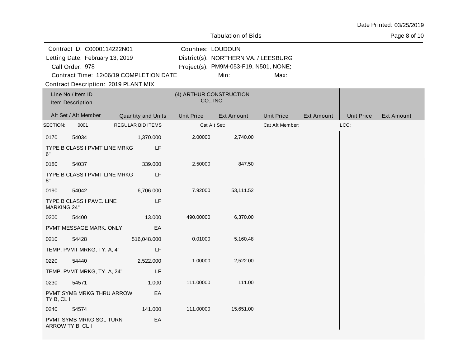|                                                                                                                                                                      |                                       |                    |                                      | <b>Tabulation of Bids</b>                                                             |                   |                   |                   | Page 8 of 10      |
|----------------------------------------------------------------------------------------------------------------------------------------------------------------------|---------------------------------------|--------------------|--------------------------------------|---------------------------------------------------------------------------------------|-------------------|-------------------|-------------------|-------------------|
| Contract ID: C0000114222N01<br>Letting Date: February 13, 2019<br>Call Order: 978<br>Contract Time: 12/06/19 COMPLETION DATE<br>Contract Description: 2019 PLANT MIX |                                       |                    | Counties: LOUDOUN                    | District(s): NORTHERN VA. / LEESBURG<br>Project(s): PM9M-053-F19, N501, NONE;<br>Min: |                   |                   |                   |                   |
|                                                                                                                                                                      | Line No / Item ID<br>Item Description |                    | (4) ARTHUR CONSTRUCTION<br>CO., INC. |                                                                                       |                   |                   |                   |                   |
|                                                                                                                                                                      | Alt Set / Alt Member                  | Quantity and Units | <b>Unit Price</b>                    | <b>Ext Amount</b>                                                                     | <b>Unit Price</b> | <b>Ext Amount</b> | <b>Unit Price</b> | <b>Ext Amount</b> |
| SECTION:                                                                                                                                                             | 0001                                  | REGULAR BID ITEMS  | Cat Alt Set:                         |                                                                                       | Cat Alt Member:   |                   | LCC:              |                   |
| 0170                                                                                                                                                                 | 54034                                 | 1,370.000          | 2.00000                              | 2,740.00                                                                              |                   |                   |                   |                   |
| 6"                                                                                                                                                                   | TYPE B CLASS I PVMT LINE MRKG         | LF                 |                                      |                                                                                       |                   |                   |                   |                   |
| 0180                                                                                                                                                                 | 54037                                 | 339.000            | 2.50000                              | 847.50                                                                                |                   |                   |                   |                   |
| 8"                                                                                                                                                                   | TYPE B CLASS I PVMT LINE MRKG         | LF                 |                                      |                                                                                       |                   |                   |                   |                   |
| 0190                                                                                                                                                                 | 54042                                 | 6,706.000          | 7.92000                              | 53,111.52                                                                             |                   |                   |                   |                   |
| <b>MARKING 24"</b>                                                                                                                                                   | TYPE B CLASS I PAVE. LINE             | LF                 |                                      |                                                                                       |                   |                   |                   |                   |
| 0200                                                                                                                                                                 | 54400                                 | 13.000             | 490.00000                            | 6,370.00                                                                              |                   |                   |                   |                   |
|                                                                                                                                                                      | PVMT MESSAGE MARK. ONLY               | EA                 |                                      |                                                                                       |                   |                   |                   |                   |
| 0210                                                                                                                                                                 | 54428                                 | 516,048.000        | 0.01000                              | 5,160.48                                                                              |                   |                   |                   |                   |
|                                                                                                                                                                      | TEMP. PVMT MRKG, TY. A, 4"            | LF                 |                                      |                                                                                       |                   |                   |                   |                   |
| 0220                                                                                                                                                                 | 54440                                 | 2,522.000          | 1.00000                              | 2,522.00                                                                              |                   |                   |                   |                   |
|                                                                                                                                                                      | TEMP. PVMT MRKG, TY. A, 24"           | LF                 |                                      |                                                                                       |                   |                   |                   |                   |
| 0230                                                                                                                                                                 | 54571                                 | 1.000              | 111.00000                            | 111.00                                                                                |                   |                   |                   |                   |
| TY B, CL I                                                                                                                                                           | PVMT SYMB MRKG THRU ARROW             | EA                 |                                      |                                                                                       |                   |                   |                   |                   |
| 0240                                                                                                                                                                 | 54574                                 | 141.000            | 111.00000                            | 15,651.00                                                                             |                   |                   |                   |                   |
| ARROW TY B, CL I                                                                                                                                                     | PVMT SYMB MRKG SGL TURN               | EA                 |                                      |                                                                                       |                   |                   |                   |                   |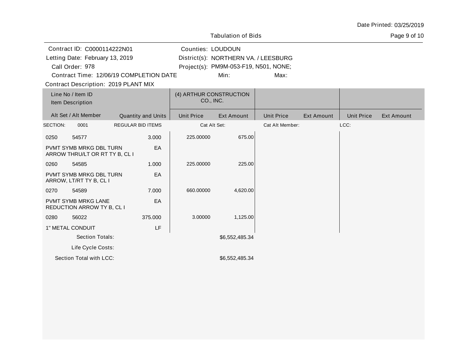|                                 |                                                           |                          |                           |                                      | <b>Tabulation of Bids</b>             |                   |                   |                   | Page 9 of 10      |
|---------------------------------|-----------------------------------------------------------|--------------------------|---------------------------|--------------------------------------|---------------------------------------|-------------------|-------------------|-------------------|-------------------|
|                                 | Contract ID: C0000114222N01                               |                          |                           | Counties: LOUDOUN                    |                                       |                   |                   |                   |                   |
| Letting Date: February 13, 2019 |                                                           |                          |                           |                                      | District(s): NORTHERN VA. / LEESBURG  |                   |                   |                   |                   |
| Call Order: 978                 |                                                           |                          |                           |                                      | Project(s): PM9M-053-F19, N501, NONE; |                   |                   |                   |                   |
|                                 | Contract Time: 12/06/19 COMPLETION DATE                   |                          |                           |                                      | Min:                                  | Max:              |                   |                   |                   |
|                                 | <b>Contract Description: 2019 PLANT MIX</b>               |                          |                           |                                      |                                       |                   |                   |                   |                   |
|                                 | Line No / Item ID<br>Item Description                     |                          |                           | (4) ARTHUR CONSTRUCTION<br>CO., INC. |                                       |                   |                   |                   |                   |
|                                 | Alt Set / Alt Member                                      |                          | <b>Quantity and Units</b> | <b>Unit Price</b>                    | <b>Ext Amount</b>                     | <b>Unit Price</b> | <b>Ext Amount</b> | <b>Unit Price</b> | <b>Ext Amount</b> |
| SECTION:                        | 0001                                                      | <b>REGULAR BID ITEMS</b> |                           | Cat Alt Set:                         |                                       | Cat Alt Member:   |                   | LCC:              |                   |
| 0250                            | 54577                                                     |                          | 3.000                     | 225.00000                            | 675.00                                |                   |                   |                   |                   |
|                                 | PVMT SYMB MRKG DBL TURN<br>ARROW THRU/LT OR RT TY B, CL I |                          | EA                        |                                      |                                       |                   |                   |                   |                   |
| 0260                            | 54585                                                     |                          | 1.000                     | 225.00000                            | 225.00                                |                   |                   |                   |                   |
|                                 | PVMT SYMB MRKG DBL TURN<br>ARROW, LT/RT TY B, CL I        |                          | EA                        |                                      |                                       |                   |                   |                   |                   |
| 0270                            | 54589                                                     |                          | 7.000                     | 660.00000                            | 4,620.00                              |                   |                   |                   |                   |
|                                 | PVMT SYMB MRKG LANE<br>REDUCTION ARROW TY B, CL I         |                          | EA                        |                                      |                                       |                   |                   |                   |                   |
| 0280                            | 56022                                                     |                          | 375.000                   | 3.00000                              | 1,125.00                              |                   |                   |                   |                   |
|                                 | 1" METAL CONDUIT                                          |                          | LF                        |                                      |                                       |                   |                   |                   |                   |
|                                 | Section Totals:                                           |                          |                           |                                      | \$6,552,485.34                        |                   |                   |                   |                   |
|                                 | Life Cycle Costs:                                         |                          |                           |                                      |                                       |                   |                   |                   |                   |
|                                 | Section Total with LCC:                                   |                          |                           |                                      | \$6,552,485.34                        |                   |                   |                   |                   |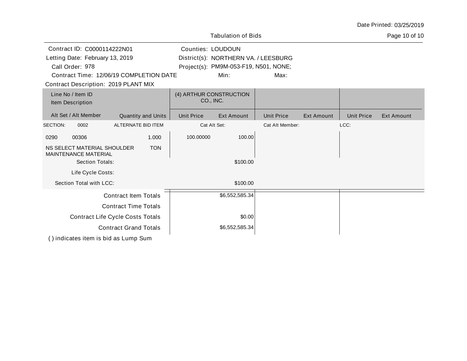|                                                                                                                                                                      |                           |                   | <b>Tabulation of Bids</b>                                                             |                   |                   |                   | Page 10 of 10 |
|----------------------------------------------------------------------------------------------------------------------------------------------------------------------|---------------------------|-------------------|---------------------------------------------------------------------------------------|-------------------|-------------------|-------------------|---------------|
| Contract ID: C0000114222N01<br>Letting Date: February 13, 2019<br>Call Order: 978<br>Contract Time: 12/06/19 COMPLETION DATE<br>Contract Description: 2019 PLANT MIX |                           | Counties: LOUDOUN | District(s): NORTHERN VA. / LEESBURG<br>Project(s): PM9M-053-F19, N501, NONE;<br>Min: | Max:              |                   |                   |               |
| Line No / Item ID<br>Item Description                                                                                                                                |                           |                   | (4) ARTHUR CONSTRUCTION<br>CO., INC.                                                  |                   |                   |                   |               |
| Alt Set / Alt Member                                                                                                                                                 | <b>Quantity and Units</b> | <b>Unit Price</b> | Ext Amount                                                                            | <b>Unit Price</b> | <b>Ext Amount</b> | <b>Unit Price</b> | Ext Amount    |
| SECTION:<br>0002                                                                                                                                                     | ALTERNATE BID ITEM        |                   | Cat Alt Set:                                                                          | Cat Alt Member:   |                   | LCC:              |               |
| 00306<br>0290                                                                                                                                                        | 1.000                     | 100.00000         | 100.00                                                                                |                   |                   |                   |               |
| NS SELECT MATERIAL SHOULDER<br><b>MAINTENANCE MATERIAL</b><br>Section Totals:                                                                                        | <b>TON</b>                |                   | \$100.00                                                                              |                   |                   |                   |               |
| Life Cycle Costs:                                                                                                                                                    |                           |                   |                                                                                       |                   |                   |                   |               |
| Section Total with LCC:                                                                                                                                              |                           |                   | \$100.00                                                                              |                   |                   |                   |               |
| <b>Contract Item Totals</b>                                                                                                                                          |                           |                   | \$6,552,585.34                                                                        |                   |                   |                   |               |
| <b>Contract Time Totals</b>                                                                                                                                          |                           |                   |                                                                                       |                   |                   |                   |               |
| <b>Contract Life Cycle Costs Totals</b>                                                                                                                              |                           |                   | \$0.00                                                                                |                   |                   |                   |               |
| <b>Contract Grand Totals</b>                                                                                                                                         |                           |                   | \$6,552,585.34                                                                        |                   |                   |                   |               |

( ) indicates item is bid as Lump Sum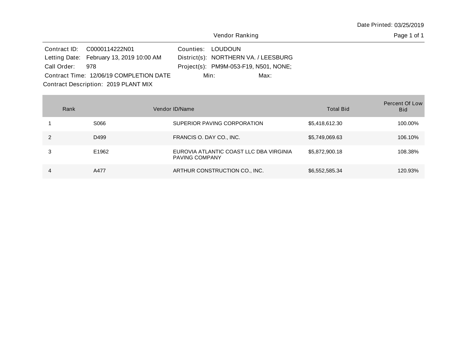|                                      | Contract ID: C0000114222N01              |  | Counties: LOUDOUN                     |  |  |  |  |  |
|--------------------------------------|------------------------------------------|--|---------------------------------------|--|--|--|--|--|
|                                      | Letting Date: February 13, 2019 10:00 AM |  | District(s): NORTHERN VA. / LEESBURG  |  |  |  |  |  |
| Call Order: 978                      |                                          |  | Project(s): PM9M-053-F19, N501, NONE; |  |  |  |  |  |
|                                      | Contract Time: 12/06/19 COMPLETION DATE  |  | Max:<br>Min:                          |  |  |  |  |  |
| Contract Description: 2019 PLANT MIX |                                          |  |                                       |  |  |  |  |  |

| Rank |       | Vendor ID/Name                                                   | <b>Total Bid</b> | Percent Of Low<br><b>Bid</b> |
|------|-------|------------------------------------------------------------------|------------------|------------------------------|
|      | S066  | SUPERIOR PAVING CORPORATION                                      | \$5,418,612.30   | 100.00%                      |
|      | D499  | FRANCIS O. DAY CO., INC.                                         | \$5,749,069.63   | 106.10%                      |
|      | E1962 | EUROVIA ATLANTIC COAST LLC DBA VIRGINIA<br><b>PAVING COMPANY</b> | \$5,872,900.18   | 108.38%                      |
| 4    | A477  | ARTHUR CONSTRUCTION CO., INC.                                    | \$6,552,585.34   | 120.93%                      |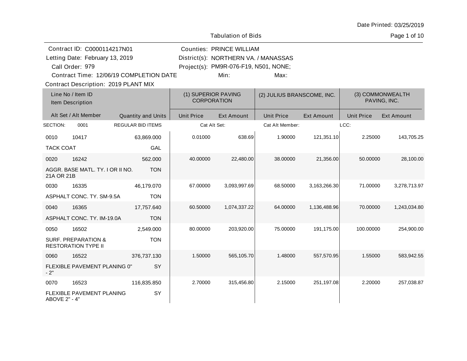|                                       | Contract ID: C0000114217N01                                  |                                           |                   | <b>Counties: PRINCE WILLIAM</b>       |                   |                                  |                   |                   |
|---------------------------------------|--------------------------------------------------------------|-------------------------------------------|-------------------|---------------------------------------|-------------------|----------------------------------|-------------------|-------------------|
|                                       | Letting Date: February 13, 2019                              |                                           |                   | District(s): NORTHERN VA. / MANASSAS  |                   |                                  |                   |                   |
|                                       | Call Order: 979                                              |                                           |                   | Project(s): PM9R-076-F19, N501, NONE; |                   |                                  |                   |                   |
|                                       |                                                              | Contract Time: 12/06/19 COMPLETION DATE   |                   | Min:                                  | Max:              |                                  |                   |                   |
|                                       |                                                              | Contract Description: 2019 PLANT MIX      |                   |                                       |                   |                                  |                   |                   |
| Line No / Item ID<br>Item Description |                                                              | (1) SUPERIOR PAVING<br><b>CORPORATION</b> |                   | (2) JULIUS BRANSCOME, INC.            |                   | (3) COMMONWEALTH<br>PAVING, INC. |                   |                   |
|                                       | Alt Set / Alt Member                                         | <b>Quantity and Units</b>                 | <b>Unit Price</b> | <b>Ext Amount</b>                     | <b>Unit Price</b> | <b>Ext Amount</b>                | <b>Unit Price</b> | <b>Ext Amount</b> |
| SECTION:                              | 0001                                                         | <b>REGULAR BID ITEMS</b>                  |                   | Cat Alt Set:                          | Cat Alt Member:   |                                  | LCC:              |                   |
| 0010                                  | 10417                                                        | 63,869.000                                | 0.01000           | 638.69                                | 1.90000           | 121,351.10                       | 2.25000           | 143,705.25        |
| <b>TACK COAT</b>                      |                                                              | GAL                                       |                   |                                       |                   |                                  |                   |                   |
| 0020                                  | 16242                                                        | 562.000                                   | 40.00000          | 22,480.00                             | 38.00000          | 21,356.00                        | 50.00000          | 28,100.00         |
| 21A OR 21B                            | AGGR. BASE MATL. TY. I OR II NO.                             | <b>TON</b>                                |                   |                                       |                   |                                  |                   |                   |
| 0030                                  | 16335                                                        | 46,179.070                                | 67.00000          | 3,093,997.69                          | 68.50000          | 3,163,266.30                     | 71.00000          | 3,278,713.97      |
|                                       | ASPHALT CONC. TY. SM-9.5A                                    | <b>TON</b>                                |                   |                                       |                   |                                  |                   |                   |
| 0040                                  | 16365                                                        | 17,757.640                                | 60.50000          | 1,074,337.22                          | 64.00000          | 1,136,488.96                     | 70.00000          | 1,243,034.80      |
|                                       | ASPHALT CONC. TY. IM-19.0A                                   | <b>TON</b>                                |                   |                                       |                   |                                  |                   |                   |
| 0050                                  | 16502                                                        | 2,549.000                                 | 80.00000          | 203,920.00                            | 75.00000          | 191,175.00                       | 100.00000         | 254,900.00        |
|                                       | <b>SURF. PREPARATION &amp;</b><br><b>RESTORATION TYPE II</b> | <b>TON</b>                                |                   |                                       |                   |                                  |                   |                   |
| 0060                                  | 16522                                                        | 376,737.130                               | 1.50000           | 565,105.70                            | 1.48000           | 557,570.95                       | 1.55000           | 583,942.55        |
| $-2"$                                 | FLEXIBLE PAVEMENT PLANING 0"                                 | SY                                        |                   |                                       |                   |                                  |                   |                   |
| 0070                                  | 16523                                                        | 116,835.850                               | 2.70000           | 315,456.80                            | 2.15000           | 251,197.08                       | 2.20000           | 257,038.87        |
| ABOVE 2" - 4"                         | FLEXIBLE PAVEMENT PLANING                                    | SY                                        |                   |                                       |                   |                                  |                   |                   |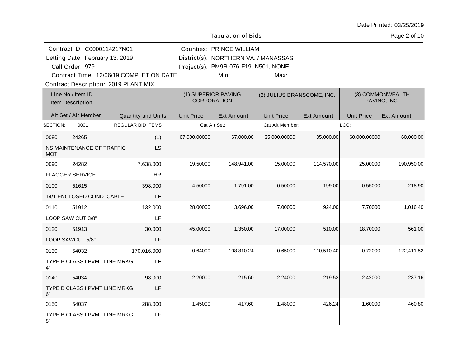| Date Printed: 03/25/2019 |  |
|--------------------------|--|
|--------------------------|--|

Page 2 of 10

|          | Contract ID: C0000114217N01                        |                          |                   | <b>Counties: PRINCE WILLIAM</b><br>District(s): NORTHERN VA. / MANASSAS |                            |                   |                   |                                  |
|----------|----------------------------------------------------|--------------------------|-------------------|-------------------------------------------------------------------------|----------------------------|-------------------|-------------------|----------------------------------|
|          | Letting Date: February 13, 2019<br>Call Order: 979 |                          |                   | Project(s): PM9R-076-F19, N501, NONE;                                   |                            |                   |                   |                                  |
|          | Contract Time: 12/06/19 COMPLETION DATE            |                          |                   | Min:                                                                    | Max:                       |                   |                   |                                  |
|          | <b>Contract Description: 2019 PLANT MIX</b>        |                          |                   |                                                                         |                            |                   |                   |                                  |
|          | Line No / Item ID<br>Item Description              |                          |                   | (1) SUPERIOR PAVING<br><b>CORPORATION</b>                               | (2) JULIUS BRANSCOME, INC. |                   |                   | (3) COMMONWEALTH<br>PAVING, INC. |
|          | Alt Set / Alt Member                               | Quantity and Units       | <b>Unit Price</b> | Ext Amount                                                              | <b>Unit Price</b>          | <b>Ext Amount</b> | <b>Unit Price</b> | <b>Ext Amount</b>                |
| SECTION: | 0001                                               | <b>REGULAR BID ITEMS</b> |                   | Cat Alt Set:                                                            | Cat Alt Member:            |                   | LCC:              |                                  |
| 0080     | 24265                                              | (1)                      | 67,000.00000      | 67,000.00                                                               | 35,000.00000               | 35,000.00         | 60,000.00000      | 60,000.00                        |
| MOT      | NS MAINTENANCE OF TRAFFIC                          | LS                       |                   |                                                                         |                            |                   |                   |                                  |
| 0090     | 24282                                              | 7,638.000                | 19.50000          | 148,941.00                                                              | 15.00000                   | 114,570.00        | 25.00000          | 190,950.00                       |
|          | <b>FLAGGER SERVICE</b>                             | <b>HR</b>                |                   |                                                                         |                            |                   |                   |                                  |
| 0100     | 51615                                              | 398.000                  | 4.50000           | 1,791.00                                                                | 0.50000                    | 199.00            | 0.55000           | 218.90                           |
|          | 14/1 ENCLOSED COND. CABLE                          | LF                       |                   |                                                                         |                            |                   |                   |                                  |
| 0110     | 51912                                              | 132.000                  | 28.00000          | 3,696.00                                                                | 7.00000                    | 924.00            | 7.70000           | 1,016.40                         |
|          | LOOP SAW CUT 3/8"                                  | LF                       |                   |                                                                         |                            |                   |                   |                                  |
| 0120     | 51913                                              | 30.000                   | 45.00000          | 1,350.00                                                                | 17.00000                   | 510.00            | 18.70000          | 561.00                           |
|          | LOOP SAWCUT 5/8"                                   | LF                       |                   |                                                                         |                            |                   |                   |                                  |
| 0130     | 54032                                              | 170,016.000              | 0.64000           | 108,810.24                                                              | 0.65000                    | 110,510.40        | 0.72000           | 122,411.52                       |
| 4"       | TYPE B CLASS I PVMT LINE MRKG                      | LF                       |                   |                                                                         |                            |                   |                   |                                  |
| 0140     | 54034                                              | 98.000                   | 2.20000           | 215.60                                                                  | 2.24000                    | 219.52            | 2.42000           | 237.16                           |
| 6"       | TYPE B CLASS I PVMT LINE MRKG                      | LF                       |                   |                                                                         |                            |                   |                   |                                  |
| 0150     | 54037                                              | 288.000                  | 1.45000           | 417.60                                                                  | 1.48000                    | 426.24            | 1.60000           | 460.80                           |
| 8"       | TYPE B CLASS I PVMT LINE MRKG                      | LF                       |                   |                                                                         |                            |                   |                   |                                  |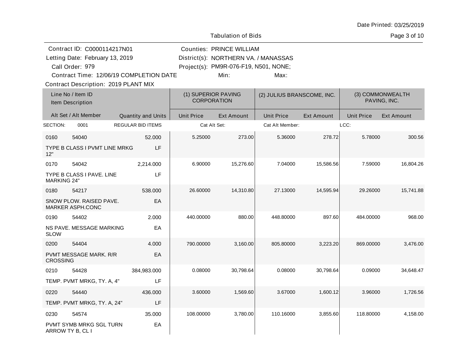Page 3 of 10

|                    | Contract ID: C0000114217N01                        |                          |                   | <b>Counties: PRINCE WILLIAM</b>           |                            |                   |                   |                                  |
|--------------------|----------------------------------------------------|--------------------------|-------------------|-------------------------------------------|----------------------------|-------------------|-------------------|----------------------------------|
|                    | Letting Date: February 13, 2019                    |                          |                   | District(s): NORTHERN VA. / MANASSAS      |                            |                   |                   |                                  |
|                    | Call Order: 979                                    |                          |                   | Project(s): PM9R-076-F19, N501, NONE;     |                            |                   |                   |                                  |
|                    | Contract Time: 12/06/19 COMPLETION DATE            |                          |                   | Min:                                      | Max:                       |                   |                   |                                  |
|                    | <b>Contract Description: 2019 PLANT MIX</b>        |                          |                   |                                           |                            |                   |                   |                                  |
|                    | Line No / Item ID<br>Item Description              |                          |                   | (1) SUPERIOR PAVING<br><b>CORPORATION</b> | (2) JULIUS BRANSCOME, INC. |                   |                   | (3) COMMONWEALTH<br>PAVING, INC. |
|                    | Alt Set / Alt Member                               | Quantity and Units       | <b>Unit Price</b> | <b>Ext Amount</b>                         | <b>Unit Price</b>          | <b>Ext Amount</b> | <b>Unit Price</b> | <b>Ext Amount</b>                |
| SECTION:           | 0001                                               | <b>REGULAR BID ITEMS</b> |                   | Cat Alt Set:                              | Cat Alt Member:            |                   | LCC:              |                                  |
| 0160               | 54040                                              | 52.000                   | 5.25000           | 273.00                                    | 5.36000                    | 278.72            | 5.78000           | 300.56                           |
| 12"                | TYPE B CLASS I PVMT LINE MRKG                      | LF                       |                   |                                           |                            |                   |                   |                                  |
| 0170               | 54042                                              | 2,214.000                | 6.90000           | 15,276.60                                 | 7.04000                    | 15,586.56         | 7.59000           | 16,804.26                        |
| <b>MARKING 24"</b> | TYPE B CLASS I PAVE, LINE                          | LF                       |                   |                                           |                            |                   |                   |                                  |
| 0180               | 54217                                              | 538.000                  | 26.60000          | 14,310.80                                 | 27.13000                   | 14,595.94         | 29.26000          | 15,741.88                        |
|                    | SNOW PLOW. RAISED PAVE.<br><b>MARKER ASPH.CONC</b> | EA                       |                   |                                           |                            |                   |                   |                                  |
| 0190               | 54402                                              | 2.000                    | 440.00000         | 880.00                                    | 448.80000                  | 897.60            | 484.00000         | 968.00                           |
| <b>SLOW</b>        | NS PAVE. MESSAGE MARKING                           | EA                       |                   |                                           |                            |                   |                   |                                  |
| 0200               | 54404                                              | 4.000                    | 790.00000         | 3,160.00                                  | 805.80000                  | 3,223.20          | 869.00000         | 3,476.00                         |
| <b>CROSSING</b>    | PVMT MESSAGE MARK. R/R                             | EA                       |                   |                                           |                            |                   |                   |                                  |
| 0210               | 54428                                              | 384,983.000              | 0.08000           | 30,798.64                                 | 0.08000                    | 30,798.64         | 0.09000           | 34,648.47                        |
|                    | TEMP. PVMT MRKG, TY. A, 4"                         | LF                       |                   |                                           |                            |                   |                   |                                  |
| 0220               | 54440                                              | 436.000                  | 3.60000           | 1,569.60                                  | 3.67000                    | 1,600.12          | 3.96000           | 1,726.56                         |
|                    | TEMP. PVMT MRKG, TY. A, 24"                        | LF                       |                   |                                           |                            |                   |                   |                                  |
| 0230               | 54574                                              | 35.000                   | 108.00000         | 3,780.00                                  | 110.16000                  | 3,855.60          | 118.80000         | 4,158.00                         |
|                    | PVMT SYMB MRKG SGL TURN<br>ARROW TY B, CL I        | EA                       |                   |                                           |                            |                   |                   |                                  |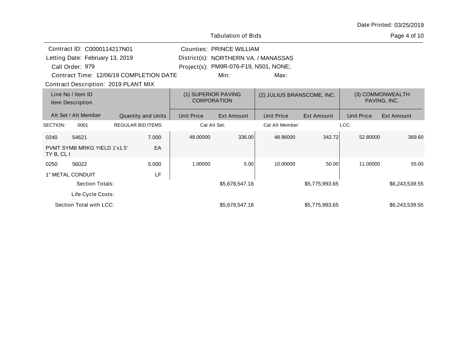Page 4 of 10

|                 | Contract ID: C0000114217N01           |                                         |                   | Counties: PRINCE WILLIAM                  |                            |                   |                   |                                  |
|-----------------|---------------------------------------|-----------------------------------------|-------------------|-------------------------------------------|----------------------------|-------------------|-------------------|----------------------------------|
|                 | Letting Date: February 13, 2019       |                                         |                   | District(s): NORTHERN VA. / MANASSAS      |                            |                   |                   |                                  |
|                 | Call Order: 979                       |                                         |                   | Project(s): PM9R-076-F19, N501, NONE;     |                            |                   |                   |                                  |
|                 |                                       | Contract Time: 12/06/19 COMPLETION DATE |                   | Min:                                      | Max:                       |                   |                   |                                  |
|                 |                                       | Contract Description: 2019 PLANT MIX    |                   |                                           |                            |                   |                   |                                  |
|                 | Line No / Item ID<br>Item Description |                                         |                   | (1) SUPERIOR PAVING<br><b>CORPORATION</b> | (2) JULIUS BRANSCOME, INC. |                   |                   | (3) COMMONWEALTH<br>PAVING, INC. |
|                 | Alt Set / Alt Member                  | <b>Quantity and Units</b>               | <b>Unit Price</b> | Ext Amount                                | <b>Unit Price</b>          | <b>Ext Amount</b> | <b>Unit Price</b> | Ext Amount                       |
| <b>SECTION:</b> | 0001                                  | <b>REGULAR BID ITEMS</b>                |                   | Cat Alt Set:                              | Cat Alt Member:            |                   | LCC:              |                                  |
| 0240            | 54621                                 | 7.000                                   | 48.00000          | 336.00                                    | 48.96000                   | 342.72            | 52,80000          | 369.60                           |
| TY B, CL I      | PVMT SYMB MRKG YIELD 1'x1.5"          | EA                                      |                   |                                           |                            |                   |                   |                                  |
| 0250            | 56022                                 | 5.000                                   | 1.00000           | 5.00                                      | 10.00000                   | 50.00             | 11.00000          | 55.00                            |
|                 | 1" METAL CONDUIT                      | LF                                      |                   |                                           |                            |                   |                   |                                  |
|                 | Section Totals:                       |                                         |                   | \$5,678,547.18                            |                            | \$5,775,993.65    |                   | \$6,243,539.55                   |
|                 | Life Cycle Costs:                     |                                         |                   |                                           |                            |                   |                   |                                  |
|                 | Section Total with LCC:               |                                         |                   | \$5,678,547.18                            |                            | \$5,775,993.65    |                   | \$6,243,539.55                   |

Tabulation of Bids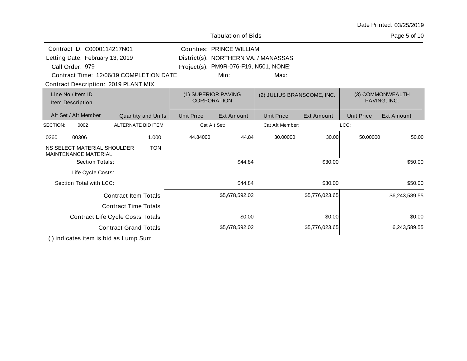| Date Printed: 03/25/2019 |  |
|--------------------------|--|
|--------------------------|--|

Page 5 of 10

| Contract ID: C0000114217N01                                |                                         |            |                   | <b>Counties: PRINCE WILLIAM</b>           |                            |                   |                   |                                  |
|------------------------------------------------------------|-----------------------------------------|------------|-------------------|-------------------------------------------|----------------------------|-------------------|-------------------|----------------------------------|
| Letting Date: February 13, 2019                            |                                         |            |                   | District(s): NORTHERN VA. / MANASSAS      |                            |                   |                   |                                  |
| Call Order: 979                                            |                                         |            |                   | Project(s): PM9R-076-F19, N501, NONE;     |                            |                   |                   |                                  |
|                                                            | Contract Time: 12/06/19 COMPLETION DATE |            |                   | Min:                                      | Max:                       |                   |                   |                                  |
| Contract Description: 2019 PLANT MIX                       |                                         |            |                   |                                           |                            |                   |                   |                                  |
| Line No / Item ID<br>Item Description                      |                                         |            |                   | (1) SUPERIOR PAVING<br><b>CORPORATION</b> | (2) JULIUS BRANSCOME, INC. |                   |                   | (3) COMMONWEALTH<br>PAVING, INC. |
| Alt Set / Alt Member                                       | <b>Quantity and Units</b>               |            | <b>Unit Price</b> | Ext Amount                                | <b>Unit Price</b>          | <b>Ext Amount</b> | <b>Unit Price</b> | Ext Amount                       |
| SECTION:<br>0002                                           | ALTERNATE BID ITEM                      |            |                   | Cat Alt Set:                              | Cat Alt Member:            |                   | LCC:              |                                  |
| 00306<br>0260                                              |                                         | 1.000      | 44.84000          | 44.84                                     | 30.00000                   | 30.00             | 50.00000          | 50.00                            |
| NS SELECT MATERIAL SHOULDER<br><b>MAINTENANCE MATERIAL</b> |                                         | <b>TON</b> |                   |                                           |                            |                   |                   |                                  |
| Section Totals:                                            |                                         |            |                   | \$44.84                                   |                            | \$30.00           |                   | \$50.00                          |
| Life Cycle Costs:                                          |                                         |            |                   |                                           |                            |                   |                   |                                  |
| Section Total with LCC:                                    |                                         |            |                   | \$44.84                                   |                            | \$30.00           |                   | \$50.00                          |
|                                                            | <b>Contract Item Totals</b>             |            |                   | \$5,678,592.02                            |                            | \$5,776,023.65    |                   | \$6,243,589.55                   |
|                                                            | <b>Contract Time Totals</b>             |            |                   |                                           |                            |                   |                   |                                  |
|                                                            | <b>Contract Life Cycle Costs Totals</b> |            |                   | \$0.00                                    |                            | \$0.00            |                   | \$0.00                           |
|                                                            | <b>Contract Grand Totals</b>            |            |                   | \$5,678,592.02                            |                            | \$5,776,023.65    |                   | 6,243,589.55                     |
|                                                            |                                         |            |                   |                                           |                            |                   |                   |                                  |

Tabulation of Bids

( ) indicates item is bid as Lump Sum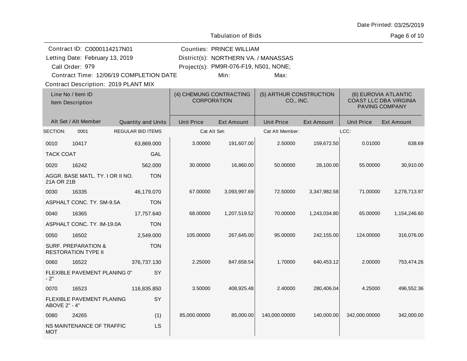Page 6 of 10

| Contract ID: C0000114217N01<br>Letting Date: February 13, 2019<br>Call Order: 979 |                                                              |                                         |                                               | <b>Counties: PRINCE WILLIAM</b><br>District(s): NORTHERN VA. / MANASSAS<br>Project(s): PM9R-076-F19, N501, NONE; |                                      |                   |                   |                                                                         |
|-----------------------------------------------------------------------------------|--------------------------------------------------------------|-----------------------------------------|-----------------------------------------------|------------------------------------------------------------------------------------------------------------------|--------------------------------------|-------------------|-------------------|-------------------------------------------------------------------------|
|                                                                                   |                                                              | Contract Time: 12/06/19 COMPLETION DATE |                                               | Min:                                                                                                             | Max:                                 |                   |                   |                                                                         |
|                                                                                   | Contract Description: 2019 PLANT MIX                         |                                         |                                               |                                                                                                                  |                                      |                   |                   |                                                                         |
|                                                                                   | Line No / Item ID<br>Item Description                        |                                         | (4) CHEMUNG CONTRACTING<br><b>CORPORATION</b> |                                                                                                                  | (5) ARTHUR CONSTRUCTION<br>CO., INC. |                   |                   | (6) EUROVIA ATLANTIC<br><b>COAST LLC DBA VIRGINIA</b><br>PAVING COMPANY |
|                                                                                   | Alt Set / Alt Member                                         | <b>Quantity and Units</b>               | <b>Unit Price</b>                             | <b>Ext Amount</b>                                                                                                | <b>Unit Price</b>                    | <b>Ext Amount</b> | <b>Unit Price</b> | <b>Ext Amount</b>                                                       |
| SECTION:                                                                          | 0001                                                         | <b>REGULAR BID ITEMS</b>                | Cat Alt Set:                                  |                                                                                                                  | Cat Alt Member:                      |                   | LCC:              |                                                                         |
| 0010                                                                              | 10417                                                        | 63,869.000                              | 3.00000                                       | 191,607.00                                                                                                       | 2.50000                              | 159,672.50        | 0.01000           | 638.69                                                                  |
| <b>TACK COAT</b>                                                                  |                                                              | GAL                                     |                                               |                                                                                                                  |                                      |                   |                   |                                                                         |
| 0020                                                                              | 16242                                                        | 562.000                                 | 30.00000                                      | 16,860.00                                                                                                        | 50.00000                             | 28,100.00         | 55.00000          | 30,910.00                                                               |
| 21A OR 21B                                                                        | AGGR. BASE MATL. TY. I OR II NO.                             | <b>TON</b>                              |                                               |                                                                                                                  |                                      |                   |                   |                                                                         |
| 0030                                                                              | 16335                                                        | 46,179.070                              | 67.00000                                      | 3,093,997.69                                                                                                     | 72.50000                             | 3,347,982.58      | 71.00000          | 3,278,713.97                                                            |
|                                                                                   | ASPHALT CONC. TY. SM-9.5A                                    | <b>TON</b>                              |                                               |                                                                                                                  |                                      |                   |                   |                                                                         |
| 0040                                                                              | 16365                                                        | 17,757.640                              | 68.00000                                      | 1,207,519.52                                                                                                     | 70.00000                             | 1,243,034.80      | 65.00000          | 1,154,246.60                                                            |
|                                                                                   | ASPHALT CONC. TY. IM-19.0A                                   | <b>TON</b>                              |                                               |                                                                                                                  |                                      |                   |                   |                                                                         |
| 0050                                                                              | 16502                                                        | 2,549.000                               | 105.00000                                     | 267,645.00                                                                                                       | 95.00000                             | 242,155.00        | 124.00000         | 316,076.00                                                              |
|                                                                                   | <b>SURF. PREPARATION &amp;</b><br><b>RESTORATION TYPE II</b> | <b>TON</b>                              |                                               |                                                                                                                  |                                      |                   |                   |                                                                         |
| 0060                                                                              | 16522                                                        | 376,737.130                             | 2.25000                                       | 847,658.54                                                                                                       | 1.70000                              | 640,453.12        | 2.00000           | 753,474.26                                                              |
| $-2"$                                                                             | FLEXIBLE PAVEMENT PLANING 0"                                 | SY                                      |                                               |                                                                                                                  |                                      |                   |                   |                                                                         |
| 0070                                                                              | 16523                                                        | 116,835.850                             | 3.50000                                       | 408,925.48                                                                                                       | 2.40000                              | 280,406.04        | 4.25000           | 496,552.36                                                              |
| ABOVE 2" - 4"                                                                     | FLEXIBLE PAVEMENT PLANING                                    | SY                                      |                                               |                                                                                                                  |                                      |                   |                   |                                                                         |
| 0080                                                                              | 24265                                                        | (1)                                     | 85,000.00000                                  | 85,000.00                                                                                                        | 140,000.00000                        | 140,000.00        | 342,000.00000     | 342,000.00                                                              |
| <b>MOT</b>                                                                        | NS MAINTENANCE OF TRAFFIC                                    | LS                                      |                                               |                                                                                                                  |                                      |                   |                   |                                                                         |

Tabulation of Bids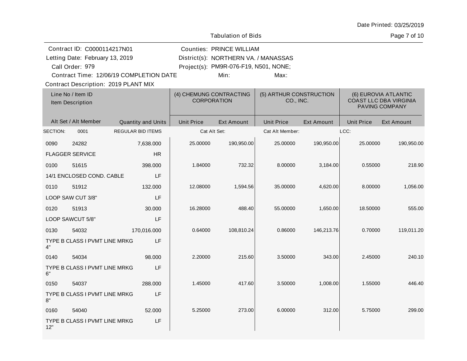Page 7 of 10

|          | Contract ID: C0000114217N01             |                           |                   | <b>Counties: PRINCE WILLIAM</b>               |                                      |                   |                   |                                                       |
|----------|-----------------------------------------|---------------------------|-------------------|-----------------------------------------------|--------------------------------------|-------------------|-------------------|-------------------------------------------------------|
|          | Letting Date: February 13, 2019         |                           |                   | District(s): NORTHERN VA. / MANASSAS          |                                      |                   |                   |                                                       |
|          | Call Order: 979                         |                           |                   | Project(s): PM9R-076-F19, N501, NONE;         |                                      |                   |                   |                                                       |
|          | Contract Time: 12/06/19 COMPLETION DATE |                           |                   | Min:                                          | Max:                                 |                   |                   |                                                       |
|          | Contract Description: 2019 PLANT MIX    |                           |                   |                                               |                                      |                   |                   |                                                       |
|          | Line No / Item ID                       |                           |                   | (4) CHEMUNG CONTRACTING<br><b>CORPORATION</b> | (5) ARTHUR CONSTRUCTION<br>CO., INC. |                   |                   | (6) EUROVIA ATLANTIC<br><b>COAST LLC DBA VIRGINIA</b> |
|          | Item Description                        |                           |                   |                                               |                                      |                   |                   | PAVING COMPANY                                        |
|          | Alt Set / Alt Member                    | <b>Quantity and Units</b> | <b>Unit Price</b> | <b>Ext Amount</b>                             | <b>Unit Price</b>                    | <b>Ext Amount</b> | <b>Unit Price</b> | <b>Ext Amount</b>                                     |
| SECTION: | 0001                                    | <b>REGULAR BID ITEMS</b>  |                   | Cat Alt Set:                                  | Cat Alt Member:                      |                   | LCC:              |                                                       |
|          |                                         |                           |                   |                                               |                                      |                   |                   |                                                       |
| 0090     | 24282                                   | 7,638.000                 | 25.00000          | 190,950.00                                    | 25.00000                             | 190,950.00        | 25.00000          | 190,950.00                                            |
|          | <b>FLAGGER SERVICE</b>                  | <b>HR</b>                 |                   |                                               |                                      |                   |                   |                                                       |
| 0100     | 51615                                   | 398.000                   | 1.84000           | 732.32                                        | 8.00000                              | 3,184.00          | 0.55000           | 218.90                                                |
|          | 14/1 ENCLOSED COND. CABLE               | LF                        |                   |                                               |                                      |                   |                   |                                                       |
| 0110     | 51912                                   | 132,000                   | 12.08000          | 1,594.56                                      | 35.00000                             | 4,620.00          | 8.00000           | 1,056.00                                              |
|          | LOOP SAW CUT 3/8"                       | LF                        |                   |                                               |                                      |                   |                   |                                                       |
| 0120     | 51913                                   | 30.000                    | 16.28000          | 488.40                                        | 55.00000                             | 1,650.00          | 18.50000          | 555.00                                                |
|          | LOOP SAWCUT 5/8"                        | LF                        |                   |                                               |                                      |                   |                   |                                                       |
| 0130     | 54032                                   | 170,016.000               | 0.64000           | 108,810.24                                    | 0.86000                              | 146,213.76        | 0.70000           | 119,011.20                                            |
| 4"       | TYPE B CLASS I PVMT LINE MRKG           | LF                        |                   |                                               |                                      |                   |                   |                                                       |
| 0140     | 54034                                   | 98.000                    | 2.20000           | 215.60                                        | 3.50000                              | 343.00            | 2.45000           | 240.10                                                |
| 6"       | TYPE B CLASS I PVMT LINE MRKG           | LF                        |                   |                                               |                                      |                   |                   |                                                       |
| 0150     | 54037                                   | 288.000                   | 1.45000           | 417.60                                        | 3.50000                              | 1,008.00          | 1.55000           | 446.40                                                |
| 8"       | TYPE B CLASS I PVMT LINE MRKG           | LF                        |                   |                                               |                                      |                   |                   |                                                       |
| 0160     | 54040                                   | 52.000                    | 5.25000           | 273.00                                        | 6.00000                              | 312.00            | 5.75000           | 299.00                                                |
| 12"      | TYPE B CLASS I PVMT LINE MRKG           | LF                        |                   |                                               |                                      |                   |                   |                                                       |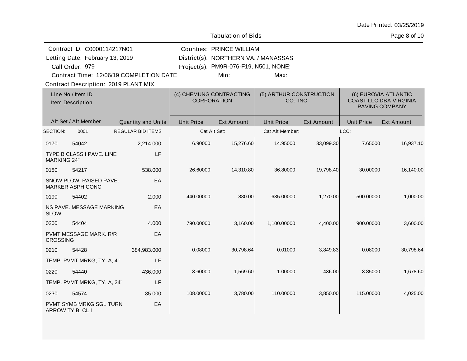Page 8 of 10

|                    | Contract ID: C0000114217N01                 |                                         |                   | <b>Counties: PRINCE WILLIAM</b>               |                   |                                      |                   |                                                                         |  |
|--------------------|---------------------------------------------|-----------------------------------------|-------------------|-----------------------------------------------|-------------------|--------------------------------------|-------------------|-------------------------------------------------------------------------|--|
|                    | Letting Date: February 13, 2019             |                                         |                   | District(s): NORTHERN VA. / MANASSAS          |                   |                                      |                   |                                                                         |  |
|                    | Call Order: 979                             |                                         |                   | Project(s): PM9R-076-F19, N501, NONE;         |                   |                                      |                   |                                                                         |  |
|                    |                                             | Contract Time: 12/06/19 COMPLETION DATE |                   | Min:                                          | Max:              |                                      |                   |                                                                         |  |
|                    | <b>Contract Description: 2019 PLANT MIX</b> |                                         |                   |                                               |                   |                                      |                   |                                                                         |  |
|                    | Line No / Item ID<br>Item Description       |                                         |                   | (4) CHEMUNG CONTRACTING<br><b>CORPORATION</b> |                   | (5) ARTHUR CONSTRUCTION<br>CO., INC. |                   | (6) EUROVIA ATLANTIC<br><b>COAST LLC DBA VIRGINIA</b><br>PAVING COMPANY |  |
|                    | Alt Set / Alt Member                        | Quantity and Units                      | <b>Unit Price</b> | <b>Ext Amount</b>                             | <b>Unit Price</b> | <b>Ext Amount</b>                    | <b>Unit Price</b> | <b>Ext Amount</b>                                                       |  |
| SECTION:           | 0001                                        | <b>REGULAR BID ITEMS</b>                |                   | Cat Alt Set:                                  | Cat Alt Member:   |                                      | LCC:              |                                                                         |  |
| 0170               | 54042                                       | 2,214.000                               | 6.90000           | 15,276.60                                     | 14.95000          | 33,099.30                            | 7.65000           | 16,937.10                                                               |  |
| <b>MARKING 24"</b> | TYPE B CLASS I PAVE. LINE                   | LF                                      |                   |                                               |                   |                                      |                   |                                                                         |  |
| 0180               | 54217                                       | 538.000                                 | 26.60000          | 14,310.80                                     | 36.80000          | 19,798.40                            | 30.00000          | 16,140.00                                                               |  |
|                    | SNOW PLOW. RAISED PAVE.<br>MARKER ASPH.CONC | EA                                      |                   |                                               |                   |                                      |                   |                                                                         |  |
| 0190               | 54402                                       | 2.000                                   | 440.00000         | 880.00                                        | 635.00000         | 1,270.00                             | 500.00000         | 1,000.00                                                                |  |
| <b>SLOW</b>        | NS PAVE, MESSAGE MARKING                    | EA                                      |                   |                                               |                   |                                      |                   |                                                                         |  |
| 0200               | 54404                                       | 4.000                                   | 790.00000         | 3,160.00                                      | 1,100.00000       | 4,400.00                             | 900.00000         | 3,600.00                                                                |  |
| <b>CROSSING</b>    | PVMT MESSAGE MARK. R/R                      | EA                                      |                   |                                               |                   |                                      |                   |                                                                         |  |
| 0210               | 54428                                       | 384,983.000                             | 0.08000           | 30,798.64                                     | 0.01000           | 3,849.83                             | 0.08000           | 30,798.64                                                               |  |
|                    | TEMP. PVMT MRKG, TY. A, 4"                  | LF                                      |                   |                                               |                   |                                      |                   |                                                                         |  |
| 0220               | 54440                                       | 436,000                                 | 3.60000           | 1,569.60                                      | 1.00000           | 436.00                               | 3.85000           | 1,678.60                                                                |  |
|                    | TEMP. PVMT MRKG, TY. A, 24"                 | LF                                      |                   |                                               |                   |                                      |                   |                                                                         |  |
| 0230               | 54574                                       | 35.000                                  | 108.00000         | 3,780.00                                      | 110.00000         | 3,850.00                             | 115.00000         | 4,025.00                                                                |  |
| ARROW TY B, CL I   | PVMT SYMB MRKG SGL TURN                     | EA                                      |                   |                                               |                   |                                      |                   |                                                                         |  |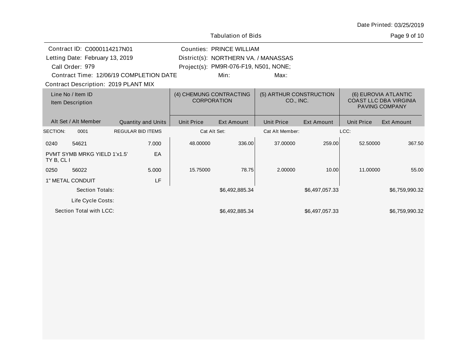Page 9 of 10

|                                       | Contract ID: C0000114217N01     |                                               |                   | <b>Counties: PRINCE WILLIAM</b>       |                   |                                                                         |                   |                   |
|---------------------------------------|---------------------------------|-----------------------------------------------|-------------------|---------------------------------------|-------------------|-------------------------------------------------------------------------|-------------------|-------------------|
|                                       | Letting Date: February 13, 2019 |                                               |                   | District(s): NORTHERN VA. / MANASSAS  |                   |                                                                         |                   |                   |
|                                       | Call Order: 979                 |                                               |                   | Project(s): PM9R-076-F19, N501, NONE; |                   |                                                                         |                   |                   |
|                                       |                                 | Contract Time: 12/06/19 COMPLETION DATE       |                   | Min:                                  | Max:              |                                                                         |                   |                   |
|                                       |                                 | Contract Description: 2019 PLANT MIX          |                   |                                       |                   |                                                                         |                   |                   |
| Line No / Item ID<br>Item Description |                                 | (4) CHEMUNG CONTRACTING<br><b>CORPORATION</b> |                   | (5) ARTHUR CONSTRUCTION<br>CO., INC.  |                   | (6) EUROVIA ATLANTIC<br><b>COAST LLC DBA VIRGINIA</b><br>PAVING COMPANY |                   |                   |
|                                       | Alt Set / Alt Member            | <b>Quantity and Units</b>                     | <b>Unit Price</b> | <b>Ext Amount</b>                     | <b>Unit Price</b> | <b>Ext Amount</b>                                                       | <b>Unit Price</b> | <b>Ext Amount</b> |
| SECTION:                              | 0001                            | <b>REGULAR BID ITEMS</b>                      |                   | Cat Alt Set:                          | Cat Alt Member:   |                                                                         | LCC:              |                   |
| 0240                                  | 54621                           | 7.000                                         | 48.00000          | 336.00                                | 37.00000          | 259.00                                                                  | 52.50000          | 367.50            |
| TY B, CL I                            | PVMT SYMB MRKG YIELD 1'x1.5"    | EA                                            |                   |                                       |                   |                                                                         |                   |                   |
| 0250                                  | 56022                           | 5.000                                         | 15.75000          | 78.75                                 | 2.00000           | 10.00                                                                   | 11.00000          | 55.00             |
|                                       | 1" METAL CONDUIT                | LF                                            |                   |                                       |                   |                                                                         |                   |                   |
|                                       | <b>Section Totals:</b>          |                                               |                   | \$6,492,885.34                        |                   | \$6,497,057.33                                                          |                   | \$6,759,990.32    |
|                                       | Life Cycle Costs:               |                                               |                   |                                       |                   |                                                                         |                   |                   |
|                                       | Section Total with LCC:         |                                               |                   | \$6,492,885.34                        |                   | \$6,497,057.33                                                          |                   | \$6,759,990.32    |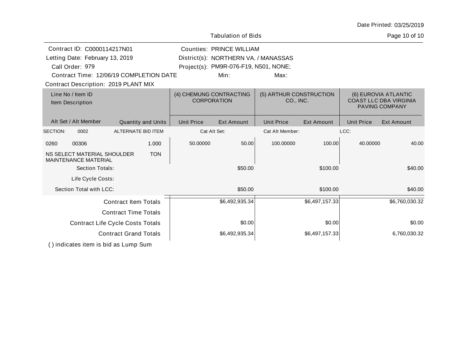Page 10 of 10

| Contract ID: C0000114217N01             |                                                            |                                         | <b>Counties: PRINCE WILLIAM</b> |                                      |                                               |                                      |                   |                   |                                                                                |
|-----------------------------------------|------------------------------------------------------------|-----------------------------------------|---------------------------------|--------------------------------------|-----------------------------------------------|--------------------------------------|-------------------|-------------------|--------------------------------------------------------------------------------|
| Letting Date: February 13, 2019         |                                                            |                                         |                                 | District(s): NORTHERN VA. / MANASSAS |                                               |                                      |                   |                   |                                                                                |
| Call Order: 979                         |                                                            |                                         |                                 |                                      | Project(s): PM9R-076-F19, N501, NONE;         |                                      |                   |                   |                                                                                |
|                                         |                                                            | Contract Time: 12/06/19 COMPLETION DATE |                                 |                                      | Min:                                          | Max:                                 |                   |                   |                                                                                |
|                                         |                                                            | Contract Description: 2019 PLANT MIX    |                                 |                                      |                                               |                                      |                   |                   |                                                                                |
|                                         | Line No / Item ID<br>Item Description                      |                                         |                                 |                                      | (4) CHEMUNG CONTRACTING<br><b>CORPORATION</b> | (5) ARTHUR CONSTRUCTION<br>CO., INC. |                   |                   | (6) EUROVIA ATLANTIC<br><b>COAST LLC DBA VIRGINIA</b><br><b>PAVING COMPANY</b> |
|                                         | Alt Set / Alt Member                                       |                                         | Quantity and Units              | <b>Unit Price</b>                    | <b>Ext Amount</b>                             | <b>Unit Price</b>                    | <b>Ext Amount</b> | <b>Unit Price</b> | <b>Ext Amount</b>                                                              |
| SECTION:                                | 0002                                                       | ALTERNATE BID ITEM                      |                                 |                                      | Cat Alt Set:                                  | Cat Alt Member:                      |                   | LCC:              |                                                                                |
| 0260                                    | 00306                                                      |                                         | 1.000                           | 50.00000                             | 50.00                                         | 100.00000                            | 100.00            | 40.00000          | 40.00                                                                          |
|                                         | NS SELECT MATERIAL SHOULDER<br><b>MAINTENANCE MATERIAL</b> |                                         | <b>TON</b>                      |                                      |                                               |                                      |                   |                   |                                                                                |
|                                         | <b>Section Totals:</b>                                     |                                         |                                 |                                      | \$50.00                                       |                                      | \$100.00          |                   | \$40.00                                                                        |
|                                         | Life Cycle Costs:                                          |                                         |                                 |                                      |                                               |                                      |                   |                   |                                                                                |
|                                         | Section Total with LCC:                                    |                                         |                                 |                                      | \$50.00                                       |                                      | \$100.00          |                   | \$40.00                                                                        |
|                                         |                                                            | <b>Contract Item Totals</b>             |                                 |                                      | \$6,492,935.34                                |                                      | \$6,497,157.33    |                   | \$6,760,030.32                                                                 |
|                                         |                                                            | <b>Contract Time Totals</b>             |                                 |                                      |                                               |                                      |                   |                   |                                                                                |
| <b>Contract Life Cycle Costs Totals</b> |                                                            |                                         |                                 | \$0.00                               |                                               | \$0.00                               |                   | \$0.00            |                                                                                |
| <b>Contract Grand Totals</b>            |                                                            |                                         |                                 | \$6,492,935.34                       |                                               | \$6,497,157.33                       |                   | 6,760,030.32      |                                                                                |
|                                         |                                                            |                                         |                                 |                                      |                                               |                                      |                   |                   |                                                                                |

Tabulation of Bids

( ) indicates item is bid as Lump Sum